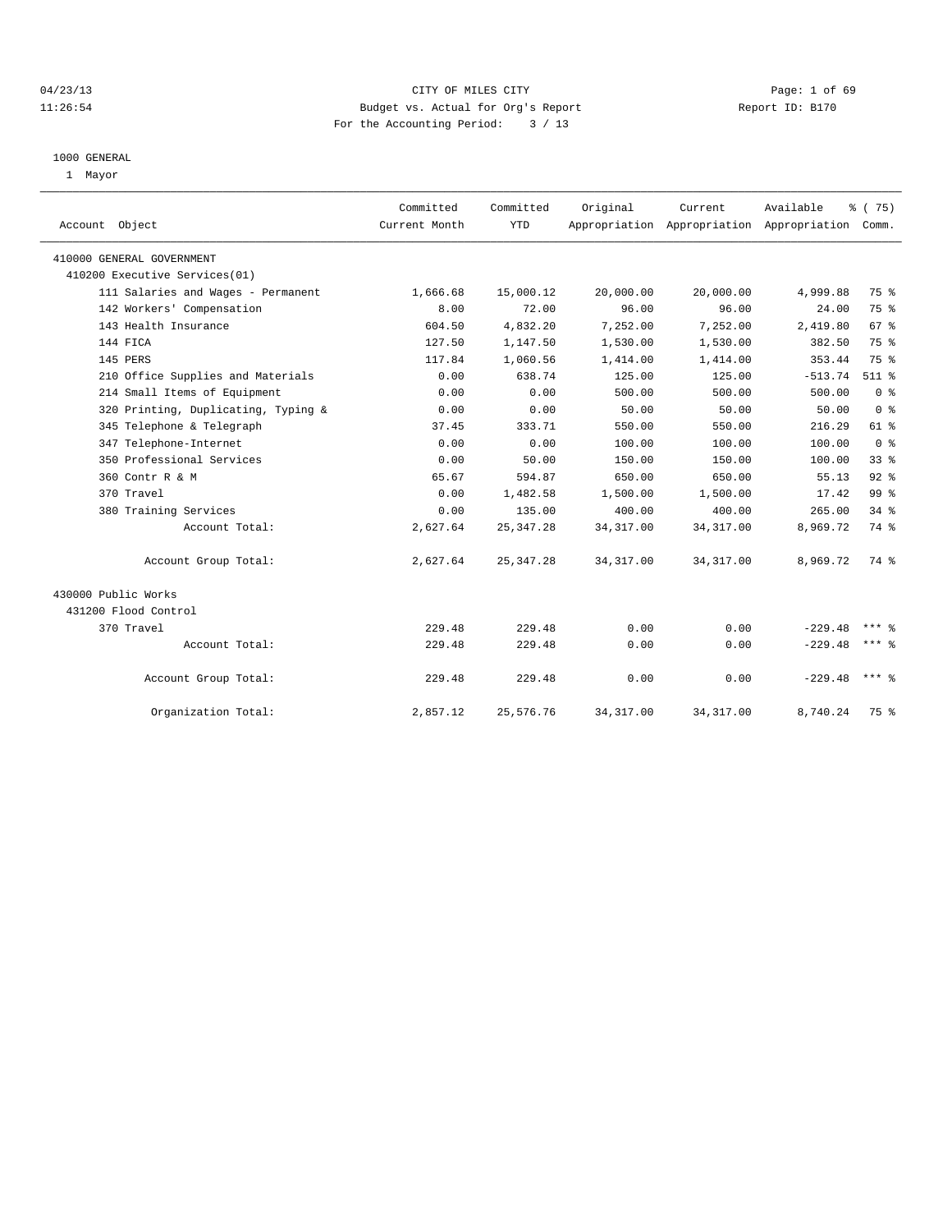# 04/23/13 Page: 1 of 69 11:26:54 Budget vs. Actual for Org's Report Report ID: B170 For the Accounting Period: 3 / 13

#### 1000 GENERAL

1 Mayor

| Account Object                      | Committed<br>Current Month | Committed<br><b>YTD</b> | Original   | Current    | Available<br>Appropriation Appropriation Appropriation Comm. | % (75)          |  |
|-------------------------------------|----------------------------|-------------------------|------------|------------|--------------------------------------------------------------|-----------------|--|
| 410000 GENERAL GOVERNMENT           |                            |                         |            |            |                                                              |                 |  |
| 410200 Executive Services(01)       |                            |                         |            |            |                                                              |                 |  |
| 111 Salaries and Wages - Permanent  | 1,666.68                   | 15,000.12               | 20,000.00  | 20,000.00  | 4,999.88                                                     | 75 %            |  |
| 142 Workers' Compensation           | 8.00                       | 72.00                   | 96.00      | 96.00      | 24.00                                                        | 75 %            |  |
| 143 Health Insurance                | 604.50                     | 4,832.20                | 7,252.00   | 7,252.00   | 2,419.80                                                     | 67 <sup>8</sup> |  |
| 144 FICA                            | 127.50                     | 1,147.50                | 1,530.00   | 1,530.00   | 382.50                                                       | 75 %            |  |
| 145 PERS                            | 117.84                     | 1,060.56                | 1,414.00   | 1,414.00   | 353.44                                                       | 75 %            |  |
| 210 Office Supplies and Materials   | 0.00                       | 638.74                  | 125.00     | 125.00     | $-513.74$                                                    | $511$ $%$       |  |
| 214 Small Items of Equipment        | 0.00                       | 0.00                    | 500.00     | 500.00     | 500.00                                                       | 0 <sup>8</sup>  |  |
| 320 Printing, Duplicating, Typing & | 0.00                       | 0.00                    | 50.00      | 50.00      | 50.00                                                        | 0 <sup>8</sup>  |  |
| 345 Telephone & Telegraph           | 37.45                      | 333.71                  | 550.00     | 550.00     | 216.29                                                       | $61$ $%$        |  |
| 347 Telephone-Internet              | 0.00                       | 0.00                    | 100.00     | 100.00     | 100.00                                                       | 0 <sup>8</sup>  |  |
| 350 Professional Services           | 0.00                       | 50.00                   | 150.00     | 150.00     | 100.00                                                       | 33 <sup>8</sup> |  |
| 360 Contr R & M                     | 65.67                      | 594.87                  | 650.00     | 650.00     | 55.13                                                        | $92$ $%$        |  |
| 370 Travel                          | 0.00                       | 1,482.58                | 1,500.00   | 1,500.00   | 17.42                                                        | 99 <sub>8</sub> |  |
| 380 Training Services               | 0.00                       | 135.00                  | 400.00     | 400.00     | 265.00                                                       | 34.8            |  |
| Account Total:                      | 2,627.64                   | 25, 347. 28             | 34, 317.00 | 34, 317.00 | 8,969.72                                                     | 74 %            |  |
| Account Group Total:                | 2,627.64                   | 25, 347. 28             | 34, 317.00 | 34, 317.00 | 8,969.72                                                     | 74 %            |  |
| 430000 Public Works                 |                            |                         |            |            |                                                              |                 |  |
| 431200 Flood Control                |                            |                         |            |            |                                                              |                 |  |
| 370 Travel                          | 229.48                     | 229.48                  | 0.00       | 0.00       | $-229.48$                                                    | *** Զ           |  |
| Account Total:                      | 229.48                     | 229.48                  | 0.00       | 0.00       | $-229.48$                                                    | $***$ $%$       |  |
| Account Group Total:                | 229.48                     | 229.48                  | 0.00       | 0.00       | $-229.48$                                                    | $***$ $=$       |  |
| Organization Total:                 | 2,857.12                   | 25,576.76               | 34, 317.00 | 34, 317.00 | 8,740.24                                                     | 75 %            |  |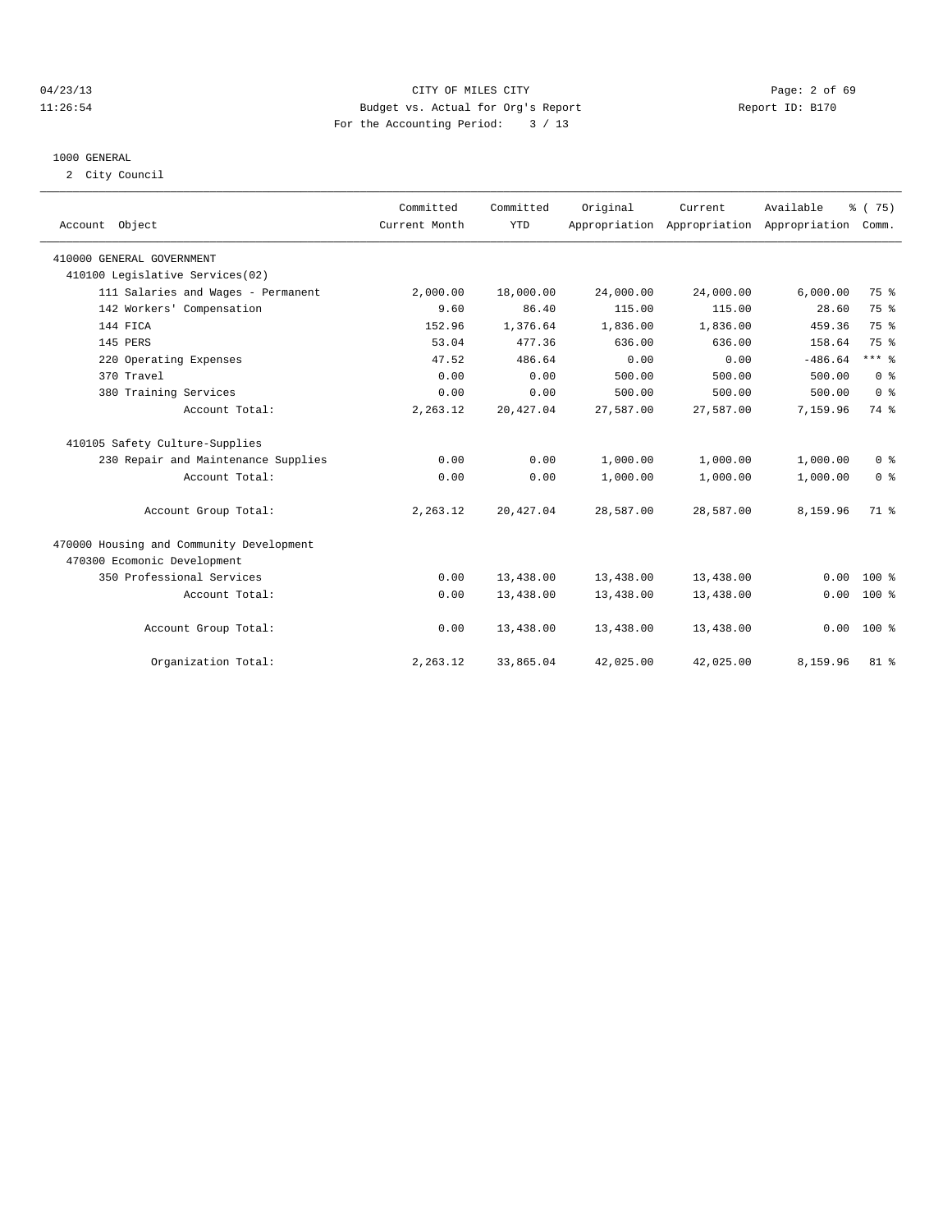# 04/23/13 Page: 2 of 69 11:26:54 Budget vs. Actual for Org's Report Report ID: B170 For the Accounting Period: 3 / 13

#### 1000 GENERAL

2 City Council

| Account Object                           | Committed<br>Current Month | Committed<br><b>YTD</b> | Original  | Current<br>Appropriation Appropriation Appropriation | Available | % (75)<br>Comm. |
|------------------------------------------|----------------------------|-------------------------|-----------|------------------------------------------------------|-----------|-----------------|
| 410000 GENERAL GOVERNMENT                |                            |                         |           |                                                      |           |                 |
| 410100 Legislative Services(02)          |                            |                         |           |                                                      |           |                 |
| 111 Salaries and Wages - Permanent       | 2,000.00                   | 18,000.00               | 24,000.00 | 24,000.00                                            | 6,000.00  | 75 %            |
| 142 Workers' Compensation                | 9.60                       | 86.40                   | 115.00    | 115.00                                               | 28.60     | 75 %            |
| 144 FICA                                 | 152.96                     | 1,376.64                | 1,836.00  | 1,836.00                                             | 459.36    | 75 %            |
| 145 PERS                                 | 53.04                      | 477.36                  | 636.00    | 636.00                                               | 158.64    | 75 %            |
| 220 Operating Expenses                   | 47.52                      | 486.64                  | 0.00      | 0.00                                                 | $-486.64$ | $***$ $%$       |
| 370 Travel                               | 0.00                       | 0.00                    | 500.00    | 500.00                                               | 500.00    | 0 <sup>8</sup>  |
| 380 Training Services                    | 0.00                       | 0.00                    | 500.00    | 500.00                                               | 500.00    | 0 <sup>8</sup>  |
| Account Total:                           | 2,263.12                   | 20,427.04               | 27,587.00 | 27,587.00                                            | 7,159.96  | 74 %            |
| 410105 Safety Culture-Supplies           |                            |                         |           |                                                      |           |                 |
| 230 Repair and Maintenance Supplies      | 0.00                       | 0.00                    | 1,000.00  | 1,000.00                                             | 1,000.00  | 0 <sup>8</sup>  |
| Account Total:                           | 0.00                       | 0.00                    | 1,000.00  | 1,000.00                                             | 1,000.00  | 0 <sup>8</sup>  |
| Account Group Total:                     | 2,263.12                   | 20,427.04               | 28,587.00 | 28,587.00                                            | 8,159.96  | 71 %            |
| 470000 Housing and Community Development |                            |                         |           |                                                      |           |                 |
| 470300 Ecomonic Development              |                            |                         |           |                                                      |           |                 |
| 350 Professional Services                | 0.00                       | 13,438.00               | 13,438.00 | 13,438.00                                            | 0.00      | $100*$          |
| Account Total:                           | 0.00                       | 13,438.00               | 13,438.00 | 13,438.00                                            | 0.00      | $100*$          |
| Account Group Total:                     | 0.00                       | 13,438.00               | 13,438.00 | 13,438.00                                            | 0.00      | 100 %           |
| Organization Total:                      | 2,263.12                   | 33,865.04               | 42,025.00 | 42,025.00                                            | 8,159.96  | $81$ %          |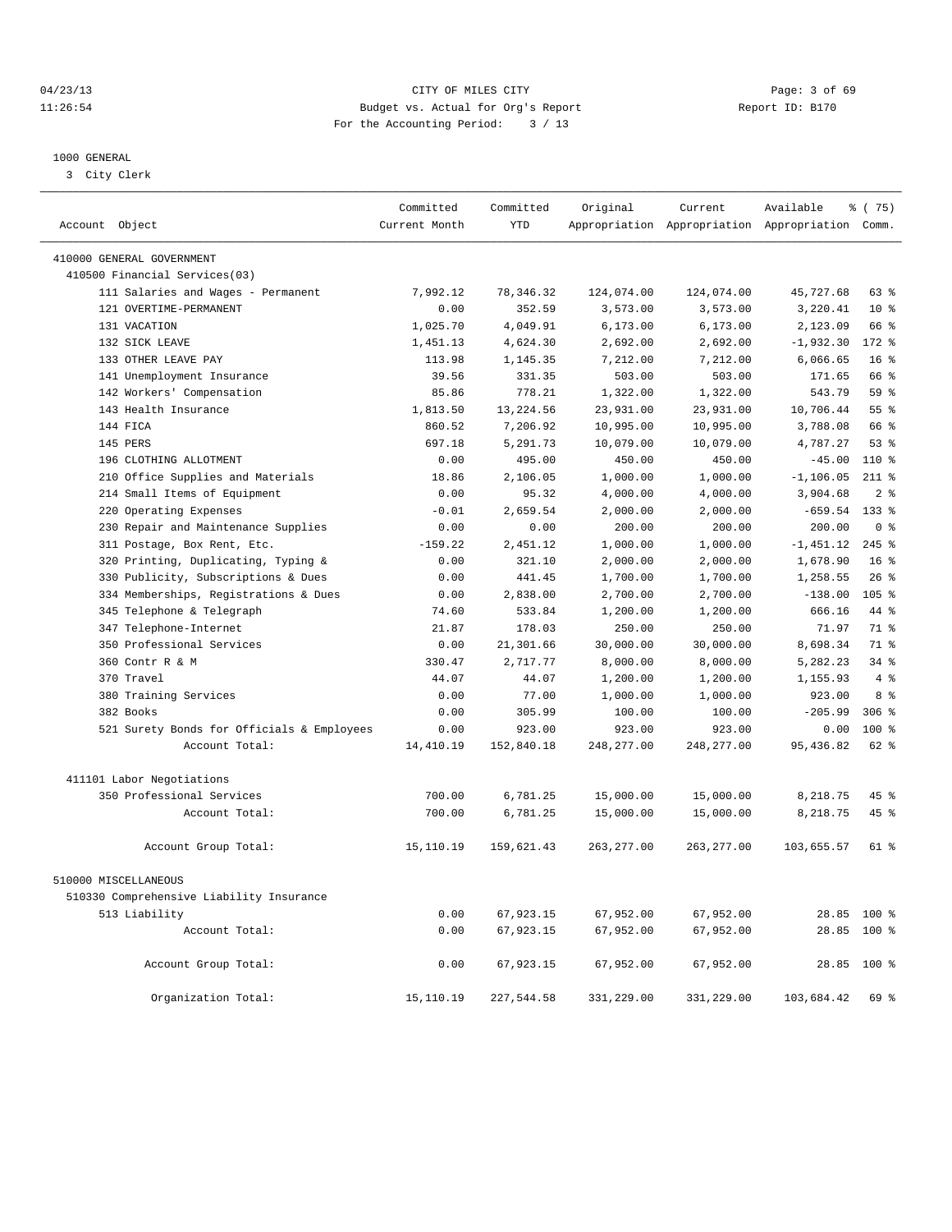04/23/13 Page: 3 of 69 11:26:54 Budget vs. Actual for Org's Report Report ID: B170 For the Accounting Period: 3 / 13

————————————————————————————————————————————————————————————————————————————————————————————————————————————————————————————————————

#### 1000 GENERAL

3 City Clerk

|                                            | Committed     | Committed  | Original    | Current     | Available                                       | % (75)           |
|--------------------------------------------|---------------|------------|-------------|-------------|-------------------------------------------------|------------------|
| Account Object                             | Current Month | <b>YTD</b> |             |             | Appropriation Appropriation Appropriation Comm. |                  |
| 410000 GENERAL GOVERNMENT                  |               |            |             |             |                                                 |                  |
| 410500 Financial Services(03)              |               |            |             |             |                                                 |                  |
| 111 Salaries and Wages - Permanent         | 7,992.12      | 78, 346.32 | 124,074.00  | 124,074.00  | 45,727.68                                       | $63$ $%$         |
| 121 OVERTIME-PERMANENT                     | 0.00          | 352.59     | 3,573.00    | 3,573.00    | 3,220.41                                        | $10*$            |
| 131 VACATION                               | 1,025.70      | 4,049.91   | 6, 173.00   | 6, 173.00   | 2,123.09                                        | 66 %             |
| 132 SICK LEAVE                             | 1,451.13      | 4,624.30   | 2,692.00    | 2,692.00    | $-1,932.30$                                     | 172 %            |
| 133 OTHER LEAVE PAY                        | 113.98        | 1,145.35   | 7,212.00    | 7,212.00    | 6,066.65                                        | 16 <sup>8</sup>  |
| 141 Unemployment Insurance                 | 39.56         | 331.35     | 503.00      | 503.00      | 171.65                                          | 66 %             |
| 142 Workers' Compensation                  | 85.86         | 778.21     | 1,322.00    | 1,322.00    | 543.79                                          | 59 <sup>8</sup>  |
| 143 Health Insurance                       | 1,813.50      | 13, 224.56 | 23,931.00   | 23,931.00   | 10,706.44                                       | 55 <sup>8</sup>  |
| 144 FICA                                   | 860.52        | 7,206.92   | 10,995.00   | 10,995.00   | 3,788.08                                        | 66 %             |
| 145 PERS                                   | 697.18        | 5,291.73   | 10,079.00   | 10,079.00   | 4,787.27                                        | 53%              |
| 196 CLOTHING ALLOTMENT                     | 0.00          | 495.00     | 450.00      | 450.00      | $-45.00$                                        | 110 %            |
| 210 Office Supplies and Materials          | 18.86         | 2,106.05   | 1,000.00    | 1,000.00    | $-1, 106.05$                                    | $211$ %          |
| 214 Small Items of Equipment               | 0.00          | 95.32      | 4,000.00    | 4,000.00    | 3,904.68                                        | 2 <sup>°</sup>   |
| 220 Operating Expenses                     | $-0.01$       | 2,659.54   | 2,000.00    | 2,000.00    | $-659.54$                                       | 133 %            |
| 230 Repair and Maintenance Supplies        | 0.00          | 0.00       | 200.00      | 200.00      | 200.00                                          | 0 <sup>8</sup>   |
| 311 Postage, Box Rent, Etc.                | $-159.22$     | 2,451.12   | 1,000.00    | 1,000.00    | $-1,451.12$                                     | $245$ %          |
| 320 Printing, Duplicating, Typing &        | 0.00          | 321.10     | 2,000.00    | 2,000.00    | 1,678.90                                        | 16 <sup>8</sup>  |
| 330 Publicity, Subscriptions & Dues        | 0.00          | 441.45     | 1,700.00    | 1,700.00    | 1,258.55                                        | $26$ %           |
| 334 Memberships, Registrations & Dues      | 0.00          | 2,838.00   | 2,700.00    | 2,700.00    | $-138.00$                                       | 105 <sub>8</sub> |
| 345 Telephone & Telegraph                  | 74.60         | 533.84     | 1,200.00    | 1,200.00    | 666.16                                          | 44 %             |
| 347 Telephone-Internet                     | 21.87         | 178.03     | 250.00      | 250.00      | 71.97                                           | 71.8             |
| 350 Professional Services                  | 0.00          | 21,301.66  | 30,000.00   | 30,000.00   | 8,698.34                                        | 71 %             |
| 360 Contr R & M                            | 330.47        | 2,717.77   | 8,000.00    | 8,000.00    | 5,282.23                                        | $34$ $%$         |
| 370 Travel                                 | 44.07         | 44.07      | 1,200.00    | 1,200.00    | 1,155.93                                        | 4%               |
| 380 Training Services                      | 0.00          | 77.00      | 1,000.00    | 1,000.00    | 923.00                                          | $8 \div$         |
| 382 Books                                  | 0.00          | 305.99     | 100.00      | 100.00      | $-205.99$                                       | 306 <sup>8</sup> |
| 521 Surety Bonds for Officials & Employees | 0.00          | 923.00     | 923.00      | 923.00      | 0.00                                            | $100*$           |
| Account Total:                             | 14,410.19     | 152,840.18 | 248, 277.00 | 248, 277.00 | 95, 436.82                                      | $62$ $%$         |
|                                            |               |            |             |             |                                                 |                  |
| 411101 Labor Negotiations                  |               |            |             |             |                                                 |                  |
| 350 Professional Services                  | 700.00        | 6,781.25   | 15,000.00   | 15,000.00   | 8,218.75                                        | 45 %             |
| Account Total:                             | 700.00        | 6,781.25   | 15,000.00   | 15,000.00   | 8,218.75                                        | 45 %             |
| Account Group Total:                       | 15,110.19     | 159,621.43 | 263, 277.00 | 263, 277.00 | 103,655.57                                      | 61 %             |
| 510000 MISCELLANEOUS                       |               |            |             |             |                                                 |                  |
| 510330 Comprehensive Liability Insurance   |               |            |             |             |                                                 |                  |
| 513 Liability                              | 0.00          | 67,923.15  | 67,952.00   | 67,952.00   |                                                 | 28.85 100 %      |
| Account Total:                             | 0.00          | 67,923.15  | 67,952.00   | 67,952.00   | 28.85                                           | 100 %            |
| Account Group Total:                       | 0.00          | 67,923.15  | 67,952.00   | 67,952.00   |                                                 | 28.85 100 %      |
| Organization Total:                        | 15, 110.19    | 227,544.58 | 331,229.00  | 331,229.00  | 103,684.42                                      | 69 %             |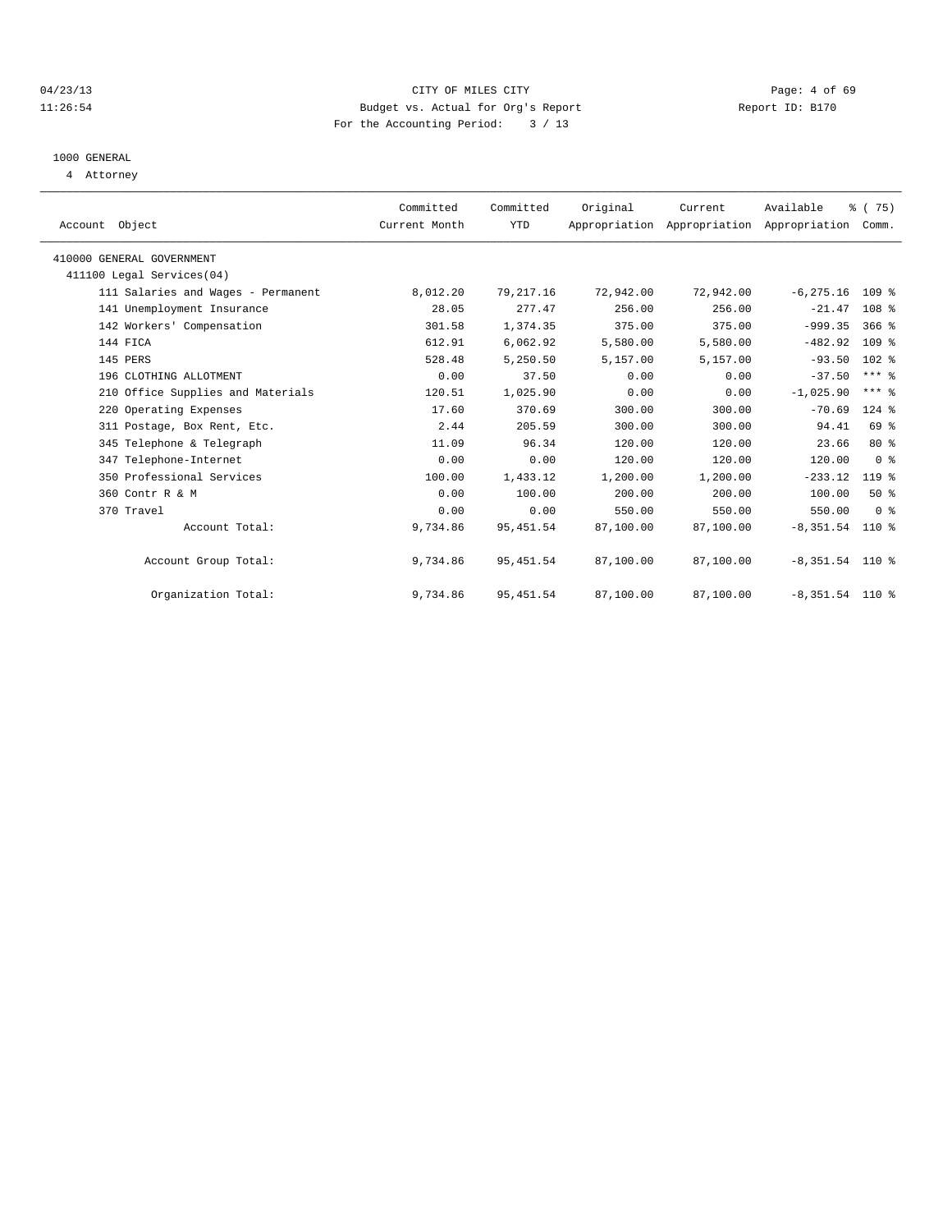# 04/23/13 CITY OF MILES CITY Page: 4 of 69 11:26:54 Budget vs. Actual for Org's Report Report ID: B170 For the Accounting Period: 3 / 13

# 1000 GENERAL

4 Attorney

| Account Object |                                    | Committed<br>Current Month | Committed<br>YTD | Original  | Current<br>Appropriation Appropriation Appropriation | Available          | $\frac{3}{6}$ ( 75)<br>Comm. |  |
|----------------|------------------------------------|----------------------------|------------------|-----------|------------------------------------------------------|--------------------|------------------------------|--|
|                | 410000 GENERAL GOVERNMENT          |                            |                  |           |                                                      |                    |                              |  |
|                | 411100 Legal Services(04)          |                            |                  |           |                                                      |                    |                              |  |
|                | 111 Salaries and Wages - Permanent | 8,012.20                   | 79, 217.16       | 72,942.00 | 72,942.00                                            | $-6, 275.16$ 109 % |                              |  |
|                | 141 Unemployment Insurance         | 28.05                      | 277.47           | 256.00    | 256.00                                               | $-21.47$           | 108 %                        |  |
|                | 142 Workers' Compensation          | 301.58                     | 1,374.35         | 375.00    | 375.00                                               | $-999.35$          | $366$ $%$                    |  |
| 144 FICA       |                                    | 612.91                     | 6,062.92         | 5,580.00  | 5,580.00                                             | $-482.92$          | 109 %                        |  |
| 145 PERS       |                                    | 528.48                     | 5,250.50         | 5,157.00  | 5,157.00                                             | $-93.50$           | 102 %                        |  |
|                | 196 CLOTHING ALLOTMENT             | 0.00                       | 37.50            | 0.00      | 0.00                                                 | $-37.50$           | $***$ $%$                    |  |
|                | 210 Office Supplies and Materials  | 120.51                     | 1,025.90         | 0.00      | 0.00                                                 | $-1,025.90$        | $***$ $%$                    |  |
|                | 220 Operating Expenses             | 17.60                      | 370.69           | 300.00    | 300.00                                               | $-70.69$           | $124$ $%$                    |  |
|                | 311 Postage, Box Rent, Etc.        | 2.44                       | 205.59           | 300.00    | 300.00                                               | 94.41              | 69 %                         |  |
|                | 345 Telephone & Telegraph          | 11.09                      | 96.34            | 120.00    | 120.00                                               | 23.66              | $80*$                        |  |
|                | 347 Telephone-Internet             | 0.00                       | 0.00             | 120.00    | 120.00                                               | 120.00             | 0 <sup>8</sup>               |  |
|                | 350 Professional Services          | 100.00                     | 1,433.12         | 1,200.00  | 1,200.00                                             | $-233.12$          | 119.8                        |  |
|                | 360 Contr R & M                    | 0.00                       | 100.00           | 200.00    | 200.00                                               | 100.00             | $50*$                        |  |
|                | 370 Travel                         | 0.00                       | 0.00             | 550.00    | 550.00                                               | 550.00             | 0 <sup>8</sup>               |  |
|                | Account Total:                     | 9,734.86                   | 95, 451.54       | 87,100.00 | 87,100.00                                            | $-8,351.54$ 110 %  |                              |  |
|                | Account Group Total:               | 9,734.86                   | 95, 451.54       | 87,100.00 | 87,100.00                                            | $-8,351.54$ 110 %  |                              |  |
|                | Organization Total:                | 9,734.86                   | 95, 451.54       | 87,100.00 | 87,100.00                                            | $-8,351.54$ 110 %  |                              |  |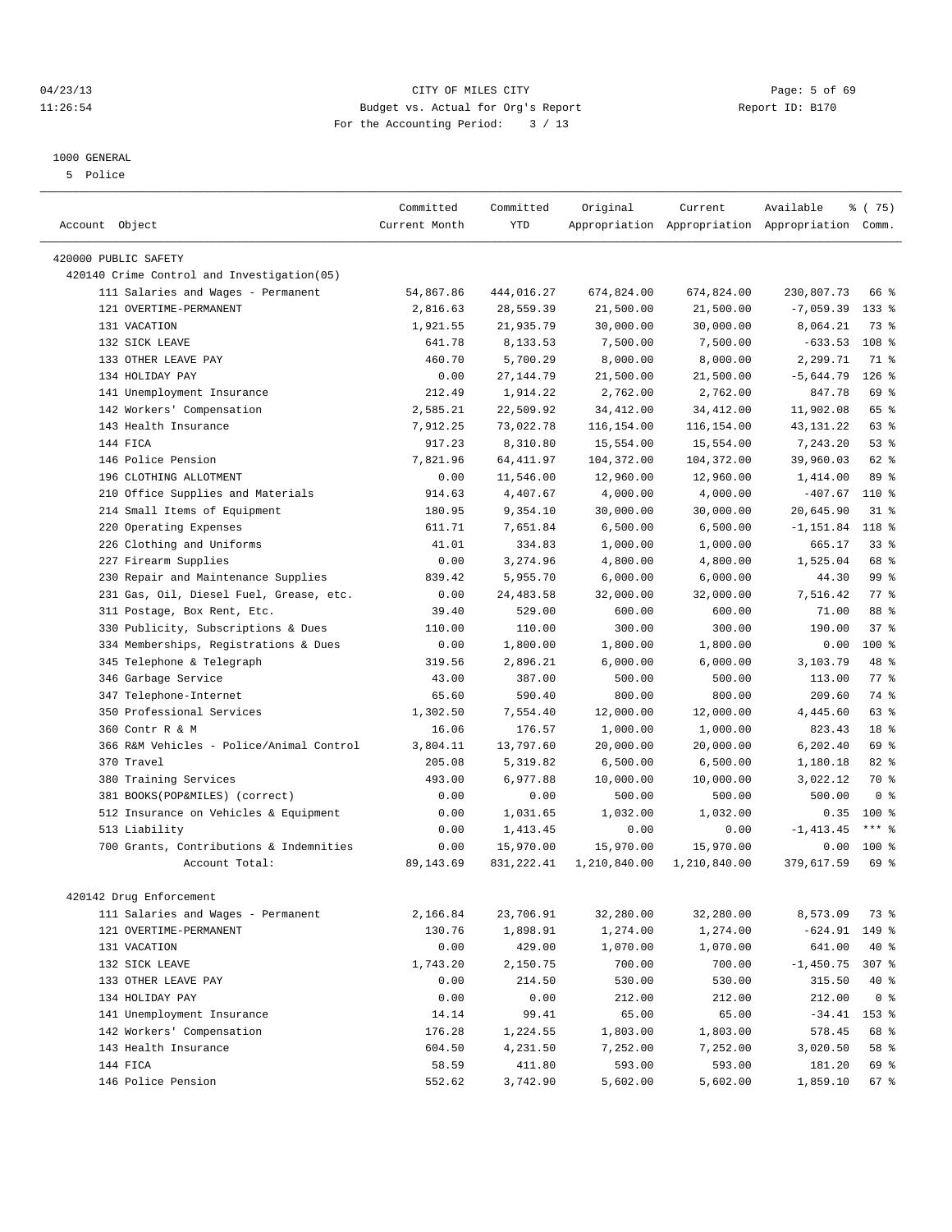# 04/23/13 Page: 5 of 69 11:26:54 Budget vs. Actual for Org's Report Report ID: B170 For the Accounting Period: 3 / 13

#### 1000 GENERAL

5 Police

|                                             | Committed     | Committed  | Original     | Current      | Available                                       | 8 (75)           |
|---------------------------------------------|---------------|------------|--------------|--------------|-------------------------------------------------|------------------|
| Account Object                              | Current Month | <b>YTD</b> |              |              | Appropriation Appropriation Appropriation Comm. |                  |
|                                             |               |            |              |              |                                                 |                  |
| 420000 PUBLIC SAFETY                        |               |            |              |              |                                                 |                  |
| 420140 Crime Control and Investigation (05) |               |            |              |              |                                                 |                  |
| 111 Salaries and Wages - Permanent          | 54,867.86     | 444,016.27 | 674,824.00   | 674,824.00   | 230,807.73                                      | 66 %             |
| 121 OVERTIME-PERMANENT                      | 2,816.63      | 28,559.39  | 21,500.00    | 21,500.00    | $-7,059.39$                                     | $133$ %          |
| 131 VACATION                                | 1,921.55      | 21,935.79  | 30,000.00    | 30,000.00    | 8,064.21                                        | 73 %             |
| 132 SICK LEAVE                              | 641.78        | 8,133.53   | 7.500.00     | 7,500.00     | $-633.53$                                       | 108 <sup>8</sup> |
| 133 OTHER LEAVE PAY                         | 460.70        | 5,700.29   | 8,000.00     | 8,000.00     | 2,299.71                                        | 71 %             |
| 134 HOLIDAY PAY                             | 0.00          | 27, 144.79 | 21,500.00    | 21,500.00    | $-5,644.79$                                     | $126$ %          |
| 141 Unemployment Insurance                  | 212.49        | 1,914.22   | 2,762.00     | 2,762.00     | 847.78                                          | 69 %             |
| 142 Workers' Compensation                   | 2,585.21      | 22,509.92  | 34, 412.00   | 34, 412.00   | 11,902.08                                       | 65 %             |
| 143 Health Insurance                        | 7,912.25      | 73,022.78  | 116,154.00   | 116,154.00   | 43, 131. 22                                     | 63 %             |
| 144 FICA                                    | 917.23        | 8,310.80   | 15,554.00    | 15,554.00    | 7,243.20                                        | $53$ $%$         |
| 146 Police Pension                          | 7,821.96      | 64, 411.97 | 104,372.00   | 104,372.00   | 39,960.03                                       | 62 %             |
| 196 CLOTHING ALLOTMENT                      | 0.00          | 11,546.00  | 12,960.00    | 12,960.00    | 1,414.00                                        | 89 %             |
| Office Supplies and Materials<br>210        | 914.63        | 4,407.67   | 4,000.00     | 4,000.00     | $-407.67$                                       | 110 %            |
| 214 Small Items of Equipment                | 180.95        | 9,354.10   | 30,000.00    | 30,000.00    | 20,645.90                                       | $31*$            |
| 220 Operating Expenses                      | 611.71        | 7,651.84   | 6,500.00     | 6,500.00     | $-1, 151.84$                                    | 118 %            |
| 226 Clothing and Uniforms                   | 41.01         | 334.83     | 1,000.00     | 1,000.00     | 665.17                                          | 33 <sup>8</sup>  |
| 227 Firearm Supplies                        | 0.00          | 3,274.96   | 4,800.00     | 4,800.00     | 1,525.04                                        | 68 %             |
| Repair and Maintenance Supplies<br>230      | 839.42        | 5,955.70   | 6,000.00     | 6,000.00     | 44.30                                           | 99 %             |
| 231 Gas, Oil, Diesel Fuel, Grease, etc.     | 0.00          | 24, 483.58 | 32,000.00    | 32,000.00    | 7,516.42                                        | 77.8             |
| 311 Postage, Box Rent, Etc.                 | 39.40         | 529.00     | 600.00       | 600.00       | 71.00                                           | 88 %             |
| 330 Publicity, Subscriptions & Dues         | 110.00        | 110.00     | 300.00       | 300.00       | 190.00                                          | $37*$            |
| 334 Memberships, Registrations & Dues       | 0.00          | 1,800.00   | 1,800.00     | 1,800.00     | 0.00                                            | 100 %            |
| Telephone & Telegraph<br>345                | 319.56        | 2,896.21   | 6,000.00     | 6,000.00     | 3,103.79                                        | 48 %             |
| 346 Garbage Service                         | 43.00         | 387.00     | 500.00       | 500.00       | 113.00                                          | 77.8             |
| 347 Telephone-Internet                      | 65.60         | 590.40     | 800.00       | 800.00       | 209.60                                          | 74 %             |
| 350 Professional Services                   | 1,302.50      | 7,554.40   | 12,000.00    | 12,000.00    | 4,445.60                                        | 63 %             |
| 360 Contr R & M                             | 16.06         | 176.57     | 1,000.00     | 1,000.00     | 823.43                                          | 18 %             |
| 366 R&M Vehicles - Police/Animal Control    | 3,804.11      | 13,797.60  | 20,000.00    | 20,000.00    | 6,202.40                                        | 69 %             |
| 370 Travel                                  | 205.08        | 5,319.82   | 6,500.00     | 6,500.00     | 1,180.18                                        | $82*$            |
| 380 Training Services                       | 493.00        | 6,977.88   | 10,000.00    | 10,000.00    | 3,022.12                                        | 70 %             |
| 381 BOOKS(POP&MILES) (correct)              | 0.00          | 0.00       | 500.00       | 500.00       | 500.00                                          | 0 <sup>8</sup>   |
| 512 Insurance on Vehicles & Equipment       | 0.00          | 1,031.65   | 1,032.00     | 1,032.00     | 0.35                                            | 100 %            |
| 513 Liability                               | 0.00          | 1,413.45   | 0.00         | 0.00         | $-1, 413.45$                                    | $***$ $%$        |
| 700 Grants, Contributions & Indemnities     | 0.00          | 15,970.00  | 15,970.00    | 15,970.00    | 0.00                                            | $100*$           |
| Account Total:                              | 89, 143.69    | 831,222.41 | 1,210,840.00 | 1,210,840.00 | 379,617.59                                      | $69*$            |
|                                             |               |            |              |              |                                                 |                  |
| 420142 Drug Enforcement                     |               |            |              |              |                                                 |                  |
| 111 Salaries and Wages - Permanent          | 2,166.84      | 23,706.91  | 32,280.00    | 32,280.00    | 8,573.09                                        | 73 %             |
| 121 OVERTIME-PERMANENT                      | 130.76        | 1,898.91   | 1,274.00     | 1,274.00     | $-624.91$                                       | 149 %            |
| 131 VACATION                                | 0.00          | 429.00     | 1,070.00     | 1,070.00     | 641.00                                          | 40 %             |
| 132 SICK LEAVE                              | 1,743.20      | 2,150.75   | 700.00       | 700.00       | $-1,450.75$                                     | 307 %            |
| 133 OTHER LEAVE PAY                         | 0.00          | 214.50     | 530.00       | 530.00       | 315.50                                          | 40 %             |
| 134 HOLIDAY PAY                             | 0.00          | 0.00       | 212.00       | 212.00       | 212.00                                          | 0 <sup>8</sup>   |
| 141 Unemployment Insurance                  | 14.14         | 99.41      | 65.00        | 65.00        | $-34.41$                                        | 153 %            |
| 142 Workers' Compensation                   | 176.28        | 1,224.55   | 1,803.00     | 1,803.00     | 578.45                                          | 68 %             |
| 143 Health Insurance                        | 604.50        | 4,231.50   | 7,252.00     | 7,252.00     | 3,020.50                                        | 58 %             |
| 144 FICA                                    | 58.59         | 411.80     | 593.00       | 593.00       | 181.20                                          | 69 %             |
| 146 Police Pension                          | 552.62        | 3,742.90   | 5,602.00     | 5,602.00     | 1,859.10                                        | 67 %             |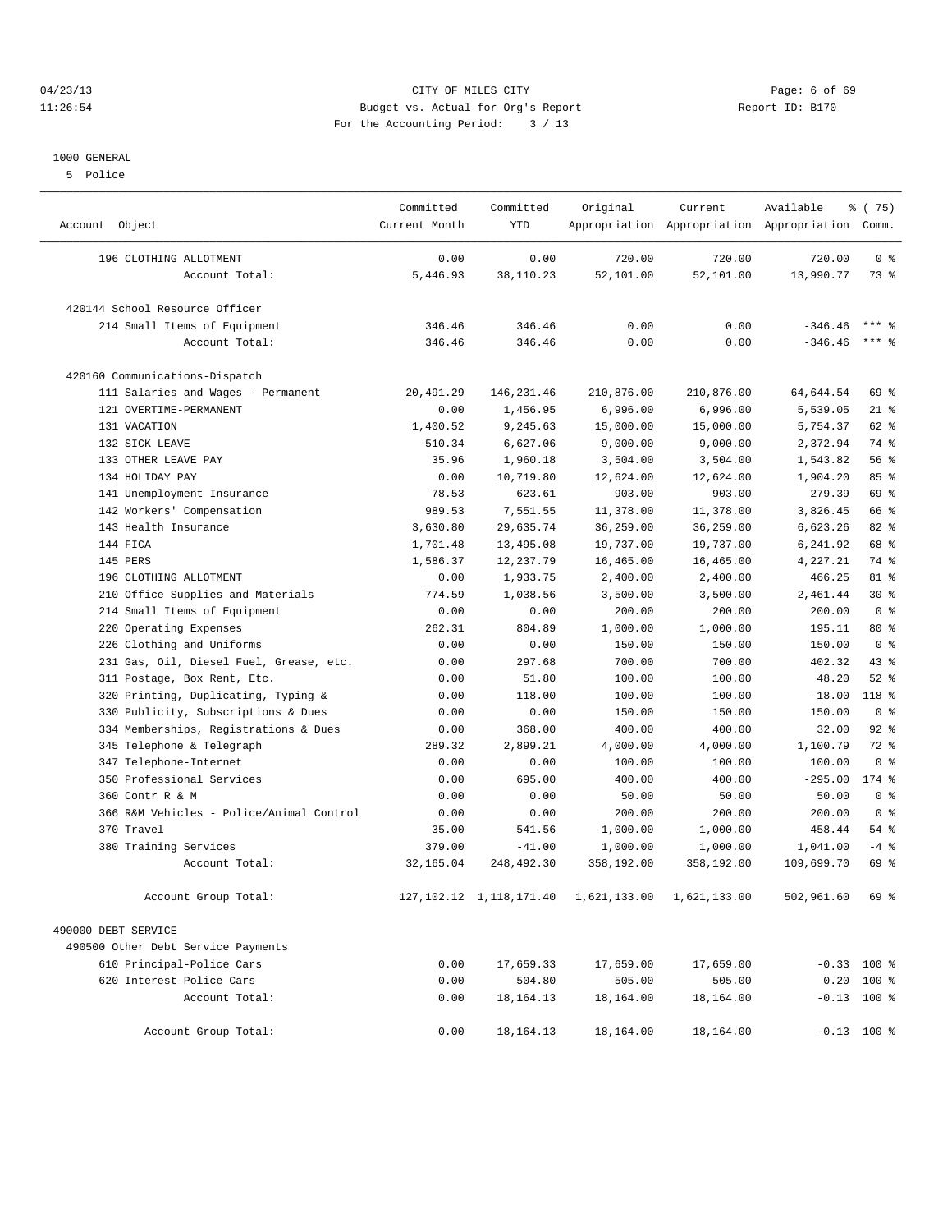# 04/23/13 CITY OF MILES CITY Page: 6 of 69 11:26:54 Budget vs. Actual for Org's Report Report ID: B170 For the Accounting Period: 3 / 13

#### 1000 GENERAL

5 Police

| Account Object                           | Committed<br>Current Month | Committed<br><b>YTD</b>      | Original     | Current      | Available<br>Appropriation Appropriation Appropriation Comm. | % (75)         |
|------------------------------------------|----------------------------|------------------------------|--------------|--------------|--------------------------------------------------------------|----------------|
| 196 CLOTHING ALLOTMENT                   | 0.00                       | 0.00                         | 720.00       | 720.00       | 720.00                                                       | 0 <sup>8</sup> |
| Account Total:                           | 5,446.93                   | 38,110.23                    | 52,101.00    | 52,101.00    | 13,990.77                                                    | 73 %           |
| 420144 School Resource Officer           |                            |                              |              |              |                                                              |                |
| 214 Small Items of Equipment             | 346.46                     | 346.46                       | 0.00         | 0.00         | $-346.46$                                                    | $***$ %        |
| Account Total:                           | 346.46                     | 346.46                       | 0.00         | 0.00         | $-346.46$                                                    | $***$ 2        |
| 420160 Communications-Dispatch           |                            |                              |              |              |                                                              |                |
| 111 Salaries and Wages - Permanent       | 20,491.29                  | 146, 231.46                  | 210,876.00   | 210,876.00   | 64,644.54                                                    | 69 %           |
| 121 OVERTIME-PERMANENT                   | 0.00                       | 1,456.95                     | 6,996.00     | 6,996.00     | 5,539.05                                                     | $21$ %         |
| 131 VACATION                             | 1,400.52                   | 9,245.63                     | 15,000.00    | 15,000.00    | 5,754.37                                                     | 62 %           |
| 132 SICK LEAVE                           | 510.34                     | 6,627.06                     | 9,000.00     | 9,000.00     | 2,372.94                                                     | 74 %           |
| 133 OTHER LEAVE PAY                      | 35.96                      | 1,960.18                     | 3,504.00     | 3,504.00     | 1,543.82                                                     | 56%            |
| 134 HOLIDAY PAY                          | 0.00                       | 10,719.80                    | 12,624.00    | 12,624.00    | 1,904.20                                                     | 85%            |
| 141 Unemployment Insurance               | 78.53                      | 623.61                       | 903.00       | 903.00       | 279.39                                                       | 69 %           |
| 142 Workers' Compensation                | 989.53                     | 7,551.55                     | 11,378.00    | 11,378.00    | 3,826.45                                                     | 66 %           |
| 143 Health Insurance                     | 3,630.80                   | 29,635.74                    | 36,259.00    | 36,259.00    | 6,623.26                                                     | $82*$          |
| 144 FICA                                 | 1,701.48                   | 13,495.08                    | 19,737.00    | 19,737.00    | 6,241.92                                                     | 68 %           |
| 145 PERS                                 | 1,586.37                   | 12, 237.79                   | 16,465.00    | 16,465.00    | 4,227.21                                                     | 74 %           |
| 196 CLOTHING ALLOTMENT                   | 0.00                       | 1,933.75                     | 2,400.00     | 2,400.00     | 466.25                                                       | 81 %           |
| 210 Office Supplies and Materials        | 774.59                     | 1,038.56                     | 3,500.00     | 3,500.00     | 2,461.44                                                     | $30*$          |
| 214 Small Items of Equipment             | 0.00                       | 0.00                         | 200.00       | 200.00       | 200.00                                                       | 0 <sup>8</sup> |
| 220 Operating Expenses                   | 262.31                     | 804.89                       | 1,000.00     | 1,000.00     | 195.11                                                       | $80*$          |
| 226 Clothing and Uniforms                | 0.00                       | 0.00                         | 150.00       | 150.00       | 150.00                                                       | 0 <sup>8</sup> |
| 231 Gas, Oil, Diesel Fuel, Grease, etc.  | 0.00                       | 297.68                       | 700.00       | 700.00       | 402.32                                                       | $43*$          |
| 311 Postage, Box Rent, Etc.              | 0.00                       | 51.80                        | 100.00       | 100.00       | 48.20                                                        | $52$ $%$       |
| 320 Printing, Duplicating, Typing &      | 0.00                       | 118.00                       | 100.00       | 100.00       | $-18.00$                                                     | 118 %          |
| 330 Publicity, Subscriptions & Dues      | 0.00                       | 0.00                         | 150.00       | 150.00       | 150.00                                                       | 0 <sup>8</sup> |
| 334 Memberships, Registrations & Dues    | 0.00                       | 368.00                       | 400.00       | 400.00       | 32.00                                                        | 92%            |
| 345 Telephone & Telegraph                | 289.32                     | 2,899.21                     | 4,000.00     | 4,000.00     | 1,100.79                                                     | $72$ $%$       |
| 347 Telephone-Internet                   | 0.00                       | 0.00                         | 100.00       | 100.00       | 100.00                                                       | 0 <sup>8</sup> |
| 350 Professional Services                | 0.00                       | 695.00                       | 400.00       | 400.00       | $-295.00$                                                    | $174$ %        |
| 360 Contr R & M                          | 0.00                       | 0.00                         | 50.00        | 50.00        | 50.00                                                        | 0 <sup>8</sup> |
| 366 R&M Vehicles - Police/Animal Control | 0.00                       | 0.00                         | 200.00       | 200.00       | 200.00                                                       | 0 <sup>8</sup> |
| 370<br>Travel                            | 35.00                      | 541.56                       | 1,000.00     | 1,000.00     | 458.44                                                       | 54%            |
| 380 Training Services                    | 379.00                     | $-41.00$                     | 1,000.00     | 1,000.00     | 1,041.00                                                     | $-4$ %         |
| Account Total:                           | 32, 165.04                 | 248,492.30                   | 358,192.00   | 358,192.00   | 109,699.70                                                   | $69*$          |
| Account Group Total:                     |                            | 127, 102. 12 1, 118, 171. 40 | 1,621,133.00 | 1,621,133.00 | 502,961.60                                                   | 69 %           |
| 490000 DEBT SERVICE                      |                            |                              |              |              |                                                              |                |
| 490500 Other Debt Service Payments       |                            |                              |              |              |                                                              |                |
| 610 Principal-Police Cars                | 0.00                       | 17,659.33                    | 17,659.00    | 17,659.00    |                                                              | $-0.33$ 100 %  |
| 620 Interest-Police Cars                 | 0.00                       | 504.80                       | 505.00       | 505.00       |                                                              | $0.20$ 100 %   |
| Account Total:                           | 0.00                       | 18, 164. 13                  | 18,164.00    | 18,164.00    |                                                              | $-0.13$ 100 %  |
| Account Group Total:                     | 0.00                       | 18, 164. 13                  | 18,164.00    | 18,164.00    |                                                              | $-0.13$ 100 %  |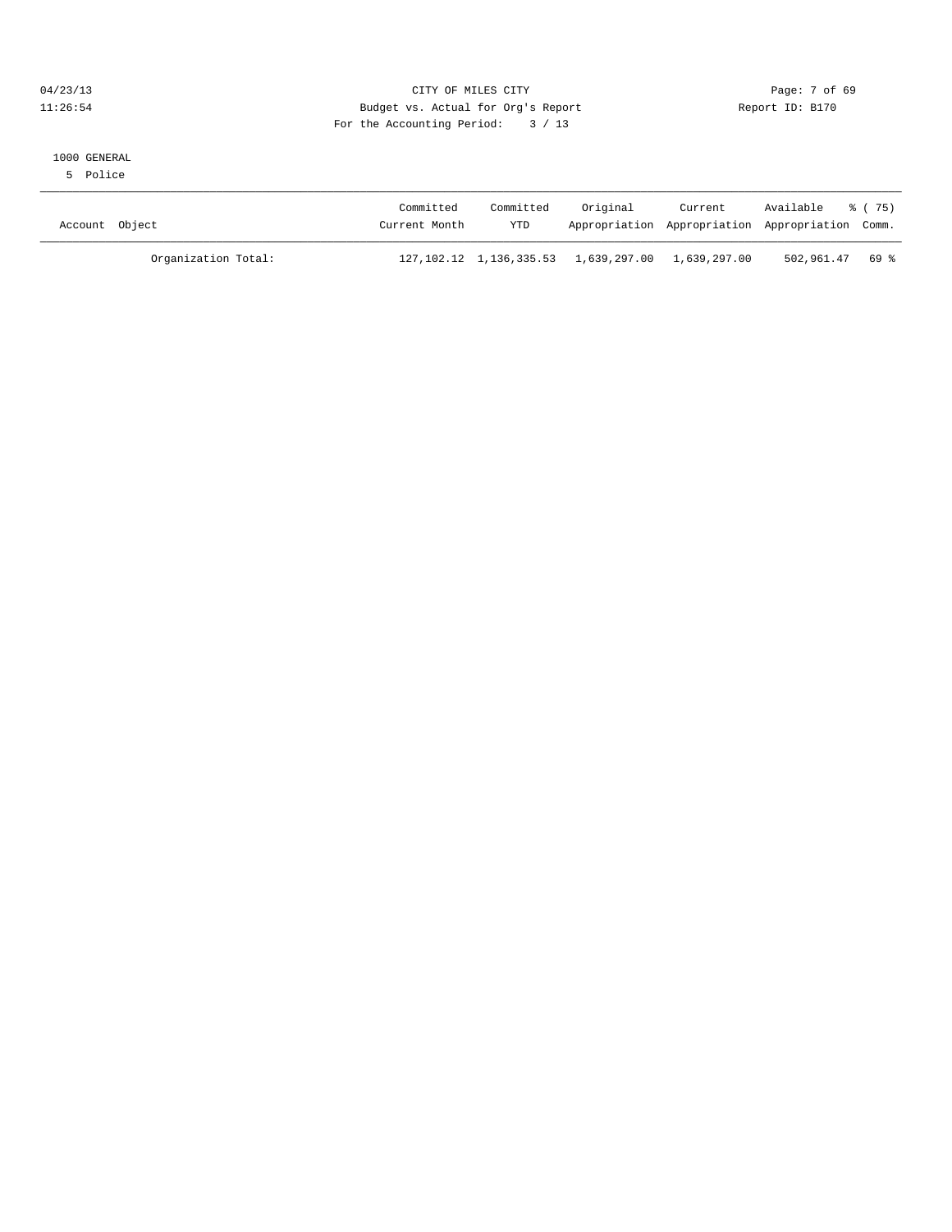# 04/23/13 Page: 7 of 69 11:26:54 Budget vs. Actual for Org's Report Report ID: B170 For the Accounting Period: 3 / 13

#### 1000 GENERAL

5 Police

| Account Object      | Committed<br>Current Month | Committed<br><b>YTD</b> | Original                                                        | Current<br>Appropriation Appropriation Appropriation Comm. | Available % (75) |  |
|---------------------|----------------------------|-------------------------|-----------------------------------------------------------------|------------------------------------------------------------|------------------|--|
| Organization Total: |                            |                         | 127, 102. 12  1, 136, 335. 53  1, 639, 297. 00  1, 639, 297. 00 |                                                            | 502,961.47 69 %  |  |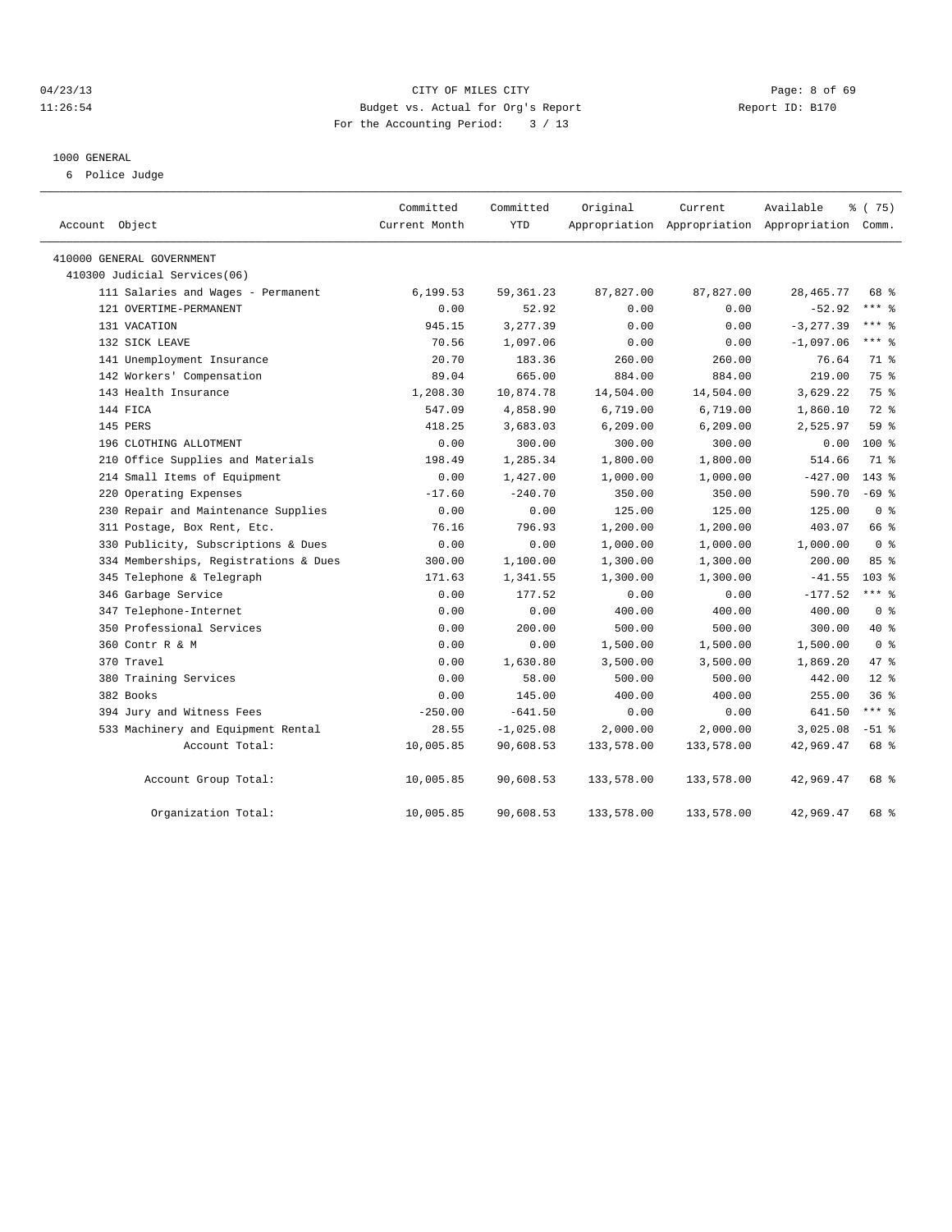# 04/23/13 Page: 8 of 69 11:26:54 Budget vs. Actual for Org's Report Report ID: B170 For the Accounting Period: 3 / 13

#### 1000 GENERAL

6 Police Judge

| Account Object                        | Committed<br>Current Month | Committed<br>YTD | Original   | Current<br>Appropriation Appropriation Appropriation Comm. | Available    | 8 (75)           |  |
|---------------------------------------|----------------------------|------------------|------------|------------------------------------------------------------|--------------|------------------|--|
| 410000 GENERAL GOVERNMENT             |                            |                  |            |                                                            |              |                  |  |
| 410300 Judicial Services(06)          |                            |                  |            |                                                            |              |                  |  |
| 111 Salaries and Wages - Permanent    | 6,199.53                   | 59, 361.23       | 87,827.00  | 87,827.00                                                  | 28, 465. 77  | 68 %             |  |
| 121 OVERTIME-PERMANENT                | 0.00                       | 52.92            | 0.00       | 0.00                                                       | $-52.92$     | $***$ 8          |  |
| 131 VACATION                          | 945.15                     | 3,277.39         | 0.00       | 0.00                                                       | $-3, 277.39$ | $***$ 2          |  |
| 132 SICK LEAVE                        | 70.56                      | 1,097.06         | 0.00       | 0.00                                                       | $-1,097.06$  | $***$ $=$        |  |
| 141 Unemployment Insurance            | 20.70                      | 183.36           | 260.00     | 260.00                                                     | 76.64        | 71 %             |  |
| 142 Workers' Compensation             | 89.04                      | 665.00           | 884.00     | 884.00                                                     | 219.00       | 75 %             |  |
| 143 Health Insurance                  | 1,208.30                   | 10,874.78        | 14,504.00  | 14,504.00                                                  | 3,629.22     | 75 %             |  |
| 144 FICA                              | 547.09                     | 4,858.90         | 6,719.00   | 6,719.00                                                   | 1,860.10     | 72 %             |  |
| 145 PERS                              | 418.25                     | 3,683.03         | 6, 209.00  | 6, 209.00                                                  | 2,525.97     | 59 %             |  |
| 196 CLOTHING ALLOTMENT                | 0.00                       | 300.00           | 300.00     | 300.00                                                     | 0.00         | 100 %            |  |
| 210 Office Supplies and Materials     | 198.49                     | 1,285.34         | 1,800.00   | 1,800.00                                                   | 514.66       | 71 %             |  |
| 214 Small Items of Equipment          | 0.00                       | 1,427.00         | 1,000.00   | 1,000.00                                                   | $-427.00$    | $143*$           |  |
| 220 Operating Expenses                | $-17.60$                   | $-240.70$        | 350.00     | 350.00                                                     | 590.70       | $-69$ %          |  |
| 230 Repair and Maintenance Supplies   | 0.00                       | 0.00             | 125.00     | 125.00                                                     | 125.00       | 0 <sup>8</sup>   |  |
| 311 Postage, Box Rent, Etc.           | 76.16                      | 796.93           | 1,200.00   | 1,200.00                                                   | 403.07       | 66 %             |  |
| 330 Publicity, Subscriptions & Dues   | 0.00                       | 0.00             | 1,000.00   | 1,000.00                                                   | 1,000.00     | 0 <sup>8</sup>   |  |
| 334 Memberships, Registrations & Dues | 300.00                     | 1,100.00         | 1,300.00   | 1,300.00                                                   | 200.00       | 85%              |  |
| 345 Telephone & Telegraph             | 171.63                     | 1,341.55         | 1,300.00   | 1,300.00                                                   | $-41.55$     | 103 <sub>8</sub> |  |
| 346 Garbage Service                   | 0.00                       | 177.52           | 0.00       | 0.00                                                       | $-177.52$    | $***$ $-$        |  |
| 347 Telephone-Internet                | 0.00                       | 0.00             | 400.00     | 400.00                                                     | 400.00       | 0 <sup>8</sup>   |  |
| 350 Professional Services             | 0.00                       | 200.00           | 500.00     | 500.00                                                     | 300.00       | 40 %             |  |
| 360 Contr R & M                       | 0.00                       | 0.00             | 1,500.00   | 1,500.00                                                   | 1,500.00     | 0 <sup>8</sup>   |  |
| 370 Travel                            | 0.00                       | 1,630.80         | 3,500.00   | 3,500.00                                                   | 1,869.20     | 47 %             |  |
| 380 Training Services                 | 0.00                       | 58.00            | 500.00     | 500.00                                                     | 442.00       | $12*$            |  |
| 382 Books                             | 0.00                       | 145.00           | 400.00     | 400.00                                                     | 255.00       | 36%              |  |
| 394 Jury and Witness Fees             | $-250.00$                  | $-641.50$        | 0.00       | 0.00                                                       | 641.50       | $***$ $_{8}$     |  |
| 533 Machinery and Equipment Rental    | 28.55                      | $-1,025.08$      | 2,000.00   | 2,000.00                                                   | 3,025.08     | $-51$ %          |  |
| Account Total:                        | 10,005.85                  | 90,608.53        | 133,578.00 | 133,578.00                                                 | 42,969.47    | 68 %             |  |
| Account Group Total:                  | 10,005.85                  | 90,608.53        | 133,578.00 | 133,578.00                                                 | 42,969.47    | 68 %             |  |
| Organization Total:                   | 10,005.85                  | 90,608.53        | 133,578.00 | 133,578.00                                                 | 42,969.47    | 68 %             |  |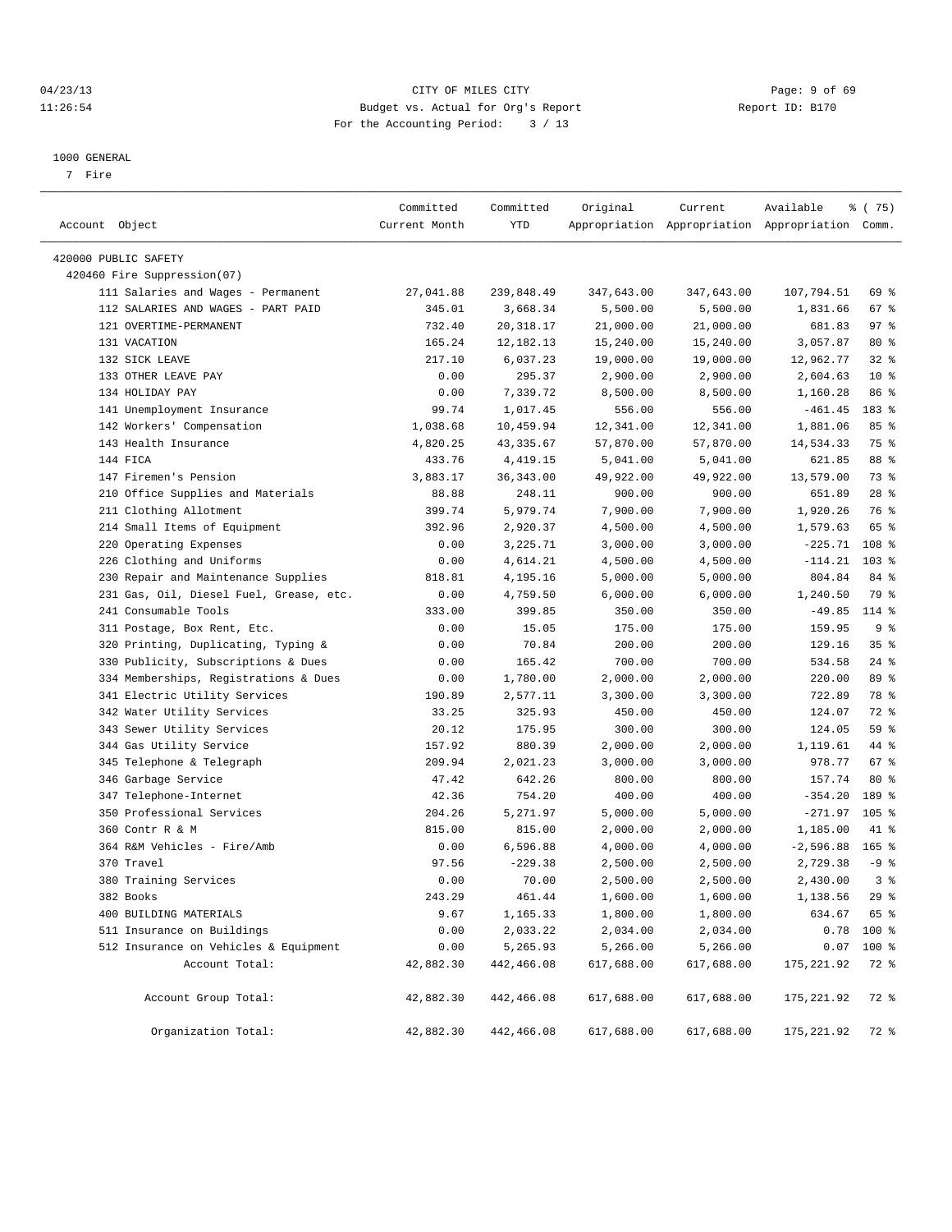# 04/23/13 Page: 9 of 69 11:26:54 Budget vs. Actual for Org's Report Report ID: B170 For the Accounting Period: 3 / 13

————————————————————————————————————————————————————————————————————————————————————————————————————————————————————————————————————

#### 1000 GENERAL

7 Fire

|                                         | Committed     | Committed   | Original   | Current    | Available                                       | % (75)   |
|-----------------------------------------|---------------|-------------|------------|------------|-------------------------------------------------|----------|
| Account Object                          | Current Month | YTD         |            |            | Appropriation Appropriation Appropriation Comm. |          |
| 420000 PUBLIC SAFETY                    |               |             |            |            |                                                 |          |
| 420460 Fire Suppression(07)             |               |             |            |            |                                                 |          |
| 111 Salaries and Wages - Permanent      | 27,041.88     | 239,848.49  | 347,643.00 | 347,643.00 | 107,794.51                                      | 69 %     |
| 112 SALARIES AND WAGES - PART PAID      | 345.01        | 3,668.34    | 5,500.00   | 5,500.00   | 1,831.66                                        | 67%      |
| 121 OVERTIME-PERMANENT                  | 732.40        | 20, 318.17  | 21,000.00  | 21,000.00  | 681.83                                          | 97%      |
| 131 VACATION                            | 165.24        | 12, 182. 13 | 15,240.00  | 15,240.00  | 3,057.87                                        | $80*$    |
| 132 SICK LEAVE                          | 217.10        | 6,037.23    | 19,000.00  | 19,000.00  | 12,962.77                                       | $32$ $%$ |
| 133 OTHER LEAVE PAY                     | 0.00          | 295.37      | 2,900.00   | 2,900.00   | 2,604.63                                        | $10*$    |
| 134 HOLIDAY PAY                         | 0.00          | 7,339.72    | 8,500.00   | 8,500.00   | 1,160.28                                        | 86 %     |
| 141 Unemployment Insurance              | 99.74         | 1,017.45    | 556.00     | 556.00     | $-461.45$                                       | 183 %    |
| 142 Workers' Compensation               | 1,038.68      | 10,459.94   | 12,341.00  | 12,341.00  | 1,881.06                                        | 85%      |
| 143 Health Insurance                    | 4,820.25      | 43, 335.67  | 57,870.00  | 57,870.00  | 14,534.33                                       | 75 %     |
| 144 FICA                                | 433.76        | 4,419.15    | 5,041.00   | 5,041.00   | 621.85                                          | 88 %     |
| 147 Firemen's Pension                   | 3,883.17      | 36, 343.00  | 49,922.00  | 49,922.00  | 13,579.00                                       | 73 %     |
| 210 Office Supplies and Materials       | 88.88         | 248.11      | 900.00     | 900.00     | 651.89                                          | $28$ %   |
| 211 Clothing Allotment                  | 399.74        | 5,979.74    | 7,900.00   | 7,900.00   | 1,920.26                                        | 76 %     |
| 214 Small Items of Equipment            | 392.96        | 2,920.37    | 4,500.00   | 4,500.00   | 1,579.63                                        | 65 %     |
| 220 Operating Expenses                  | 0.00          | 3,225.71    | 3,000.00   | 3,000.00   | $-225.71$                                       | 108 %    |
| 226 Clothing and Uniforms               | 0.00          | 4,614.21    | 4,500.00   | 4,500.00   | $-114.21$                                       | $103$ %  |
| 230 Repair and Maintenance Supplies     | 818.81        | 4,195.16    | 5,000.00   | 5,000.00   | 804.84                                          | 84 %     |
| 231 Gas, Oil, Diesel Fuel, Grease, etc. | 0.00          | 4,759.50    | 6,000.00   | 6,000.00   | 1,240.50                                        | 79 %     |
| 241 Consumable Tools                    | 333.00        | 399.85      | 350.00     | 350.00     | $-49.85$                                        | 114 %    |
| 311 Postage, Box Rent, Etc.             | 0.00          | 15.05       | 175.00     | 175.00     | 159.95                                          | 9%       |
| 320 Printing, Duplicating, Typing &     | 0.00          | 70.84       | 200.00     | 200.00     | 129.16                                          | 35%      |
| 330 Publicity, Subscriptions & Dues     | 0.00          | 165.42      | 700.00     | 700.00     | 534.58                                          | $24$ %   |
| 334 Memberships, Registrations & Dues   | 0.00          | 1,780.00    | 2,000.00   | 2,000.00   | 220.00                                          | 89 %     |
| 341 Electric Utility Services           | 190.89        | 2,577.11    | 3,300.00   | 3,300.00   | 722.89                                          | 78 %     |
| 342 Water Utility Services              | 33.25         | 325.93      | 450.00     | 450.00     | 124.07                                          | 72 %     |
| 343 Sewer Utility Services              | 20.12         | 175.95      | 300.00     | 300.00     | 124.05                                          | 59 %     |
| 344 Gas Utility Service                 | 157.92        | 880.39      | 2,000.00   | 2,000.00   | 1,119.61                                        | 44 %     |
| 345 Telephone & Telegraph               | 209.94        | 2,021.23    | 3,000.00   | 3,000.00   | 978.77                                          | 67 %     |
| 346 Garbage Service                     | 47.42         | 642.26      | 800.00     | 800.00     | 157.74                                          | $80*$    |
| 347 Telephone-Internet                  | 42.36         | 754.20      | 400.00     | 400.00     | $-354.20$                                       | 189 %    |
| 350 Professional Services               | 204.26        | 5,271.97    | 5,000.00   | 5,000.00   | $-271.97$                                       | $105$ %  |
| 360 Contr R & M                         | 815.00        | 815.00      | 2,000.00   | 2,000.00   | 1,185.00                                        | 41 %     |
| 364 R&M Vehicles - Fire/Amb             | 0.00          | 6,596.88    | 4,000.00   | 4,000.00   | $-2,596.88$                                     | $165$ %  |
| 370 Travel                              | 97.56         | $-229.38$   | 2,500.00   | 2,500.00   | 2,729.38                                        | $-9$ %   |
| 380 Training Services                   | 0.00          | 70.00       | 2,500.00   | 2,500.00   | 2,430.00                                        | 3%       |
| 382 Books                               | 243.29        | 461.44      | 1,600.00   | 1,600.00   | 1,138.56                                        | 29%      |
| 400 BUILDING MATERIALS                  | 9.67          | 1,165.33    | 1,800.00   | 1,800.00   | 634.67                                          | 65 %     |
| 511 Insurance on Buildings              | 0.00          | 2,033.22    | 2,034.00   | 2,034.00   | 0.78                                            | 100 %    |
| 512 Insurance on Vehicles & Equipment   | 0.00          | 5,265.93    | 5,266.00   | 5,266.00   | 0.07                                            | 100 %    |
| Account Total:                          | 42,882.30     | 442,466.08  | 617,688.00 | 617,688.00 | 175, 221.92                                     | 72 %     |
| Account Group Total:                    | 42,882.30     | 442,466.08  | 617,688.00 | 617,688.00 | 175, 221.92                                     | 72 %     |
| Organization Total:                     | 42,882.30     | 442,466.08  | 617,688.00 | 617,688.00 | 175, 221.92                                     | 72 %     |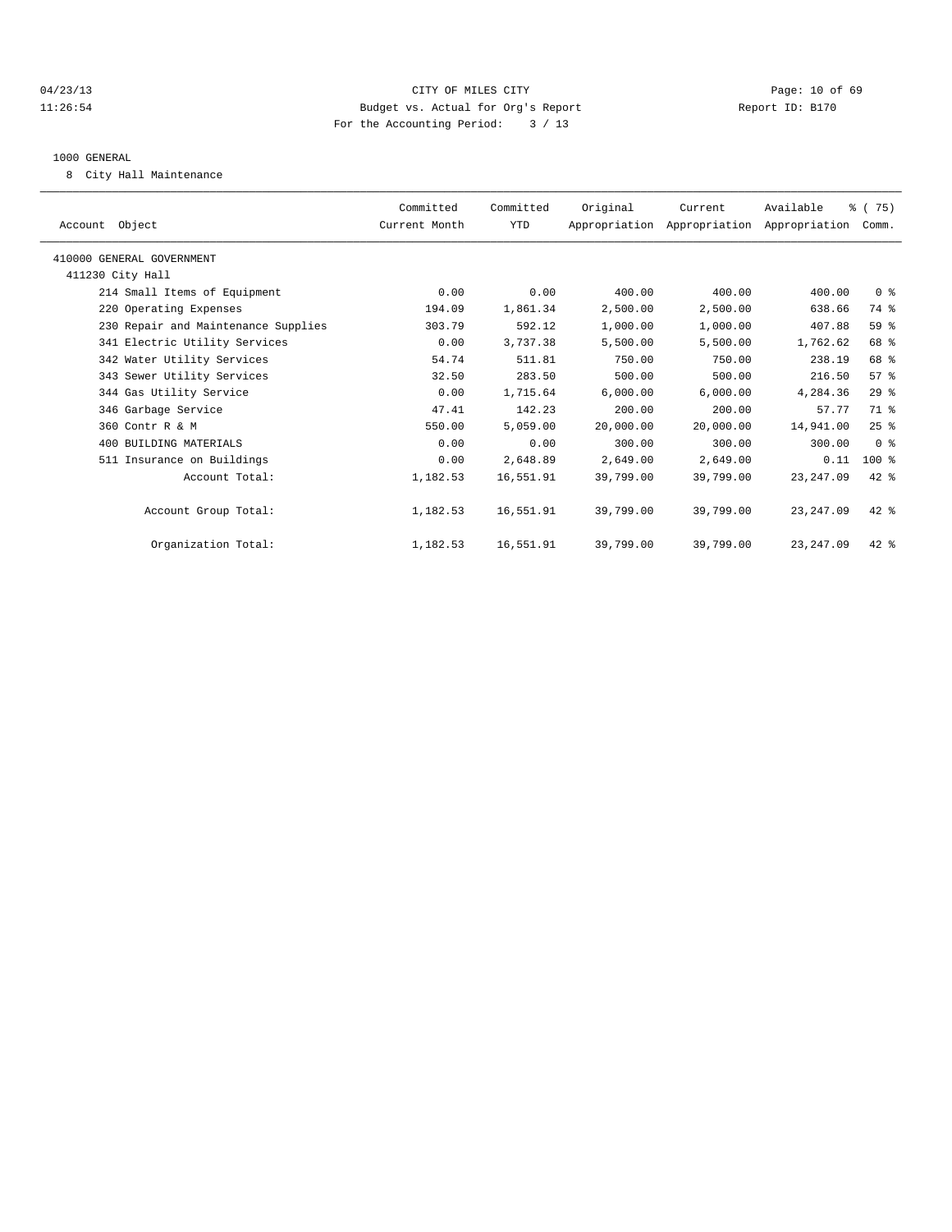# 04/23/13 Page: 10 of 69 11:26:54 Budget vs. Actual for Org's Report Report ID: B170 For the Accounting Period: 3 / 13

#### 1000 GENERAL

8 City Hall Maintenance

| Account Object                      | Committed<br>Current Month | Committed<br><b>YTD</b> | Original  | Current<br>Appropriation Appropriation Appropriation | Available   | % (75)<br>Comm. |  |
|-------------------------------------|----------------------------|-------------------------|-----------|------------------------------------------------------|-------------|-----------------|--|
| 410000 GENERAL GOVERNMENT           |                            |                         |           |                                                      |             |                 |  |
| 411230 City Hall                    |                            |                         |           |                                                      |             |                 |  |
| 214 Small Items of Equipment        | 0.00                       | 0.00                    | 400.00    | 400.00                                               | 400.00      | 0 <sup>8</sup>  |  |
| 220 Operating Expenses              | 194.09                     | 1,861.34                | 2,500.00  | 2,500.00                                             | 638.66      | 74 %            |  |
| 230 Repair and Maintenance Supplies | 303.79                     | 592.12                  | 1,000.00  | 1,000.00                                             | 407.88      | 59 %            |  |
| 341 Electric Utility Services       | 0.00                       | 3,737.38                | 5,500.00  | 5,500.00                                             | 1,762.62    | 68 %            |  |
| 342 Water Utility Services          | 54.74                      | 511.81                  | 750.00    | 750.00                                               | 238.19      | 68 %            |  |
| 343 Sewer Utility Services          | 32.50                      | 283.50                  | 500.00    | 500.00                                               | 216.50      | 57 <sup>8</sup> |  |
| 344 Gas Utility Service             | 0.00                       | 1,715.64                | 6,000.00  | 6,000.00                                             | 4,284.36    | 29%             |  |
| 346 Garbage Service                 | 47.41                      | 142.23                  | 200.00    | 200.00                                               | 57.77       | 71 %            |  |
| 360 Contr R & M                     | 550.00                     | 5,059.00                | 20,000.00 | 20,000.00                                            | 14,941.00   | 25%             |  |
| 400 BUILDING MATERIALS              | 0.00                       | 0.00                    | 300.00    | 300.00                                               | 300.00      | 0 <sup>8</sup>  |  |
| 511 Insurance on Buildings          | 0.00                       | 2,648.89                | 2,649.00  | 2,649.00                                             | 0.11        | $100$ %         |  |
| Account Total:                      | 1,182.53                   | 16,551.91               | 39,799.00 | 39,799.00                                            | 23, 247.09  | $42$ $%$        |  |
| Account Group Total:                | 1,182.53                   | 16,551.91               | 39,799.00 | 39,799.00                                            | 23, 247.09  | $42*$           |  |
| Organization Total:                 | 1,182.53                   | 16,551.91               | 39,799.00 | 39,799.00                                            | 23, 247, 09 | $42$ $%$        |  |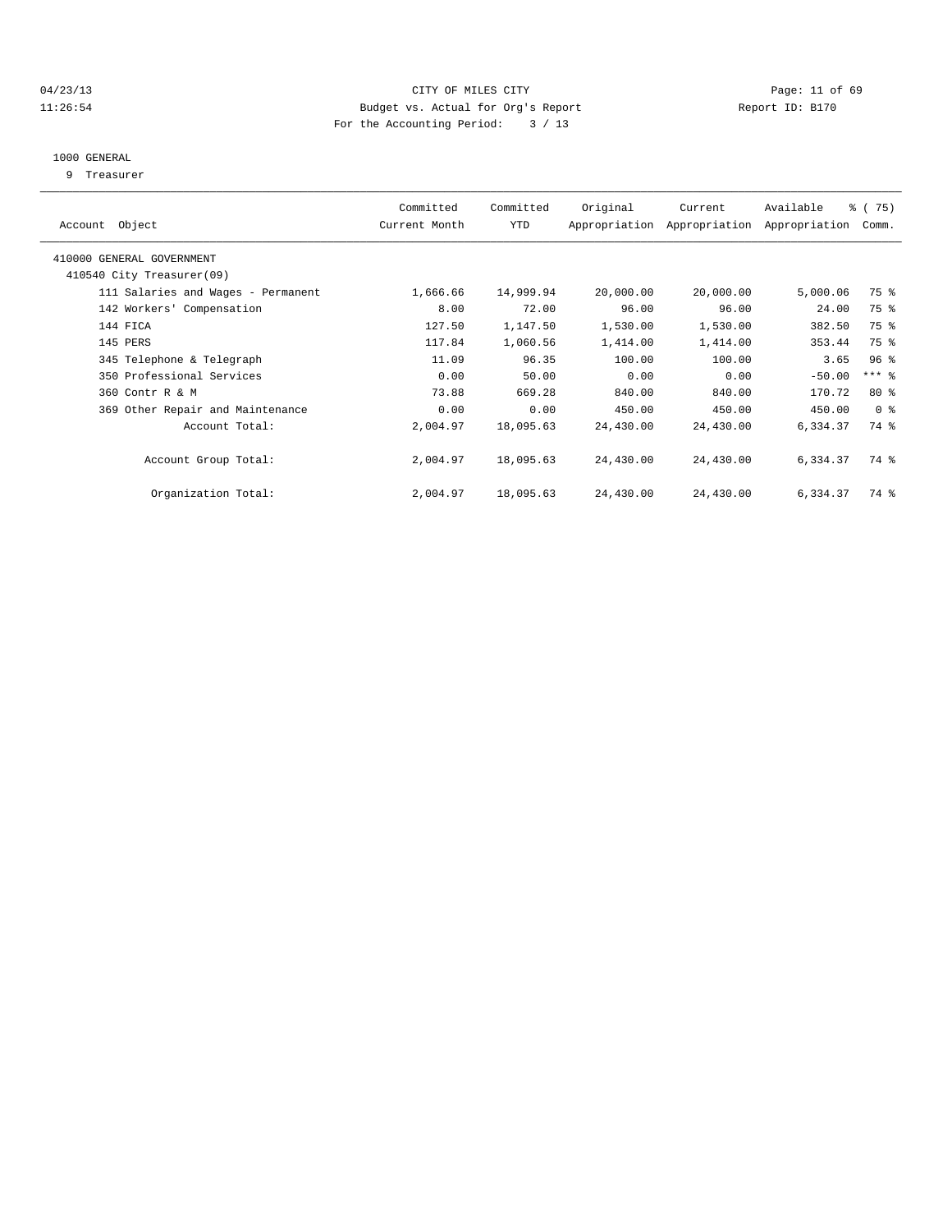# 04/23/13 Page: 11 of 69 11:26:54 Budget vs. Actual for Org's Report Report ID: B170 For the Accounting Period: 3 / 13

#### 1000 GENERAL

9 Treasurer

| Account Object                     | Committed<br>Current Month | Committed<br>YTD | Original  | Current<br>Appropriation Appropriation | Available<br>Appropriation | % (75)<br>Comm. |  |
|------------------------------------|----------------------------|------------------|-----------|----------------------------------------|----------------------------|-----------------|--|
|                                    |                            |                  |           |                                        |                            |                 |  |
| 410000 GENERAL GOVERNMENT          |                            |                  |           |                                        |                            |                 |  |
| 410540 City Treasurer(09)          |                            |                  |           |                                        |                            |                 |  |
| 111 Salaries and Wages - Permanent | 1,666.66                   | 14,999.94        | 20,000.00 | 20,000.00                              | 5,000.06                   | 75 %            |  |
| 142 Workers' Compensation          | 8.00                       | 72.00            | 96.00     | 96.00                                  | 24.00                      | 75 %            |  |
| 144 FICA                           | 127.50                     | 1,147.50         | 1,530.00  | 1,530.00                               | 382.50                     | 75 %            |  |
| 145 PERS                           | 117.84                     | 1,060.56         | 1,414.00  | 1,414.00                               | 353.44                     | 75 %            |  |
| 345 Telephone & Telegraph          | 11.09                      | 96.35            | 100.00    | 100.00                                 | 3.65                       | 96 <sup>8</sup> |  |
| 350 Professional Services          | 0.00                       | 50.00            | 0.00      | 0.00                                   | $-50.00$                   | *** 응           |  |
| 360 Contr R & M                    | 73.88                      | 669.28           | 840.00    | 840.00                                 | 170.72                     | $80*$           |  |
| 369 Other Repair and Maintenance   | 0.00                       | 0.00             | 450.00    | 450.00                                 | 450.00                     | 0 <sup>8</sup>  |  |
| Account Total:                     | 2,004.97                   | 18,095.63        | 24,430.00 | 24,430.00                              | 6,334.37                   | 74 %            |  |
|                                    |                            |                  |           |                                        |                            |                 |  |
| Account Group Total:               | 2,004.97                   | 18,095.63        | 24,430.00 | 24,430.00                              | 6,334.37                   | 74 %            |  |
|                                    |                            |                  |           |                                        |                            |                 |  |
| Organization Total:                | 2,004.97                   | 18,095.63        | 24,430.00 | 24,430.00                              | 6,334.37                   | 74 %            |  |
|                                    |                            |                  |           |                                        |                            |                 |  |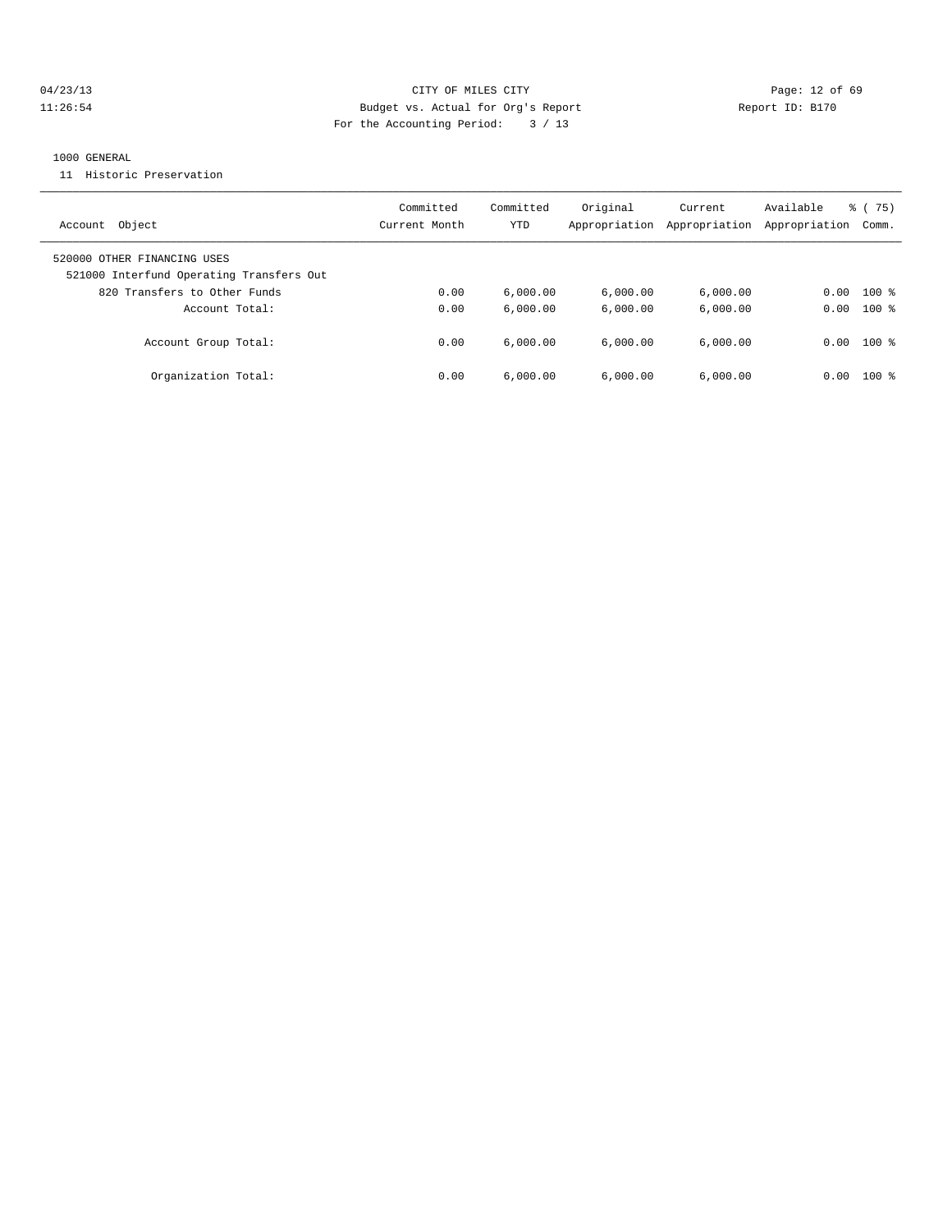# 04/23/13 Page: 12 of 69 11:26:54 Budget vs. Actual for Org's Report Report ID: B170 For the Accounting Period: 3 / 13

#### 1000 GENERAL

11 Historic Preservation

| Object<br>Account                                                       | Committed<br>Current Month | Committed<br>YTD | Original<br>Appropriation | Current<br>Appropriation | Available<br>Appropriation | % (75)<br>Comm. |
|-------------------------------------------------------------------------|----------------------------|------------------|---------------------------|--------------------------|----------------------------|-----------------|
| 520000 OTHER FINANCING USES<br>521000 Interfund Operating Transfers Out |                            |                  |                           |                          |                            |                 |
| 820 Transfers to Other Funds                                            | 0.00                       | 6,000.00         | 6,000.00                  | 6,000.00                 | 0.00                       | $100$ %         |
| Account Total:                                                          | 0.00                       | 6.000.00         | 6.000.00                  | 6.000.00                 | 0.00                       | $100*$          |
| Account Group Total:                                                    | 0.00                       | 6.000.00         | 6.000.00                  | 6.000.00                 | 0.00                       | $100*$          |
| Organization Total:                                                     | 0.00                       | 6,000.00         | 6.000.00                  | 6.000.00                 | 0.00                       | $100$ $\approx$ |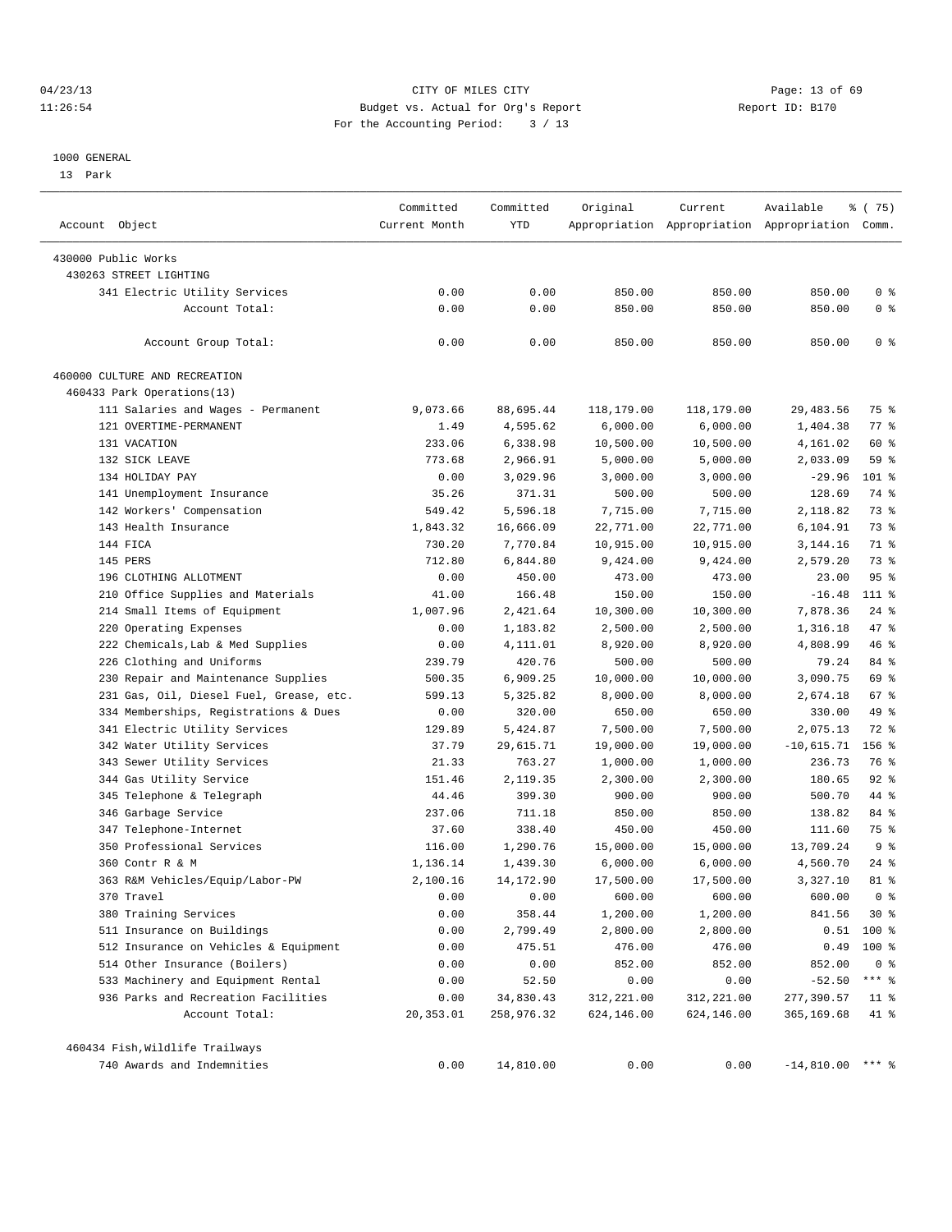## 04/23/13 Page: 13 of 69 11:26:54 Budget vs. Actual for Org's Report Report ID: B170 For the Accounting Period: 3 / 13

#### 1000 GENERAL

13 Park

| Account Object                          | Committed<br>Current Month | Committed<br>YTD | Original   | Current    | Available<br>Appropriation Appropriation Appropriation Comm. | ៖ (75)         |
|-----------------------------------------|----------------------------|------------------|------------|------------|--------------------------------------------------------------|----------------|
| 430000 Public Works                     |                            |                  |            |            |                                                              |                |
| 430263 STREET LIGHTING                  |                            |                  |            |            |                                                              |                |
| 341 Electric Utility Services           | 0.00                       | 0.00             | 850.00     | 850.00     | 850.00                                                       | 0 <sup>8</sup> |
| Account Total:                          | 0.00                       | 0.00             | 850.00     | 850.00     | 850.00                                                       | 0 <sup>8</sup> |
|                                         |                            |                  |            |            |                                                              |                |
| Account Group Total:                    | 0.00                       | 0.00             | 850.00     | 850.00     | 850.00                                                       | 0 <sup>8</sup> |
| 460000 CULTURE AND RECREATION           |                            |                  |            |            |                                                              |                |
| 460433 Park Operations(13)              |                            |                  |            |            |                                                              |                |
| 111 Salaries and Wages - Permanent      | 9,073.66                   | 88,695.44        | 118,179.00 | 118,179.00 | 29, 483.56                                                   | 75 %           |
| 121 OVERTIME-PERMANENT                  | 1.49                       | 4,595.62         | 6,000.00   | 6,000.00   | 1,404.38                                                     | 77 %           |
| 131 VACATION                            | 233.06                     | 6,338.98         | 10,500.00  | 10,500.00  | 4,161.02                                                     | 60 %           |
| 132 SICK LEAVE                          | 773.68                     | 2,966.91         | 5,000.00   | 5,000.00   | 2,033.09                                                     | 59 %           |
| 134 HOLIDAY PAY                         | 0.00                       | 3,029.96         | 3,000.00   | 3,000.00   | $-29.96$                                                     | 101 %          |
| 141 Unemployment Insurance              | 35.26                      | 371.31           | 500.00     | 500.00     | 128.69                                                       | 74 %           |
| 142 Workers' Compensation               | 549.42                     | 5,596.18         | 7,715.00   | 7,715.00   | 2,118.82                                                     | 73 %           |
| 143 Health Insurance                    | 1,843.32                   | 16,666.09        | 22,771.00  | 22,771.00  | 6,104.91                                                     | 73 %           |
| 144 FICA                                | 730.20                     | 7,770.84         | 10,915.00  | 10,915.00  | 3,144.16                                                     | 71 %           |
| 145 PERS                                | 712.80                     | 6,844.80         | 9,424.00   | 9,424.00   | 2,579.20                                                     | 73 %           |
| 196 CLOTHING ALLOTMENT                  | 0.00                       | 450.00           | 473.00     | 473.00     | 23.00                                                        | 95%            |
| 210 Office Supplies and Materials       | 41.00                      | 166.48           | 150.00     | 150.00     | $-16.48$                                                     | 111 %          |
| 214 Small Items of Equipment            | 1,007.96                   | 2,421.64         | 10,300.00  | 10,300.00  | 7,878.36                                                     | $24$ %         |
| 220 Operating Expenses                  | 0.00                       | 1,183.82         | 2,500.00   | 2,500.00   | 1,316.18                                                     | 47 %           |
| 222 Chemicals, Lab & Med Supplies       | 0.00                       | 4,111.01         | 8,920.00   | 8,920.00   | 4,808.99                                                     | 46 %           |
| 226 Clothing and Uniforms               | 239.79                     | 420.76           | 500.00     | 500.00     | 79.24                                                        | 84 %           |
| 230 Repair and Maintenance Supplies     | 500.35                     | 6,909.25         | 10,000.00  | 10,000.00  | 3,090.75                                                     | 69 %           |
| 231 Gas, Oil, Diesel Fuel, Grease, etc. | 599.13                     | 5,325.82         | 8,000.00   | 8,000.00   | 2,674.18                                                     | 67 %           |
| 334 Memberships, Registrations & Dues   | 0.00                       | 320.00           | 650.00     | 650.00     | 330.00                                                       | 49 %           |
| 341 Electric Utility Services           | 129.89                     | 5,424.87         | 7,500.00   | 7,500.00   | 2,075.13                                                     | 72 %           |
| 342 Water Utility Services              | 37.79                      | 29,615.71        | 19,000.00  | 19,000.00  | $-10,615.71$                                                 | $156$ %        |
| 343 Sewer Utility Services              | 21.33                      | 763.27           | 1,000.00   | 1,000.00   | 236.73                                                       | 76 %           |
| 344 Gas Utility Service                 | 151.46                     | 2,119.35         | 2,300.00   | 2,300.00   | 180.65                                                       | $92$ $%$       |
| 345 Telephone & Telegraph               | 44.46                      | 399.30           | 900.00     | 900.00     | 500.70                                                       | 44 %           |
| 346 Garbage Service                     | 237.06                     | 711.18           | 850.00     | 850.00     | 138.82                                                       | 84 %           |
| 347 Telephone-Internet                  | 37.60                      | 338.40           | 450.00     | 450.00     | 111.60                                                       | 75 %           |
| 350 Professional Services               | 116.00                     | 1,290.76         | 15,000.00  | 15,000.00  | 13,709.24                                                    | 9 <sub>8</sub> |
| 360 Contr R & M                         | 1,136.14                   | 1,439.30         | 6,000.00   | 6,000.00   | 4,560.70                                                     | $24$ %         |
| 363 R&M Vehicles/Equip/Labor-PW         | 2,100.16                   | 14,172.90        | 17,500.00  | 17,500.00  | 3,327.10                                                     | 81 %           |
| 370 Travel                              | 0.00                       | 0.00             | 600.00     | 600.00     | 600.00                                                       | 0 <sup>8</sup> |
| 380 Training Services                   | 0.00                       | 358.44           | 1,200.00   | 1,200.00   | 841.56                                                       | $30*$          |
| 511 Insurance on Buildings              | 0.00                       | 2,799.49         | 2,800.00   | 2,800.00   | 0.51                                                         | 100 %          |
| 512 Insurance on Vehicles & Equipment   | 0.00                       | 475.51           | 476.00     | 476.00     | 0.49                                                         | $100$ %        |
| 514 Other Insurance (Boilers)           | 0.00                       | 0.00             | 852.00     | 852.00     | 852.00                                                       | 0 <sup>8</sup> |
| 533 Machinery and Equipment Rental      | 0.00                       | 52.50            | 0.00       | 0.00       | $-52.50$                                                     | $***$ $_{8}$   |
| 936 Parks and Recreation Facilities     | 0.00                       | 34,830.43        | 312,221.00 | 312,221.00 | 277,390.57                                                   | $11$ %         |
| Account Total:                          | 20,353.01                  | 258,976.32       | 624,146.00 | 624,146.00 | 365,169.68                                                   | 41 %           |
| 460434 Fish, Wildlife Trailways         |                            |                  |            |            |                                                              |                |
| 740 Awards and Indemnities              | 0.00                       | 14,810.00        | 0.00       | 0.00       | $-14,810.00$ *** %                                           |                |
|                                         |                            |                  |            |            |                                                              |                |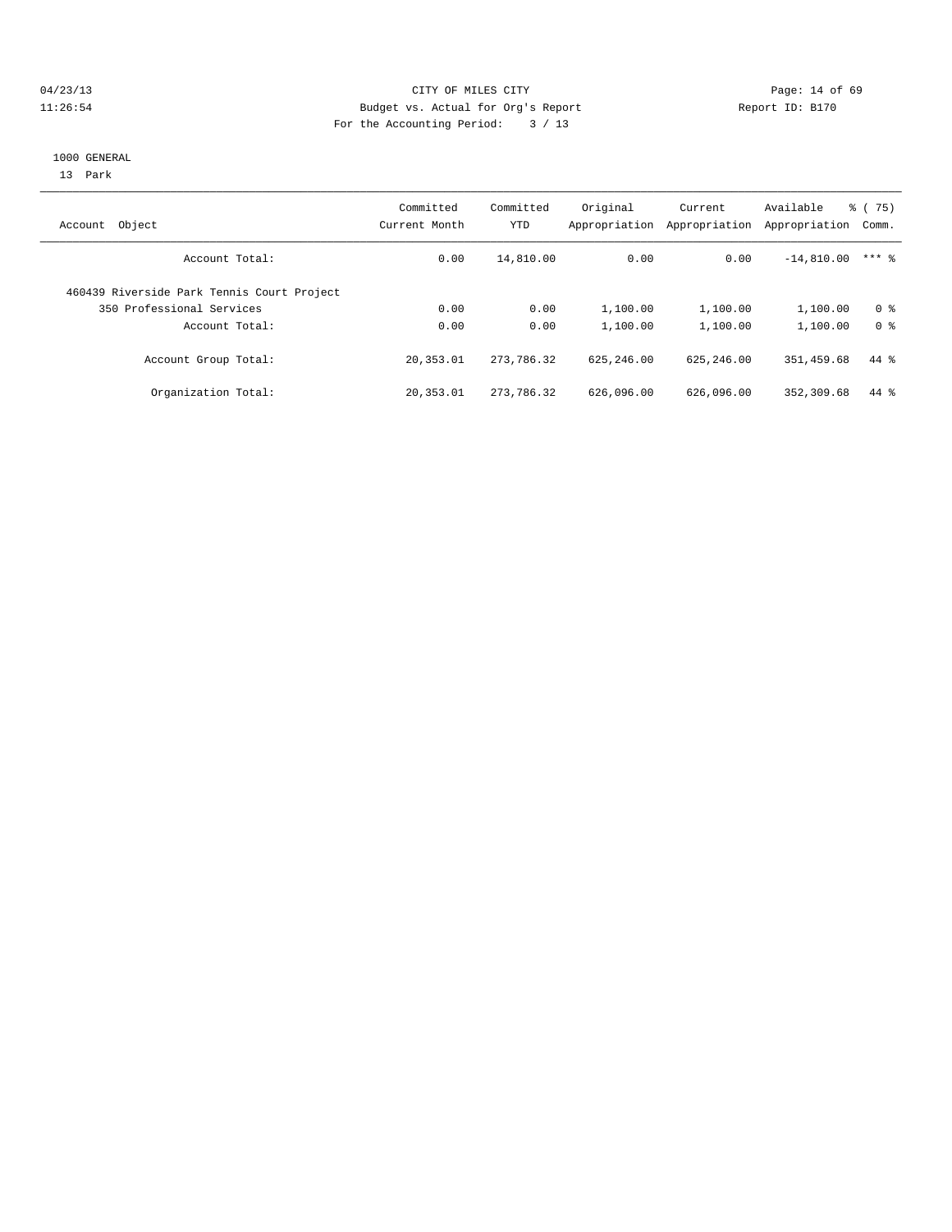# 04/23/13 Page: 14 of 69 11:26:54 Budget vs. Actual for Org's Report Report ID: B170 For the Accounting Period: 3 / 13

#### 1000 GENERAL

13 Park

| Object<br>Account                          | Committed<br>Current Month | Committed<br><b>YTD</b> | Original<br>Appropriation | Current<br>Appropriation | Available<br>Appropriation | $\frac{3}{6}$ ( 75)<br>Comm. |
|--------------------------------------------|----------------------------|-------------------------|---------------------------|--------------------------|----------------------------|------------------------------|
| Account Total:                             | 0.00                       | 14,810.00               | 0.00                      | 0.00                     | $-14,810.00$               | $***$ 2                      |
| 460439 Riverside Park Tennis Court Project |                            |                         |                           |                          |                            |                              |
| 350 Professional Services                  | 0.00                       | 0.00                    | 1,100.00                  | 1,100.00                 | 1,100.00                   | 0 <sup>8</sup>               |
| Account Total:                             | 0.00                       | 0.00                    | 1,100.00                  | 1,100.00                 | 1,100.00                   | 0 <sup>8</sup>               |
| Account Group Total:                       | 20, 353.01                 | 273,786.32              | 625, 246, 00              | 625, 246, 00             | 351,459.68                 | $44*$                        |
| Organization Total:                        | 20, 353.01                 | 273,786.32              | 626,096.00                | 626,096.00               | 352, 309.68                | $44*$                        |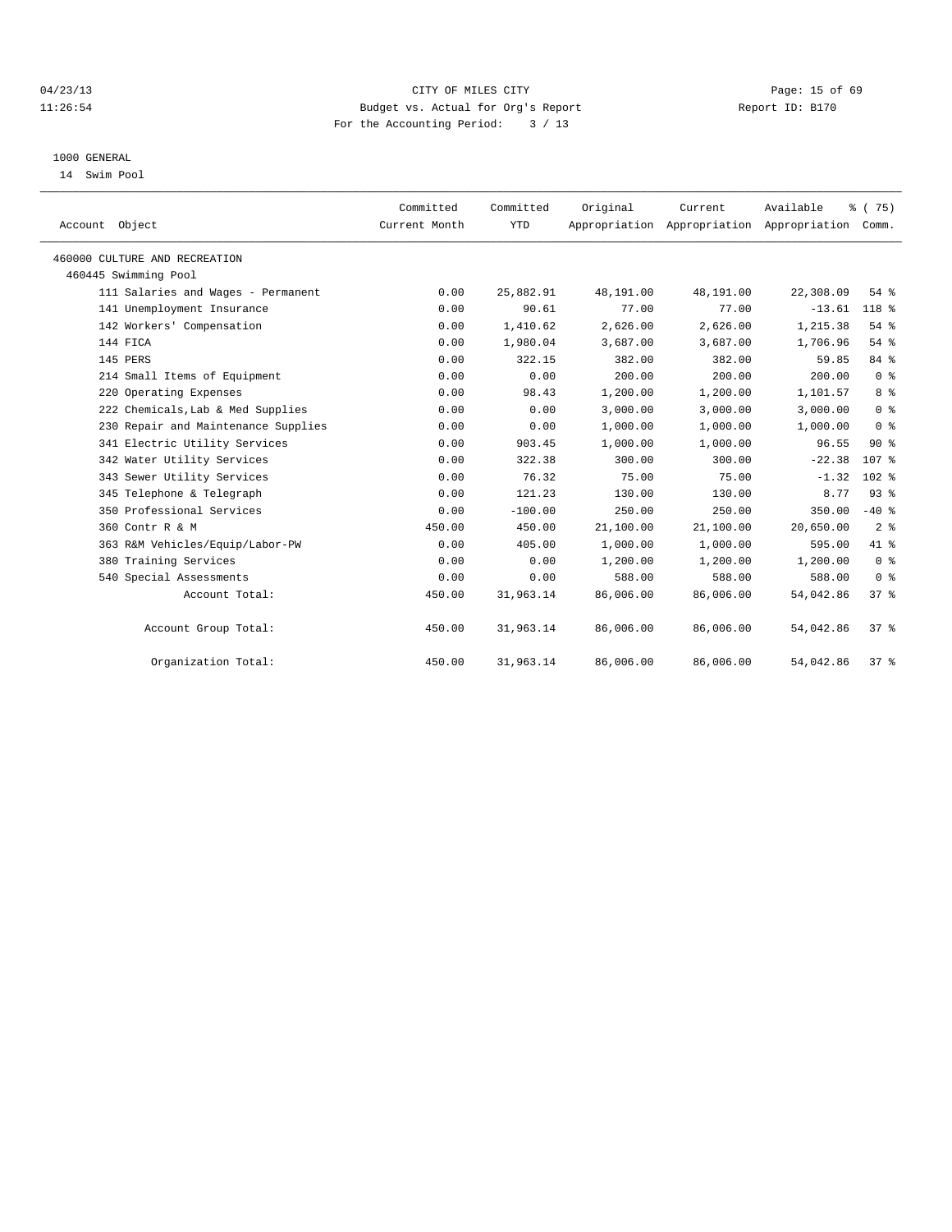# 04/23/13 Page: 15 of 69 11:26:54 Budget vs. Actual for Org's Report Report ID: B170 For the Accounting Period: 3 / 13

### 1000 GENERAL

14 Swim Pool

| Account Object                      | Committed<br>Current Month | Committed<br><b>YTD</b> | Original  | Current<br>Appropriation Appropriation Appropriation | Available | % (75)<br>Comm.  |
|-------------------------------------|----------------------------|-------------------------|-----------|------------------------------------------------------|-----------|------------------|
| 460000 CULTURE AND RECREATION       |                            |                         |           |                                                      |           |                  |
| 460445 Swimming Pool                |                            |                         |           |                                                      |           |                  |
| 111 Salaries and Wages - Permanent  | 0.00                       | 25,882.91               | 48,191.00 | 48,191.00                                            | 22,308.09 | 54%              |
| 141 Unemployment Insurance          | 0.00                       | 90.61                   | 77.00     | 77.00                                                | $-13.61$  | 118 %            |
| 142 Workers' Compensation           | 0.00                       | 1,410.62                | 2,626.00  | 2,626.00                                             | 1,215.38  | 54%              |
| 144 FICA                            | 0.00                       | 1,980.04                | 3,687.00  | 3,687.00                                             | 1,706.96  | 54 %             |
| 145 PERS                            | 0.00                       | 322.15                  | 382.00    | 382.00                                               | 59.85     | 84 %             |
| 214 Small Items of Equipment        | 0.00                       | 0.00                    | 200.00    | 200.00                                               | 200.00    | 0 <sup>8</sup>   |
| 220 Operating Expenses              | 0.00                       | 98.43                   | 1,200.00  | 1,200.00                                             | 1,101.57  | 8 <sup>8</sup>   |
| 222 Chemicals, Lab & Med Supplies   | 0.00                       | 0.00                    | 3,000.00  | 3,000.00                                             | 3,000.00  | 0 <sup>8</sup>   |
| 230 Repair and Maintenance Supplies | 0.00                       | 0.00                    | 1,000.00  | 1,000.00                                             | 1,000.00  | 0 <sup>8</sup>   |
| 341 Electric Utility Services       | 0.00                       | 903.45                  | 1,000.00  | 1,000.00                                             | 96.55     | 90%              |
| 342 Water Utility Services          | 0.00                       | 322.38                  | 300.00    | 300.00                                               | $-22.38$  | 107 <sub>8</sub> |
| 343 Sewer Utility Services          | 0.00                       | 76.32                   | 75.00     | 75.00                                                | $-1.32$   | $102$ %          |
| 345 Telephone & Telegraph           | 0.00                       | 121.23                  | 130.00    | 130.00                                               | 8.77      | 93%              |
| 350 Professional Services           | 0.00                       | $-100.00$               | 250.00    | 250.00                                               | 350.00    | $-40$ %          |
| 360 Contr R & M                     | 450.00                     | 450.00                  | 21,100.00 | 21,100.00                                            | 20,650.00 | 2 <sup>°</sup>   |
| 363 R&M Vehicles/Equip/Labor-PW     | 0.00                       | 405.00                  | 1,000.00  | 1,000.00                                             | 595.00    | 41.8             |
| Training Services<br>380            | 0.00                       | 0.00                    | 1,200.00  | 1,200.00                                             | 1,200.00  | 0 <sup>8</sup>   |
| 540 Special Assessments             | 0.00                       | 0.00                    | 588.00    | 588.00                                               | 588.00    | 0 <sup>8</sup>   |
| Account Total:                      | 450.00                     | 31,963.14               | 86,006.00 | 86,006.00                                            | 54,042.86 | 37%              |
| Account Group Total:                | 450.00                     | 31,963.14               | 86,006.00 | 86,006.00                                            | 54,042.86 | 37%              |
| Organization Total:                 | 450.00                     | 31,963.14               | 86,006.00 | 86,006.00                                            | 54,042.86 | 37 <sup>8</sup>  |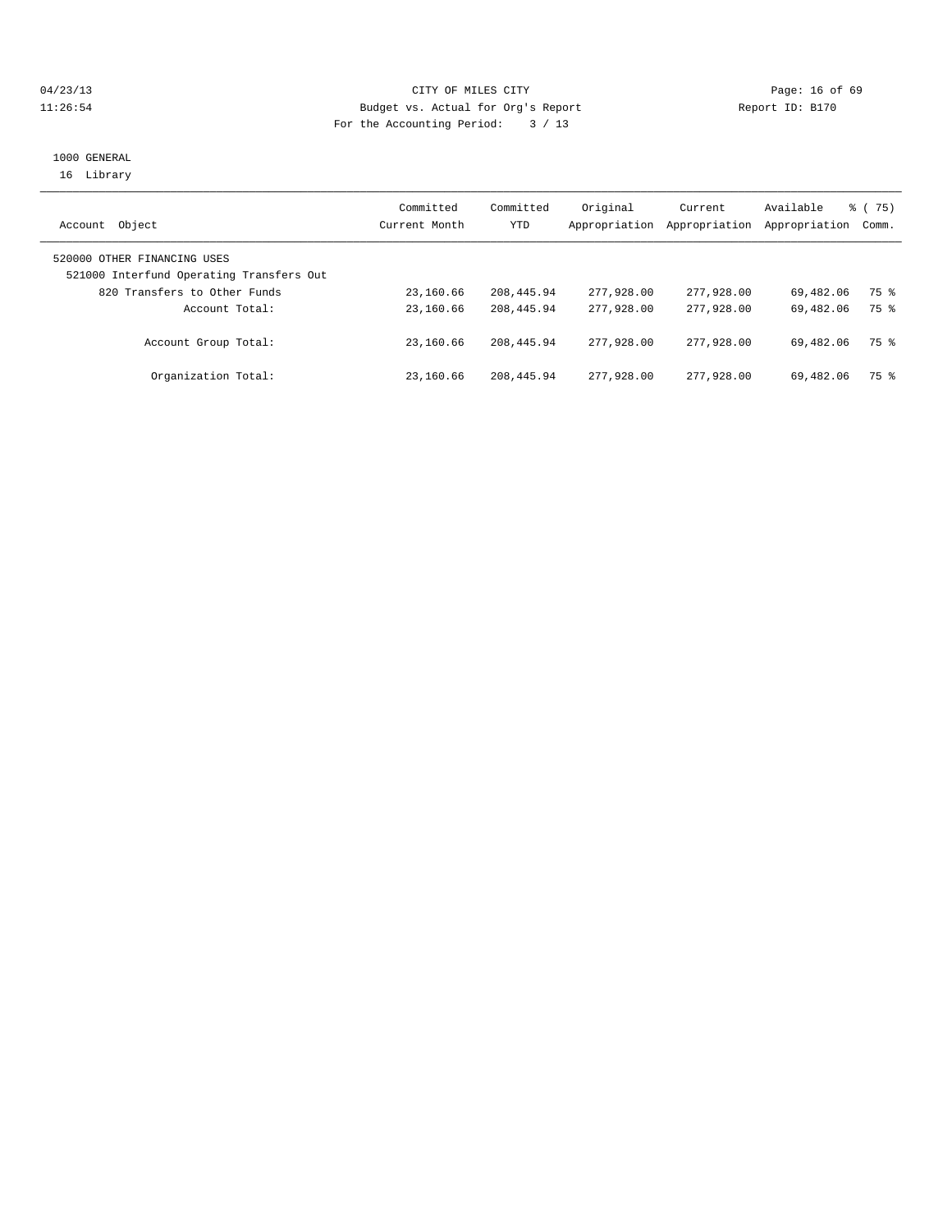# 04/23/13 Page: 16 of 69 11:26:54 Budget vs. Actual for Org's Report Report ID: B170 For the Accounting Period: 3 / 13

# 1000 GENERAL 16 Library

| Object<br>Account                                                       | Committed<br>Current Month | Committed<br><b>YTD</b> | Original<br>Appropriation | Current<br>Appropriation | Available<br>Appropriation | $\frac{3}{6}$ ( 75)<br>Comm. |
|-------------------------------------------------------------------------|----------------------------|-------------------------|---------------------------|--------------------------|----------------------------|------------------------------|
| 520000 OTHER FINANCING USES<br>521000 Interfund Operating Transfers Out |                            |                         |                           |                          |                            |                              |
| 820 Transfers to Other Funds                                            | 23,160.66                  | 208, 445.94             | 277,928.00                | 277,928.00               | 69,482.06                  | 75 %                         |
| Account Total:                                                          | 23,160.66                  | 208, 445.94             | 277,928,00                | 277,928,00               | 69,482.06                  | 75 %                         |
| Account Group Total:                                                    | 23,160.66                  | 208, 445.94             | 277,928,00                | 277,928,00               | 69,482.06                  | 75 %                         |
| Organization Total:                                                     | 23,160.66                  | 208, 445.94             | 277,928,00                | 277,928,00               | 69,482.06                  | 75 %                         |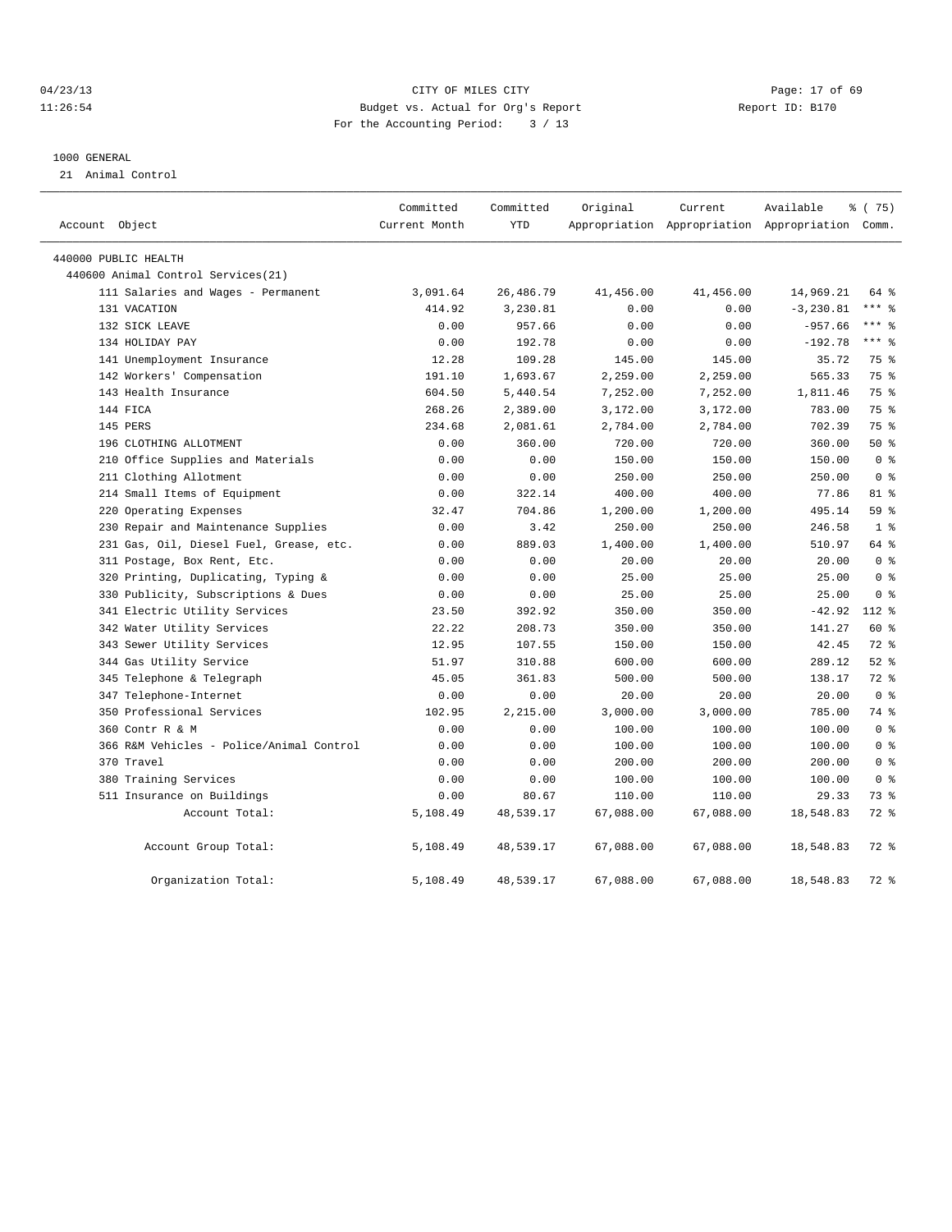# 04/23/13 Page: 17 of 69 11:26:54 Budget vs. Actual for Org's Report Report ID: B170 For the Accounting Period: 3 / 13

#### 1000 GENERAL

21 Animal Control

| Account Object                           | Committed<br>Current Month | Committed<br><b>YTD</b> | Original  | Current   | Available<br>Appropriation Appropriation Appropriation Comm. | 8 (75)          |
|------------------------------------------|----------------------------|-------------------------|-----------|-----------|--------------------------------------------------------------|-----------------|
| 440000 PUBLIC HEALTH                     |                            |                         |           |           |                                                              |                 |
| 440600 Animal Control Services (21)      |                            |                         |           |           |                                                              |                 |
| 111 Salaries and Wages - Permanent       | 3,091.64                   | 26,486.79               | 41,456.00 | 41,456.00 | 14,969.21                                                    | 64 %            |
| 131 VACATION                             | 414.92                     | 3,230.81                | 0.00      | 0.00      | $-3, 230.81$                                                 | $***$ 8         |
| 132 SICK LEAVE                           | 0.00                       | 957.66                  | 0.00      | 0.00      | $-957.66$                                                    | $***$ 8         |
| 134 HOLIDAY PAY                          | 0.00                       | 192.78                  | 0.00      | 0.00      | $-192.78$                                                    | $***$ 8         |
| 141 Unemployment Insurance               | 12.28                      | 109.28                  | 145.00    | 145.00    | 35.72                                                        | 75 %            |
| 142 Workers' Compensation                | 191.10                     | 1,693.67                | 2,259.00  | 2,259.00  | 565.33                                                       | 75 %            |
| 143 Health Insurance                     | 604.50                     | 5,440.54                | 7,252.00  | 7,252.00  | 1,811.46                                                     | 75 %            |
| 144 FICA                                 | 268.26                     | 2,389.00                | 3,172.00  | 3,172.00  | 783.00                                                       | 75 %            |
| 145 PERS                                 | 234.68                     | 2,081.61                | 2,784.00  | 2,784.00  | 702.39                                                       | 75 %            |
| 196 CLOTHING ALLOTMENT                   | 0.00                       | 360.00                  | 720.00    | 720.00    | 360.00                                                       | $50*$           |
| 210 Office Supplies and Materials        | 0.00                       | 0.00                    | 150.00    | 150.00    | 150.00                                                       | 0 <sup>8</sup>  |
| 211 Clothing Allotment                   | 0.00                       | 0.00                    | 250.00    | 250.00    | 250.00                                                       | 0 <sup>8</sup>  |
| 214 Small Items of Equipment             | 0.00                       | 322.14                  | 400.00    | 400.00    | 77.86                                                        | 81 %            |
| 220 Operating Expenses                   | 32.47                      | 704.86                  | 1,200.00  | 1,200.00  | 495.14                                                       | 59 <sub>8</sub> |
| 230 Repair and Maintenance Supplies      | 0.00                       | 3.42                    | 250.00    | 250.00    | 246.58                                                       | 1 <sup>8</sup>  |
| 231 Gas, Oil, Diesel Fuel, Grease, etc.  | 0.00                       | 889.03                  | 1,400.00  | 1,400.00  | 510.97                                                       | 64 %            |
| 311 Postage, Box Rent, Etc.              | 0.00                       | 0.00                    | 20.00     | 20.00     | 20.00                                                        | 0 <sup>8</sup>  |
| Printing, Duplicating, Typing &<br>320   | 0.00                       | 0.00                    | 25.00     | 25.00     | 25.00                                                        | 0 <sup>8</sup>  |
| 330 Publicity, Subscriptions & Dues      | 0.00                       | 0.00                    | 25.00     | 25.00     | 25.00                                                        | 0 <sup>8</sup>  |
| 341 Electric Utility Services            | 23.50                      | 392.92                  | 350.00    | 350.00    | $-42.92$                                                     | $112*$          |
| 342 Water Utility Services               | 22.22                      | 208.73                  | 350.00    | 350.00    | 141.27                                                       | 60 %            |
| 343 Sewer Utility Services               | 12.95                      | 107.55                  | 150.00    | 150.00    | 42.45                                                        | 72 %            |
| 344 Gas Utility Service                  | 51.97                      | 310.88                  | 600.00    | 600.00    | 289.12                                                       | $52$ $%$        |
| 345 Telephone & Telegraph                | 45.05                      | 361.83                  | 500.00    | 500.00    | 138.17                                                       | $72$ $%$        |
| 347 Telephone-Internet                   | 0.00                       | 0.00                    | 20.00     | 20.00     | 20.00                                                        | 0 <sup>8</sup>  |
| 350 Professional Services                | 102.95                     | 2,215.00                | 3,000.00  | 3,000.00  | 785.00                                                       | 74 %            |
| 360 Contr R & M                          | 0.00                       | 0.00                    | 100.00    | 100.00    | 100.00                                                       | 0 <sup>8</sup>  |
| 366 R&M Vehicles - Police/Animal Control | 0.00                       | 0.00                    | 100.00    | 100.00    | 100.00                                                       | 0 <sup>8</sup>  |
| 370 Travel                               | 0.00                       | 0.00                    | 200.00    | 200.00    | 200.00                                                       | 0 <sup>8</sup>  |
| 380 Training Services                    | 0.00                       | 0.00                    | 100.00    | 100.00    | 100.00                                                       | 0 <sup>8</sup>  |
| 511 Insurance on Buildings               | 0.00                       | 80.67                   | 110.00    | 110.00    | 29.33                                                        | 73 %            |
| Account Total:                           | 5,108.49                   | 48,539.17               | 67,088.00 | 67,088.00 | 18,548.83                                                    | 72 %            |
| Account Group Total:                     | 5,108.49                   | 48,539.17               | 67,088.00 | 67,088.00 | 18,548.83                                                    | 72 %            |
| Organization Total:                      | 5,108.49                   | 48,539.17               | 67,088.00 | 67,088.00 | 18,548.83                                                    | 72 %            |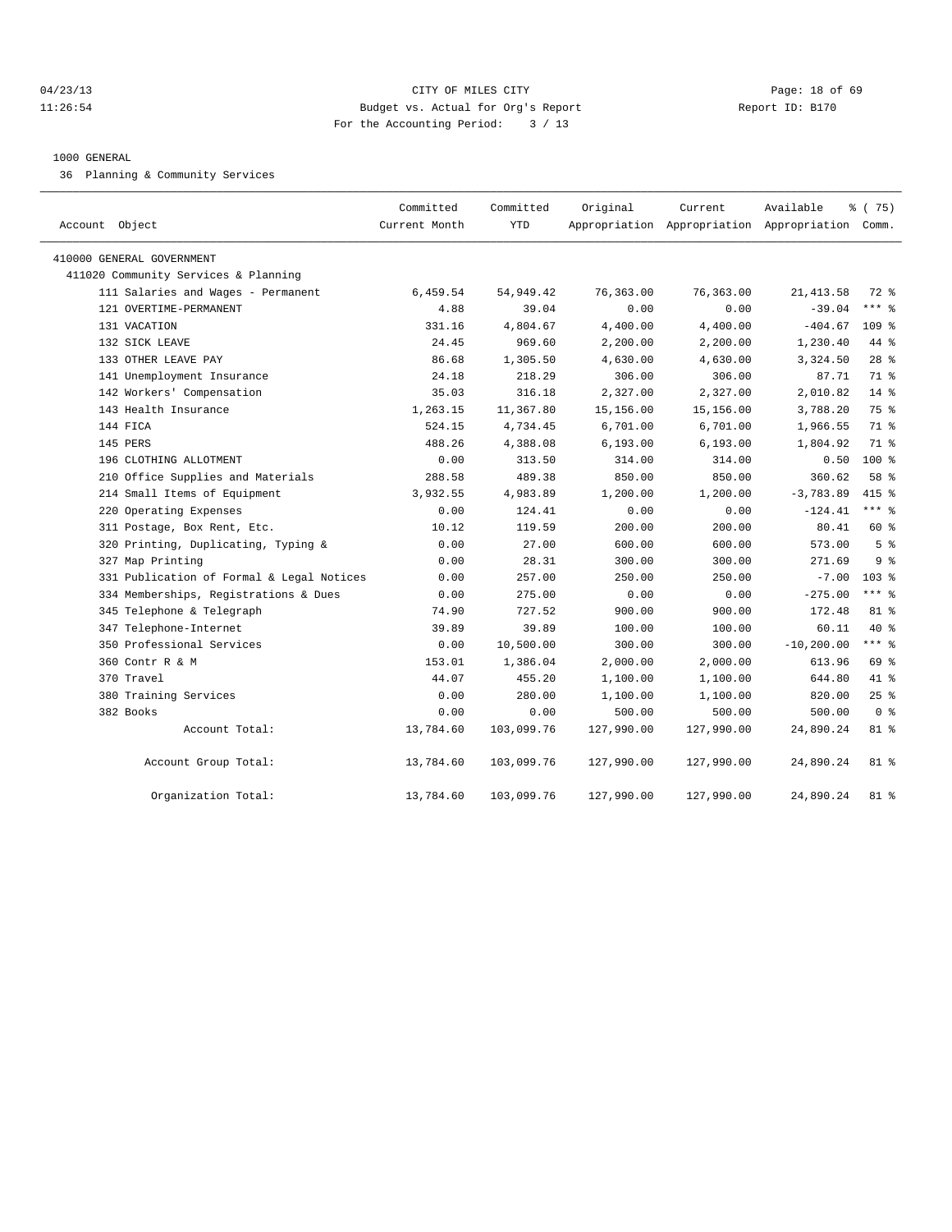## 04/23/13 Page: 18 of 69 11:26:54 Budget vs. Actual for Org's Report Report ID: B170 For the Accounting Period: 3 / 13

#### 1000 GENERAL

36 Planning & Community Services

| Account Object                            | Committed<br>Current Month | Committed<br><b>YTD</b> | Original   | Current<br>Appropriation Appropriation Appropriation Comm. | Available     | 8 (75)           |
|-------------------------------------------|----------------------------|-------------------------|------------|------------------------------------------------------------|---------------|------------------|
| 410000 GENERAL GOVERNMENT                 |                            |                         |            |                                                            |               |                  |
| 411020 Community Services & Planning      |                            |                         |            |                                                            |               |                  |
| 111 Salaries and Wages - Permanent        | 6,459.54                   | 54,949.42               | 76,363.00  | 76,363.00                                                  | 21, 413.58    | 72 %             |
| 121 OVERTIME-PERMANENT                    | 4.88                       | 39.04                   | 0.00       | 0.00                                                       | $-39.04$      | $***$ $_{8}$     |
| 131 VACATION                              | 331.16                     | 4,804.67                | 4,400.00   | 4,400.00                                                   | $-404.67$     | $109$ %          |
| 132 SICK LEAVE                            | 24.45                      | 969.60                  | 2,200.00   | 2,200.00                                                   | 1,230.40      | 44 %             |
| 133 OTHER LEAVE PAY                       | 86.68                      | 1,305.50                | 4,630.00   | 4,630.00                                                   | 3,324.50      | 28 <sup>8</sup>  |
| 141 Unemployment Insurance                | 24.18                      | 218.29                  | 306.00     | 306.00                                                     | 87.71         | 71 %             |
| 142 Workers' Compensation                 | 35.03                      | 316.18                  | 2,327.00   | 2,327.00                                                   | 2,010.82      | $14*$            |
| 143 Health Insurance                      | 1,263.15                   | 11,367.80               | 15,156.00  | 15,156.00                                                  | 3,788.20      | 75 %             |
| 144 FICA                                  | 524.15                     | 4,734.45                | 6,701.00   | 6,701.00                                                   | 1,966.55      | 71 %             |
| 145 PERS                                  | 488.26                     | 4,388.08                | 6, 193.00  | 6, 193.00                                                  | 1,804.92      | 71 %             |
| 196 CLOTHING ALLOTMENT                    | 0.00                       | 313.50                  | 314.00     | 314.00                                                     | 0.50          | 100 %            |
| 210 Office Supplies and Materials         | 288.58                     | 489.38                  | 850.00     | 850.00                                                     | 360.62        | 58 %             |
| 214 Small Items of Equipment              | 3,932.55                   | 4,983.89                | 1,200.00   | 1,200.00                                                   | $-3,783.89$   | $415$ %          |
| 220 Operating Expenses                    | 0.00                       | 124.41                  | 0.00       | 0.00                                                       | $-124.41$     | $***$ $=$        |
| 311 Postage, Box Rent, Etc.               | 10.12                      | 119.59                  | 200.00     | 200.00                                                     | 80.41         | 60 %             |
| 320 Printing, Duplicating, Typing &       | 0.00                       | 27.00                   | 600.00     | 600.00                                                     | 573.00        | 5 <sup>8</sup>   |
| 327 Map Printing                          | 0.00                       | 28.31                   | 300.00     | 300.00                                                     | 271.69        | 9 <sup>8</sup>   |
| 331 Publication of Formal & Legal Notices | 0.00                       | 257.00                  | 250.00     | 250.00                                                     | $-7.00$       | 103 <sub>8</sub> |
| 334 Memberships, Registrations & Dues     | 0.00                       | 275.00                  | 0.00       | 0.00                                                       | $-275.00$     | $***$ 8          |
| 345 Telephone & Telegraph                 | 74.90                      | 727.52                  | 900.00     | 900.00                                                     | 172.48        | 81 %             |
| 347 Telephone-Internet                    | 39.89                      | 39.89                   | 100.00     | 100.00                                                     | 60.11         | $40*$            |
| 350 Professional Services                 | 0.00                       | 10,500.00               | 300.00     | 300.00                                                     | $-10, 200.00$ | $***$ 8          |
| 360 Contr R & M                           | 153.01                     | 1,386.04                | 2,000.00   | 2,000.00                                                   | 613.96        | 69 %             |
| 370 Travel                                | 44.07                      | 455.20                  | 1,100.00   | 1,100.00                                                   | 644.80        | 41 %             |
| 380 Training Services                     | 0.00                       | 280.00                  | 1,100.00   | 1,100.00                                                   | 820.00        | $25$ %           |
| 382 Books                                 | 0.00                       | 0.00                    | 500.00     | 500.00                                                     | 500.00        | 0 <sup>8</sup>   |
| Account Total:                            | 13,784.60                  | 103,099.76              | 127,990.00 | 127,990.00                                                 | 24,890.24     | 81 %             |
| Account Group Total:                      | 13,784.60                  | 103,099.76              | 127,990.00 | 127,990.00                                                 | 24,890.24     | $81$ %           |
| Organization Total:                       | 13,784.60                  | 103,099.76              | 127,990.00 | 127,990.00                                                 | 24,890.24     | 81 %             |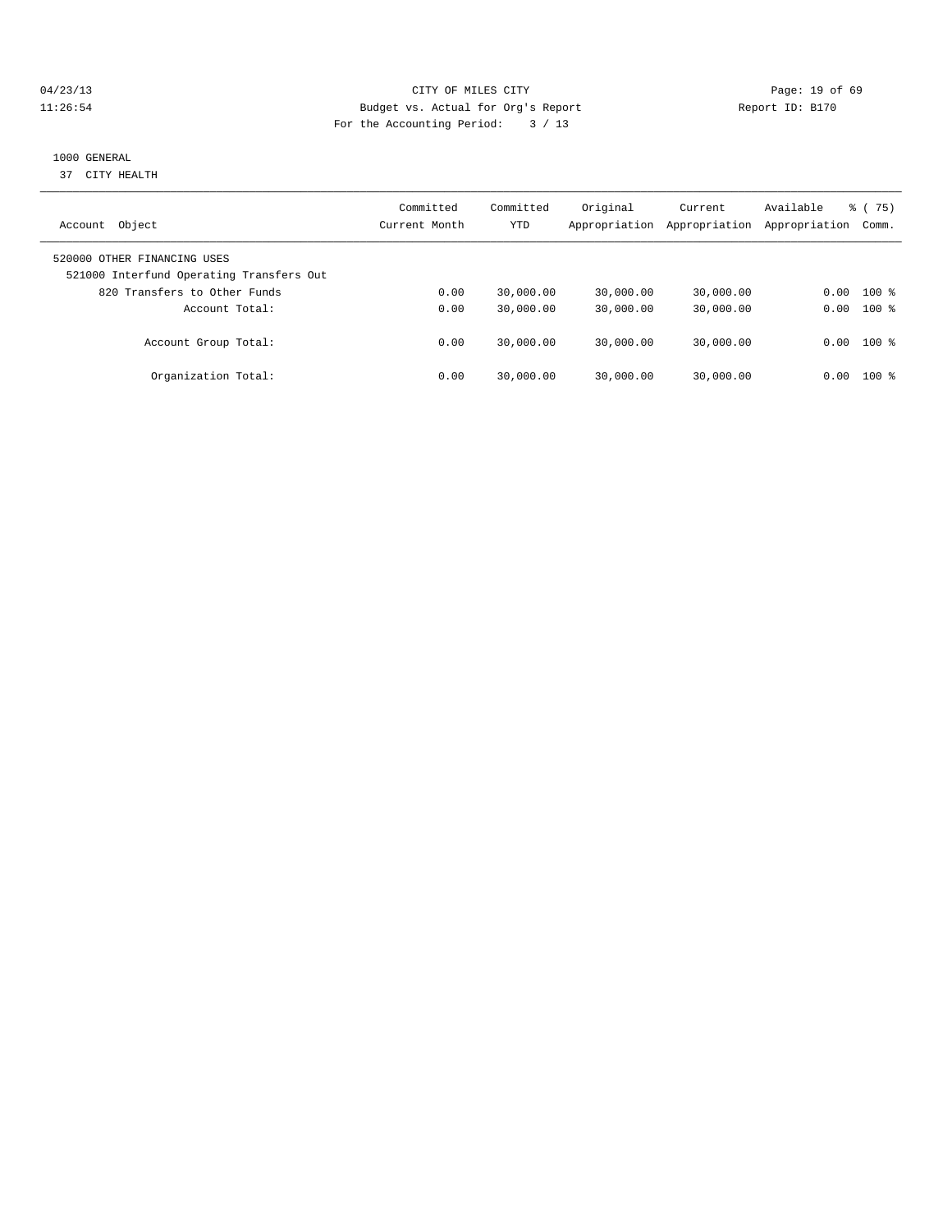# 04/23/13 Page: 19 of 69 11:26:54 Budget vs. Actual for Org's Report Report ID: B170 For the Accounting Period: 3 / 13

# 1000 GENERAL

37 CITY HEALTH

| Object<br>Account                                                       | Committed<br>Current Month | Committed<br>YTD | Original<br>Appropriation | Current<br>Appropriation | Available<br>Appropriation | $\frac{1}{6}$ (75)<br>Comm. |
|-------------------------------------------------------------------------|----------------------------|------------------|---------------------------|--------------------------|----------------------------|-----------------------------|
| 520000 OTHER FINANCING USES<br>521000 Interfund Operating Transfers Out |                            |                  |                           |                          |                            |                             |
| 820 Transfers to Other Funds                                            | 0.00                       | 30,000.00        | 30,000.00                 | 30,000.00                | 0.00                       | $100*$                      |
| Account Total:                                                          | 0.00                       | 30,000.00        | 30,000.00                 | 30,000.00                | 0.00                       | $100*$                      |
| Account Group Total:                                                    | 0.00                       | 30,000.00        | 30,000.00                 | 30,000.00                | 0.00                       | $100$ %                     |
| Organization Total:                                                     | 0.00                       | 30,000.00        | 30,000.00                 | 30,000.00                | 0.00                       | 100 %                       |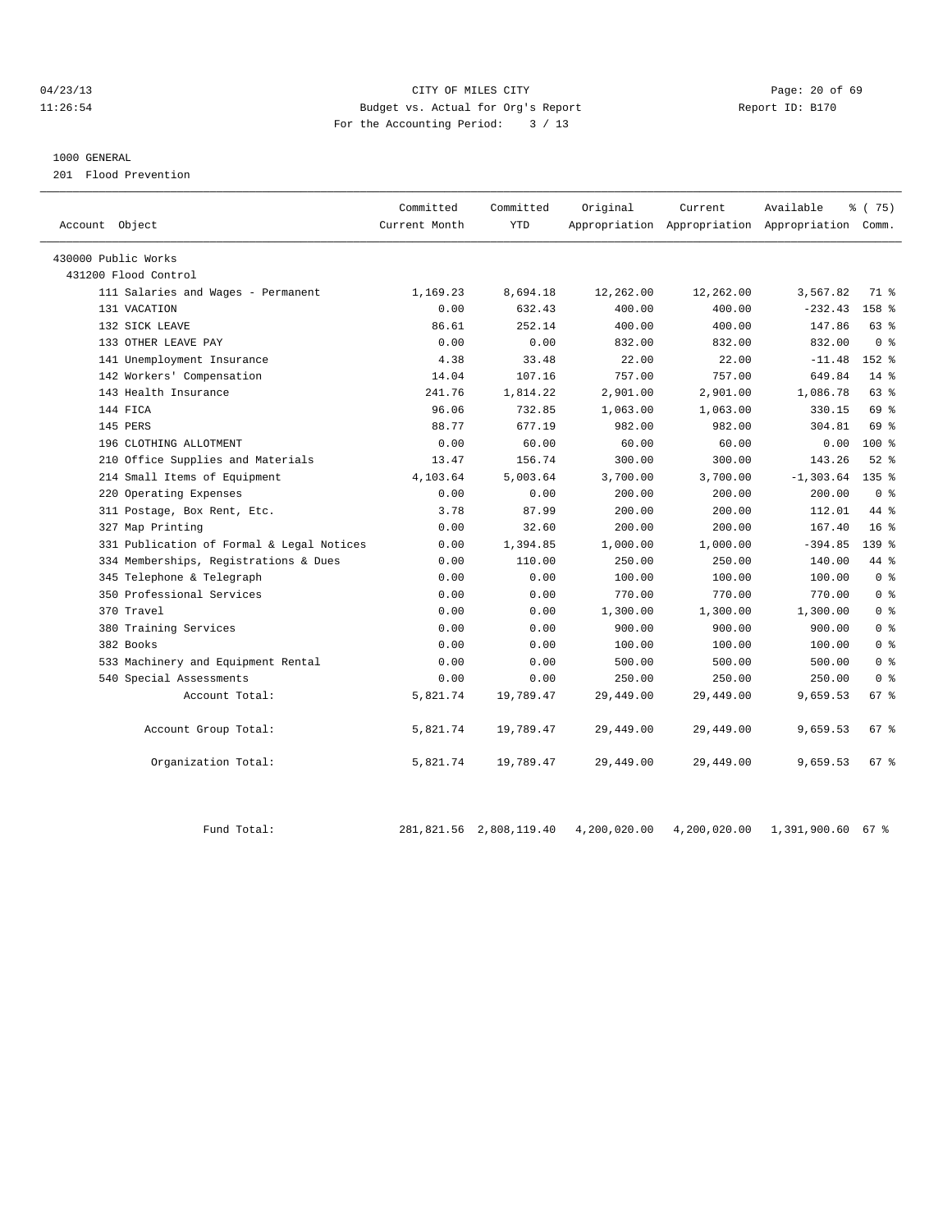## 04/23/13 Page: 20 of 69 11:26:54 Budget vs. Actual for Org's Report Report ID: B170 For the Accounting Period: 3 / 13

#### 1000 GENERAL

201 Flood Prevention

| Account Object                            | Committed<br>Current Month | Committed<br><b>YTD</b> | Original  | Current<br>Appropriation Appropriation Appropriation Comm. | Available    | % (75)           |
|-------------------------------------------|----------------------------|-------------------------|-----------|------------------------------------------------------------|--------------|------------------|
| 430000 Public Works                       |                            |                         |           |                                                            |              |                  |
| 431200 Flood Control                      |                            |                         |           |                                                            |              |                  |
| 111 Salaries and Wages - Permanent        | 1,169.23                   | 8,694.18                | 12,262.00 | 12,262.00                                                  | 3,567.82     | 71 %             |
| 131 VACATION                              | 0.00                       | 632.43                  | 400.00    | 400.00                                                     | $-232.43$    | 158 %            |
| 132 SICK LEAVE                            | 86.61                      | 252.14                  | 400.00    | 400.00                                                     | 147.86       | 63 %             |
| 133 OTHER LEAVE PAY                       | 0.00                       | 0.00                    | 832.00    | 832.00                                                     | 832.00       | 0 <sup>8</sup>   |
| 141 Unemployment Insurance                | 4.38                       | 33.48                   | 22.00     | 22.00                                                      | $-11.48$     | $152$ $%$        |
| 142 Workers' Compensation                 | 14.04                      | 107.16                  | 757.00    | 757.00                                                     | 649.84       | $14$ %           |
| 143 Health Insurance                      | 241.76                     | 1,814.22                | 2,901.00  | 2,901.00                                                   | 1,086.78     | 63 %             |
| 144 FICA                                  | 96.06                      | 732.85                  | 1,063.00  | 1,063.00                                                   | 330.15       | 69 %             |
| 145 PERS                                  | 88.77                      | 677.19                  | 982.00    | 982.00                                                     | 304.81       | 69 %             |
| 196 CLOTHING ALLOTMENT                    | 0.00                       | 60.00                   | 60.00     | 60.00                                                      | 0.00         | $100*$           |
| 210 Office Supplies and Materials         | 13.47                      | 156.74                  | 300.00    | 300.00                                                     | 143.26       | $52$ $%$         |
| 214 Small Items of Equipment              | 4,103.64                   | 5,003.64                | 3,700.00  | 3,700.00                                                   | $-1, 303.64$ | 135 <sub>8</sub> |
| 220 Operating Expenses                    | 0.00                       | 0.00                    | 200.00    | 200.00                                                     | 200.00       | 0 <sup>8</sup>   |
| 311 Postage, Box Rent, Etc.               | 3.78                       | 87.99                   | 200.00    | 200.00                                                     | 112.01       | 44 %             |
| 327 Map Printing                          | 0.00                       | 32.60                   | 200.00    | 200.00                                                     | 167.40       | 16 <sup>8</sup>  |
| 331 Publication of Formal & Legal Notices | 0.00                       | 1,394.85                | 1,000.00  | 1,000.00                                                   | $-394.85$    | 139 <sub>8</sub> |
| 334 Memberships, Registrations & Dues     | 0.00                       | 110.00                  | 250.00    | 250.00                                                     | 140.00       | 44 %             |
| 345 Telephone & Telegraph                 | 0.00                       | 0.00                    | 100.00    | 100.00                                                     | 100.00       | 0 <sup>8</sup>   |
| 350 Professional Services                 | 0.00                       | 0.00                    | 770.00    | 770.00                                                     | 770.00       | 0 <sup>8</sup>   |
| 370 Travel                                | 0.00                       | 0.00                    | 1,300.00  | 1,300.00                                                   | 1,300.00     | 0 <sup>8</sup>   |
| 380 Training Services                     | 0.00                       | 0.00                    | 900.00    | 900.00                                                     | 900.00       | 0 <sup>8</sup>   |
| 382 Books                                 | 0.00                       | 0.00                    | 100.00    | 100.00                                                     | 100.00       | 0 <sup>8</sup>   |
| 533 Machinery and Equipment Rental        | 0.00                       | 0.00                    | 500.00    | 500.00                                                     | 500.00       | 0 <sup>8</sup>   |
| 540 Special Assessments                   | 0.00                       | 0.00                    | 250.00    | 250.00                                                     | 250.00       | 0 <sup>8</sup>   |
| Account Total:                            | 5,821.74                   | 19,789.47               | 29,449.00 | 29,449.00                                                  | 9,659.53     | $67*$            |
| Account Group Total:                      | 5,821.74                   | 19,789.47               | 29,449.00 | 29,449.00                                                  | 9,659.53     | 67 %             |
| Organization Total:                       | 5,821.74                   | 19,789.47               | 29,449.00 | 29,449.00                                                  | 9,659.53     | 67 %             |

Fund Total: 281,821.56 2,808,119.40 4,200,020.00 4,200,020.00 1,391,900.60 67 %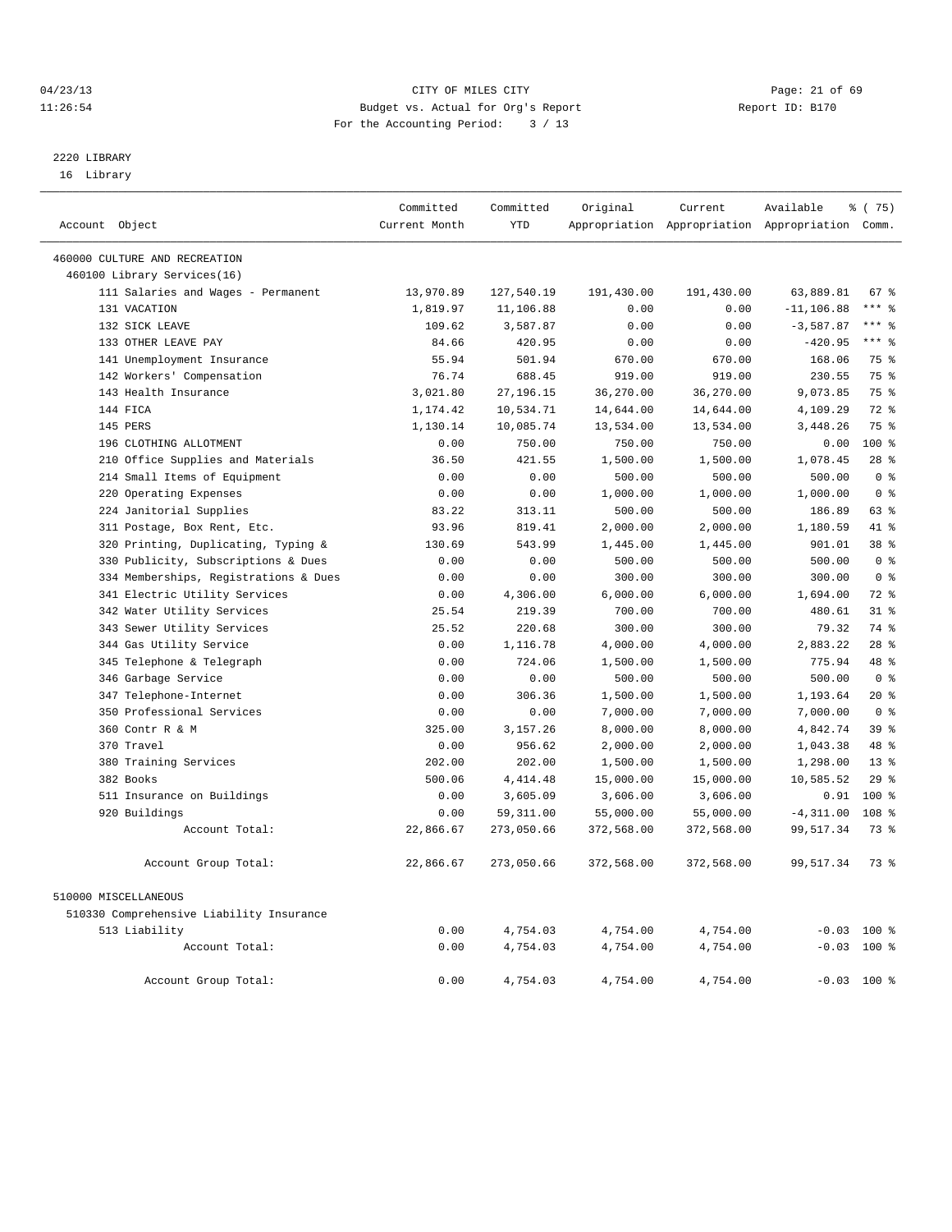# 04/23/13 Page: 21 of 69 11:26:54 Budget vs. Actual for Org's Report Report ID: B170 For the Accounting Period: 3 / 13

# 2220 LIBRARY

16 Library

|                                          | Committed     | Committed   | Original   | Current    | Available                                       | 8 (75)           |  |
|------------------------------------------|---------------|-------------|------------|------------|-------------------------------------------------|------------------|--|
| Account Object                           | Current Month | <b>YTD</b>  |            |            | Appropriation Appropriation Appropriation Comm. |                  |  |
| 460000 CULTURE AND RECREATION            |               |             |            |            |                                                 |                  |  |
| 460100 Library Services(16)              |               |             |            |            |                                                 |                  |  |
| 111 Salaries and Wages - Permanent       | 13,970.89     | 127,540.19  | 191,430.00 | 191,430.00 | 63,889.81                                       | 67 %             |  |
| 131 VACATION                             | 1,819.97      | 11,106.88   | 0.00       | 0.00       | $-11, 106.88$                                   | $***$ $=$        |  |
| 132 SICK LEAVE                           | 109.62        | 3,587.87    | 0.00       | 0.00       | $-3,587.87$                                     | $***$ 8          |  |
| 133 OTHER LEAVE PAY                      | 84.66         | 420.95      | 0.00       | 0.00       | $-420.95$                                       | $***$ 8          |  |
| 141 Unemployment Insurance               | 55.94         | 501.94      | 670.00     | 670.00     | 168.06                                          | 75 %             |  |
| 142 Workers' Compensation                | 76.74         | 688.45      | 919.00     | 919.00     | 230.55                                          | 75 %             |  |
| 143 Health Insurance                     | 3,021.80      | 27, 196. 15 | 36,270.00  | 36,270.00  | 9,073.85                                        | 75 %             |  |
| 144 FICA                                 | 1,174.42      | 10,534.71   | 14,644.00  | 14,644.00  | 4,109.29                                        | $72$ $%$         |  |
| 145 PERS                                 | 1,130.14      | 10,085.74   | 13,534.00  | 13,534.00  | 3,448.26                                        | 75 %             |  |
| 196 CLOTHING ALLOTMENT                   | 0.00          | 750.00      | 750.00     | 750.00     | 0.00                                            | $100*$           |  |
| 210 Office Supplies and Materials        | 36.50         | 421.55      | 1,500.00   | 1,500.00   | 1,078.45                                        | $28$ $%$         |  |
| 214 Small Items of Equipment             | 0.00          | 0.00        | 500.00     | 500.00     | 500.00                                          | 0 <sup>8</sup>   |  |
| 220 Operating Expenses                   | 0.00          | 0.00        | 1,000.00   | 1,000.00   | 1,000.00                                        | 0 <sup>8</sup>   |  |
| 224 Janitorial Supplies                  | 83.22         | 313.11      | 500.00     | 500.00     | 186.89                                          | 63 %             |  |
| 311 Postage, Box Rent, Etc.              | 93.96         | 819.41      | 2,000.00   | 2,000.00   | 1,180.59                                        | 41 %             |  |
| 320 Printing, Duplicating, Typing &      | 130.69        | 543.99      | 1,445.00   | 1,445.00   | 901.01                                          | 38 %             |  |
| 330 Publicity, Subscriptions & Dues      | 0.00          | 0.00        | 500.00     | 500.00     | 500.00                                          | 0 <sup>8</sup>   |  |
| 334 Memberships, Registrations & Dues    | 0.00          | 0.00        | 300.00     | 300.00     | 300.00                                          | 0 <sup>8</sup>   |  |
| 341 Electric Utility Services            | 0.00          | 4,306.00    | 6,000.00   | 6,000.00   | 1,694.00                                        | $72$ $%$         |  |
| 342 Water Utility Services               | 25.54         | 219.39      | 700.00     | 700.00     | 480.61                                          | 31.8             |  |
| 343 Sewer Utility Services               | 25.52         | 220.68      | 300.00     | 300.00     | 79.32                                           | 74 %             |  |
| 344 Gas Utility Service                  | 0.00          | 1,116.78    | 4,000.00   | 4,000.00   | 2,883.22                                        | $28$ $%$         |  |
| 345 Telephone & Telegraph                | 0.00          | 724.06      | 1,500.00   | 1,500.00   | 775.94                                          | 48 %             |  |
| 346 Garbage Service                      | 0.00          | 0.00        | 500.00     | 500.00     | 500.00                                          | 0 <sup>8</sup>   |  |
| 347 Telephone-Internet                   | 0.00          | 306.36      | 1,500.00   | 1,500.00   | 1,193.64                                        | $20*$            |  |
| 350 Professional Services                | 0.00          | 0.00        | 7,000.00   | 7,000.00   | 7,000.00                                        | 0 <sup>8</sup>   |  |
| 360 Contr R & M                          | 325.00        | 3, 157. 26  | 8,000.00   | 8,000.00   | 4,842.74                                        | 39 %             |  |
| 370 Travel                               | 0.00          | 956.62      | 2,000.00   | 2,000.00   | 1,043.38                                        | 48 %             |  |
| 380 Training Services                    | 202.00        | 202.00      | 1,500.00   | 1,500.00   | 1,298.00                                        | 13 <sup>8</sup>  |  |
| 382 Books                                | 500.06        | 4, 414.48   | 15,000.00  | 15,000.00  | 10,585.52                                       | 29%              |  |
| 511 Insurance on Buildings               | 0.00          | 3,605.09    | 3,606.00   | 3,606.00   | 0.91                                            | $100*$           |  |
| 920 Buildings                            | 0.00          | 59, 311.00  | 55,000.00  | 55,000.00  | $-4, 311.00$                                    | 108 <sup>8</sup> |  |
| Account Total:                           | 22,866.67     | 273,050.66  | 372,568.00 | 372,568.00 | 99,517.34                                       | 73.8             |  |
| Account Group Total:                     | 22,866.67     | 273,050.66  | 372,568.00 | 372,568.00 | 99,517.34                                       | 73 %             |  |
| 510000 MISCELLANEOUS                     |               |             |            |            |                                                 |                  |  |
| 510330 Comprehensive Liability Insurance |               |             |            |            |                                                 |                  |  |
| 513 Liability                            | 0.00          | 4,754.03    | 4,754.00   | 4,754.00   | $-0.03$ 100 %                                   |                  |  |
| Account Total:                           | 0.00          | 4,754.03    | 4,754.00   | 4,754.00   | $-0.03$ 100 %                                   |                  |  |
| Account Group Total:                     | 0.00          | 4,754.03    | 4,754.00   | 4,754.00   | $-0.03$ 100 %                                   |                  |  |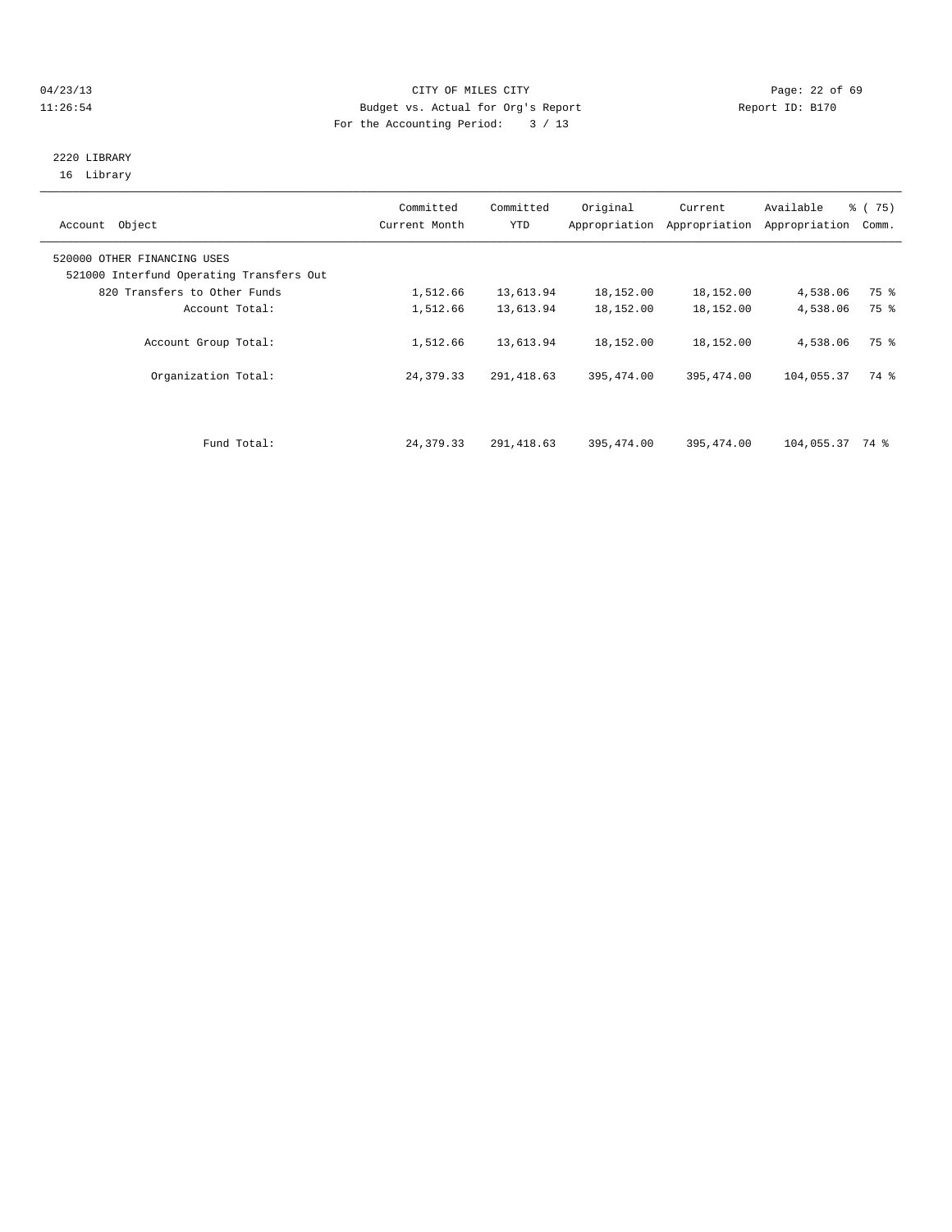# 04/23/13 Page: 22 of 69 11:26:54 Budget vs. Actual for Org's Report Report ID: B170 For the Accounting Period: 3 / 13

# 2220 LIBRARY 16 Library

| Object<br>Account                                                       | Committed<br>Current Month | Committed<br>YTD | Original   | Current<br>Appropriation Appropriation | Available<br>Appropriation | $\frac{3}{6}$ ( 75)<br>Comm. |
|-------------------------------------------------------------------------|----------------------------|------------------|------------|----------------------------------------|----------------------------|------------------------------|
| 520000 OTHER FINANCING USES<br>521000 Interfund Operating Transfers Out |                            |                  |            |                                        |                            |                              |
| 820 Transfers to Other Funds                                            | 1,512.66                   | 13,613.94        | 18,152.00  | 18,152.00                              | 4,538.06                   | 75 %                         |
| Account Total:                                                          | 1,512.66                   | 13,613.94        | 18,152.00  | 18,152.00                              | 4,538.06                   | 75 %                         |
| Account Group Total:                                                    | 1,512.66                   | 13,613.94        | 18,152.00  | 18,152.00                              | 4,538.06                   | 75 %                         |
| Organization Total:                                                     | 24,379.33                  | 291, 418.63      | 395,474.00 | 395, 474.00                            | 104,055.37                 | 74 %                         |
|                                                                         |                            |                  |            |                                        |                            |                              |
| Fund Total:                                                             | 24,379.33                  | 291,418.63       | 395,474.00 | 395,474.00                             | $104,055.37$ 74 %          |                              |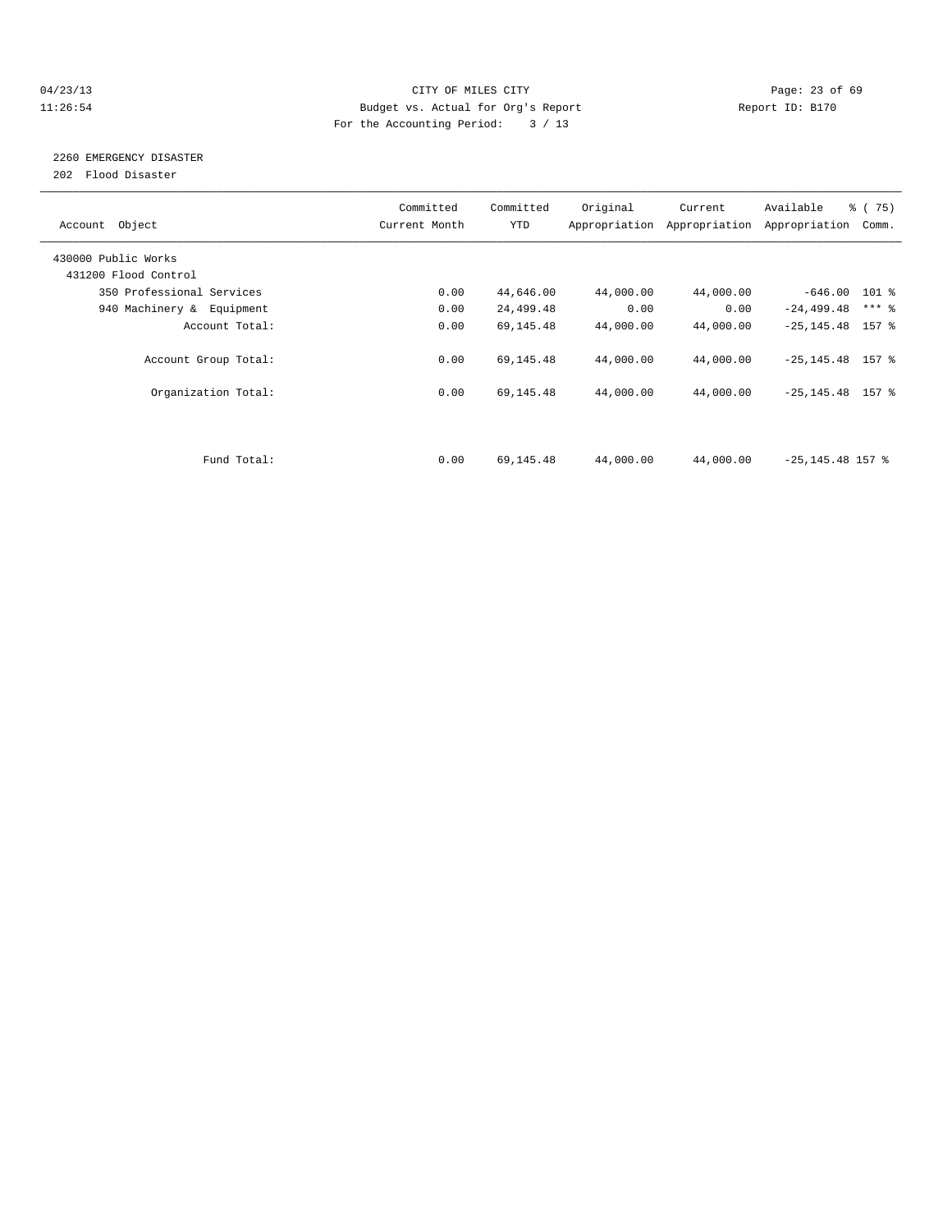# 04/23/13 Page: 23 of 69 11:26:54 Budget vs. Actual for Org's Report Report ID: B170 For the Accounting Period: 3 / 13

# 2260 EMERGENCY DISASTER

202 Flood Disaster

| Account Object            | Committed<br>Current Month | Committed<br><b>YTD</b> | Original  | Current<br>Appropriation Appropriation | Available<br>Appropriation | $\frac{3}{6}$ ( 75)<br>Comm. |
|---------------------------|----------------------------|-------------------------|-----------|----------------------------------------|----------------------------|------------------------------|
| 430000 Public Works       |                            |                         |           |                                        |                            |                              |
| 431200 Flood Control      |                            |                         |           |                                        |                            |                              |
| 350 Professional Services | 0.00                       | 44,646.00               | 44,000.00 | 44,000.00                              | $-646.00$ 101 %            |                              |
| 940 Machinery & Equipment | 0.00                       | 24,499.48               | 0.00      | 0.00                                   | $-24, 499.48$              | $***$ $-$                    |
| Account Total:            | 0.00                       | 69,145.48               | 44,000.00 | 44,000.00                              | $-25, 145.48$ 157 %        |                              |
| Account Group Total:      | 0.00                       | 69,145.48               | 44,000.00 | 44,000.00                              | $-25, 145.48$ 157 %        |                              |
| Organization Total:       | 0.00                       | 69,145.48               | 44,000.00 | 44,000.00                              | $-25, 145.48$ 157 %        |                              |
|                           |                            |                         |           |                                        |                            |                              |
| Fund Total:               | 0.00                       | 69,145.48               | 44,000.00 | 44,000.00                              | $-25, 145.48$ 157 %        |                              |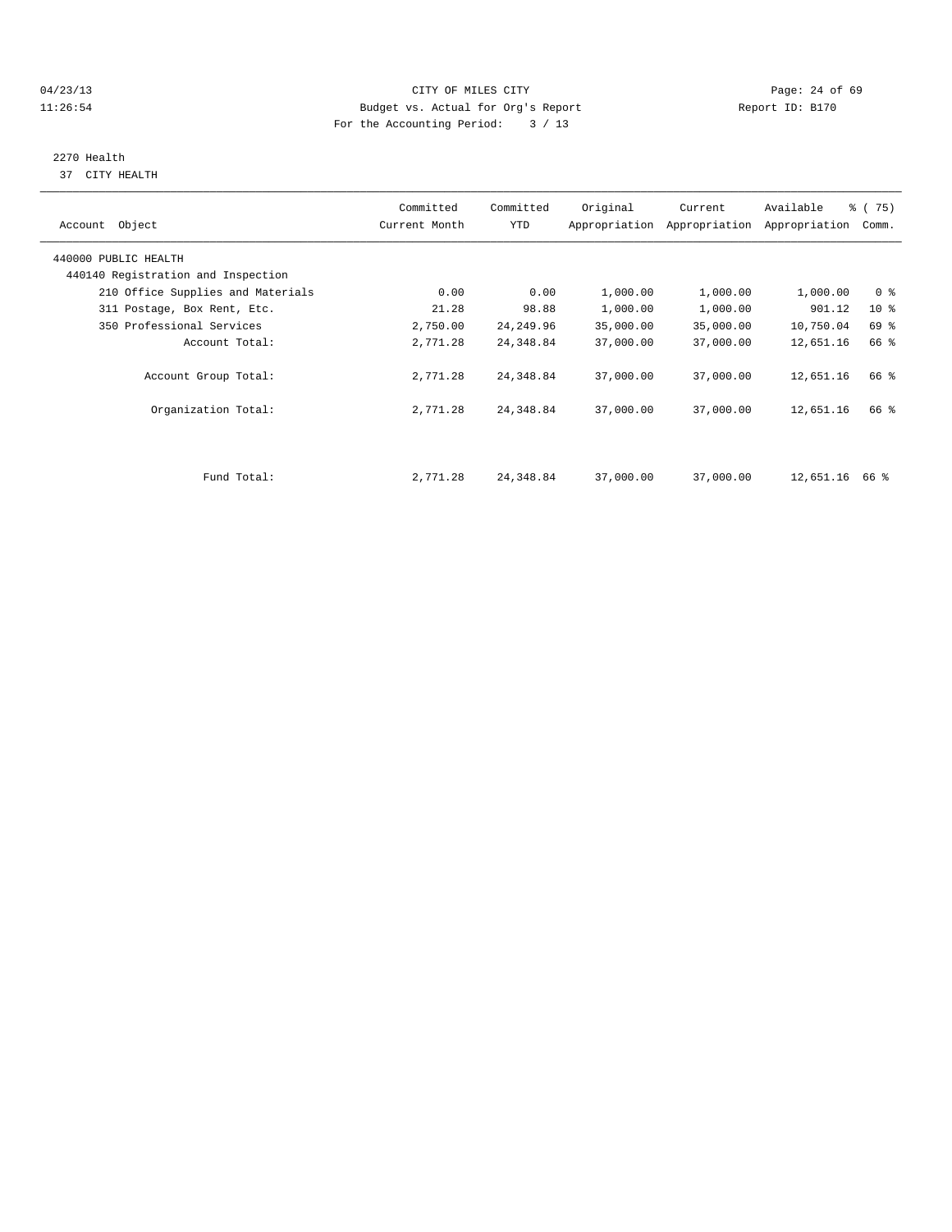# 04/23/13 Page: 24 of 69 11:26:54 Budget vs. Actual for Org's Report Report ID: B170 For the Accounting Period: 3 / 13

# 2270 Health

37 CITY HEALTH

| Account Object                                             | Committed<br>Current Month | Committed<br>YTD | Original  | Current<br>Appropriation Appropriation | Available<br>Appropriation | 8 (75)<br>Comm. |
|------------------------------------------------------------|----------------------------|------------------|-----------|----------------------------------------|----------------------------|-----------------|
| 440000 PUBLIC HEALTH<br>440140 Registration and Inspection |                            |                  |           |                                        |                            |                 |
| 210 Office Supplies and Materials                          | 0.00                       | 0.00             | 1,000.00  | 1,000.00                               | 1,000.00                   | 0 <sup>8</sup>  |
| 311 Postage, Box Rent, Etc.                                | 21.28                      | 98.88            | 1,000.00  | 1,000.00                               | 901.12                     | 10 <sub>8</sub> |
| 350 Professional Services                                  | 2,750.00                   | 24, 249.96       | 35,000.00 | 35,000.00                              | 10,750.04                  | 69 %            |
| Account Total:                                             | 2,771.28                   | 24,348.84        | 37,000.00 | 37,000.00                              | 12,651.16                  | 66 %            |
| Account Group Total:                                       | 2,771.28                   | 24,348.84        | 37,000.00 | 37,000.00                              | 12,651.16                  | 66 %            |
| Organization Total:                                        | 2,771.28                   | 24,348.84        | 37,000.00 | 37,000.00                              | 12,651.16                  | 66 %            |
|                                                            |                            |                  |           |                                        |                            |                 |
| Fund Total:                                                | 2,771.28                   | 24,348.84        | 37,000.00 | 37,000.00                              | 12,651.16 66 %             |                 |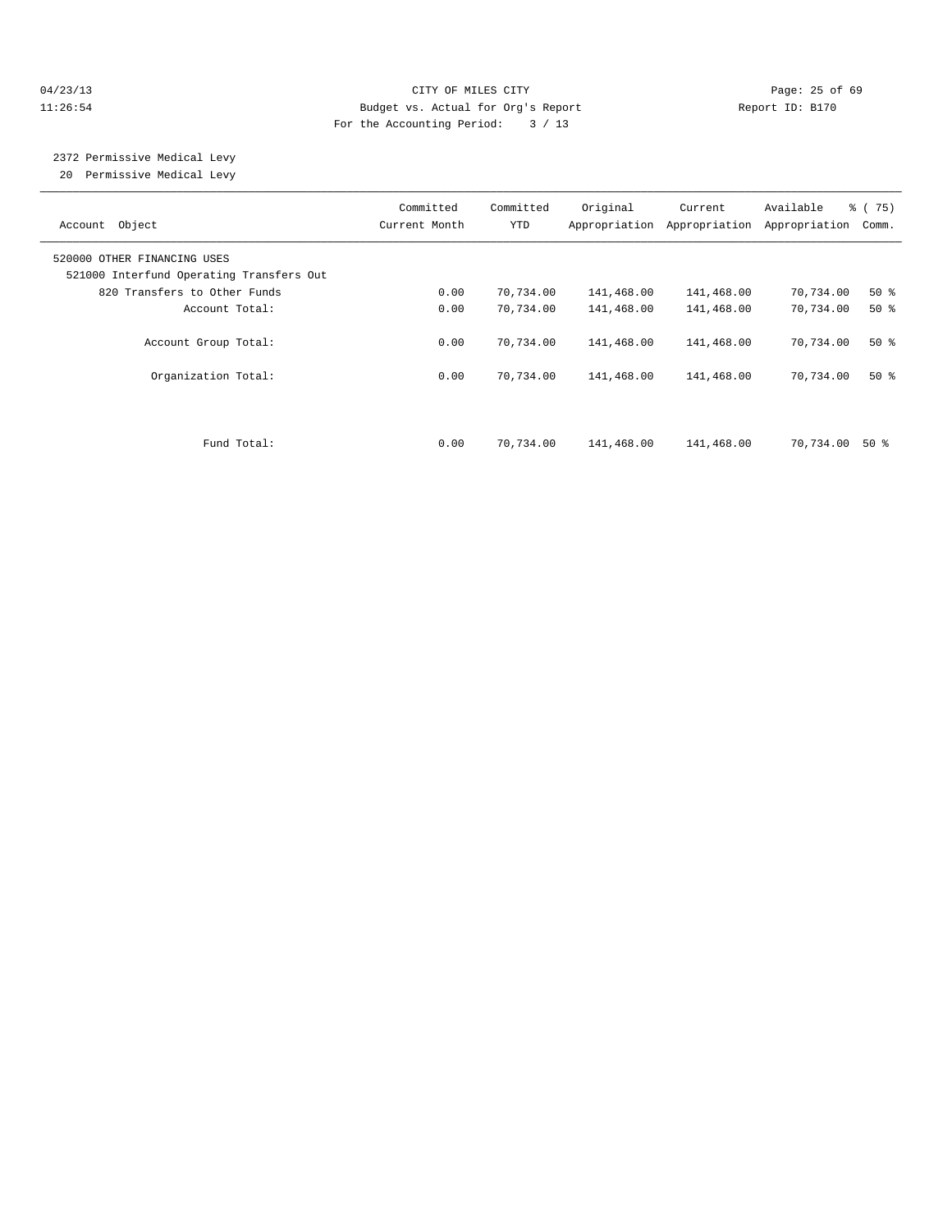# 04/23/13 Page: 25 of 69 11:26:54 Budget vs. Actual for Org's Report Report ID: B170 For the Accounting Period: 3 / 13

# 2372 Permissive Medical Levy

20 Permissive Medical Levy

| Account Object                                                          | Committed<br>Current Month | Committed<br>YTD | Original   | Current<br>Appropriation Appropriation | Available<br>Appropriation | % (75)<br>Comm. |
|-------------------------------------------------------------------------|----------------------------|------------------|------------|----------------------------------------|----------------------------|-----------------|
| 520000 OTHER FINANCING USES<br>521000 Interfund Operating Transfers Out |                            |                  |            |                                        |                            |                 |
| 820 Transfers to Other Funds                                            | 0.00                       | 70,734.00        | 141,468.00 | 141,468.00                             | 70,734.00                  | $50*$           |
| Account Total:                                                          | 0.00                       | 70,734.00        | 141,468.00 | 141,468.00                             | 70,734.00                  | $50*$           |
| Account Group Total:                                                    | 0.00                       | 70,734.00        | 141,468.00 | 141,468.00                             | 70,734.00                  | $50*$           |
| Organization Total:                                                     | 0.00                       | 70,734.00        | 141,468.00 | 141,468.00                             | 70,734.00                  | $50*$           |
| Fund Total:                                                             | 0.00                       | 70,734.00        | 141,468.00 | 141,468.00                             | 70,734.00                  | 50 %            |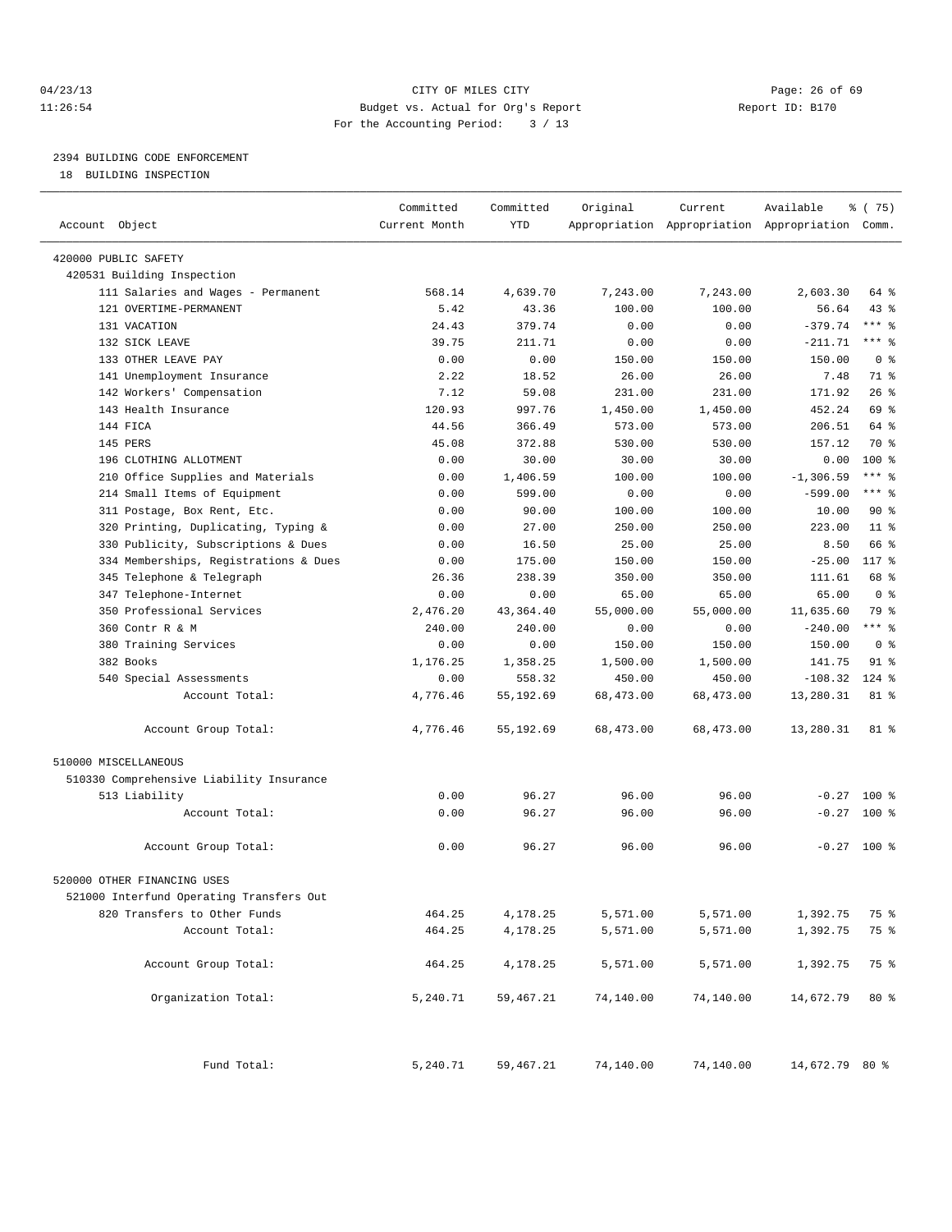# 04/23/13 Page: 26 of 69 11:26:54 Budget vs. Actual for Org's Report Report ID: B170 For the Accounting Period: 3 / 13

————————————————————————————————————————————————————————————————————————————————————————————————————————————————————————————————————

# 2394 BUILDING CODE ENFORCEMENT

18 BUILDING INSPECTION

|                                                     | Committed     | Committed | Original  | Current                                         | Available      | % (75)                      |
|-----------------------------------------------------|---------------|-----------|-----------|-------------------------------------------------|----------------|-----------------------------|
| Account Object                                      | Current Month | YTD       |           | Appropriation Appropriation Appropriation Comm. |                |                             |
|                                                     |               |           |           |                                                 |                |                             |
| 420000 PUBLIC SAFETY                                |               |           |           |                                                 |                |                             |
| 420531 Building Inspection                          |               |           |           |                                                 |                |                             |
| 111 Salaries and Wages - Permanent                  | 568.14        | 4,639.70  | 7,243.00  | 7,243.00                                        | 2,603.30       | 64 %                        |
| 121 OVERTIME-PERMANENT                              | 5.42          | 43.36     | 100.00    | 100.00                                          | 56.64          | $43$ %                      |
| 131 VACATION                                        | 24.43         | 379.74    | 0.00      | 0.00                                            | $-379.74$      | $***$ $-$                   |
| 132 SICK LEAVE                                      | 39.75         | 211.71    | 0.00      | 0.00                                            | $-211.71$      | $***$ $-$<br>0 <sup>8</sup> |
| 133 OTHER LEAVE PAY                                 | 0.00          | 0.00      | 150.00    | 150.00                                          | 150.00         |                             |
| 141 Unemployment Insurance                          | 2.22          | 18.52     | 26.00     | 26.00                                           | 7.48           | 71 %<br>26%                 |
| 142 Workers' Compensation                           | 7.12          | 59.08     | 231.00    | 231.00                                          | 171.92         |                             |
| 143 Health Insurance                                | 120.93        | 997.76    | 1,450.00  | 1,450.00                                        | 452.24         | 69 %                        |
| 144 FICA                                            | 44.56         | 366.49    | 573.00    | 573.00                                          | 206.51         | 64 %<br>70 %                |
| 145 PERS                                            | 45.08         | 372.88    | 530.00    | 530.00                                          | 157.12         |                             |
| 196 CLOTHING ALLOTMENT                              | 0.00          | 30.00     | 30.00     | 30.00                                           | 0.00           | $100*$                      |
| 210 Office Supplies and Materials                   | 0.00          | 1,406.59  | 100.00    | 100.00                                          | $-1, 306.59$   | *** %                       |
| 214 Small Items of Equipment                        | 0.00          | 599.00    | 0.00      | 0.00                                            | $-599.00$      | *** %                       |
| 311 Postage, Box Rent, Etc.                         | 0.00          | 90.00     | 100.00    | 100.00                                          | 10.00          | 90%                         |
| 320 Printing, Duplicating, Typing &                 | 0.00          | 27.00     | 250.00    | 250.00                                          | 223.00         | $11*$<br>66 %               |
| 330 Publicity, Subscriptions & Dues                 | 0.00          | 16.50     | 25.00     | 25.00                                           | 8.50           |                             |
| 334 Memberships, Registrations & Dues               | 0.00          | 175.00    | 150.00    | 150.00                                          | $-25.00$       | 117 %                       |
| 345 Telephone & Telegraph                           | 26.36         | 238.39    | 350.00    | 350.00                                          | 111.61         | 68 %                        |
| 347 Telephone-Internet<br>350 Professional Services | 0.00          | 0.00      | 65.00     | 65.00                                           | 65.00          | 0 <sup>8</sup>              |
|                                                     | 2,476.20      | 43,364.40 | 55,000.00 | 55,000.00                                       | 11,635.60      | 79 %                        |
| 360 Contr R & M                                     | 240.00        | 240.00    | 0.00      | 0.00                                            | $-240.00$      | $***$ $-$                   |
| 380 Training Services                               | 0.00          | 0.00      | 150.00    | 150.00                                          | 150.00         | 0 <sup>8</sup>              |
| 382 Books                                           | 1,176.25      | 1,358.25  | 1,500.00  | 1,500.00                                        | 141.75         | $91$ %                      |
| 540 Special Assessments                             | 0.00          | 558.32    | 450.00    | 450.00                                          | $-108.32$      | $124$ %                     |
| Account Total:                                      | 4,776.46      | 55,192.69 | 68,473.00 | 68,473.00                                       | 13,280.31      | 81 %                        |
| Account Group Total:                                | 4,776.46      | 55,192.69 | 68,473.00 | 68,473.00                                       | 13,280.31      | 81 %                        |
| 510000 MISCELLANEOUS                                |               |           |           |                                                 |                |                             |
| 510330 Comprehensive Liability Insurance            |               |           |           |                                                 |                |                             |
| 513 Liability                                       | 0.00          | 96.27     | 96.00     | 96.00                                           | $-0.27$        | 100 %                       |
| Account Total:                                      | 0.00          | 96.27     | 96.00     | 96.00                                           | $-0.27$        | 100 %                       |
|                                                     |               |           |           |                                                 |                |                             |
| Account Group Total:                                | 0.00          | 96.27     | 96.00     | 96.00                                           |                | $-0.27$ 100 %               |
| 520000 OTHER FINANCING USES                         |               |           |           |                                                 |                |                             |
| 521000 Interfund Operating Transfers Out            |               |           |           |                                                 |                |                             |
| 820 Transfers to Other Funds                        | 464.25        | 4,178.25  | 5,571.00  | 5,571.00                                        | 1,392.75       | 75 %                        |
| Account Total:                                      | 464.25        | 4,178.25  | 5,571.00  | 5,571.00                                        | 1,392.75       | 75 %                        |
|                                                     |               |           |           |                                                 |                |                             |
| Account Group Total:                                | 464.25        | 4,178.25  | 5,571.00  | 5,571.00                                        | 1,392.75       | 75 %                        |
| Organization Total:                                 | 5,240.71      | 59,467.21 | 74,140.00 | 74,140.00                                       | 14,672.79      | $80*$                       |
| Fund Total:                                         | 5,240.71      | 59,467.21 | 74,140.00 | 74,140.00                                       | 14,672.79 80 % |                             |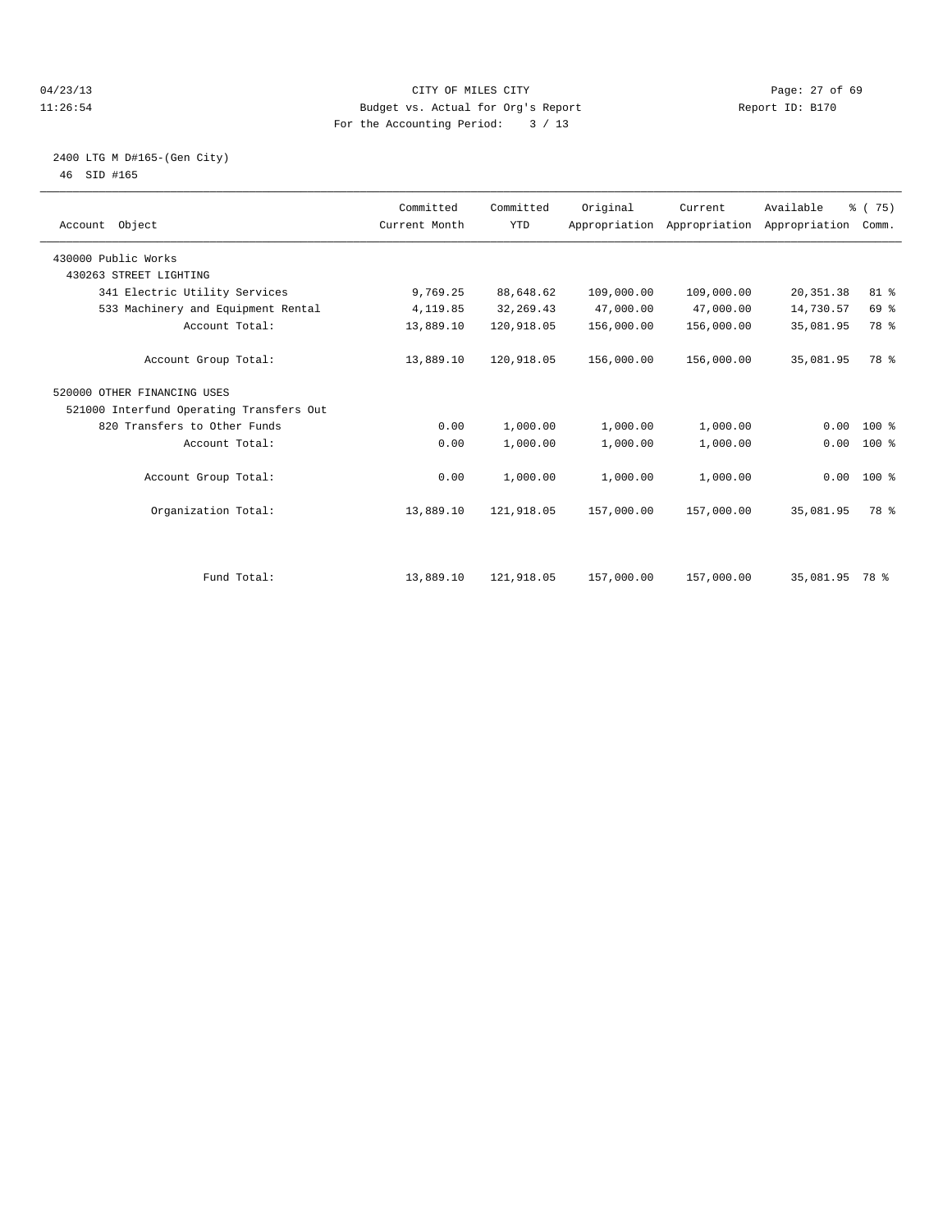# 04/23/13 Page: 27 of 69 11:26:54 Budget vs. Actual for Org's Report Report ID: B170 For the Accounting Period: 3 / 13

# 2400 LTG M D#165-(Gen City) 46 SID #165

| Account Object                           | Committed<br>Current Month | Committed<br><b>YTD</b> | Original   | Current<br>Appropriation Appropriation Appropriation | Available      | % (75)<br>Comm. |  |
|------------------------------------------|----------------------------|-------------------------|------------|------------------------------------------------------|----------------|-----------------|--|
| 430000 Public Works                      |                            |                         |            |                                                      |                |                 |  |
| 430263 STREET LIGHTING                   |                            |                         |            |                                                      |                |                 |  |
| 341 Electric Utility Services            | 9,769.25                   | 88,648.62               | 109,000.00 | 109,000.00                                           | 20, 351.38     | 81 %            |  |
| 533 Machinery and Equipment Rental       | 4,119.85                   | 32, 269.43              | 47,000.00  | 47,000.00                                            | 14,730.57      | 69 %            |  |
| Account Total:                           | 13,889.10                  | 120,918.05              | 156,000.00 | 156,000.00                                           | 35,081.95      | 78 %            |  |
| Account Group Total:                     | 13,889.10                  | 120,918.05              | 156,000.00 | 156,000.00                                           | 35,081.95      | 78 %            |  |
| 520000 OTHER FINANCING USES              |                            |                         |            |                                                      |                |                 |  |
| 521000 Interfund Operating Transfers Out |                            |                         |            |                                                      |                |                 |  |
| 820 Transfers to Other Funds             | 0.00                       | 1,000.00                | 1,000.00   | 1,000.00                                             | 0.00           | 100 %           |  |
| Account Total:                           | 0.00                       | 1,000.00                | 1,000.00   | 1,000.00                                             | 0.00           | 100 %           |  |
| Account Group Total:                     | 0.00                       | 1,000.00                | 1,000.00   | 1,000.00                                             |                | $0.00$ 100 %    |  |
| Organization Total:                      | 13,889.10                  | 121,918.05              | 157,000.00 | 157,000.00                                           | 35,081.95      | 78 %            |  |
|                                          |                            |                         |            |                                                      |                |                 |  |
| Fund Total:                              | 13,889.10                  | 121,918.05              | 157,000.00 | 157,000.00                                           | 35,081.95 78 % |                 |  |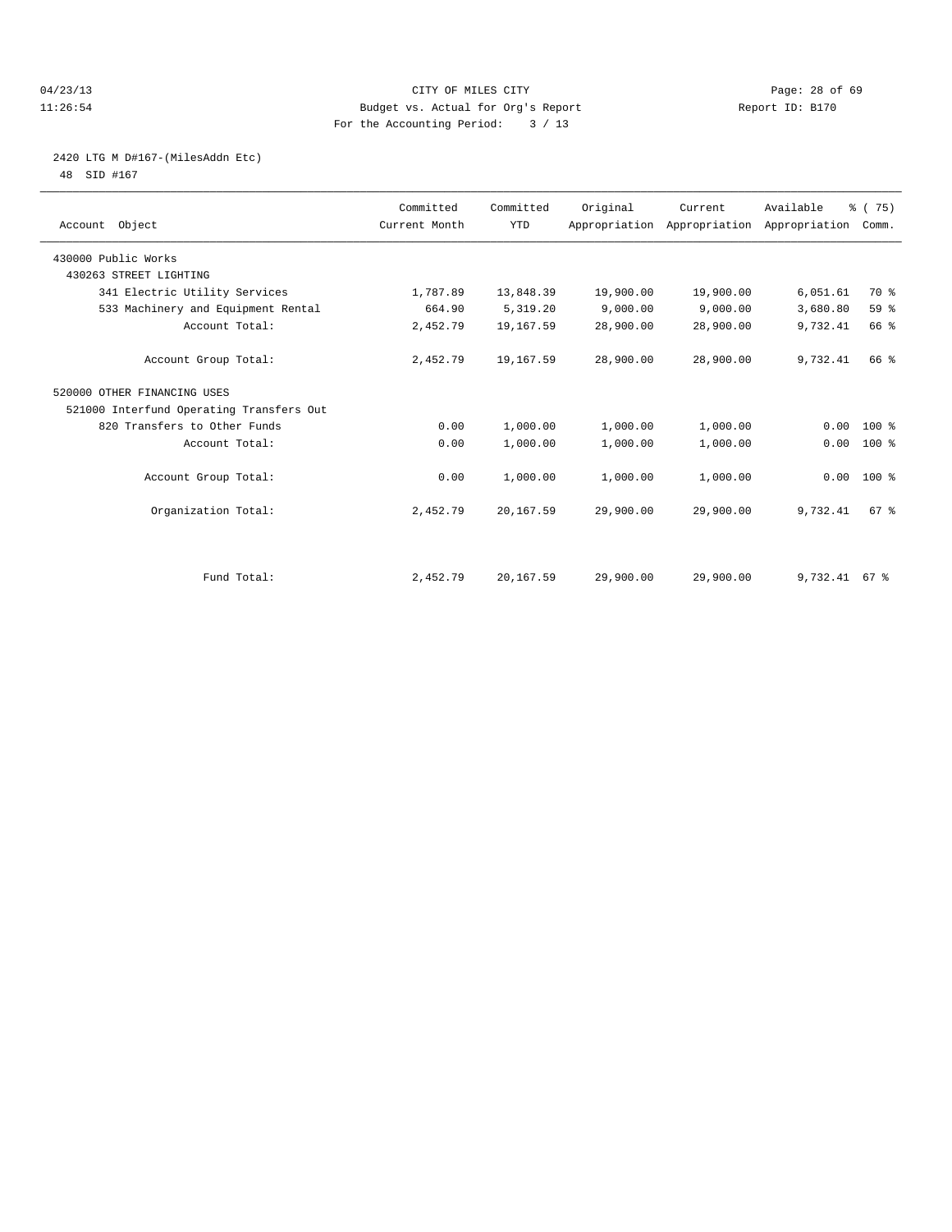# 04/23/13 Page: 28 of 69 11:26:54 Budget vs. Actual for Org's Report Report ID: B170 For the Accounting Period: 3 / 13

# 2420 LTG M D#167-(MilesAddn Etc)

48 SID #167

| Account Object                           | Committed<br>Current Month | Committed<br><b>YTD</b> | Original  | Current<br>Appropriation Appropriation Appropriation | Available       | % (75)<br>Comm. |  |
|------------------------------------------|----------------------------|-------------------------|-----------|------------------------------------------------------|-----------------|-----------------|--|
| 430000 Public Works                      |                            |                         |           |                                                      |                 |                 |  |
| 430263 STREET LIGHTING                   |                            |                         |           |                                                      |                 |                 |  |
| 341 Electric Utility Services            | 1,787.89                   | 13,848.39               | 19,900.00 | 19,900.00                                            | 6,051.61        | 70 %            |  |
| 533 Machinery and Equipment Rental       | 664.90                     | 5,319.20                | 9,000.00  | 9,000.00                                             | 3,680.80        | 59 %            |  |
| Account Total:                           | 2,452.79                   | 19,167.59               | 28,900.00 | 28,900.00                                            | 9,732.41        | 66 %            |  |
| Account Group Total:                     | 2,452.79                   | 19,167.59               | 28,900.00 | 28,900.00                                            | 9,732.41        | 66 %            |  |
| 520000 OTHER FINANCING USES              |                            |                         |           |                                                      |                 |                 |  |
| 521000 Interfund Operating Transfers Out |                            |                         |           |                                                      |                 |                 |  |
| 820 Transfers to Other Funds             | 0.00                       | 1,000.00                | 1,000.00  | 1,000.00                                             | 0.00            | $100*$          |  |
| Account Total:                           | 0.00                       | 1,000.00                | 1,000.00  | 1,000.00                                             | 0.00            | 100 %           |  |
| Account Group Total:                     | 0.00                       | 1,000.00                | 1,000.00  | 1,000.00                                             | $0.00$ 100 %    |                 |  |
| Organization Total:                      | 2,452.79                   | 20,167.59               | 29,900.00 | 29,900.00                                            | 9,732.41        | 67 %            |  |
|                                          |                            |                         |           |                                                      |                 |                 |  |
| Fund Total:                              | 2,452.79                   | 20,167.59               | 29,900.00 | 29,900.00                                            | $9,732.41$ 67 % |                 |  |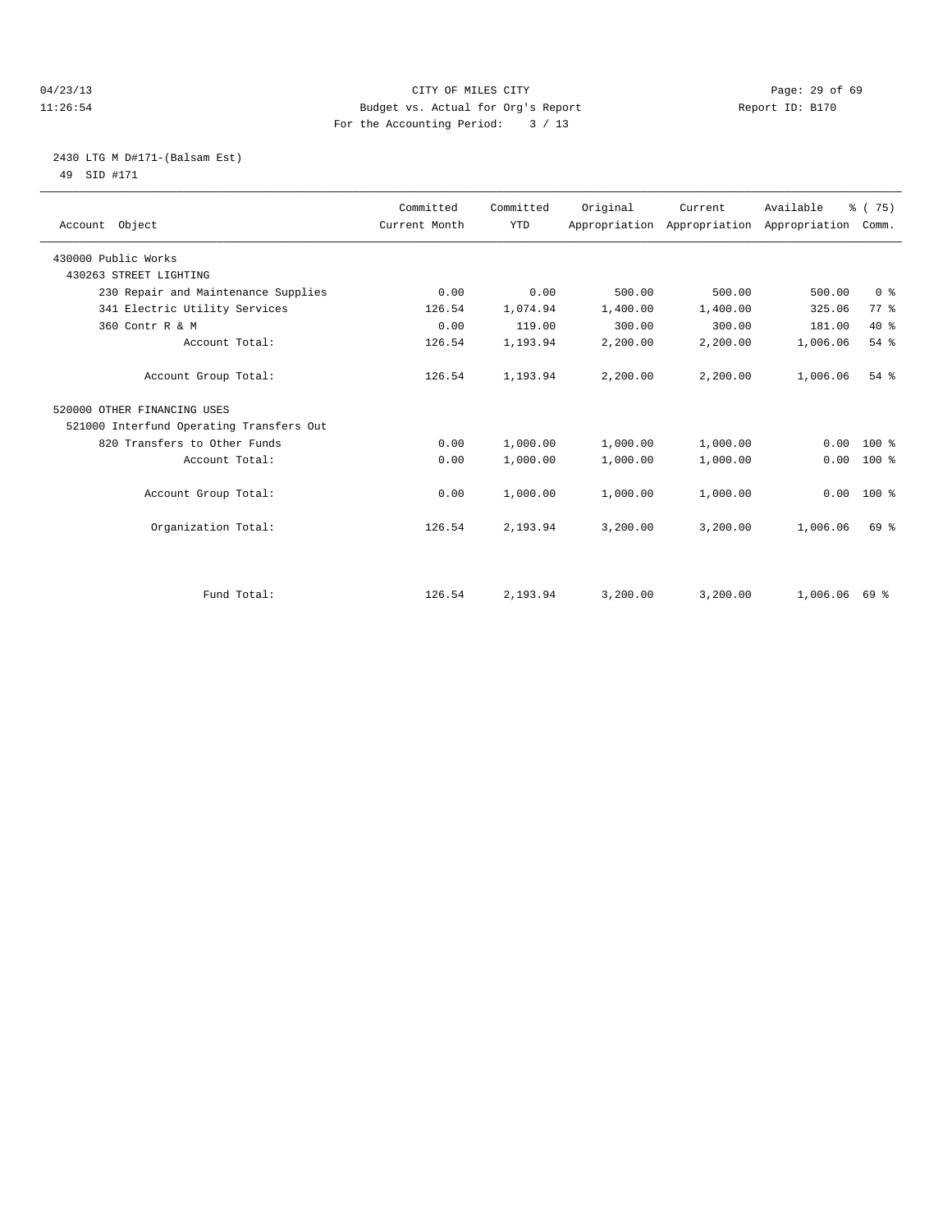# 04/23/13 Page: 29 of 69 11:26:54 Budget vs. Actual for Org's Report Report ID: B170 For the Accounting Period: 3 / 13

# 2430 LTG M D#171-(Balsam Est) 49 SID #171

| Account Object                           | Committed<br>Current Month | Committed<br><b>YTD</b> | Original | Current<br>Appropriation Appropriation | Available<br>Appropriation | % (75)<br>Comm. |
|------------------------------------------|----------------------------|-------------------------|----------|----------------------------------------|----------------------------|-----------------|
| 430000 Public Works                      |                            |                         |          |                                        |                            |                 |
| 430263 STREET LIGHTING                   |                            |                         |          |                                        |                            |                 |
| 230 Repair and Maintenance Supplies      | 0.00                       | 0.00                    | 500.00   | 500.00                                 | 500.00                     | 0 <sup>8</sup>  |
| 341 Electric Utility Services            | 126.54                     | 1,074.94                | 1,400.00 | 1,400.00                               | 325.06                     | 77.8            |
| 360 Contr R & M                          | 0.00                       | 119.00                  | 300.00   | 300.00                                 | 181.00                     | 40 %            |
| Account Total:                           | 126.54                     | 1,193.94                | 2,200.00 | 2,200.00                               | 1,006.06                   | 54%             |
| Account Group Total:                     | 126.54                     | 1,193.94                | 2,200.00 | 2,200.00                               | 1,006.06                   | 54%             |
| 520000 OTHER FINANCING USES              |                            |                         |          |                                        |                            |                 |
| 521000 Interfund Operating Transfers Out |                            |                         |          |                                        |                            |                 |
| 820 Transfers to Other Funds             | 0.00                       | 1,000.00                | 1,000.00 | 1,000.00                               | 0.00                       | $100*$          |
| Account Total:                           | 0.00                       | 1,000.00                | 1,000.00 | 1,000.00                               | 0.00                       | $100*$          |
| Account Group Total:                     | 0.00                       | 1,000.00                | 1,000.00 | 1,000.00                               | 0.00                       | 100 %           |
| Organization Total:                      | 126.54                     | 2,193.94                | 3,200.00 | 3,200.00                               | 1,006.06                   | 69 %            |
| Fund Total:                              | 126.54                     | 2,193.94                | 3,200.00 | 3,200.00                               | 1,006.06                   | 69 %            |
|                                          |                            |                         |          |                                        |                            |                 |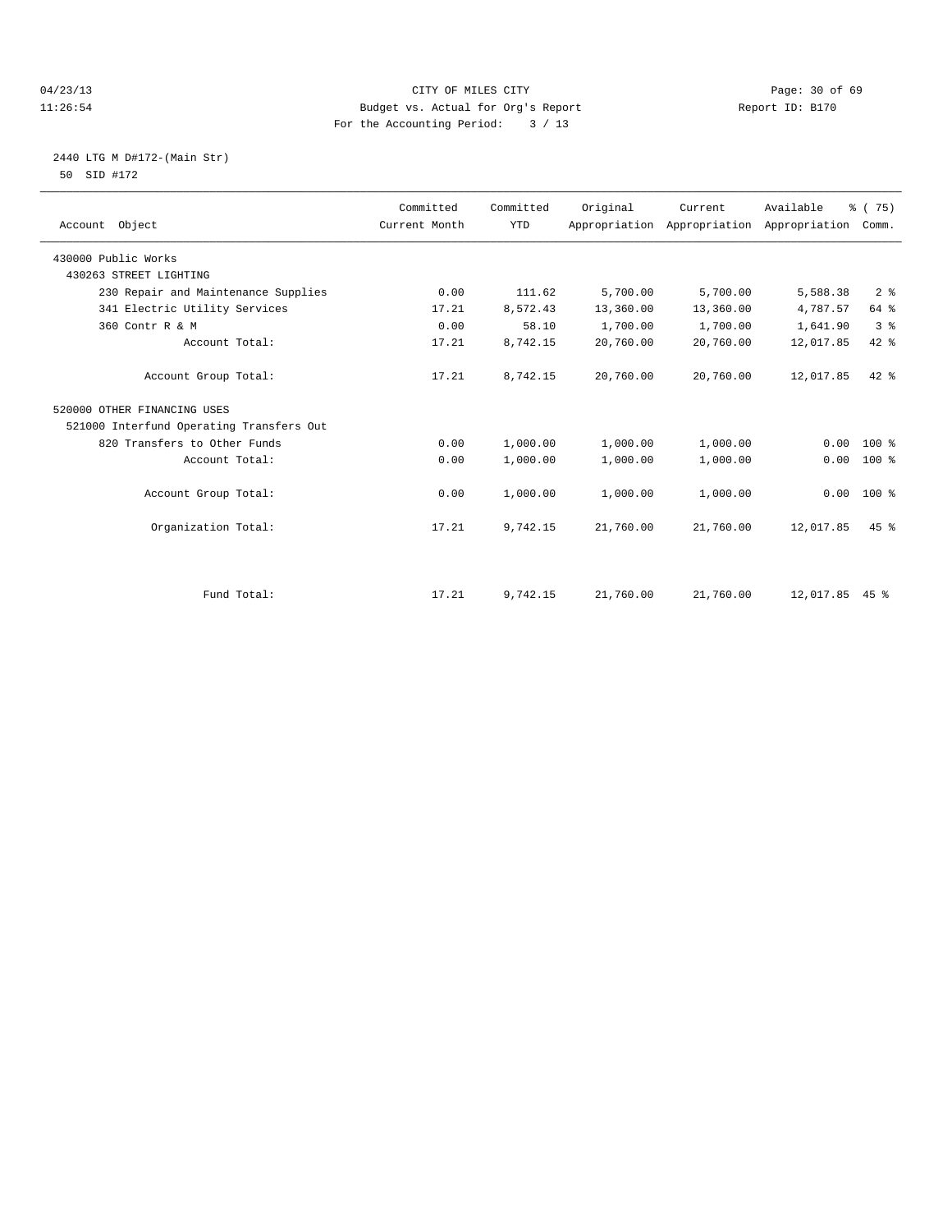# 04/23/13 Page: 30 of 69 11:26:54 Budget vs. Actual for Org's Report Report ID: B170 For the Accounting Period: 3 / 13

# 2440 LTG M D#172-(Main Str) 50 SID #172

| Account Object                           | Committed<br>Current Month | Committed<br><b>YTD</b> | Original  | Current<br>Appropriation Appropriation Appropriation | Available      | % (75)<br>Comm. |
|------------------------------------------|----------------------------|-------------------------|-----------|------------------------------------------------------|----------------|-----------------|
| 430000 Public Works                      |                            |                         |           |                                                      |                |                 |
| 430263 STREET LIGHTING                   |                            |                         |           |                                                      |                |                 |
| 230 Repair and Maintenance Supplies      | 0.00                       | 111.62                  | 5,700.00  | 5,700.00                                             | 5,588.38       | 2 <sup>8</sup>  |
| 341 Electric Utility Services            | 17.21                      | 8,572.43                | 13,360.00 | 13,360.00                                            | 4,787.57       | 64 %            |
| 360 Contr R & M                          | 0.00                       | 58.10                   | 1,700.00  | 1,700.00                                             | 1,641.90       | 3 <sup>8</sup>  |
| Account Total:                           | 17.21                      | 8,742.15                | 20,760.00 | 20,760.00                                            | 12,017.85      | $42$ $%$        |
| Account Group Total:                     | 17.21                      | 8,742.15                | 20,760.00 | 20,760.00                                            | 12,017.85      | $42*$           |
| 520000 OTHER FINANCING USES              |                            |                         |           |                                                      |                |                 |
| 521000 Interfund Operating Transfers Out |                            |                         |           |                                                      |                |                 |
| 820 Transfers to Other Funds             | 0.00                       | 1,000.00                | 1,000.00  | 1,000.00                                             | 0.00           | $100*$          |
| Account Total:                           | 0.00                       | 1,000.00                | 1,000.00  | 1,000.00                                             | 0.00           | $100*$          |
| Account Group Total:                     | 0.00                       | 1,000.00                | 1,000.00  | 1,000.00                                             | 0.00           | 100 %           |
| Organization Total:                      | 17.21                      | 9,742.15                | 21,760.00 | 21,760.00                                            | 12,017.85      | $45$ $%$        |
|                                          |                            |                         |           |                                                      |                |                 |
| Fund Total:                              | 17.21                      | 9,742.15                | 21,760.00 | 21,760.00                                            | 12,017.85 45 % |                 |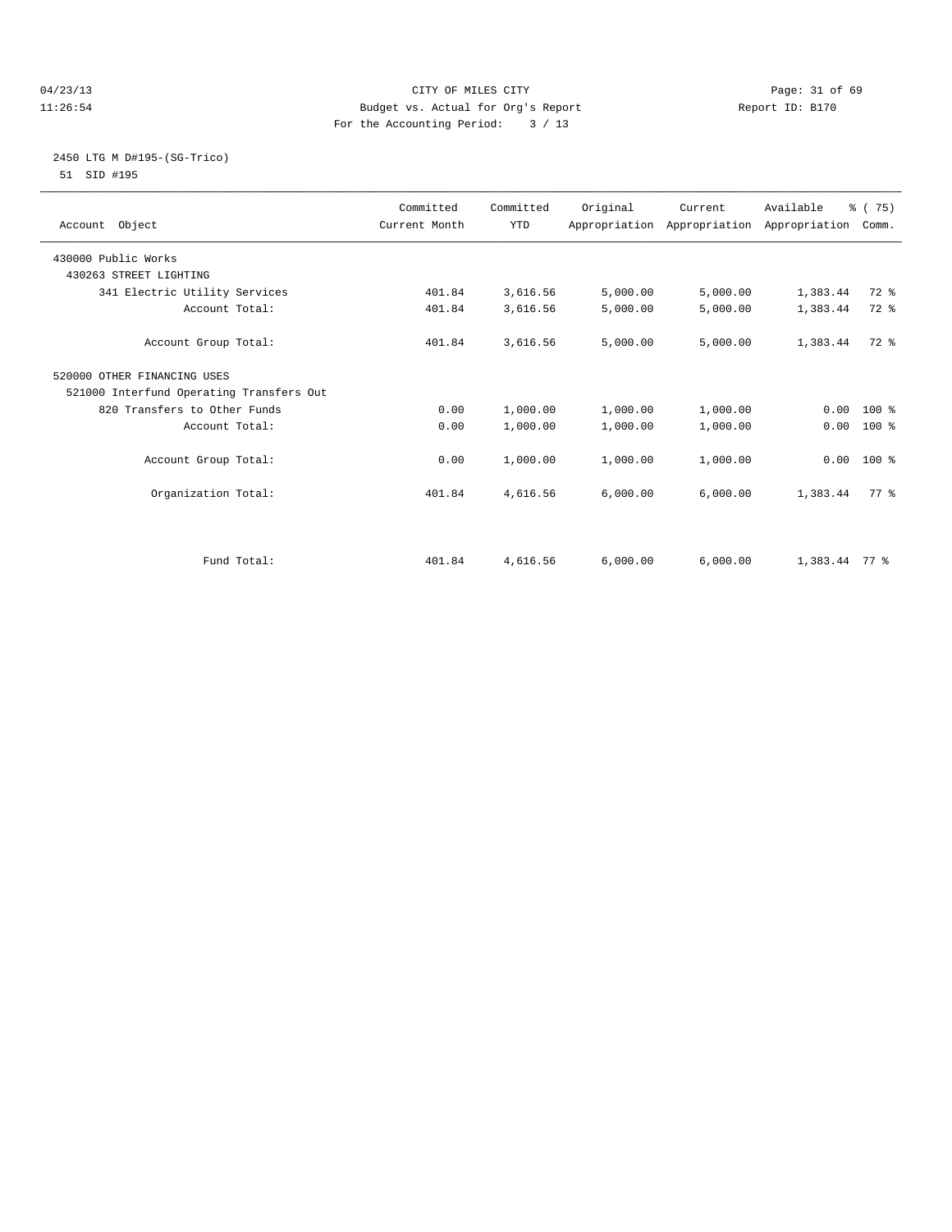# 04/23/13 Page: 31 of 69 11:26:54 Budget vs. Actual for Org's Report Report ID: B170 For the Accounting Period: 3 / 13

# 2450 LTG M D#195-(SG-Trico) 51 SID #195

| Account Object                           | Committed<br>Current Month | Committed<br><b>YTD</b> | Original | Current  | Available<br>Appropriation Appropriation Appropriation | % (75)<br>Comm. |  |
|------------------------------------------|----------------------------|-------------------------|----------|----------|--------------------------------------------------------|-----------------|--|
| 430000 Public Works                      |                            |                         |          |          |                                                        |                 |  |
| 430263 STREET LIGHTING                   |                            |                         |          |          |                                                        |                 |  |
| 341 Electric Utility Services            | 401.84                     | 3,616.56                | 5,000.00 | 5,000.00 | 1,383.44                                               | 72 %            |  |
| Account Total:                           | 401.84                     | 3,616.56                | 5,000.00 | 5,000.00 | 1,383.44                                               | 72 %            |  |
| Account Group Total:                     | 401.84                     | 3,616.56                | 5,000.00 | 5,000.00 | 1,383.44                                               | $72$ $%$        |  |
| 520000 OTHER FINANCING USES              |                            |                         |          |          |                                                        |                 |  |
| 521000 Interfund Operating Transfers Out |                            |                         |          |          |                                                        |                 |  |
| 820 Transfers to Other Funds             | 0.00                       | 1,000.00                | 1,000.00 | 1,000.00 | $0.00 100$ %                                           |                 |  |
| Account Total:                           | 0.00                       | 1,000.00                | 1,000.00 | 1,000.00 | 0.00                                                   | 100 %           |  |
| Account Group Total:                     | 0.00                       | 1,000.00                | 1,000.00 | 1,000.00 | $0.00$ 100 %                                           |                 |  |
| Organization Total:                      | 401.84                     | 4,616.56                | 6,000.00 | 6,000.00 | 1,383.44                                               | 77 %            |  |
|                                          |                            |                         |          |          |                                                        |                 |  |
| Fund Total:                              | 401.84                     | 4,616.56                | 6,000.00 | 6,000.00 | $1,383.44$ 77 %                                        |                 |  |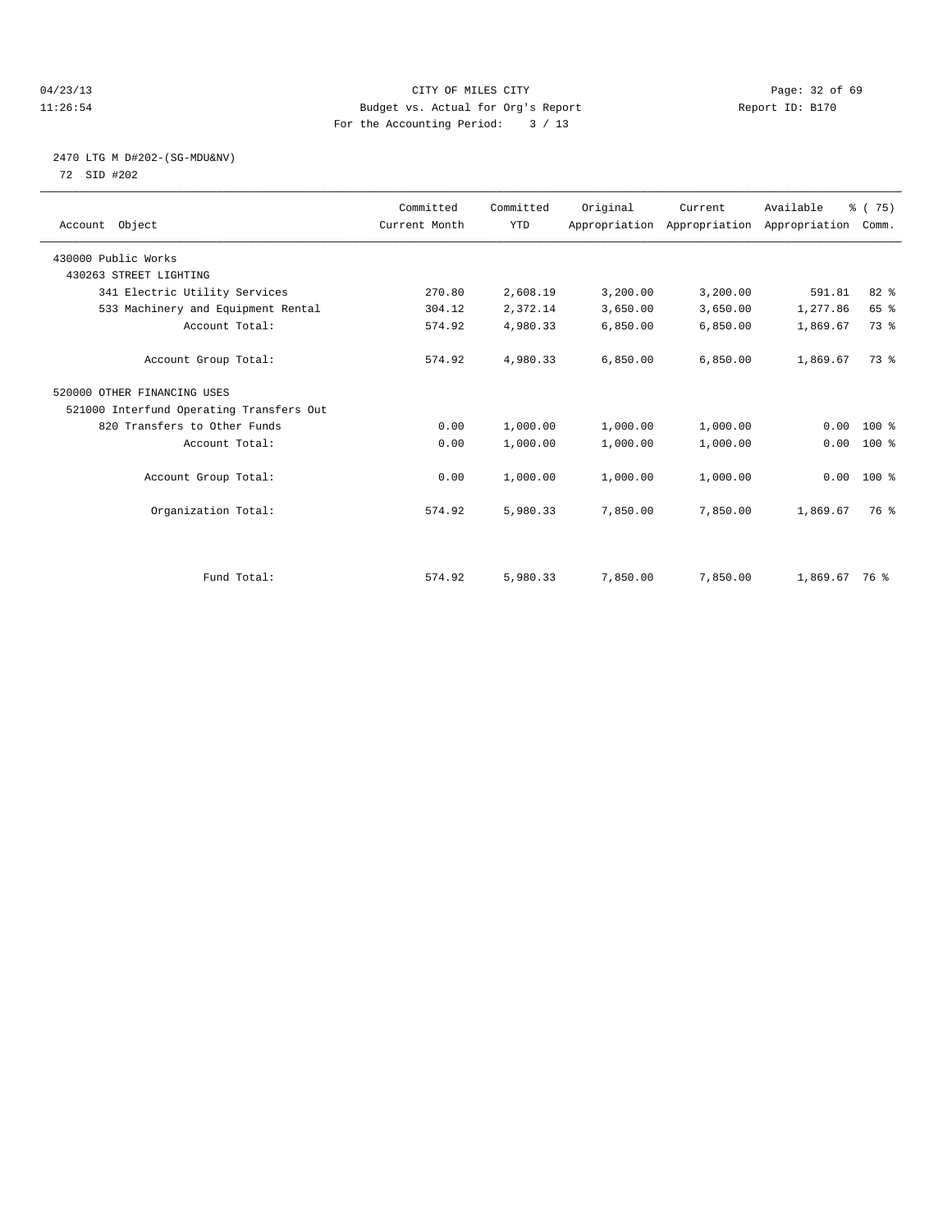# 04/23/13 Page: 32 of 69 11:26:54 Budget vs. Actual for Org's Report Report ID: B170 For the Accounting Period: 3 / 13

# 2470 LTG M D#202-(SG-MDU&NV) 72 SID #202

| Account Object                           | Committed<br>Current Month | Committed<br><b>YTD</b> | Original | Current<br>Appropriation Appropriation Appropriation | Available     | % (75)<br>Comm. |  |
|------------------------------------------|----------------------------|-------------------------|----------|------------------------------------------------------|---------------|-----------------|--|
| 430000 Public Works                      |                            |                         |          |                                                      |               |                 |  |
| 430263 STREET LIGHTING                   |                            |                         |          |                                                      |               |                 |  |
| 341 Electric Utility Services            | 270.80                     | 2,608.19                | 3,200.00 | 3,200.00                                             | 591.81        | $82*$           |  |
| 533 Machinery and Equipment Rental       | 304.12                     | 2,372.14                | 3,650.00 | 3,650.00                                             | 1,277.86      | 65 %            |  |
| Account Total:                           | 574.92                     | 4,980.33                | 6,850.00 | 6,850.00                                             | 1,869.67      | 73 %            |  |
|                                          |                            |                         |          |                                                      |               |                 |  |
| Account Group Total:                     | 574.92                     | 4,980.33                | 6,850.00 | 6,850.00                                             | 1,869.67      | 73 %            |  |
| 520000 OTHER FINANCING USES              |                            |                         |          |                                                      |               |                 |  |
| 521000 Interfund Operating Transfers Out |                            |                         |          |                                                      |               |                 |  |
| 820 Transfers to Other Funds             | 0.00                       | 1,000.00                | 1,000.00 | 1,000.00                                             | 0.00          | $100*$          |  |
| Account Total:                           | 0.00                       | 1,000.00                | 1,000.00 | 1,000.00                                             | 0.00          | $100*$          |  |
|                                          |                            |                         |          |                                                      |               |                 |  |
| Account Group Total:                     | 0.00                       | 1,000.00                | 1,000.00 | 1,000.00                                             |               | $0.00$ 100 %    |  |
|                                          |                            |                         |          |                                                      |               |                 |  |
| Organization Total:                      | 574.92                     | 5,980.33                | 7,850.00 | 7,850.00                                             | 1,869.67      | 76 %            |  |
|                                          |                            |                         |          |                                                      |               |                 |  |
|                                          |                            |                         |          |                                                      |               |                 |  |
| Fund Total:                              | 574.92                     | 5,980.33                | 7,850.00 | 7,850.00                                             | 1,869.67 76 % |                 |  |
|                                          |                            |                         |          |                                                      |               |                 |  |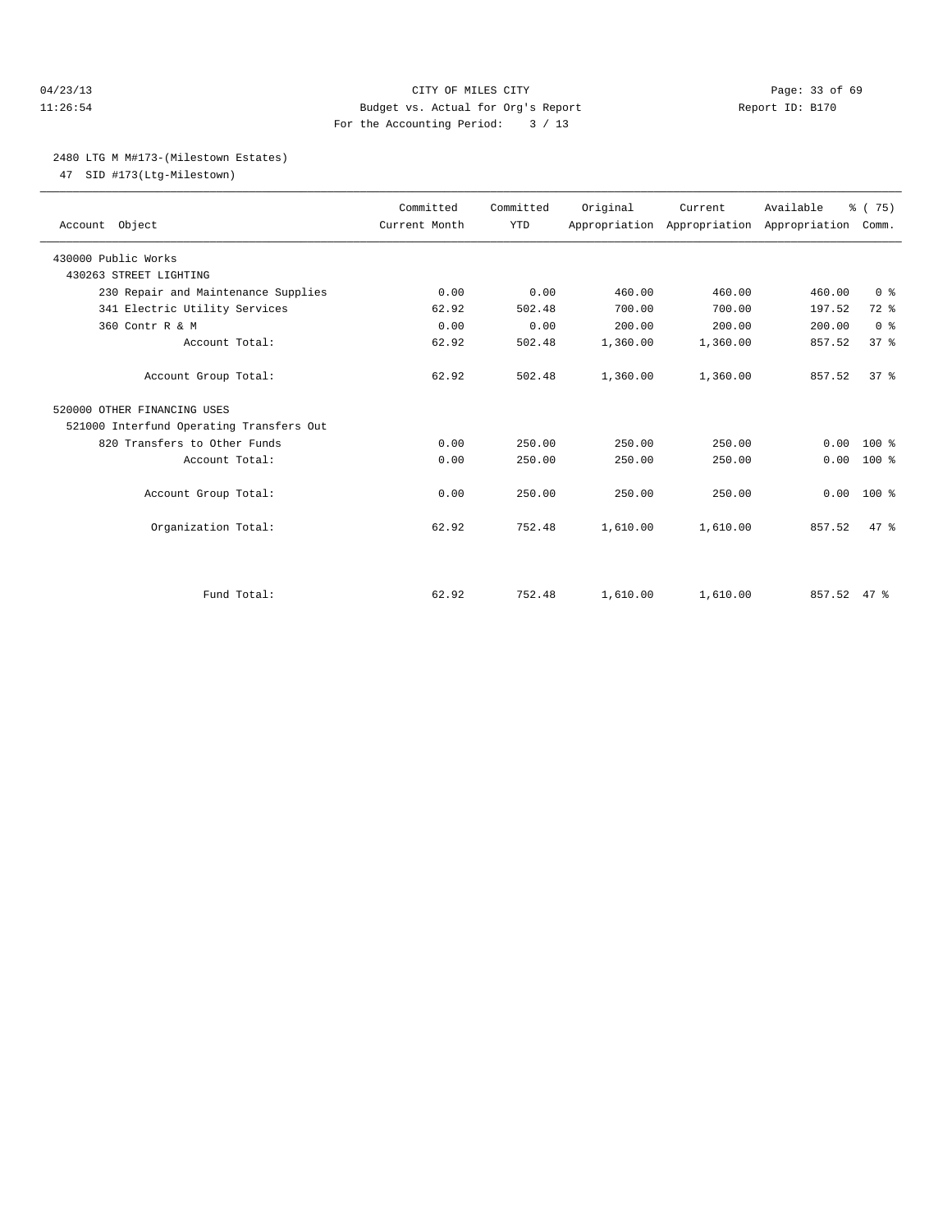## 04/23/13 Page: 33 of 69 11:26:54 Budget vs. Actual for Org's Report Report ID: B170 For the Accounting Period: 3 / 13

### 2480 LTG M M#173-(Milestown Estates)

47 SID #173(Ltg-Milestown)

| Account Object                           | Committed<br>Current Month | Committed<br><b>YTD</b> | Original | Current<br>Appropriation Appropriation Appropriation | Available | % (75)<br>Comm. |  |
|------------------------------------------|----------------------------|-------------------------|----------|------------------------------------------------------|-----------|-----------------|--|
| 430000 Public Works                      |                            |                         |          |                                                      |           |                 |  |
| 430263 STREET LIGHTING                   |                            |                         |          |                                                      |           |                 |  |
| 230 Repair and Maintenance Supplies      | 0.00                       | 0.00                    | 460.00   | 460.00                                               | 460.00    | 0 <sup>8</sup>  |  |
| 341 Electric Utility Services            | 62.92                      | 502.48                  | 700.00   | 700.00                                               | 197.52    | $72$ $%$        |  |
| 360 Contr R & M                          | 0.00                       | 0.00                    | 200.00   | 200.00                                               | 200.00    | 0 <sup>8</sup>  |  |
| Account Total:                           | 62.92                      | 502.48                  | 1,360.00 | 1,360.00                                             | 857.52    | 37 <sup>8</sup> |  |
| Account Group Total:                     | 62.92                      | 502.48                  | 1,360.00 | 1,360.00                                             | 857.52    | 37 <sup>8</sup> |  |
| 520000 OTHER FINANCING USES              |                            |                         |          |                                                      |           |                 |  |
| 521000 Interfund Operating Transfers Out |                            |                         |          |                                                      |           |                 |  |
| 820 Transfers to Other Funds             | 0.00                       | 250.00                  | 250.00   | 250.00                                               | 0.00      | $100*$          |  |
| Account Total:                           | 0.00                       | 250.00                  | 250.00   | 250.00                                               | 0.00      | $100*$          |  |
| Account Group Total:                     | 0.00                       | 250.00                  | 250.00   | 250.00                                               | 0.00      | $100*$          |  |
| Organization Total:                      | 62.92                      | 752.48                  | 1,610.00 | 1,610.00                                             | 857.52    | 47.8            |  |
|                                          |                            |                         |          |                                                      |           |                 |  |
| Fund Total:                              | 62.92                      | 752.48                  | 1,610.00 | 1,610.00                                             | 857.52    | 47.8            |  |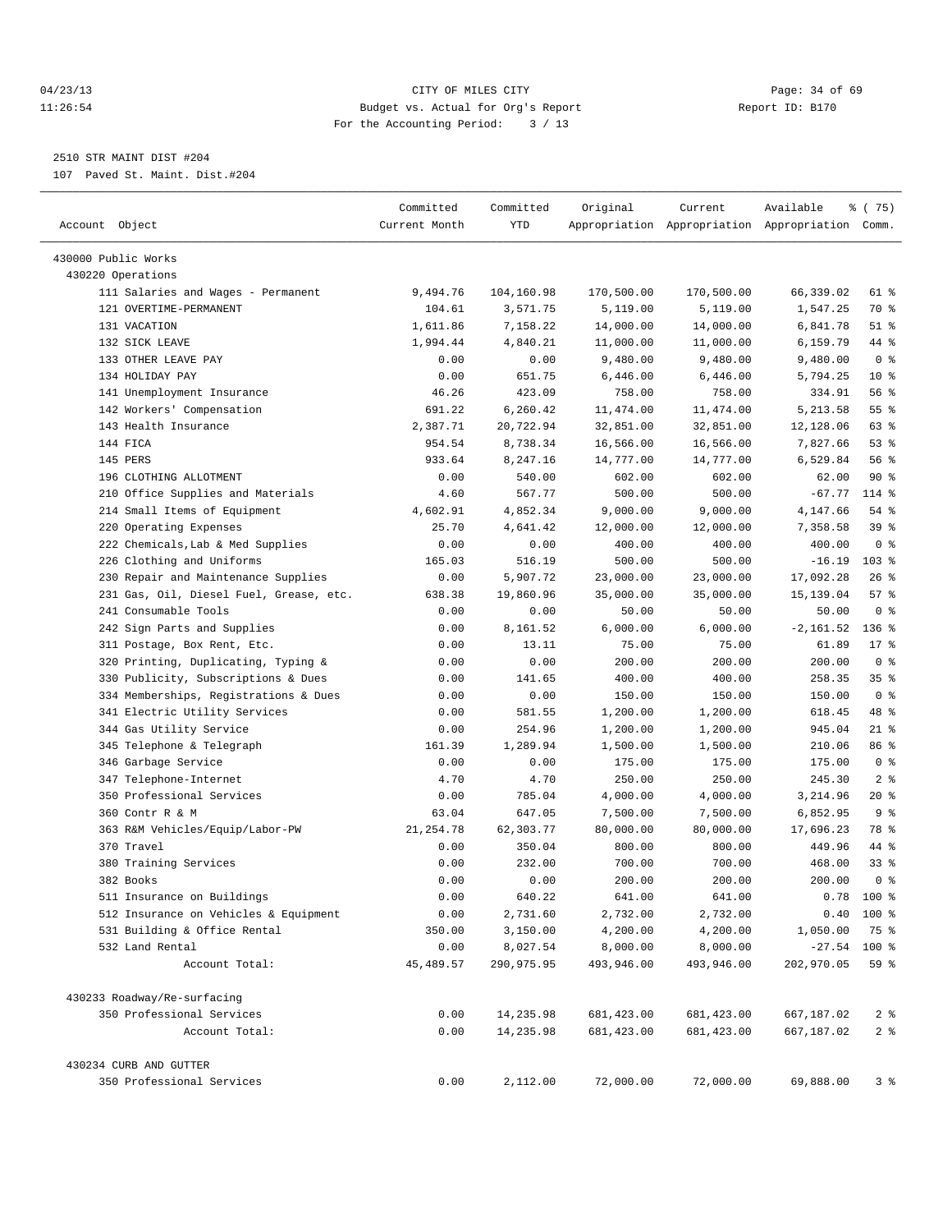# 04/23/13 Page: 34 of 69 11:26:54 Budget vs. Actual for Org's Report Report ID: B170 For the Accounting Period: 3 / 13

————————————————————————————————————————————————————————————————————————————————————————————————————————————————————————————————————

# 2510 STR MAINT DIST #204

107 Paved St. Maint. Dist.#204

| Account Object                          | Committed<br>Current Month | Committed<br>YTD | Original    | Current    | Available<br>Appropriation Appropriation Appropriation Comm. | ៖ (75)            |
|-----------------------------------------|----------------------------|------------------|-------------|------------|--------------------------------------------------------------|-------------------|
| 430000 Public Works                     |                            |                  |             |            |                                                              |                   |
| 430220 Operations                       |                            |                  |             |            |                                                              |                   |
| 111 Salaries and Wages - Permanent      | 9,494.76                   | 104,160.98       | 170,500.00  | 170,500.00 | 66,339.02                                                    | 61 %              |
| 121 OVERTIME-PERMANENT                  | 104.61                     | 3,571.75         | 5,119.00    | 5,119.00   | 1,547.25                                                     | 70 %              |
| 131 VACATION                            | 1,611.86                   | 7,158.22         | 14,000.00   | 14,000.00  | 6,841.78                                                     | $51$ %            |
| 132 SICK LEAVE                          | 1,994.44                   | 4,840.21         | 11,000.00   | 11,000.00  | 6,159.79                                                     | 44 %              |
| 133 OTHER LEAVE PAY                     | 0.00                       | 0.00             | 9,480.00    | 9,480.00   | 9,480.00                                                     | 0 <sup>8</sup>    |
| 134 HOLIDAY PAY                         | 0.00                       | 651.75           | 6,446.00    | 6,446.00   | 5,794.25                                                     | $10*$             |
| 141 Unemployment Insurance              | 46.26                      | 423.09           | 758.00      | 758.00     | 334.91                                                       | 56 %              |
| 142 Workers' Compensation               | 691.22                     | 6,260.42         | 11,474.00   | 11, 474.00 | 5, 213.58                                                    | 55 <sup>8</sup>   |
| 143 Health Insurance                    | 2,387.71                   | 20,722.94        | 32,851.00   | 32,851.00  | 12,128.06                                                    | 63 %              |
| 144 FICA                                | 954.54                     | 8,738.34         | 16,566.00   | 16,566.00  | 7,827.66                                                     | $53$ $%$          |
| 145 PERS                                | 933.64                     | 8,247.16         | 14,777.00   | 14,777.00  | 6,529.84                                                     | 56 %              |
| 196 CLOTHING ALLOTMENT                  | 0.00                       | 540.00           | 602.00      | 602.00     | 62.00                                                        | 90%               |
| 210 Office Supplies and Materials       | 4.60                       | 567.77           | 500.00      | 500.00     | $-67.77$                                                     | 114 %             |
| 214 Small Items of Equipment            | 4,602.91                   | 4,852.34         | 9,000.00    | 9,000.00   | 4,147.66                                                     | 54 %              |
| 220 Operating Expenses                  | 25.70                      | 4,641.42         | 12,000.00   | 12,000.00  | 7,358.58                                                     | 39 %              |
| 222 Chemicals, Lab & Med Supplies       | 0.00                       | 0.00             | 400.00      | 400.00     | 400.00                                                       | 0 <sup>8</sup>    |
| 226 Clothing and Uniforms               | 165.03                     | 516.19           | 500.00      | 500.00     | $-16.19$                                                     | $103$ %           |
| 230 Repair and Maintenance Supplies     | 0.00                       | 5,907.72         | 23,000.00   | 23,000.00  | 17,092.28                                                    | $26$ %            |
| 231 Gas, Oil, Diesel Fuel, Grease, etc. | 638.38                     | 19,860.96        | 35,000.00   | 35,000.00  | 15, 139.04                                                   | 57%               |
| 241 Consumable Tools                    | 0.00                       | 0.00             | 50.00       | 50.00      | 50.00                                                        | 0 <sup>8</sup>    |
| 242 Sign Parts and Supplies             | 0.00                       | 8,161.52         | 6,000.00    | 6,000.00   | $-2,161.52$                                                  | $136$ %           |
| 311 Postage, Box Rent, Etc.             | 0.00                       | 13.11            | 75.00       | 75.00      | 61.89                                                        | $17$ %            |
| 320 Printing, Duplicating, Typing &     | 0.00                       | 0.00             | 200.00      | 200.00     | 200.00                                                       | 0 <sup>8</sup>    |
| 330 Publicity, Subscriptions & Dues     | 0.00                       | 141.65           | 400.00      | 400.00     | 258.35                                                       | 35 <sup>8</sup>   |
| 334 Memberships, Registrations & Dues   | 0.00                       | 0.00             | 150.00      | 150.00     | 150.00                                                       | 0 <sup>8</sup>    |
| 341 Electric Utility Services           | 0.00                       | 581.55           | 1,200.00    | 1,200.00   | 618.45                                                       | 48 %              |
| 344 Gas Utility Service                 | 0.00                       | 254.96           | 1,200.00    | 1,200.00   | 945.04                                                       | 21 %              |
| 345 Telephone & Telegraph               | 161.39                     | 1,289.94         | 1,500.00    | 1,500.00   | 210.06                                                       | 86 %              |
| 346 Garbage Service                     | 0.00                       | 0.00             | 175.00      | 175.00     | 175.00                                                       | 0 <sup>8</sup>    |
| 347 Telephone-Internet                  | 4.70                       | 4.70             | 250.00      | 250.00     | 245.30                                                       | 2 <sup>°</sup>    |
| 350 Professional Services               | 0.00                       | 785.04           | 4,000.00    | 4,000.00   | 3,214.96                                                     | $20*$             |
| 360 Contr R & M                         | 63.04                      | 647.05           | 7,500.00    | 7,500.00   | 6,852.95                                                     | 9 <sub>8</sub>    |
| 363 R&M Vehicles/Equip/Labor-PW         | 21, 254.78                 | 62,303.77        | 80,000.00   | 80,000.00  | 17,696.23                                                    | 78 %              |
| 370 Travel                              | 0.00                       | 350.04           | 800.00      | 800.00     | 449.96                                                       | 44 %              |
| 380 Training Services                   | 0.00                       | 232.00           | 700.00      | 700.00     | 468.00                                                       | 338               |
| 382 Books                               | 0.00                       | 0.00             | 200.00      | 200.00     | 200.00                                                       | 0 <sup>8</sup>    |
| 511 Insurance on Buildings              | 0.00                       | 640.22           | 641.00      | 641.00     | 0.78                                                         | $100*$            |
| 512 Insurance on Vehicles & Equipment   | 0.00                       | 2,731.60         | 2,732.00    | 2,732.00   |                                                              | $0.40$ 100 %      |
| 531 Building & Office Rental            | 350.00                     | 3,150.00         | 4,200.00    | 4,200.00   | 1,050.00                                                     | 75 %              |
| 532 Land Rental                         | 0.00                       | 8,027.54         | 8,000.00    | 8,000.00   | $-27.54$                                                     | 100 %             |
| Account Total:                          | 45, 489.57                 | 290,975.95       | 493,946.00  | 493,946.00 | 202,970.05                                                   | 59%               |
| 430233 Roadway/Re-surfacing             |                            |                  |             |            |                                                              |                   |
| 350 Professional Services               | 0.00                       | 14,235.98        | 681,423.00  | 681,423.00 | 667,187.02                                                   | 2 <sub>8</sub>    |
| Account Total:                          | 0.00                       | 14,235.98        | 681, 423.00 | 681,423.00 | 667,187.02                                                   | $2$ $\frac{6}{9}$ |
| 430234 CURB AND GUTTER                  |                            |                  |             |            |                                                              |                   |
| 350 Professional Services               | 0.00                       | 2,112.00         | 72,000.00   | 72,000.00  | 69,888.00                                                    | 3%                |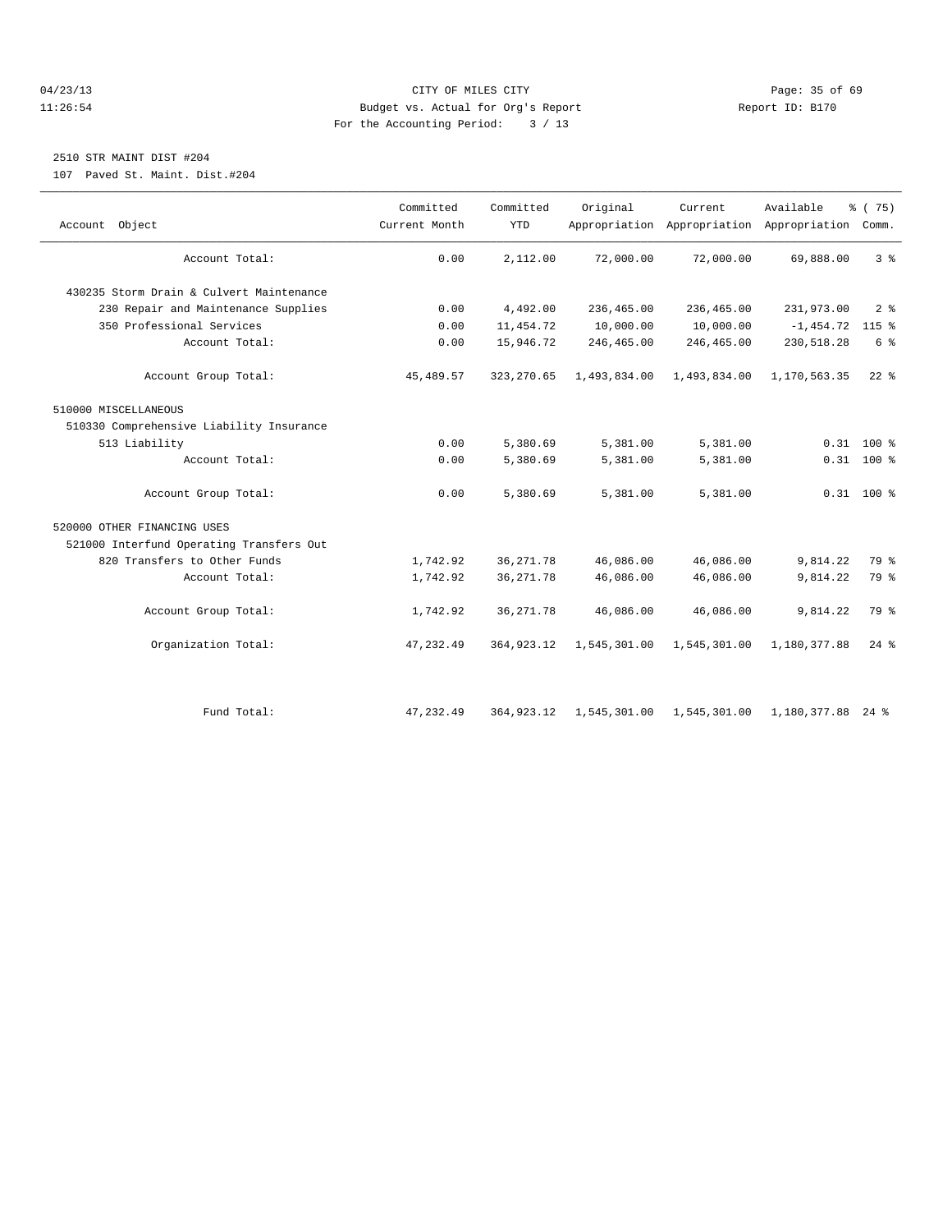# 04/23/13 Page: 35 of 69 11:26:54 Budget vs. Actual for Org's Report Report ID: B170 For the Accounting Period: 3 / 13

# 2510 STR MAINT DIST #204

107 Paved St. Maint. Dist.#204

| Account Object                           | Committed<br>Current Month | Committed<br><b>YTD</b> | Original     | Current                   | Available<br>Appropriation Appropriation Appropriation Comm. | % (75)             |
|------------------------------------------|----------------------------|-------------------------|--------------|---------------------------|--------------------------------------------------------------|--------------------|
| Account Total:                           | 0.00                       | 2,112.00                | 72,000.00    | 72,000.00                 | 69,888.00                                                    | 3%                 |
| 430235 Storm Drain & Culvert Maintenance |                            |                         |              |                           |                                                              |                    |
| 230 Repair and Maintenance Supplies      | 0.00                       | 4,492.00                | 236,465.00   | 236,465.00                | 231,973.00                                                   | 2 <sup>8</sup>     |
| 350 Professional Services                | 0.00                       | 11,454.72               | 10,000.00    | 10,000.00                 | $-1,454.72$                                                  | $115$ %            |
| Account Total:                           | 0.00                       | 15,946.72               | 246,465.00   | 246,465.00                | 230,518.28                                                   | 6 %                |
| Account Group Total:                     | 45, 489.57                 | 323, 270.65             | 1,493,834.00 | 1,493,834.00              | 1,170,563.35                                                 | $22*$              |
| 510000 MISCELLANEOUS                     |                            |                         |              |                           |                                                              |                    |
| 510330 Comprehensive Liability Insurance |                            |                         |              |                           |                                                              |                    |
| 513 Liability                            | 0.00                       | 5,380.69                | 5,381.00     | 5,381.00                  |                                                              | $0.31$ 100 %       |
| Account Total:                           | 0.00                       | 5,380.69                | 5,381.00     | 5,381.00                  |                                                              | $0.31$ 100 %       |
| Account Group Total:                     | 0.00                       | 5,380.69                | 5,381.00     | 5,381.00                  |                                                              | $0.31$ 100 %       |
| 520000 OTHER FINANCING USES              |                            |                         |              |                           |                                                              |                    |
| 521000 Interfund Operating Transfers Out |                            |                         |              |                           |                                                              |                    |
| 820 Transfers to Other Funds             | 1,742.92                   | 36, 271.78              | 46,086.00    | 46,086.00                 | 9.814.22                                                     | 79 %               |
| Account Total:                           | 1,742.92                   | 36, 271.78              | 46,086.00    | 46,086.00                 | 9,814.22                                                     | 79 %               |
| Account Group Total:                     | 1,742.92                   | 36, 271.78              | 46,086.00    | 46,086.00                 | 9,814.22                                                     | 79 %               |
| Organization Total:                      | 47, 232.49                 | 364, 923. 12            | 1,545,301.00 | 1,545,301.00              | 1,180,377.88                                                 | $24$ $\frac{6}{5}$ |
|                                          |                            |                         |              |                           |                                                              |                    |
| Fund Total:                              | 47, 232.49                 | 364, 923. 12            |              | 1,545,301.00 1,545,301.00 | 1,180,377.88 24 %                                            |                    |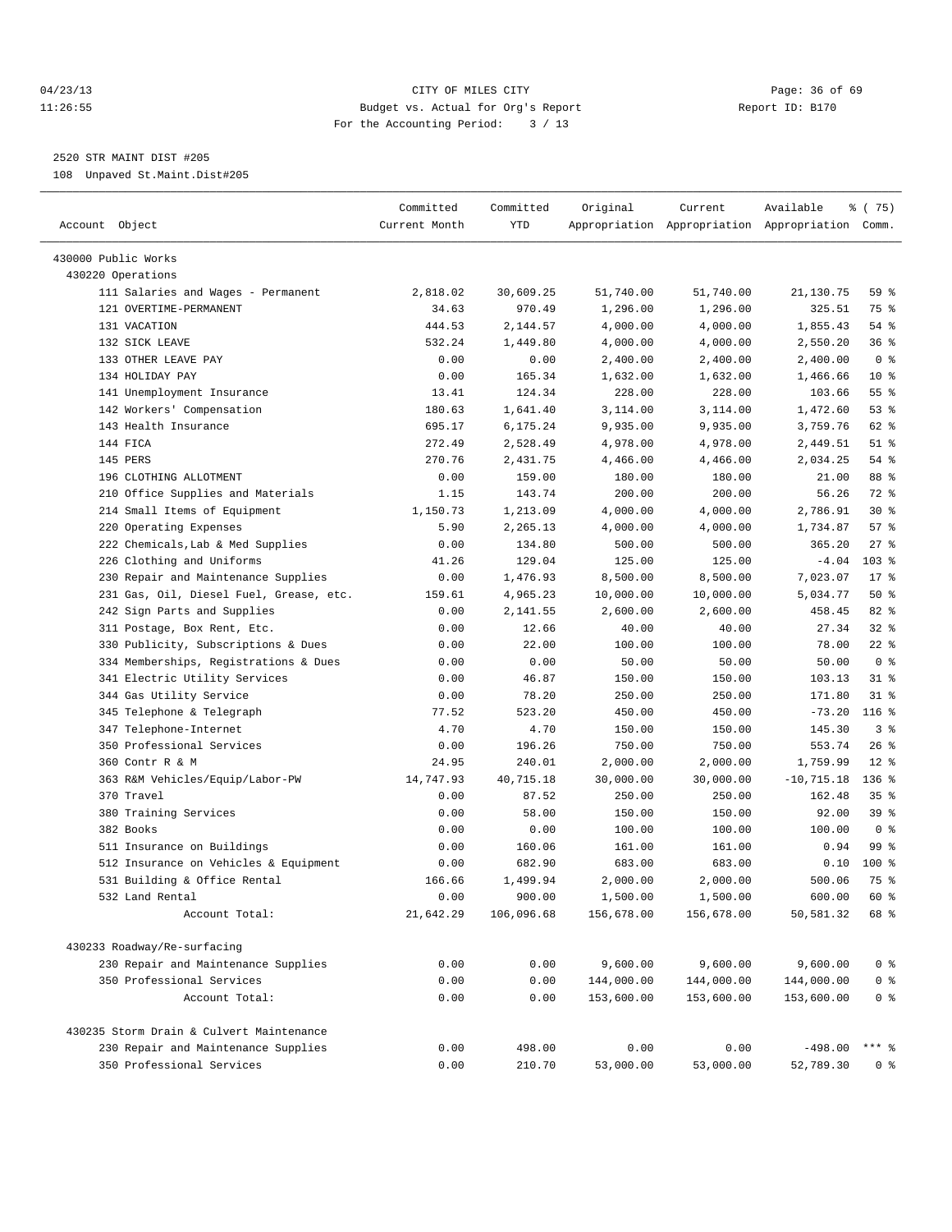## 04/23/13 Page: 36 of 69 11:26:55 Budget vs. Actual for Org's Report Report ID: B170 For the Accounting Period: 3 / 13

————————————————————————————————————————————————————————————————————————————————————————————————————————————————————————————————————

2520 STR MAINT DIST #205

108 Unpaved St.Maint.Dist#205

|                                          | Committed     | Committed  | Original   | Current    | Available                                       | % (75)         |
|------------------------------------------|---------------|------------|------------|------------|-------------------------------------------------|----------------|
| Account Object                           | Current Month | YTD        |            |            | Appropriation Appropriation Appropriation Comm. |                |
| 430000 Public Works                      |               |            |            |            |                                                 |                |
| 430220 Operations                        |               |            |            |            |                                                 |                |
| 111 Salaries and Wages - Permanent       | 2,818.02      | 30,609.25  | 51,740.00  | 51,740.00  | 21,130.75                                       | 59 %           |
| 121 OVERTIME-PERMANENT                   | 34.63         | 970.49     | 1,296.00   | 1,296.00   | 325.51                                          | 75 %           |
| 131 VACATION                             | 444.53        | 2,144.57   | 4,000.00   | 4,000.00   | 1,855.43                                        | 54 %           |
| 132 SICK LEAVE                           | 532.24        | 1,449.80   | 4,000.00   | 4,000.00   | 2,550.20                                        | 36%            |
| 133 OTHER LEAVE PAY                      | 0.00          | 0.00       | 2,400.00   | 2,400.00   | 2,400.00                                        | 0 <sup>8</sup> |
| 134 HOLIDAY PAY                          | 0.00          | 165.34     | 1,632.00   | 1,632.00   | 1,466.66                                        | $10*$          |
| 141 Unemployment Insurance               | 13.41         | 124.34     | 228.00     | 228.00     | 103.66                                          | $55$ %         |
| 142 Workers' Compensation                | 180.63        | 1,641.40   | 3,114.00   | 3,114.00   | 1,472.60                                        | 53%            |
| 143 Health Insurance                     | 695.17        | 6,175.24   | 9,935.00   | 9,935.00   | 3,759.76                                        | 62 %           |
| 144 FICA                                 | 272.49        | 2,528.49   | 4,978.00   | 4,978.00   | 2,449.51                                        | $51$ %         |
| 145 PERS                                 | 270.76        | 2,431.75   | 4,466.00   | 4,466.00   | 2,034.25                                        | 54 %           |
| 196 CLOTHING ALLOTMENT                   | 0.00          | 159.00     | 180.00     | 180.00     | 21.00                                           | 88 %           |
| 210 Office Supplies and Materials        | 1.15          | 143.74     | 200.00     | 200.00     | 56.26                                           | 72 %           |
| 214 Small Items of Equipment             | 1,150.73      | 1,213.09   | 4,000.00   | 4,000.00   | 2,786.91                                        | $30*$          |
| 220 Operating Expenses                   | 5.90          | 2,265.13   | 4,000.00   | 4,000.00   | 1,734.87                                        | 57%            |
| 222 Chemicals, Lab & Med Supplies        | 0.00          | 134.80     | 500.00     | 500.00     | 365.20                                          | $27$ %         |
| 226 Clothing and Uniforms                | 41.26         | 129.04     | 125.00     | 125.00     | $-4.04$                                         | $103$ %        |
| 230 Repair and Maintenance Supplies      | 0.00          | 1,476.93   | 8,500.00   | 8,500.00   | 7,023.07                                        | $17$ %         |
| 231 Gas, Oil, Diesel Fuel, Grease, etc.  | 159.61        | 4,965.23   | 10,000.00  | 10,000.00  | 5,034.77                                        | 50%            |
| 242 Sign Parts and Supplies              | 0.00          | 2,141.55   | 2,600.00   | 2,600.00   | 458.45                                          | $82$ $%$       |
| 311 Postage, Box Rent, Etc.              | 0.00          | 12.66      | 40.00      | 40.00      | 27.34                                           | $32$ $%$       |
| 330 Publicity, Subscriptions & Dues      | 0.00          | 22.00      | 100.00     | 100.00     | 78.00                                           | $22$ %         |
| 334 Memberships, Registrations & Dues    | 0.00          | 0.00       | 50.00      | 50.00      | 50.00                                           | 0 <sup>8</sup> |
| 341 Electric Utility Services            | 0.00          | 46.87      | 150.00     | 150.00     | 103.13                                          | $31$ $%$       |
| 344 Gas Utility Service                  | 0.00          | 78.20      | 250.00     | 250.00     | 171.80                                          | $31$ %         |
| 345 Telephone & Telegraph                | 77.52         | 523.20     | 450.00     | 450.00     | $-73.20$                                        | $116$ %        |
| 347 Telephone-Internet                   | 4.70          | 4.70       | 150.00     | 150.00     | 145.30                                          | 3%             |
| 350 Professional Services                | 0.00          | 196.26     | 750.00     | 750.00     | 553.74                                          | 26%            |
| 360 Contr R & M                          | 24.95         | 240.01     | 2,000.00   | 2,000.00   | 1,759.99                                        | $12*$          |
| 363 R&M Vehicles/Equip/Labor-PW          | 14,747.93     | 40,715.18  | 30,000.00  | 30,000.00  | $-10, 715.18$                                   | $136$ %        |
| 370 Travel                               | 0.00          | 87.52      | 250.00     | 250.00     | 162.48                                          | 35%            |
| 380 Training Services                    | 0.00          | 58.00      | 150.00     | 150.00     | 92.00                                           | 39%            |
| 382 Books                                | 0.00          | 0.00       | 100.00     | 100.00     | 100.00                                          | 0 <sup>8</sup> |
| 511 Insurance on Buildings               | 0.00          | 160.06     | 161.00     | 161.00     | 0.94                                            | 99 %           |
| 512 Insurance on Vehicles & Equipment    | 0.00          | 682.90     | 683.00     | 683.00     | 0.10                                            | $100*$         |
| 531 Building & Office Rental             | 166.66        | 1,499.94   | 2,000.00   | 2,000.00   | 500.06                                          | 75 %           |
| 532 Land Rental                          | 0.00          | 900.00     | 1,500.00   | 1,500.00   | 600.00                                          | 60 %           |
| Account Total:                           | 21,642.29     | 106,096.68 | 156,678.00 | 156,678.00 | 50,581.32                                       | 68 %           |
|                                          |               |            |            |            |                                                 |                |
| 430233 Roadway/Re-surfacing              |               |            |            |            |                                                 |                |
| 230 Repair and Maintenance Supplies      | 0.00          | 0.00       | 9,600.00   | 9,600.00   | 9,600.00                                        | 0 <sup>8</sup> |
| 350 Professional Services                | 0.00          | 0.00       | 144,000.00 | 144,000.00 | 144,000.00                                      | $0$ %          |
| Account Total:                           | 0.00          | 0.00       | 153,600.00 | 153,600.00 | 153,600.00                                      | $0$ %          |
| 430235 Storm Drain & Culvert Maintenance |               |            |            |            |                                                 |                |
| 230 Repair and Maintenance Supplies      | 0.00          | 498.00     | 0.00       | 0.00       | $-498.00$                                       | $***$ $_{8}$   |
| 350 Professional Services                | 0.00          | 210.70     | 53,000.00  | 53,000.00  | 52,789.30                                       | 0 <sup>8</sup> |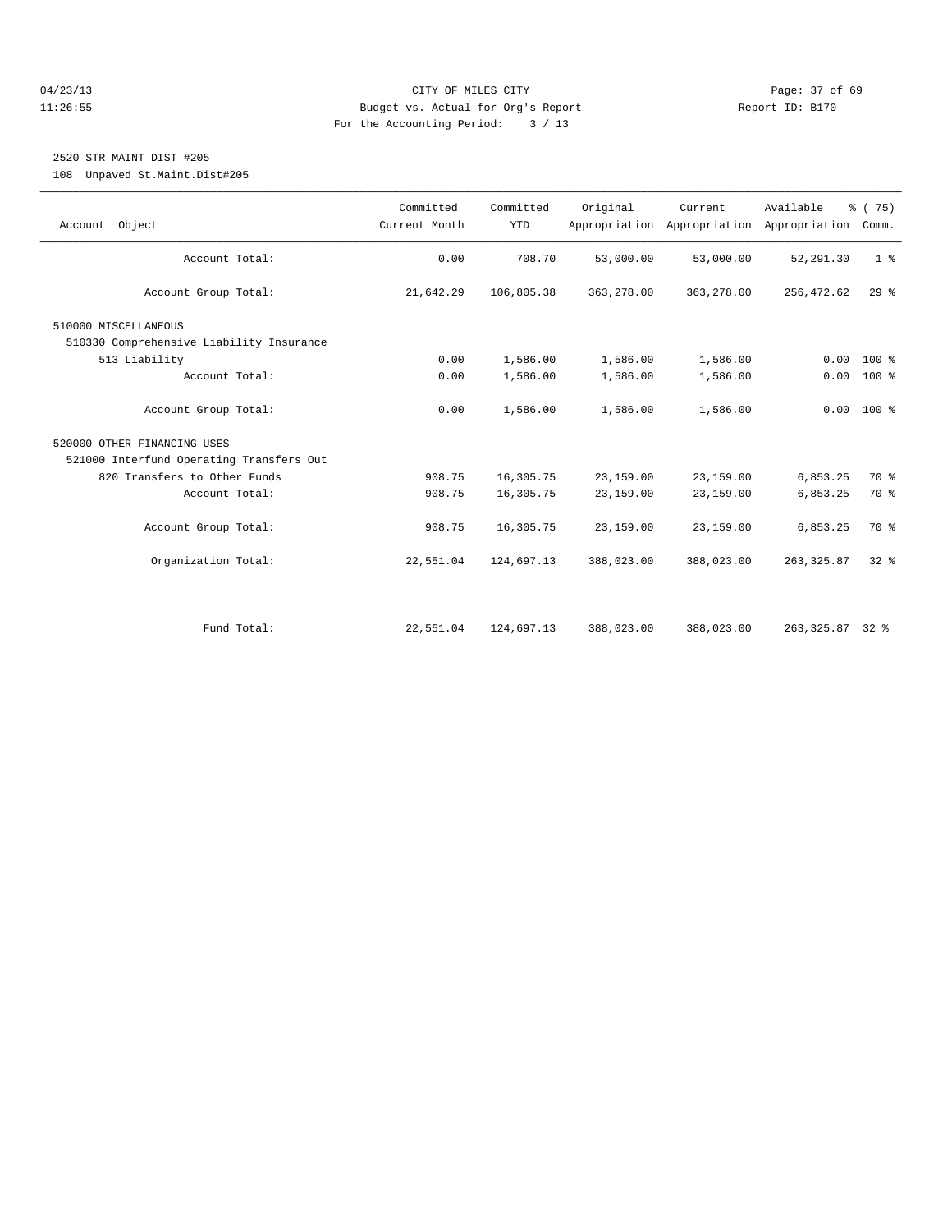# 04/23/13 Page: 37 of 69 11:26:55 Budget vs. Actual for Org's Report Report ID: B170 For the Accounting Period: 3 / 13

# 2520 STR MAINT DIST #205

108 Unpaved St.Maint.Dist#205

| Account Object                           | Committed<br>Current Month | Committed<br><b>YTD</b> | Original   | Current    | Available<br>Appropriation Appropriation Appropriation | % (75)<br>Comm. |
|------------------------------------------|----------------------------|-------------------------|------------|------------|--------------------------------------------------------|-----------------|
| Account Total:                           | 0.00                       | 708.70                  | 53,000.00  | 53,000.00  | 52, 291.30                                             | 1 <sup>8</sup>  |
| Account Group Total:                     | 21,642.29                  | 106,805.38              | 363,278.00 | 363,278.00 | 256,472.62                                             | 29%             |
| 510000 MISCELLANEOUS                     |                            |                         |            |            |                                                        |                 |
| 510330 Comprehensive Liability Insurance |                            |                         |            |            |                                                        |                 |
| 513 Liability                            | 0.00                       | 1,586.00                | 1,586.00   | 1,586.00   | 0.00                                                   | 100 %           |
| Account Total:                           | 0.00                       | 1,586.00                | 1,586.00   | 1,586.00   |                                                        | $0.00 100$ %    |
| Account Group Total:                     | 0.00                       | 1,586.00                | 1,586.00   | 1,586.00   |                                                        | $0.00 100$ %    |
| 520000 OTHER FINANCING USES              |                            |                         |            |            |                                                        |                 |
| 521000 Interfund Operating Transfers Out |                            |                         |            |            |                                                        |                 |
| 820 Transfers to Other Funds             | 908.75                     | 16,305.75               | 23,159.00  | 23,159.00  | 6,853.25                                               | 70 %            |
| Account Total:                           | 908.75                     | 16,305.75               | 23,159.00  | 23,159.00  | 6,853.25                                               | 70 %            |
| Account Group Total:                     | 908.75                     | 16,305.75               | 23,159.00  | 23,159.00  | 6,853.25                                               | 70 %            |
| Organization Total:                      | 22,551.04                  | 124,697.13              | 388,023.00 | 388,023.00 | 263, 325.87                                            | $32*$           |
|                                          |                            |                         |            |            |                                                        |                 |
| Fund Total:                              | 22,551.04                  | 124,697.13              | 388,023.00 | 388,023.00 | 263, 325.87 32 %                                       |                 |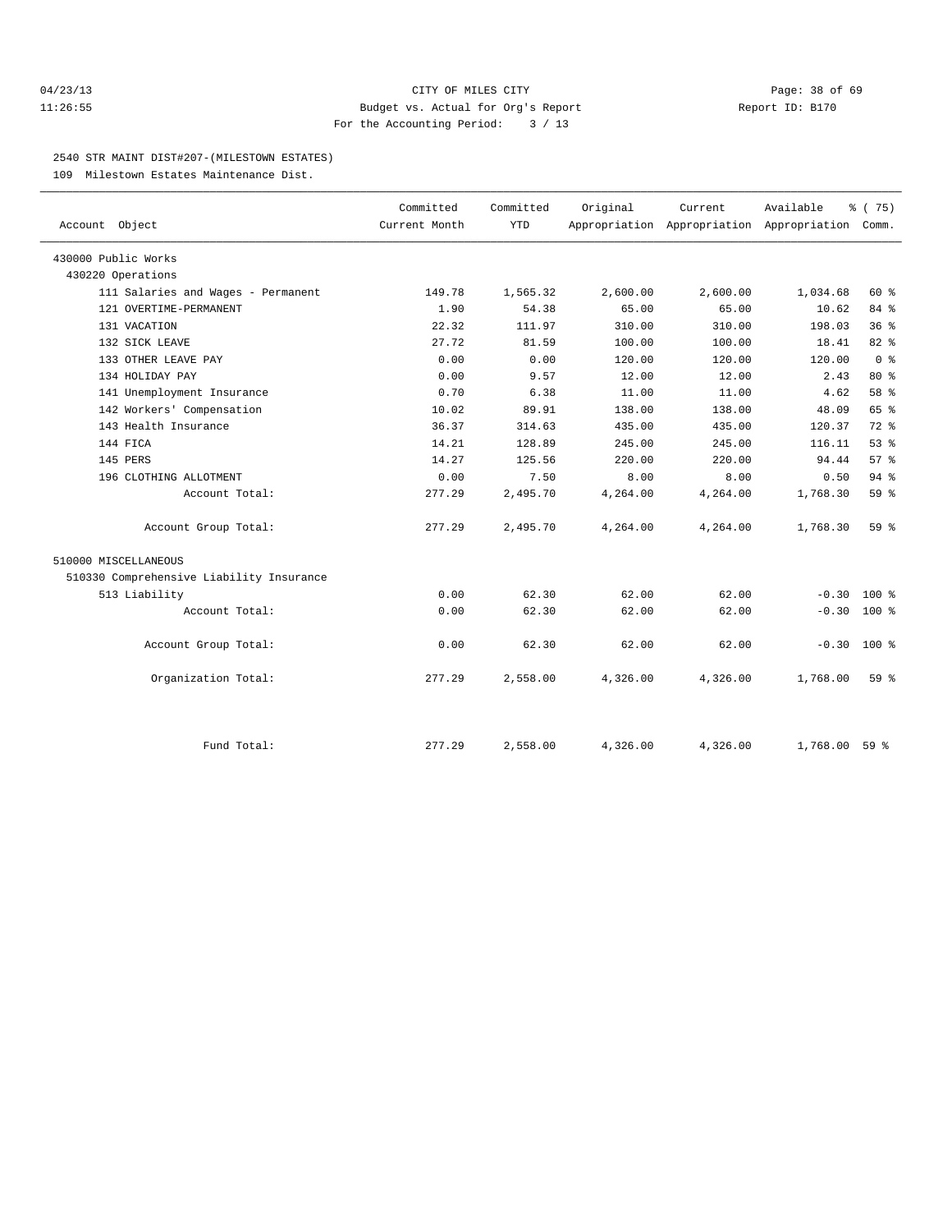## 04/23/13 Page: 38 of 69 11:26:55 Budget vs. Actual for Org's Report Report ID: B170 For the Accounting Period: 3 / 13

#### 2540 STR MAINT DIST#207-(MILESTOWN ESTATES)

109 Milestown Estates Maintenance Dist.

| Account Object                           | Committed<br>Current Month | Committed<br><b>YTD</b> | Original | Current  | Available<br>Appropriation Appropriation Appropriation | % (75)<br>Comm. |  |
|------------------------------------------|----------------------------|-------------------------|----------|----------|--------------------------------------------------------|-----------------|--|
|                                          |                            |                         |          |          |                                                        |                 |  |
| 430000 Public Works                      |                            |                         |          |          |                                                        |                 |  |
| 430220 Operations                        |                            |                         |          |          |                                                        |                 |  |
| 111 Salaries and Wages - Permanent       | 149.78                     | 1,565.32                | 2,600.00 | 2,600.00 | 1,034.68                                               | 60 %            |  |
| 121 OVERTIME-PERMANENT                   | 1.90                       | 54.38                   | 65.00    | 65.00    | 10.62                                                  | 84 %            |  |
| 131 VACATION                             | 22.32                      | 111.97                  | 310.00   | 310.00   | 198.03                                                 | 36%             |  |
| 132 SICK LEAVE                           | 27.72                      | 81.59                   | 100.00   | 100.00   | 18.41                                                  | 82%             |  |
| 133 OTHER LEAVE PAY                      | 0.00                       | 0.00                    | 120.00   | 120.00   | 120.00                                                 | 0 <sup>8</sup>  |  |
| 134 HOLIDAY PAY                          | 0.00                       | 9.57                    | 12.00    | 12.00    | 2.43                                                   | $80*$           |  |
| 141 Unemployment Insurance               | 0.70                       | 6.38                    | 11.00    | 11.00    | 4.62                                                   | 58 %            |  |
| 142 Workers' Compensation                | 10.02                      | 89.91                   | 138.00   | 138.00   | 48.09                                                  | 65 %            |  |
| 143 Health Insurance                     | 36.37                      | 314.63                  | 435.00   | 435.00   | 120.37                                                 | $72$ $%$        |  |
| 144 FICA                                 | 14.21                      | 128.89                  | 245.00   | 245.00   | 116.11                                                 | $53$ $%$        |  |
| 145 PERS                                 | 14.27                      | 125.56                  | 220.00   | 220.00   | 94.44                                                  | 57%             |  |
| 196 CLOTHING ALLOTMENT                   | 0.00                       | 7.50                    | 8.00     | 8.00     | 0.50                                                   | 94%             |  |
| Account Total:                           | 277.29                     | 2,495.70                | 4,264.00 | 4,264.00 | 1,768.30                                               | 59%             |  |
| Account Group Total:                     | 277.29                     | 2,495.70                | 4,264.00 | 4,264.00 | 1,768.30                                               | $59*$           |  |
| 510000 MISCELLANEOUS                     |                            |                         |          |          |                                                        |                 |  |
| 510330 Comprehensive Liability Insurance |                            |                         |          |          |                                                        |                 |  |
| 513 Liability                            | 0.00                       | 62.30                   | 62.00    | 62.00    | $-0.30$                                                | $100*$          |  |
| Account Total:                           | 0.00                       | 62.30                   | 62.00    | 62.00    | $-0.30$                                                | 100 %           |  |
| Account Group Total:                     | 0.00                       | 62.30                   | 62.00    | 62.00    | $-0.30$ 100 %                                          |                 |  |
| Organization Total:                      | 277.29                     | 2,558.00                | 4,326.00 | 4,326.00 | 1,768.00                                               | $59*$           |  |
|                                          |                            |                         |          |          |                                                        |                 |  |
| Fund Total:                              | 277.29                     | 2,558.00                | 4,326.00 | 4,326.00 | 1,768.00                                               | 59 %            |  |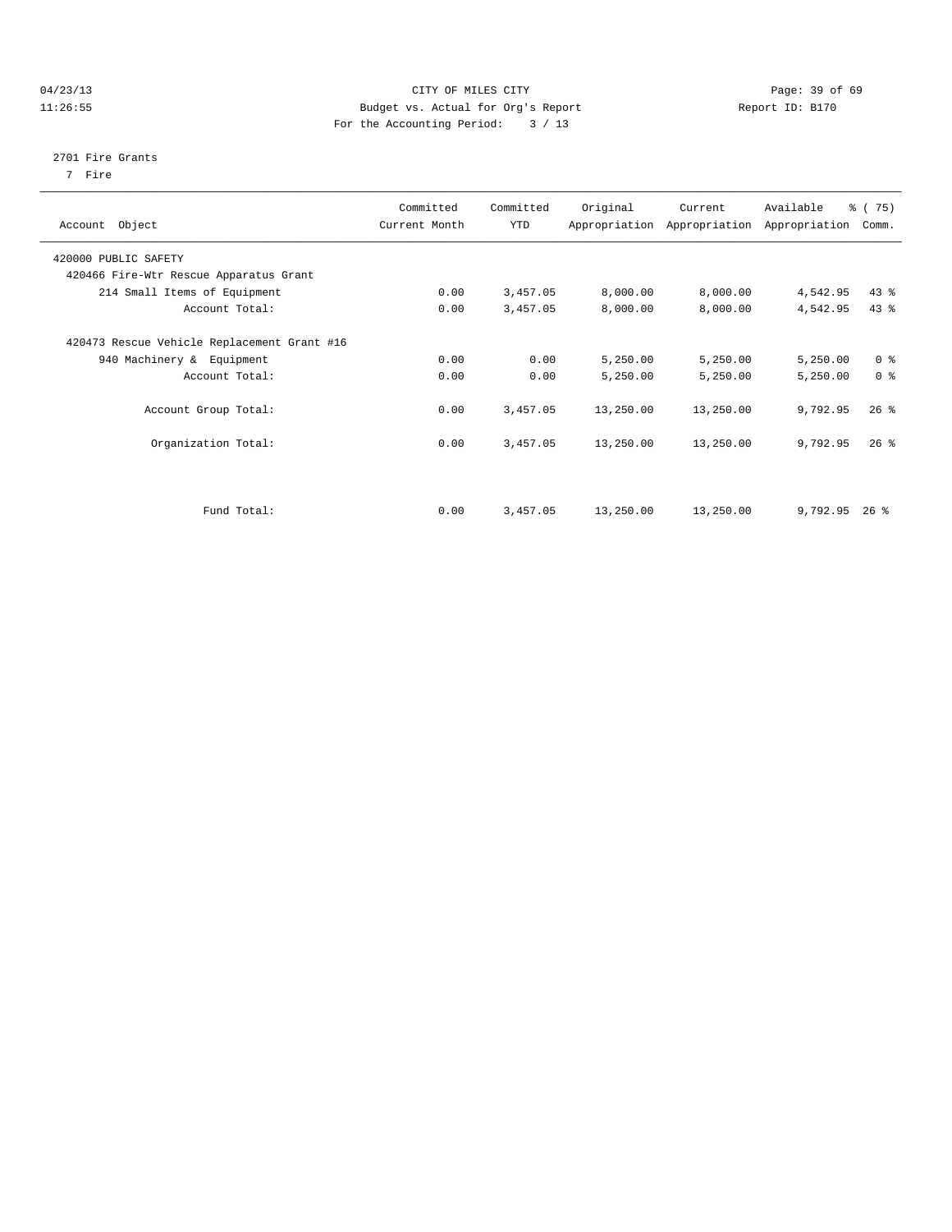# 04/23/13 Page: 39 of 69 11:26:55 Budget vs. Actual for Org's Report Report ID: B170 For the Accounting Period: 3 / 13

#### 2701 Fire Grants

7 Fire

| Account Object                                                           | Committed<br>Current Month | Committed<br>YTD | Original  | Current<br>Appropriation Appropriation | Available<br>Appropriation | % (75)<br>Comm. |
|--------------------------------------------------------------------------|----------------------------|------------------|-----------|----------------------------------------|----------------------------|-----------------|
|                                                                          |                            |                  |           |                                        |                            |                 |
| 420000 PUBLIC SAFETY                                                     |                            |                  |           |                                        |                            |                 |
| 420466 Fire-Wtr Rescue Apparatus Grant                                   |                            |                  |           |                                        |                            |                 |
| 214 Small Items of Equipment                                             | 0.00                       | 3,457.05         | 8,000.00  | 8,000.00                               | 4,542.95                   | $43$ $%$        |
| Account Total:                                                           | 0.00                       | 3,457.05         | 8,000.00  | 8,000.00                               | 4,542.95                   | 43 %            |
| 420473 Rescue Vehicle Replacement Grant #16<br>940 Machinery & Equipment | 0.00                       | 0.00             | 5,250.00  | 5,250.00                               | 5,250.00                   | 0 <sup>8</sup>  |
| Account Total:                                                           | 0.00                       | 0.00             | 5,250.00  | 5,250.00                               | 5,250.00                   | 0 <sup>8</sup>  |
| Account Group Total:                                                     | 0.00                       | 3,457.05         | 13,250.00 | 13,250.00                              | 9,792.95                   | $26$ %          |
| Organization Total:                                                      | 0.00                       | 3,457.05         | 13,250.00 | 13,250.00                              | 9,792.95                   | $26$ $%$        |
|                                                                          |                            |                  |           |                                        |                            |                 |
| Fund Total:                                                              | 0.00                       | 3,457.05         | 13,250.00 | 13,250.00                              | 9,792.95                   | $26$ %          |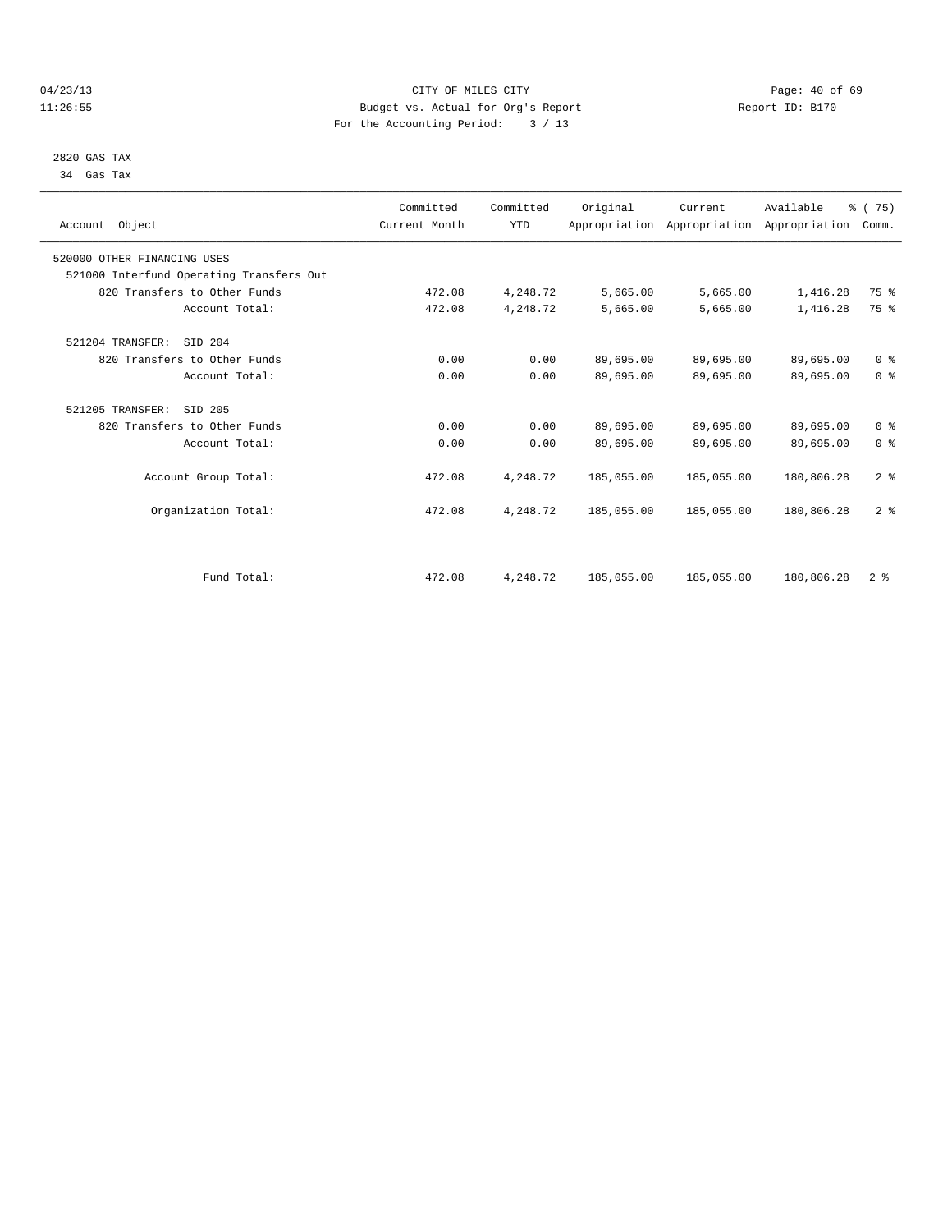# 04/23/13 Page: 40 of 69 11:26:55 Budget vs. Actual for Org's Report Report ID: B170 For the Accounting Period: 3 / 13

 2820 GAS TAX 34 Gas Tax

| Account Object                           | Committed<br>Current Month | Committed<br><b>YTD</b> | Original   | Current    | Available<br>Appropriation Appropriation Appropriation | % (75)<br>Comm. |  |
|------------------------------------------|----------------------------|-------------------------|------------|------------|--------------------------------------------------------|-----------------|--|
| 520000 OTHER FINANCING USES              |                            |                         |            |            |                                                        |                 |  |
| 521000 Interfund Operating Transfers Out |                            |                         |            |            |                                                        |                 |  |
| 820 Transfers to Other Funds             | 472.08                     | 4,248.72                | 5,665.00   | 5,665.00   | 1,416.28                                               | 75 %            |  |
| Account Total:                           | 472.08                     | 4,248.72                | 5,665.00   | 5,665.00   | 1,416.28                                               | 75 %            |  |
| 521204 TRANSFER:<br>SID 204              |                            |                         |            |            |                                                        |                 |  |
| 820 Transfers to Other Funds             | 0.00                       | 0.00                    | 89,695.00  | 89,695.00  | 89,695.00                                              | 0 <sup>8</sup>  |  |
| Account Total:                           | 0.00                       | 0.00                    | 89,695.00  | 89,695.00  | 89,695.00                                              | 0 <sup>8</sup>  |  |
| 521205 TRANSFER:<br>SID 205              |                            |                         |            |            |                                                        |                 |  |
| 820 Transfers to Other Funds             | 0.00                       | 0.00                    | 89,695.00  | 89,695.00  | 89,695.00                                              | 0 <sup>8</sup>  |  |
| Account Total:                           | 0.00                       | 0.00                    | 89,695.00  | 89,695.00  | 89,695.00                                              | 0 <sup>8</sup>  |  |
| Account Group Total:                     | 472.08                     | 4,248.72                | 185,055.00 | 185,055.00 | 180,806.28                                             | 2 <sup>8</sup>  |  |
| Organization Total:                      | 472.08                     | 4,248.72                | 185,055.00 | 185,055.00 | 180,806.28                                             | 2 <sup>8</sup>  |  |
|                                          |                            |                         |            |            |                                                        |                 |  |
| Fund Total:                              | 472.08                     | 4,248.72                | 185,055.00 | 185,055.00 | 180,806.28                                             | 2 <sup>8</sup>  |  |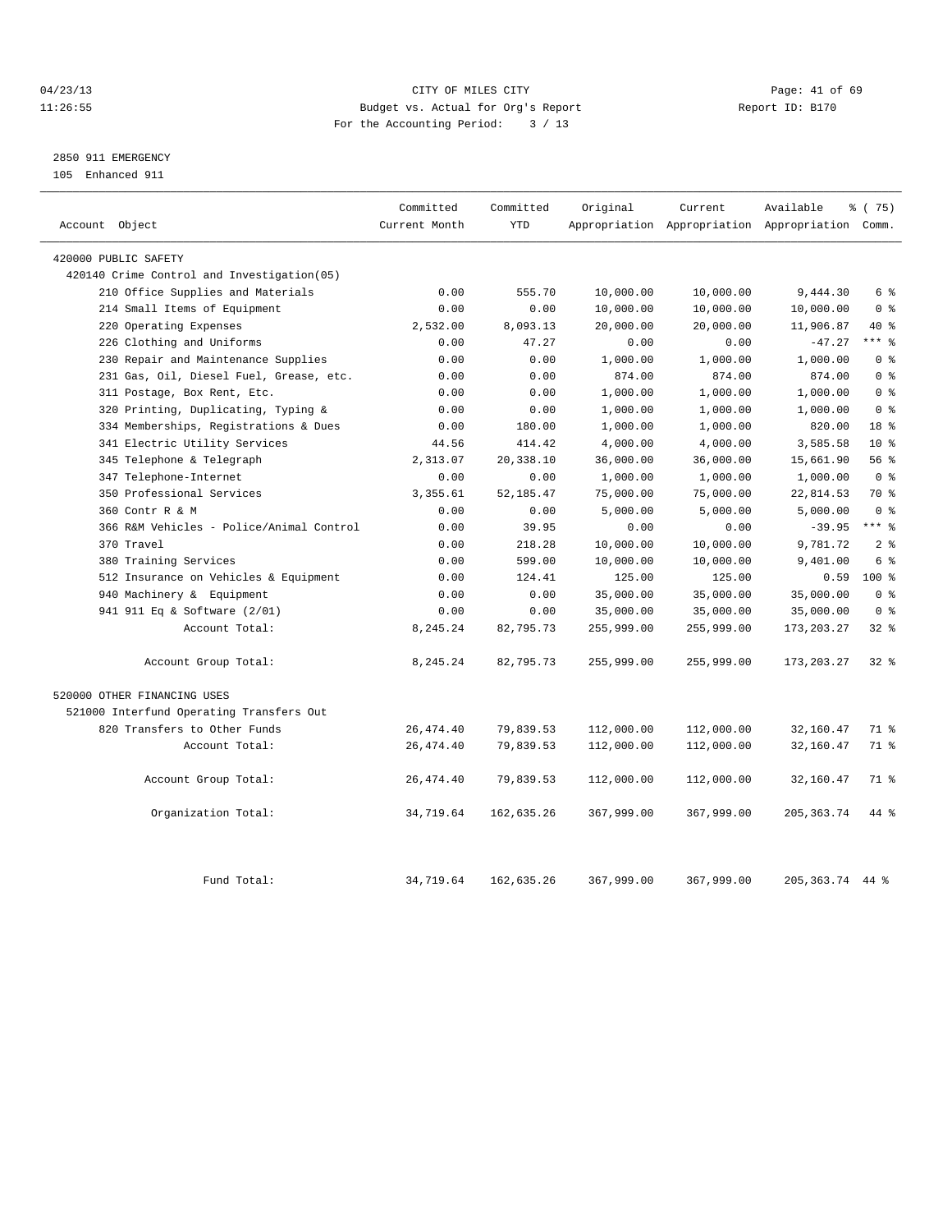# 04/23/13 Page: 41 of 69 11:26:55 Budget vs. Actual for Org's Report Report ID: B170 For the Accounting Period: 3 / 13

# 2850 911 EMERGENCY

105 Enhanced 911

| Account Object                              | Committed<br>Current Month | Committed<br><b>YTD</b> | Original   | Current    | Available<br>Appropriation Appropriation Appropriation Comm. | % (75)             |
|---------------------------------------------|----------------------------|-------------------------|------------|------------|--------------------------------------------------------------|--------------------|
|                                             |                            |                         |            |            |                                                              |                    |
| 420000 PUBLIC SAFETY                        |                            |                         |            |            |                                                              |                    |
| 420140 Crime Control and Investigation (05) |                            |                         |            |            |                                                              | 6 %                |
| 210 Office Supplies and Materials           | 0.00                       | 555.70                  | 10,000.00  | 10,000.00  | 9,444.30                                                     |                    |
| 214 Small Items of Equipment                | 0.00                       | 0.00                    | 10,000.00  | 10,000.00  | 10,000.00                                                    | 0 <sup>8</sup>     |
| Operating Expenses<br>220                   | 2,532.00                   | 8,093.13                | 20,000.00  | 20,000.00  | 11,906.87                                                    | $40*$<br>$***$ $%$ |
| 226 Clothing and Uniforms                   | 0.00                       | 47.27                   | 0.00       | 0.00       | $-47.27$                                                     |                    |
| 230 Repair and Maintenance Supplies         | 0.00                       | 0.00                    | 1,000.00   | 1,000.00   | 1,000.00                                                     | 0 <sup>8</sup>     |
| 231 Gas, Oil, Diesel Fuel, Grease, etc.     | 0.00                       | 0.00                    | 874.00     | 874.00     | 874.00                                                       | 0 <sup>8</sup>     |
| 311 Postage, Box Rent, Etc.                 | 0.00                       | 0.00                    | 1,000.00   | 1,000.00   | 1,000.00                                                     | 0 <sup>8</sup>     |
| Printing, Duplicating, Typing &<br>320      | 0.00                       | 0.00                    | 1,000.00   | 1,000.00   | 1,000.00                                                     | 0 <sup>8</sup>     |
| 334 Memberships, Registrations & Dues       | 0.00                       | 180.00                  | 1,000.00   | 1,000.00   | 820.00                                                       | 18 %               |
| 341 Electric Utility Services               | 44.56                      | 414.42                  | 4,000.00   | 4,000.00   | 3,585.58                                                     | $10*$              |
| 345 Telephone & Telegraph                   | 2,313.07                   | 20,338.10               | 36,000.00  | 36,000.00  | 15,661.90                                                    | 56 %               |
| 347 Telephone-Internet                      | 0.00                       | 0.00                    | 1,000.00   | 1,000.00   | 1,000.00                                                     | 0 <sup>8</sup>     |
| 350 Professional Services                   | 3, 355.61                  | 52, 185.47              | 75,000.00  | 75,000.00  | 22,814.53                                                    | 70 %               |
| 360 Contr R & M                             | 0.00                       | 0.00                    | 5,000.00   | 5,000.00   | 5,000.00                                                     | 0 <sup>8</sup>     |
| 366 R&M Vehicles - Police/Animal Control    | 0.00                       | 39.95                   | 0.00       | 0.00       | $-39.95$                                                     | $***$ %            |
| 370 Travel                                  | 0.00                       | 218.28                  | 10,000.00  | 10,000.00  | 9,781.72                                                     | 2 <sup>8</sup>     |
| 380 Training Services                       | 0.00                       | 599.00                  | 10,000.00  | 10,000.00  | 9,401.00                                                     | 6 %                |
| 512 Insurance on Vehicles & Equipment       | 0.00                       | 124.41                  | 125.00     | 125.00     | 0.59                                                         | $100*$             |
| 940 Machinery & Equipment                   | 0.00                       | 0.00                    | 35,000.00  | 35,000.00  | 35,000.00                                                    | 0 <sup>8</sup>     |
| 941 911 Eq & Software (2/01)                | 0.00                       | 0.00                    | 35,000.00  | 35,000.00  | 35,000.00                                                    | 0 <sup>8</sup>     |
| Account Total:                              | 8,245.24                   | 82,795.73               | 255,999.00 | 255,999.00 | 173, 203. 27                                                 | $32$ $%$           |
| Account Group Total:                        | 8,245.24                   | 82,795.73               | 255,999.00 | 255,999.00 | 173,203.27                                                   | $32*$              |
| 520000 OTHER FINANCING USES                 |                            |                         |            |            |                                                              |                    |
| 521000 Interfund Operating Transfers Out    |                            |                         |            |            |                                                              |                    |
| 820 Transfers to Other Funds                | 26, 474.40                 | 79,839.53               | 112,000.00 | 112,000.00 | 32,160.47                                                    | 71 %               |
| Account Total:                              | 26, 474.40                 | 79,839.53               | 112,000.00 | 112,000.00 | 32,160.47                                                    | 71 %               |
| Account Group Total:                        | 26, 474.40                 | 79,839.53               | 112,000.00 | 112,000.00 | 32,160.47                                                    | 71 %               |
| Organization Total:                         | 34,719.64                  | 162,635.26              | 367,999.00 | 367,999.00 | 205, 363. 74                                                 | 44 %               |
| Fund Total:                                 | 34,719.64                  | 162,635.26              | 367,999.00 | 367,999.00 | 205, 363. 74 44 %                                            |                    |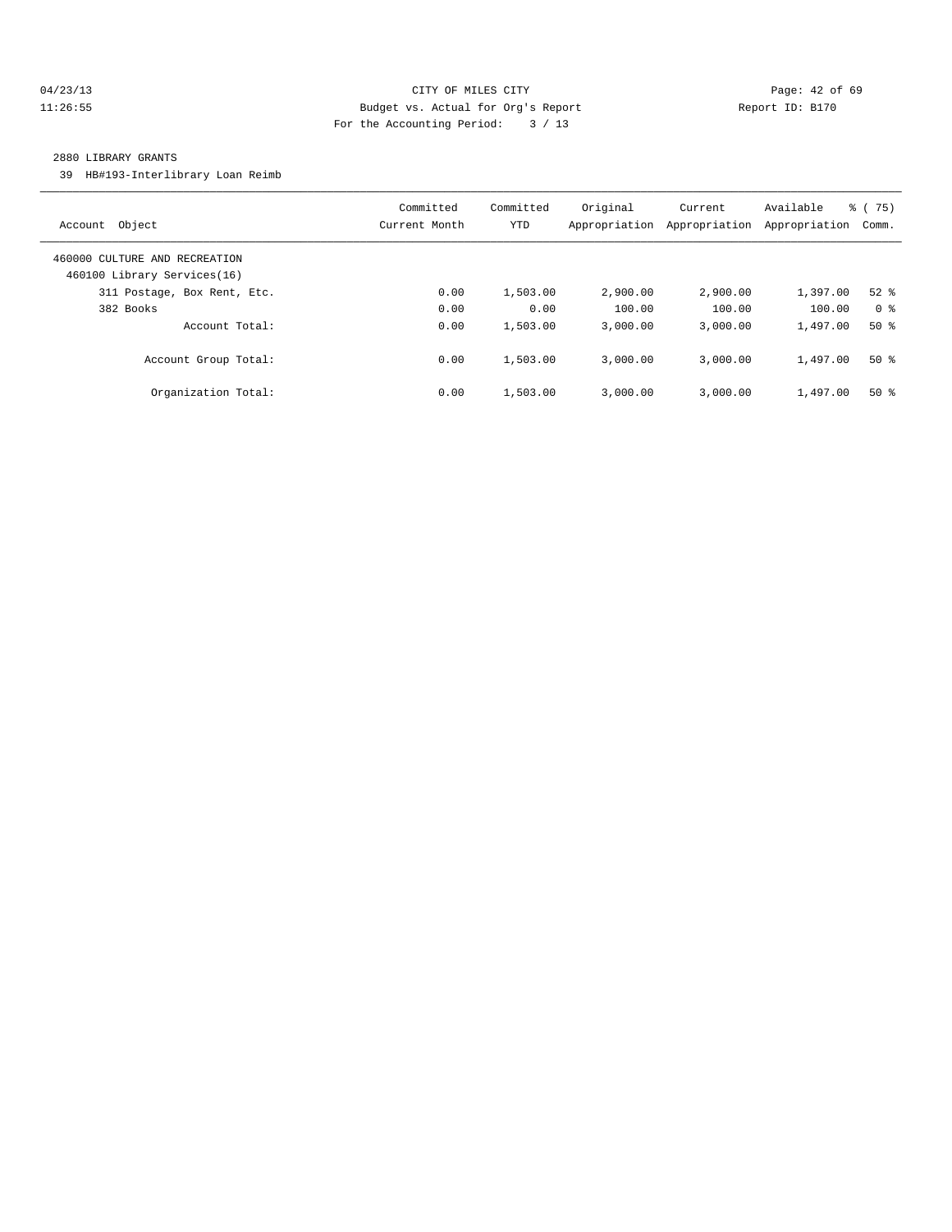# 04/23/13 Page: 42 of 69 11:26:55 Budget vs. Actual for Org's Report Report ID: B170 For the Accounting Period: 3 / 13

#### 2880 LIBRARY GRANTS

39 HB#193-Interlibrary Loan Reimb

| Account Object                                               | Committed<br>Current Month | Committed<br><b>YTD</b> | Original<br>Appropriation | Current<br>Appropriation | Available<br>Appropriation | $\frac{3}{6}$ ( 75)<br>Comm. |
|--------------------------------------------------------------|----------------------------|-------------------------|---------------------------|--------------------------|----------------------------|------------------------------|
| 460000 CULTURE AND RECREATION<br>460100 Library Services(16) |                            |                         |                           |                          |                            |                              |
| 311 Postage, Box Rent, Etc.                                  | 0.00                       | 1,503.00                | 2,900.00                  | 2,900.00                 | 1,397.00                   | $52$ $%$                     |
| 382 Books                                                    | 0.00                       | 0.00                    | 100.00                    | 100.00                   | 100.00                     | 0 <sup>8</sup>               |
| Account Total:                                               | 0.00                       | 1,503.00                | 3,000.00                  | 3.000.00                 | 1,497.00                   | $50*$                        |
| Account Group Total:                                         | 0.00                       | 1,503.00                | 3.000.00                  | 3.000.00                 | 1,497.00                   | $50*$                        |
| Organization Total:                                          | 0.00                       | 1,503.00                | 3,000.00                  | 3.000.00                 | 1,497.00                   | $50*$                        |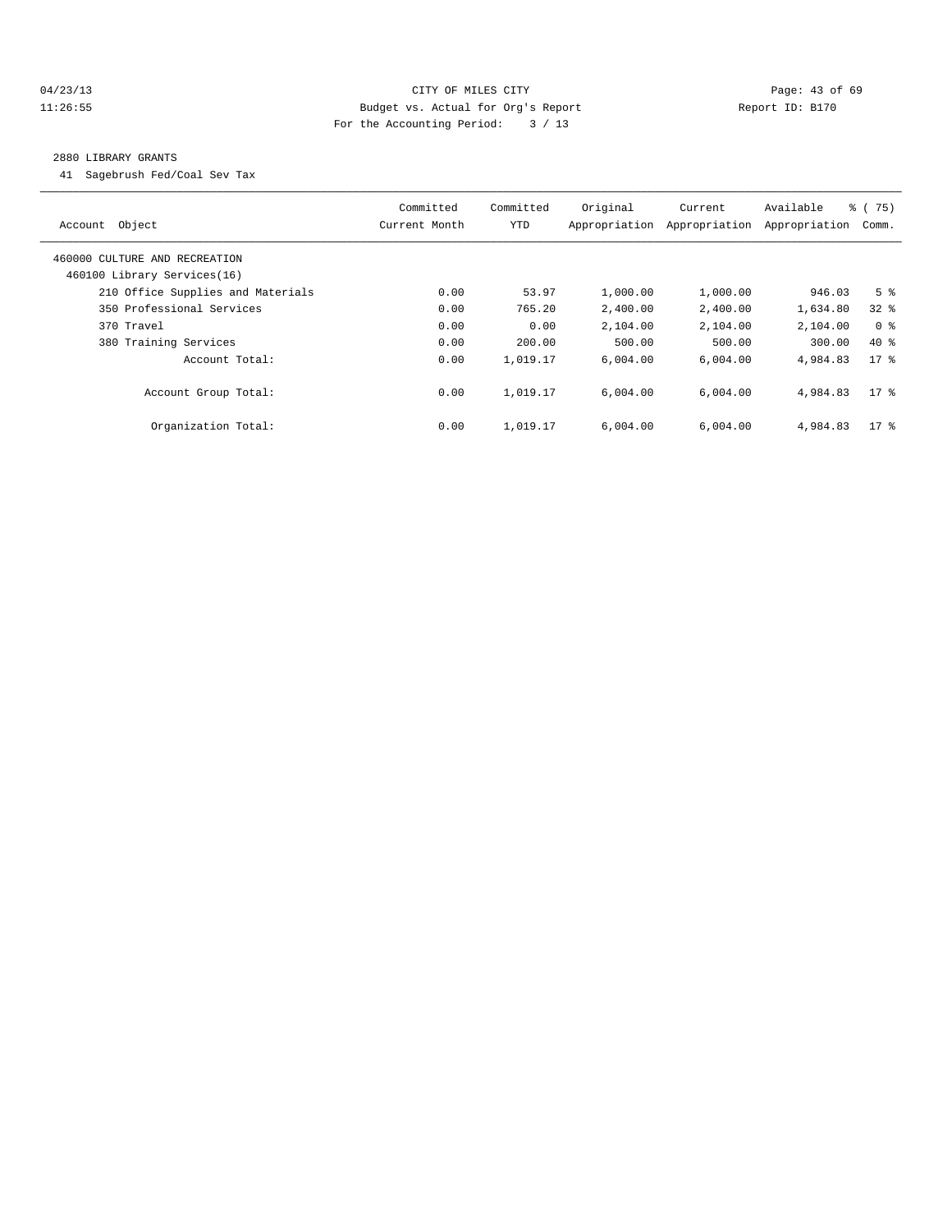# 04/23/13 Page: 43 of 69 11:26:55 Budget vs. Actual for Org's Report Report ID: B170 For the Accounting Period: 3 / 13

#### 2880 LIBRARY GRANTS

41 Sagebrush Fed/Coal Sev Tax

| Account Object                                               | Committed<br>Current Month | Committed<br><b>YTD</b> | Original<br>Appropriation | Current<br>Appropriation | Available<br>Appropriation | % (75)<br>Comm. |
|--------------------------------------------------------------|----------------------------|-------------------------|---------------------------|--------------------------|----------------------------|-----------------|
| 460000 CULTURE AND RECREATION<br>460100 Library Services(16) |                            |                         |                           |                          |                            |                 |
| 210 Office Supplies and Materials                            | 0.00                       | 53.97                   | 1,000.00                  | 1,000.00                 | 946.03                     | 5 <sup>8</sup>  |
| 350 Professional Services                                    | 0.00                       | 765.20                  | 2,400.00                  | 2,400.00                 | 1,634.80                   | $32*$           |
| 370 Travel                                                   | 0.00                       | 0.00                    | 2,104.00                  | 2,104.00                 | 2,104.00                   | 0 <sup>8</sup>  |
| 380 Training Services                                        | 0.00                       | 200.00                  | 500.00                    | 500.00                   | 300.00                     | $40*$           |
| Account Total:                                               | 0.00                       | 1,019.17                | 6.004.00                  | 6,004.00                 | 4,984.83                   | $17*$           |
| Account Group Total:                                         | 0.00                       | 1,019.17                | 6.004.00                  | 6.004.00                 | 4.984.83                   | $17$ %          |
| Organization Total:                                          | 0.00                       | 1,019.17                | 6.004.00                  | 6.004.00                 | 4,984.83                   | $17*$           |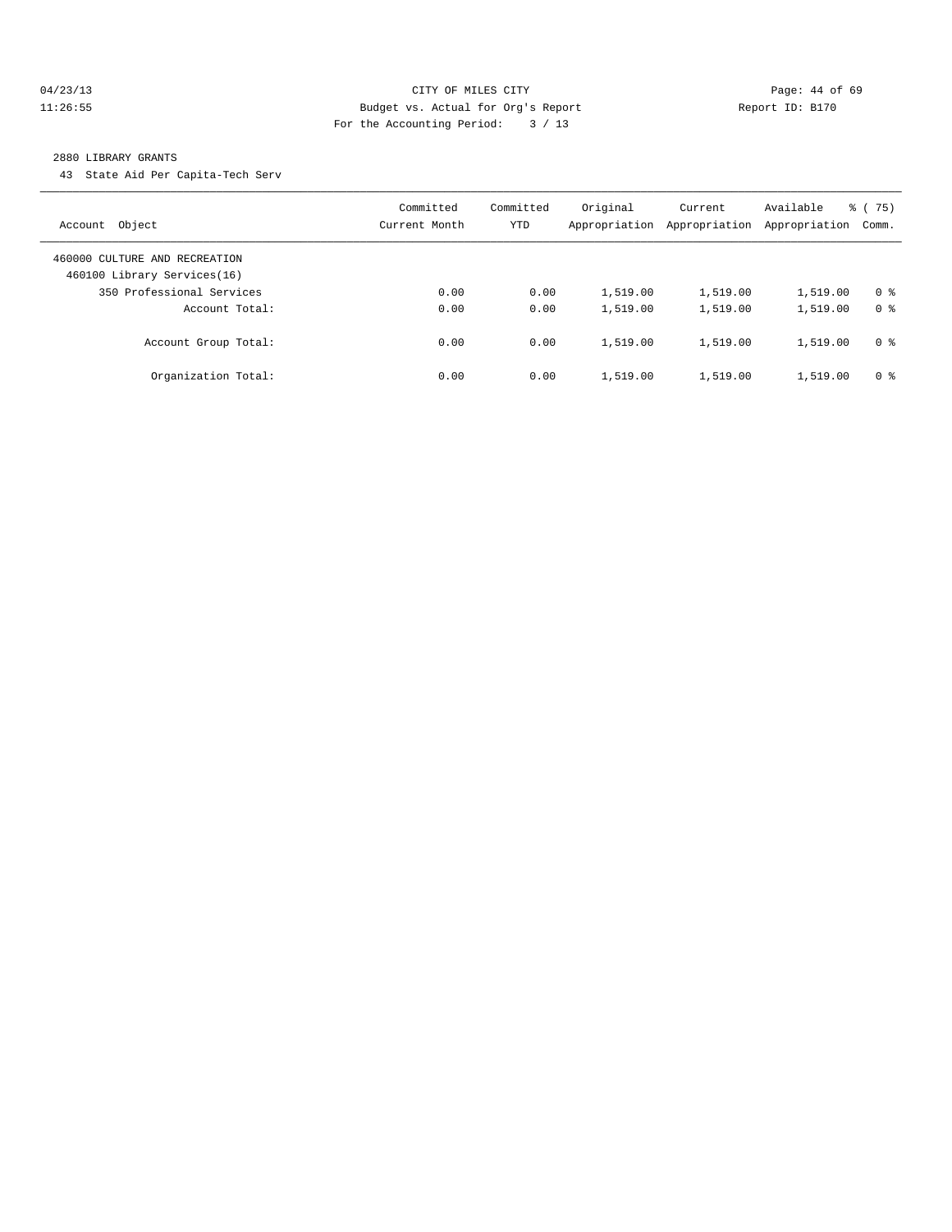## 04/23/13 Page: 44 of 69 11:26:55 Budget vs. Actual for Org's Report Report ID: B170 For the Accounting Period: 3 / 13

#### 2880 LIBRARY GRANTS

43 State Aid Per Capita-Tech Serv

| Object<br>Account                                            | Committed<br>Current Month | Committed<br>YTD | Original<br>Appropriation | Current<br>Appropriation | Available<br>Appropriation | % (75)<br>Comm. |
|--------------------------------------------------------------|----------------------------|------------------|---------------------------|--------------------------|----------------------------|-----------------|
| 460000 CULTURE AND RECREATION<br>460100 Library Services(16) |                            |                  |                           |                          |                            |                 |
| 350 Professional Services                                    | 0.00                       | 0.00             | 1,519.00                  | 1,519.00                 | 1,519.00                   | 0 <sup>8</sup>  |
| Account Total:                                               | 0.00                       | 0.00             | 1,519.00                  | 1,519.00                 | 1,519.00                   | 0 <sup>8</sup>  |
| Account Group Total:                                         | 0.00                       | 0.00             | 1,519.00                  | 1,519.00                 | 1,519.00                   | 0 <sup>8</sup>  |
| Organization Total:                                          | 0.00                       | 0.00             | 1,519.00                  | 1,519.00                 | 1,519.00                   | 0 <sup>8</sup>  |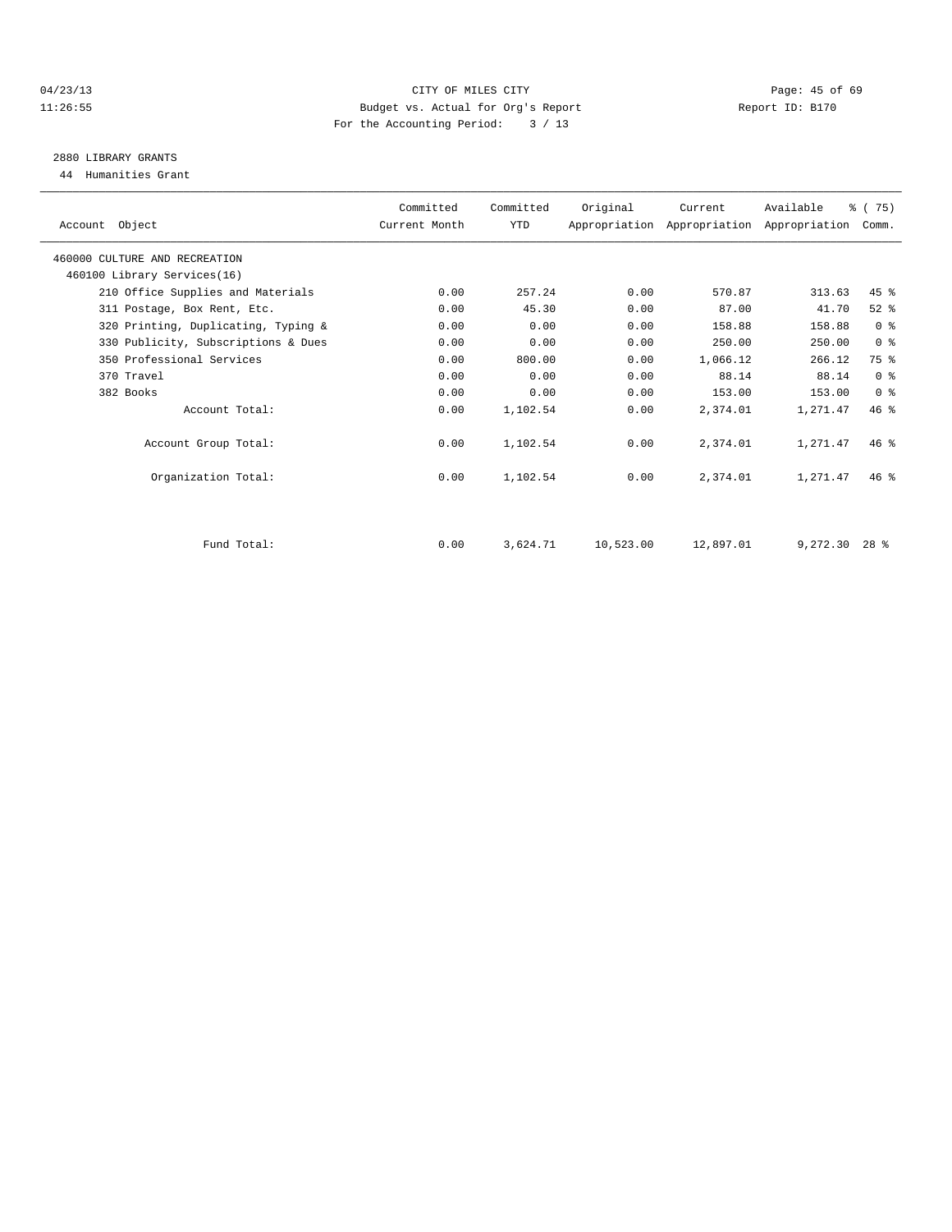# 04/23/13 Page: 45 of 69 11:26:55 Budget vs. Actual for Org's Report Report ID: B170 For the Accounting Period: 3 / 13

# 2880 LIBRARY GRANTS

44 Humanities Grant

| Account Object                      | Committed<br>Current Month | Committed<br>YTD | Original  | Current<br>Appropriation Appropriation Appropriation Comm. | Available       | % (75)         |  |
|-------------------------------------|----------------------------|------------------|-----------|------------------------------------------------------------|-----------------|----------------|--|
| 460000 CULTURE AND RECREATION       |                            |                  |           |                                                            |                 |                |  |
| 460100 Library Services(16)         |                            |                  |           |                                                            |                 |                |  |
| 210 Office Supplies and Materials   | 0.00                       | 257.24           | 0.00      | 570.87                                                     | 313.63          | 45 %           |  |
| 311 Postage, Box Rent, Etc.         | 0.00                       | 45.30            | 0.00      | 87.00                                                      | 41.70           | $52$ $%$       |  |
| 320 Printing, Duplicating, Typing & | 0.00                       | 0.00             | 0.00      | 158.88                                                     | 158.88          | 0 <sup>8</sup> |  |
| 330 Publicity, Subscriptions & Dues | 0.00                       | 0.00             | 0.00      | 250.00                                                     | 250.00          | 0 <sup>8</sup> |  |
| 350 Professional Services           | 0.00                       | 800.00           | 0.00      | 1,066.12                                                   | 266.12          | 75 %           |  |
| 370 Travel                          | 0.00                       | 0.00             | 0.00      | 88.14                                                      | 88.14           | 0 <sup>8</sup> |  |
| 382 Books                           | 0.00                       | 0.00             | 0.00      | 153.00                                                     | 153.00          | 0 <sup>8</sup> |  |
| Account Total:                      | 0.00                       | 1,102.54         | 0.00      | 2,374.01                                                   | 1,271.47        | 46%            |  |
| Account Group Total:                | 0.00                       | 1,102.54         | 0.00      | 2,374.01                                                   | 1,271.47        | $46*$          |  |
| Organization Total:                 | 0.00                       | 1,102.54         | 0.00      | 2,374.01                                                   | 1,271.47        | $46*$          |  |
|                                     |                            |                  |           |                                                            |                 |                |  |
| Fund Total:                         | 0.00                       | 3,624.71         | 10,523.00 | 12,897.01                                                  | $9,272.30$ 28 % |                |  |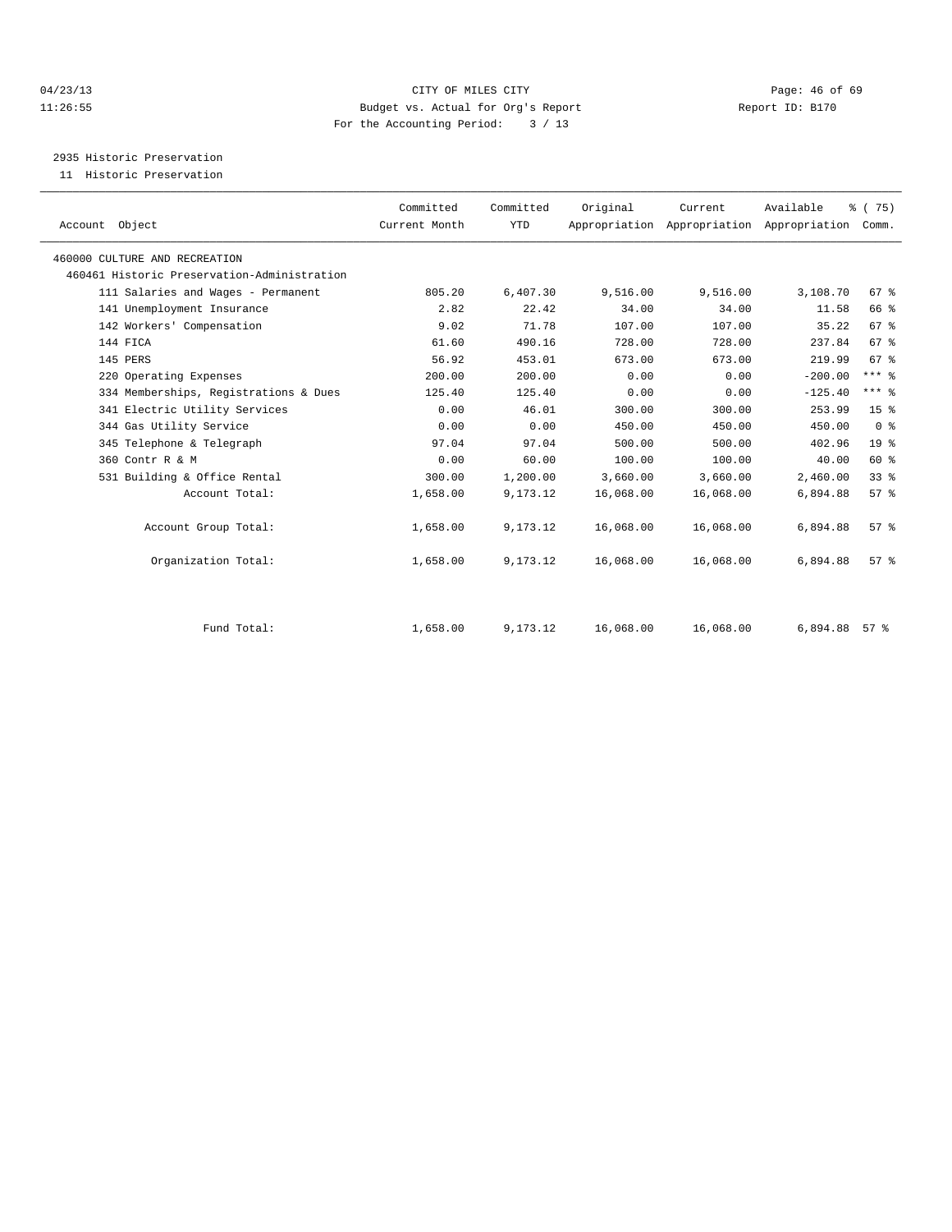# 04/23/13 Page: 46 of 69 11:26:55 Budget vs. Actual for Org's Report Report ID: B170 For the Accounting Period: 3 / 13

2935 Historic Preservation

11 Historic Preservation

| Account Object                              | Committed<br>Current Month | Committed<br><b>YTD</b> | Original  | Current<br>Appropriation Appropriation Appropriation | Available | $\frac{3}{6}$ ( 75)<br>Comm. |  |
|---------------------------------------------|----------------------------|-------------------------|-----------|------------------------------------------------------|-----------|------------------------------|--|
|                                             |                            |                         |           |                                                      |           |                              |  |
| 460000 CULTURE AND RECREATION               |                            |                         |           |                                                      |           |                              |  |
| 460461 Historic Preservation-Administration |                            |                         |           |                                                      |           |                              |  |
| 111 Salaries and Wages - Permanent          | 805.20                     | 6,407.30                | 9,516.00  | 9,516.00                                             | 3,108.70  | 67 %                         |  |
| 141 Unemployment Insurance                  | 2.82                       | 22.42                   | 34.00     | 34.00                                                | 11.58     | 66 %                         |  |
| 142 Workers' Compensation                   | 9.02                       | 71.78                   | 107.00    | 107.00                                               | 35.22     | 67 <sup>8</sup>              |  |
| 144 FICA                                    | 61.60                      | 490.16                  | 728.00    | 728.00                                               | 237.84    | 67 <sup>8</sup>              |  |
| 145 PERS                                    | 56.92                      | 453.01                  | 673.00    | 673.00                                               | 219.99    | 67 <sup>8</sup>              |  |
| 220 Operating Expenses                      | 200.00                     | 200.00                  | 0.00      | 0.00                                                 | $-200.00$ | $***$ $%$                    |  |
| 334 Memberships, Registrations & Dues       | 125.40                     | 125.40                  | 0.00      | 0.00                                                 | $-125.40$ | $***$ $_{8}$                 |  |
| 341 Electric Utility Services               | 0.00                       | 46.01                   | 300.00    | 300.00                                               | 253.99    | 15 <sup>8</sup>              |  |
| 344 Gas Utility Service                     | 0.00                       | 0.00                    | 450.00    | 450.00                                               | 450.00    | 0 <sup>8</sup>               |  |
| 345 Telephone & Telegraph                   | 97.04                      | 97.04                   | 500.00    | 500.00                                               | 402.96    | 19 <sup>°</sup>              |  |
| 360 Contr R & M                             | 0.00                       | 60.00                   | 100.00    | 100.00                                               | 40.00     | 60 %                         |  |
| 531 Building & Office Rental                | 300.00                     | 1,200.00                | 3,660.00  | 3,660.00                                             | 2,460.00  | 33%                          |  |
| Account Total:                              | 1,658.00                   | 9,173.12                | 16,068.00 | 16,068.00                                            | 6,894.88  | 57%                          |  |
| Account Group Total:                        | 1,658.00                   | 9,173.12                | 16,068.00 | 16,068.00                                            | 6,894.88  | $57*$                        |  |
| Organization Total:                         | 1,658.00                   | 9,173.12                | 16,068.00 | 16,068.00                                            | 6,894.88  | 57 <sup>8</sup>              |  |
| Fund Total:                                 | 1,658.00                   | 9,173.12                | 16,068.00 | 16,068.00                                            | 6,894.88  | $57$ $%$                     |  |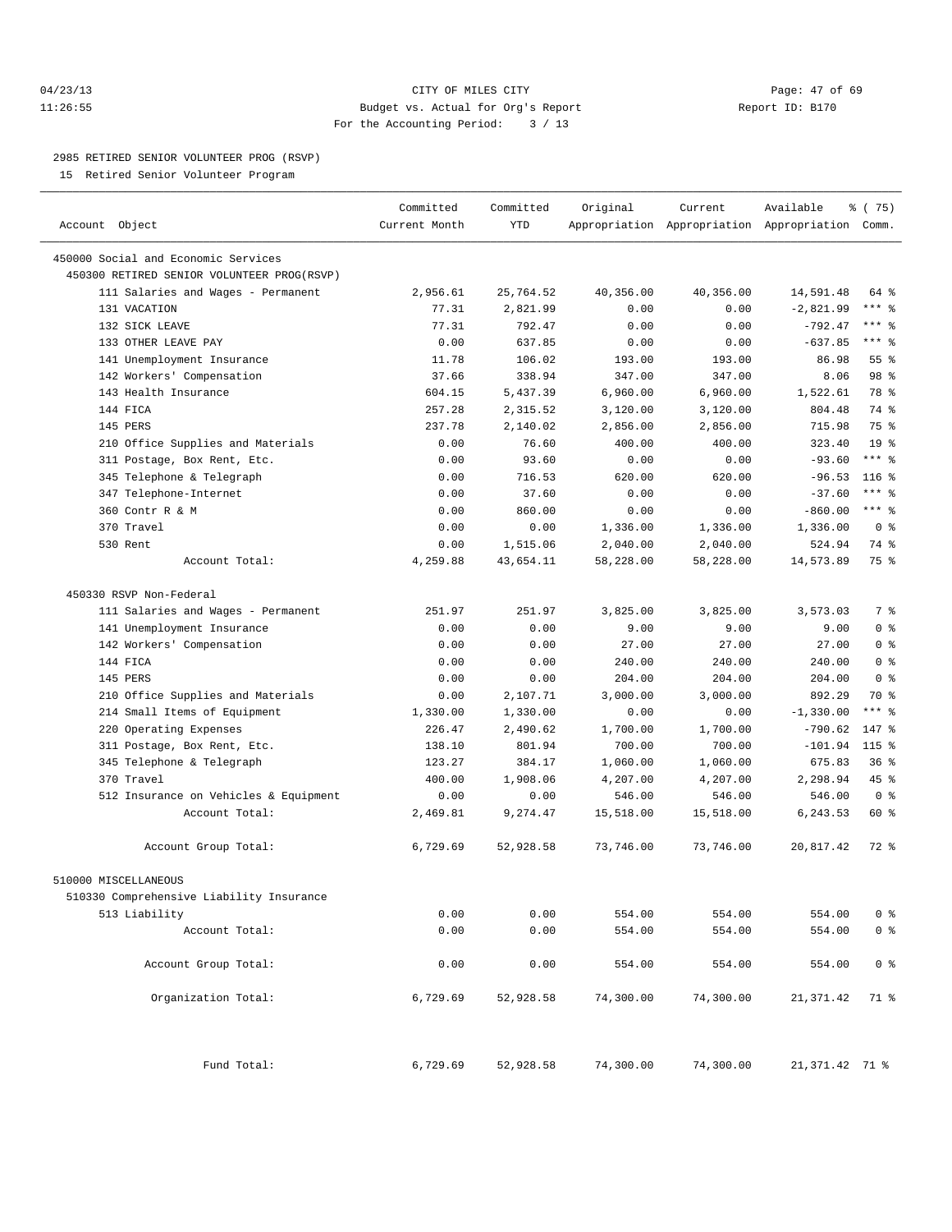# 04/23/13 Page: 47 of 69 11:26:55 Budget vs. Actual for Org's Report Report ID: B170 For the Accounting Period: 3 / 13

————————————————————————————————————————————————————————————————————————————————————————————————————————————————————————————————————

#### 2985 RETIRED SENIOR VOLUNTEER PROG (RSVP)

15 Retired Senior Volunteer Program

|                                            | Committed     | Committed  | Original  | Current   | Available                                       | % (75)          |
|--------------------------------------------|---------------|------------|-----------|-----------|-------------------------------------------------|-----------------|
| Account Object                             | Current Month | <b>YTD</b> |           |           | Appropriation Appropriation Appropriation Comm. |                 |
| 450000 Social and Economic Services        |               |            |           |           |                                                 |                 |
| 450300 RETIRED SENIOR VOLUNTEER PROG(RSVP) |               |            |           |           |                                                 |                 |
| 111 Salaries and Wages - Permanent         | 2,956.61      | 25,764.52  | 40,356.00 | 40,356.00 | 14,591.48                                       | 64 %            |
| 131 VACATION                               | 77.31         | 2,821.99   | 0.00      | 0.00      | $-2,821.99$                                     | $***$ $-$       |
| 132 SICK LEAVE                             | 77.31         | 792.47     | 0.00      | 0.00      | $-792.47$                                       | $***$ $-$       |
| 133 OTHER LEAVE PAY                        | 0.00          | 637.85     | 0.00      | 0.00      | $-637.85$                                       | $***$ $-$       |
| 141 Unemployment Insurance                 | 11.78         | 106.02     | 193.00    | 193.00    | 86.98                                           | $55$ $%$        |
| 142 Workers' Compensation                  | 37.66         | 338.94     | 347.00    | 347.00    | 8.06                                            | 98 %            |
| 143 Health Insurance                       | 604.15        | 5,437.39   | 6,960.00  | 6,960.00  | 1,522.61                                        | 78 %            |
| 144 FICA                                   | 257.28        | 2,315.52   | 3,120.00  | 3,120.00  | 804.48                                          | 74 %            |
| 145 PERS                                   | 237.78        | 2,140.02   | 2,856.00  | 2,856.00  | 715.98                                          | 75 %            |
| 210 Office Supplies and Materials          | 0.00          | 76.60      | 400.00    | 400.00    | 323.40                                          | 19 <sup>°</sup> |
| 311 Postage, Box Rent, Etc.                | 0.00          | 93.60      | 0.00      | 0.00      | $-93.60$                                        | $***$ $-$       |
| 345 Telephone & Telegraph                  | 0.00          | 716.53     | 620.00    | 620.00    | $-96.53$                                        | $116$ %         |
| 347 Telephone-Internet                     | 0.00          | 37.60      | 0.00      | 0.00      | $-37.60$                                        | $***$ $-$       |
| 360 Contr R & M                            | 0.00          | 860.00     | 0.00      | 0.00      | $-860.00$                                       | $***$ $-$       |
| 370 Travel                                 | 0.00          | 0.00       | 1,336.00  | 1,336.00  | 1,336.00                                        | 0 <sup>8</sup>  |
| 530 Rent                                   | 0.00          | 1,515.06   | 2,040.00  | 2,040.00  | 524.94                                          | 74 %            |
| Account Total:                             | 4,259.88      | 43,654.11  | 58,228.00 | 58,228.00 | 14,573.89                                       | 75 %            |
| 450330 RSVP Non-Federal                    |               |            |           |           |                                                 |                 |
| 111 Salaries and Wages - Permanent         | 251.97        | 251.97     | 3,825.00  | 3,825.00  | 3,573.03                                        | 7 %             |
| 141 Unemployment Insurance                 | 0.00          | 0.00       | 9.00      | 9.00      | 9.00                                            | 0 <sup>8</sup>  |
| 142 Workers' Compensation                  | 0.00          | 0.00       | 27.00     | 27.00     | 27.00                                           | 0 <sup>8</sup>  |
| 144 FICA                                   | 0.00          | 0.00       | 240.00    | 240.00    | 240.00                                          | 0 <sup>8</sup>  |
| 145 PERS                                   | 0.00          | 0.00       | 204.00    | 204.00    | 204.00                                          | 0 <sup>8</sup>  |
| 210 Office Supplies and Materials          | 0.00          | 2,107.71   | 3,000.00  | 3,000.00  | 892.29                                          | 70 %            |
| 214 Small Items of Equipment               | 1,330.00      | 1,330.00   | 0.00      | 0.00      | $-1,330.00$                                     | $***$ $-$       |
| 220 Operating Expenses                     | 226.47        | 2,490.62   | 1,700.00  | 1,700.00  | $-790.62$                                       | 147 %           |
| 311 Postage, Box Rent, Etc.                | 138.10        | 801.94     | 700.00    | 700.00    | $-101.94$                                       | $115$ %         |
| 345 Telephone & Telegraph                  | 123.27        | 384.17     | 1,060.00  | 1,060.00  | 675.83                                          | 36%             |
| 370 Travel                                 | 400.00        | 1,908.06   | 4,207.00  | 4,207.00  | 2,298.94                                        | 45 %            |
| 512 Insurance on Vehicles & Equipment      | 0.00          | 0.00       | 546.00    | 546.00    | 546.00                                          | 0 <sup>8</sup>  |
| Account Total:                             | 2,469.81      | 9,274.47   | 15,518.00 | 15,518.00 | 6,243.53                                        | 60 %            |
| Account Group Total:                       | 6,729.69      | 52,928.58  | 73,746.00 | 73,746.00 | 20,817.42                                       | 72 %            |
| 510000 MISCELLANEOUS                       |               |            |           |           |                                                 |                 |
| 510330 Comprehensive Liability Insurance   |               |            |           |           |                                                 |                 |
| 513 Liability                              | 0.00          | 0.00       | 554.00    | 554.00    | 554.00                                          | $0$ %           |
| Account Total:                             | 0.00          | 0.00       | 554.00    | 554.00    | 554.00                                          | $0$ %           |
| Account Group Total:                       | 0.00          | 0.00       | 554.00    | 554.00    | 554.00                                          | 0 <sup>8</sup>  |
| Organization Total:                        | 6,729.69      | 52,928.58  | 74,300.00 | 74,300.00 | 21,371.42                                       | 71 %            |
| Fund Total:                                | 6,729.69      | 52,928.58  | 74,300.00 | 74,300.00 | 21,371.42 71 %                                  |                 |
|                                            |               |            |           |           |                                                 |                 |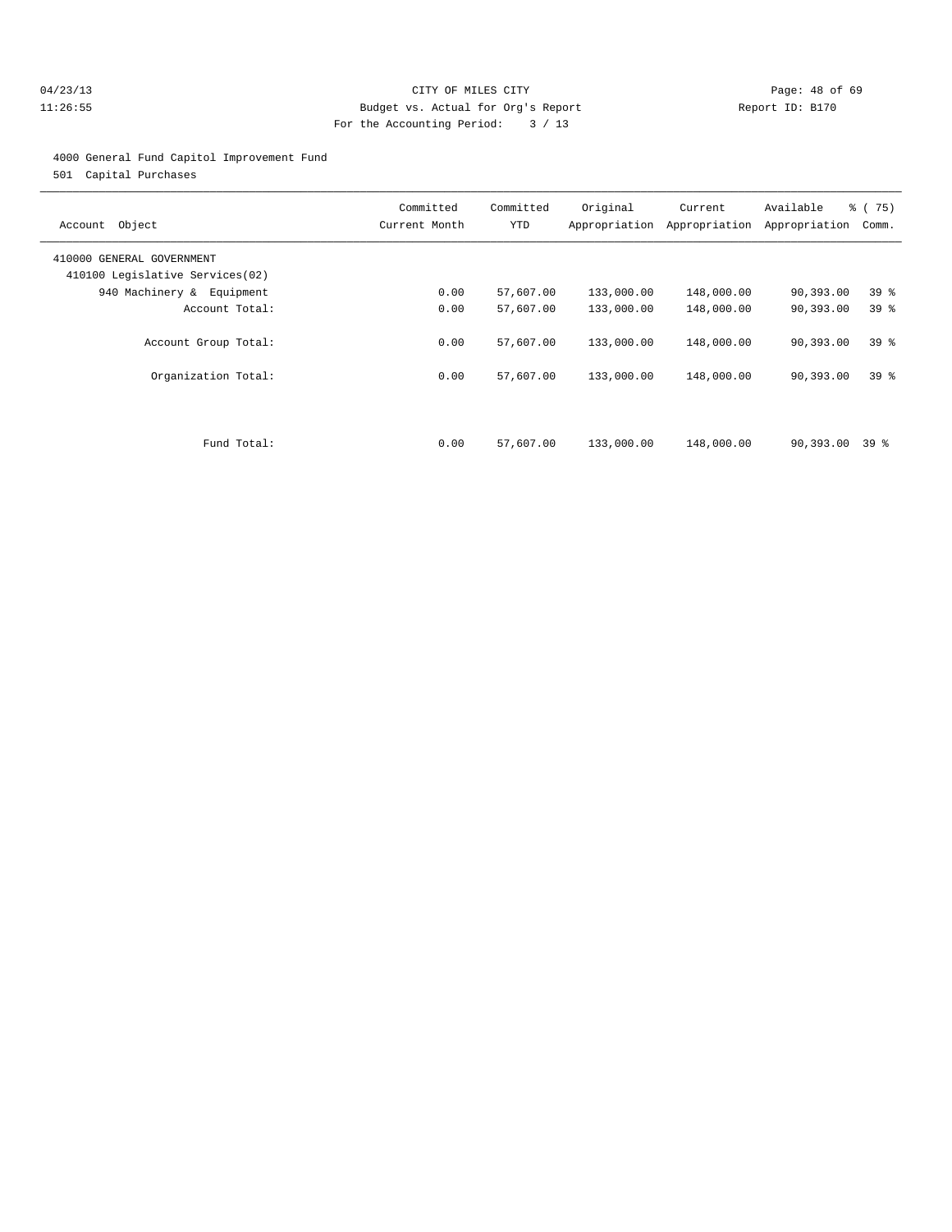# 04/23/13 Page: 48 of 69 11:26:55 Budget vs. Actual for Org's Report Report ID: B170 For the Accounting Period: 3 / 13

#### 4000 General Fund Capitol Improvement Fund

501 Capital Purchases

| Object<br>Account                                            | Committed<br>Current Month | Committed<br>YTD | Original<br>Appropriation | Current<br>Appropriation | Available<br>Appropriation | % (75)<br>Comm. |
|--------------------------------------------------------------|----------------------------|------------------|---------------------------|--------------------------|----------------------------|-----------------|
| 410000 GENERAL GOVERNMENT<br>410100 Legislative Services(02) |                            |                  |                           |                          |                            |                 |
| 940 Machinery & Equipment                                    | 0.00                       | 57,607.00        | 133,000.00                | 148,000.00               | 90,393.00                  | 39 <sub>8</sub> |
| Account Total:                                               | 0.00                       | 57,607.00        | 133,000.00                | 148,000.00               | 90,393.00                  | 39 <sup>8</sup> |
| Account Group Total:                                         | 0.00                       | 57,607.00        | 133,000.00                | 148,000.00               | 90,393.00                  | 39 <sup>8</sup> |
| Organization Total:                                          | 0.00                       | 57,607.00        | 133,000.00                | 148,000.00               | 90,393.00                  | 39 <sup>8</sup> |
| Fund Total:                                                  | 0.00                       | 57,607.00        | 133,000.00                | 148,000.00               | 90,393.00                  | 39 %            |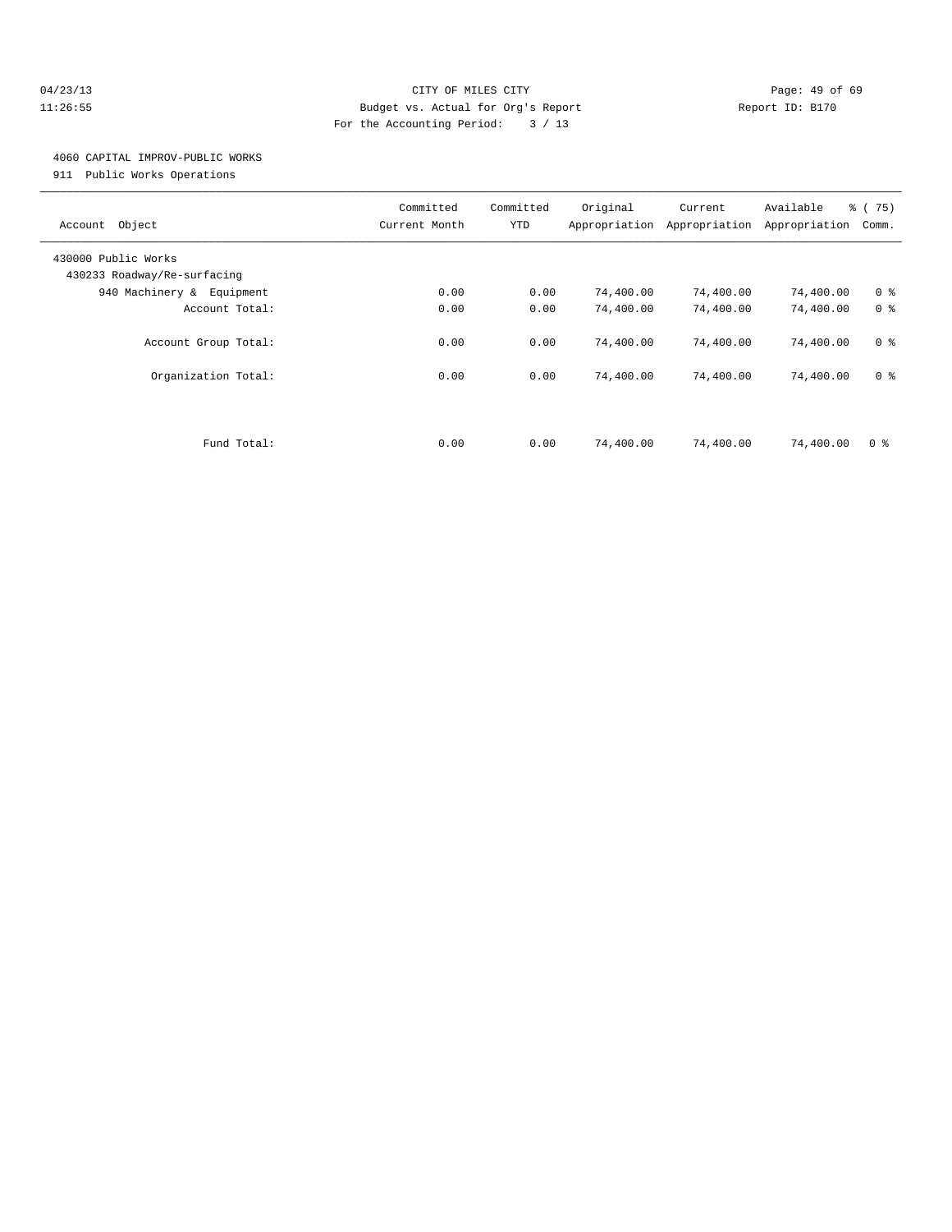## 04/23/13 Page: 49 of 69 11:26:55 Budget vs. Actual for Org's Report Report ID: B170 For the Accounting Period: 3 / 13

# 4060 CAPITAL IMPROV-PUBLIC WORKS

911 Public Works Operations

| Object<br>Account                                  | Committed<br>Current Month | Committed<br>YTD | Original<br>Appropriation | Current<br>Appropriation | Available<br>Appropriation | % (75)<br>Comm. |
|----------------------------------------------------|----------------------------|------------------|---------------------------|--------------------------|----------------------------|-----------------|
| 430000 Public Works<br>430233 Roadway/Re-surfacing |                            |                  |                           |                          |                            |                 |
| 940 Machinery & Equipment                          | 0.00                       | 0.00             | 74,400.00                 | 74,400.00                | 74,400.00                  | 0 <sup>8</sup>  |
| Account Total:                                     | 0.00                       | 0.00             | 74,400.00                 | 74,400.00                | 74,400.00                  | 0 <sup>8</sup>  |
| Account Group Total:                               | 0.00                       | 0.00             | 74,400.00                 | 74,400.00                | 74,400.00                  | 0 <sup>8</sup>  |
| Organization Total:                                | 0.00                       | 0.00             | 74,400.00                 | 74,400.00                | 74,400.00                  | 0 <sup>8</sup>  |
|                                                    |                            |                  |                           |                          |                            |                 |
| Fund Total:                                        | 0.00                       | 0.00             | 74,400.00                 | 74,400.00                | 74,400.00                  | 0 <sup>8</sup>  |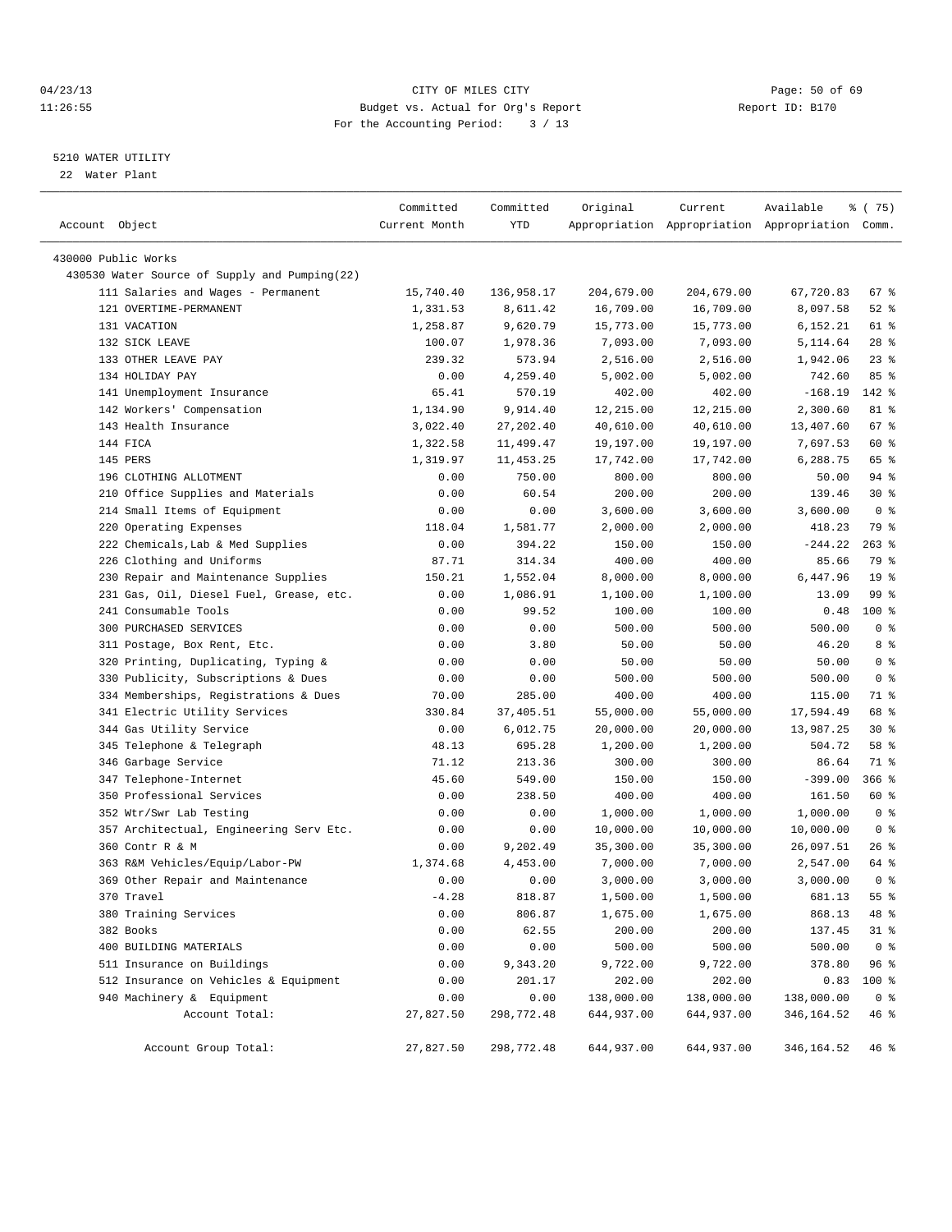# 04/23/13 Page: 50 of 69 11:26:55 Budget vs. Actual for Org's Report Report ID: B170 For the Accounting Period: 3 / 13

————————————————————————————————————————————————————————————————————————————————————————————————————————————————————————————————————

# 5210 WATER UTILITY

22 Water Plant

|                                                                 | Committed     | Committed          | Original         | Current                                         | Available          | ៖ (75)          |
|-----------------------------------------------------------------|---------------|--------------------|------------------|-------------------------------------------------|--------------------|-----------------|
| Account Object                                                  | Current Month | YTD                |                  | Appropriation Appropriation Appropriation Comm. |                    |                 |
| 430000 Public Works                                             |               |                    |                  |                                                 |                    |                 |
| 430530 Water Source of Supply and Pumping(22)                   |               |                    |                  |                                                 |                    |                 |
| 111 Salaries and Wages - Permanent                              | 15,740.40     | 136,958.17         | 204,679.00       | 204,679.00                                      | 67,720.83          | 67 %            |
| 121 OVERTIME-PERMANENT                                          | 1,331.53      | 8,611.42           | 16,709.00        | 16,709.00                                       | 8,097.58           | $52$ $%$        |
| 131 VACATION                                                    | 1,258.87      | 9,620.79           | 15,773.00        | 15,773.00                                       | 6,152.21           | 61 %            |
| 132 SICK LEAVE                                                  | 100.07        | 1,978.36           | 7,093.00         | 7,093.00                                        | 5,114.64           | $28$ %          |
| 133 OTHER LEAVE PAY                                             | 239.32        | 573.94             | 2,516.00         | 2,516.00                                        | 1,942.06           | $23$ $%$        |
| 134 HOLIDAY PAY                                                 | 0.00          | 4,259.40           | 5,002.00         | 5,002.00                                        | 742.60             | 85%             |
| 141 Unemployment Insurance                                      | 65.41         | 570.19             | 402.00           | 402.00                                          | $-168.19$          | 142 %           |
| 142 Workers' Compensation                                       | 1,134.90      | 9,914.40           | 12,215.00        | 12,215.00                                       | 2,300.60           | 81 %            |
| 143 Health Insurance                                            | 3,022.40      | 27, 202.40         | 40,610.00        | 40,610.00                                       | 13,407.60          | 67%             |
| 144 FICA                                                        | 1,322.58      | 11,499.47          | 19,197.00        | 19,197.00                                       | 7,697.53           | 60 %            |
| 145 PERS                                                        | 1,319.97      | 11, 453.25         | 17,742.00        | 17,742.00                                       | 6,288.75           | 65 %            |
| 196 CLOTHING ALLOTMENT                                          | 0.00          | 750.00             | 800.00           | 800.00                                          | 50.00              | 94 %            |
| 210 Office Supplies and Materials                               | 0.00          | 60.54              | 200.00           | 200.00                                          | 139.46             | $30*$           |
|                                                                 |               |                    |                  |                                                 |                    | 0 <sup>8</sup>  |
| 214 Small Items of Equipment<br>220 Operating Expenses          | 0.00          | 0.00               | 3,600.00         | 3,600.00                                        | 3,600.00<br>418.23 | 79 %            |
|                                                                 | 118.04        | 1,581.77<br>394.22 | 2,000.00         | 2,000.00                                        |                    | $263$ %         |
| 222 Chemicals, Lab & Med Supplies                               | 0.00          |                    | 150.00<br>400.00 | 150.00                                          | $-244.22$          | 79 %            |
| 226 Clothing and Uniforms                                       | 87.71         | 314.34             |                  | 400.00                                          | 85.66              |                 |
| 230 Repair and Maintenance Supplies                             | 150.21        | 1,552.04           | 8,000.00         | 8,000.00                                        | 6,447.96           | 19 <sup>°</sup> |
| 231 Gas, Oil, Diesel Fuel, Grease, etc.<br>241 Consumable Tools | 0.00          | 1,086.91           | 1,100.00         | 1,100.00                                        | 13.09              | 99 %            |
| 300 PURCHASED SERVICES                                          | 0.00          | 99.52              | 100.00           | 100.00                                          | 0.48               | 100 %           |
|                                                                 | 0.00          | 0.00               | 500.00           | 500.00                                          | 500.00             | 0 <sup>8</sup>  |
| 311 Postage, Box Rent, Etc.                                     | 0.00          | 3.80               | 50.00            | 50.00                                           | 46.20              | 8 %             |
| 320 Printing, Duplicating, Typing &                             | 0.00          | 0.00               | 50.00            | 50.00                                           | 50.00              | 0 <sup>8</sup>  |
| 330 Publicity, Subscriptions & Dues                             | 0.00          | 0.00               | 500.00           | 500.00                                          | 500.00             | 0 <sup>8</sup>  |
| 334 Memberships, Registrations & Dues                           | 70.00         | 285.00             | 400.00           | 400.00                                          | 115.00             | 71 %            |
| 341 Electric Utility Services                                   | 330.84        | 37,405.51          | 55,000.00        | 55,000.00                                       | 17,594.49          | 68 %            |
| 344 Gas Utility Service                                         | 0.00          | 6,012.75           | 20,000.00        | 20,000.00                                       | 13,987.25          | $30*$           |
| 345 Telephone & Telegraph                                       | 48.13         | 695.28             | 1,200.00         | 1,200.00                                        | 504.72             | 58 %            |
| 346 Garbage Service                                             | 71.12         | 213.36             | 300.00           | 300.00                                          | 86.64              | 71 %            |
| 347 Telephone-Internet                                          | 45.60         | 549.00             | 150.00           | 150.00                                          | $-399.00$          | $366$ %         |
| 350 Professional Services                                       | 0.00          | 238.50             | 400.00           | 400.00                                          | 161.50             | 60 %            |
| 352 Wtr/Swr Lab Testing                                         | 0.00          | 0.00               | 1,000.00         | 1,000.00                                        | 1,000.00           | 0 <sup>8</sup>  |
| 357 Architectual, Engineering Serv Etc.                         | 0.00          | 0.00               | 10,000.00        | 10,000.00                                       | 10,000.00          | 0 <sup>8</sup>  |
| 360 Contr R & M                                                 | 0.00          | 9,202.49           | 35,300.00        | 35,300.00                                       | 26,097.51          | $26$ %          |
| 363 R&M Vehicles/Equip/Labor-PW                                 | 1,374.68      | 4,453.00           | 7,000.00         | 7,000.00                                        | 2,547.00           | 64 %            |
| 369 Other Repair and Maintenance                                | 0.00          | 0.00               | 3,000.00         | 3,000.00                                        | 3,000.00           | 0 <sup>8</sup>  |
| 370 Travel                                                      | $-4.28$       | 818.87             | 1,500.00         | 1,500.00                                        | 681.13             | 55 %            |
| 380 Training Services                                           | 0.00          | 806.87             | 1,675.00         | 1,675.00                                        | 868.13             | 48 %            |
| 382 Books                                                       | 0.00          | 62.55              | 200.00           | 200.00                                          | 137.45             | $31$ %          |
| 400 BUILDING MATERIALS                                          | 0.00          | 0.00               | 500.00           | 500.00                                          | 500.00             | 0 <sup>8</sup>  |
| 511 Insurance on Buildings                                      | 0.00          | 9,343.20           | 9,722.00         | 9,722.00                                        | 378.80             | 96 %            |
| 512 Insurance on Vehicles & Equipment                           | 0.00          | 201.17             | 202.00           | 202.00                                          | 0.83               | 100 %           |
| 940 Machinery & Equipment                                       | 0.00          | 0.00               | 138,000.00       | 138,000.00                                      | 138,000.00         | 0 <sup>8</sup>  |
| Account Total:                                                  | 27,827.50     | 298,772.48         | 644,937.00       | 644,937.00                                      | 346,164.52         | 46 %            |
| Account Group Total:                                            | 27,827.50     | 298,772.48         | 644,937.00       | 644,937.00                                      | 346, 164.52        | 46%             |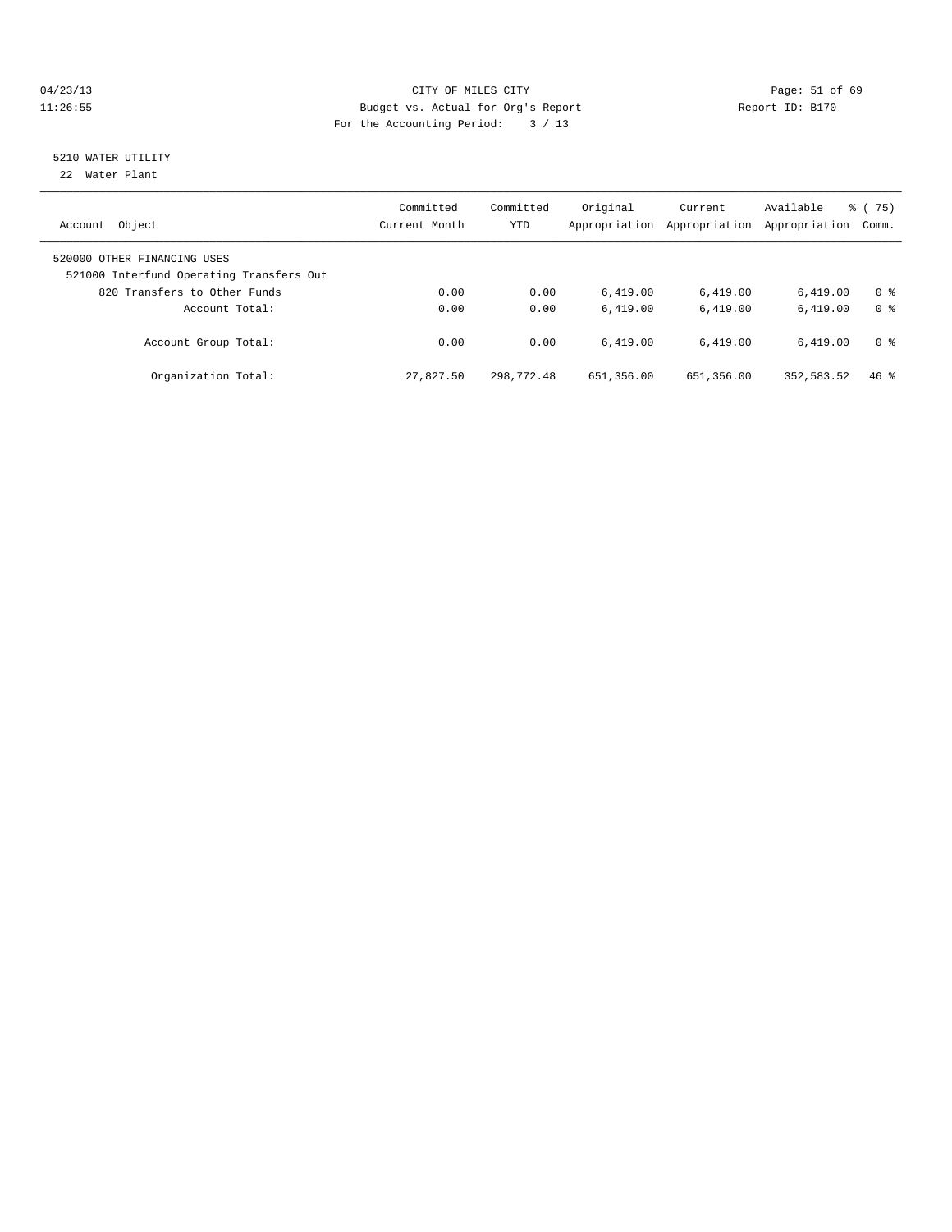# 04/23/13 Page: 51 of 69 11:26:55 Budget vs. Actual for Org's Report Report ID: B170 For the Accounting Period: 3 / 13

# 5210 WATER UTILITY

22 Water Plant

| Object<br>Account                                                       | Committed<br>Current Month | Committed<br><b>YTD</b> | Original<br>Appropriation | Current<br>Appropriation | Available<br>Appropriation | % (75)<br>Comm. |
|-------------------------------------------------------------------------|----------------------------|-------------------------|---------------------------|--------------------------|----------------------------|-----------------|
| 520000 OTHER FINANCING USES<br>521000 Interfund Operating Transfers Out |                            |                         |                           |                          |                            |                 |
| 820 Transfers to Other Funds                                            | 0.00                       | 0.00                    | 6.419.00                  | 6,419.00                 | 6.419.00                   | 0 <sup>8</sup>  |
| Account Total:                                                          | 0.00                       | 0.00                    | 6.419.00                  | 6.419.00                 | 6.419.00                   | 0 <sup>8</sup>  |
| Account Group Total:                                                    | 0.00                       | 0.00                    | 6.419.00                  | 6.419.00                 | 6.419.00                   | 0 <sup>8</sup>  |
| Organization Total:                                                     | 27,827.50                  | 298,772.48              | 651,356.00                | 651,356.00               | 352,583.52                 | 46%             |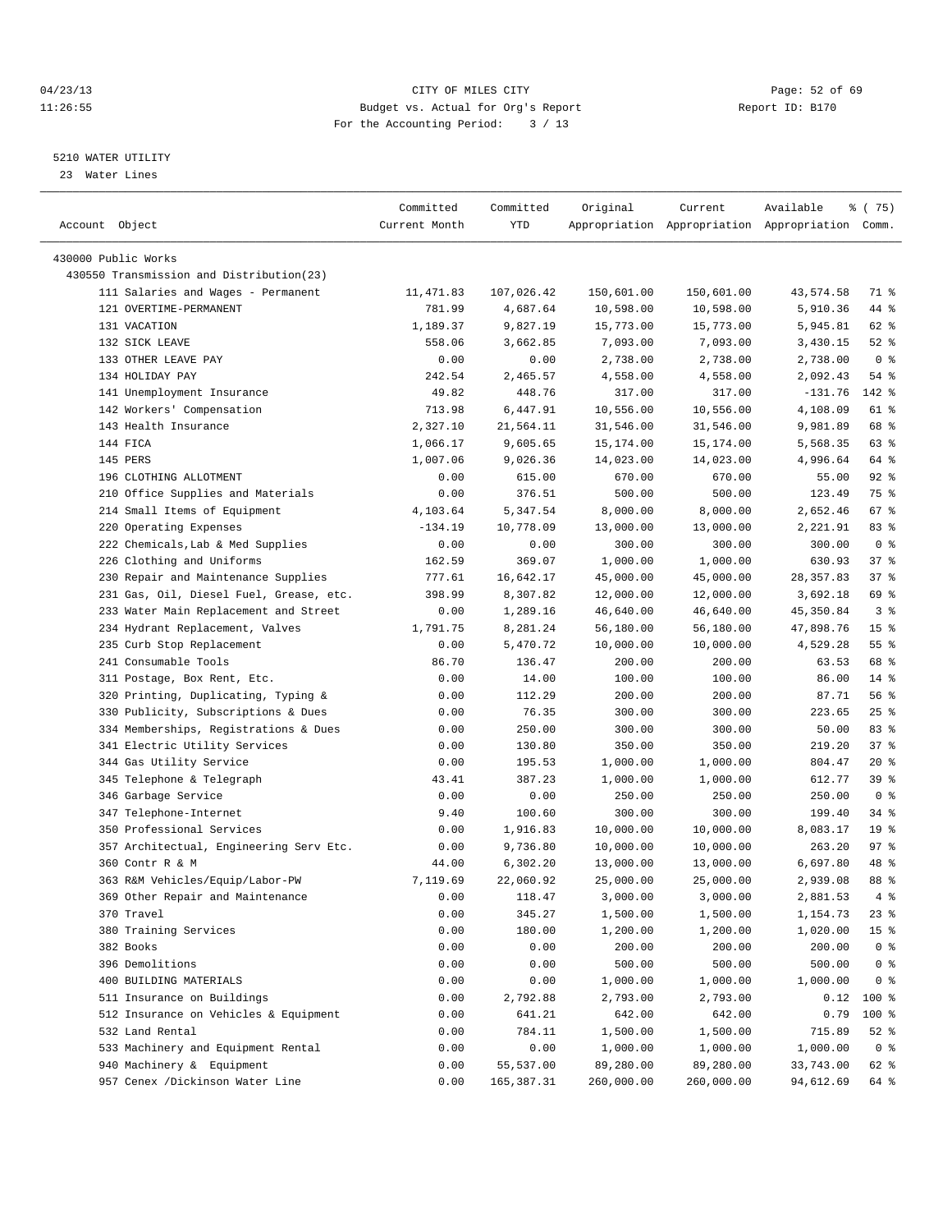# 04/23/13 Page: 52 of 69 11:26:55 Budget vs. Actual for Org's Report Report ID: B170 For the Accounting Period: 3 / 13

————————————————————————————————————————————————————————————————————————————————————————————————————————————————————————————————————

# 5210 WATER UTILITY

23 Water Lines

| Account Object                           | Committed<br>Current Month | Committed<br>YTD | Original   | Current    | Available<br>Appropriation Appropriation Appropriation Comm. | ៖ (75)          |  |
|------------------------------------------|----------------------------|------------------|------------|------------|--------------------------------------------------------------|-----------------|--|
| 430000 Public Works                      |                            |                  |            |            |                                                              |                 |  |
| 430550 Transmission and Distribution(23) |                            |                  |            |            |                                                              |                 |  |
| 111 Salaries and Wages - Permanent       | 11,471.83                  | 107,026.42       | 150,601.00 | 150,601.00 | 43,574.58                                                    | 71 %            |  |
| 121 OVERTIME-PERMANENT                   | 781.99                     | 4,687.64         | 10,598.00  | 10,598.00  | 5,910.36                                                     | 44 %            |  |
| 131 VACATION                             | 1,189.37                   | 9,827.19         | 15,773.00  | 15,773.00  | 5,945.81                                                     | 62 %            |  |
| 132 SICK LEAVE                           | 558.06                     | 3,662.85         | 7,093.00   | 7,093.00   | 3,430.15                                                     | $52$ $%$        |  |
| 133 OTHER LEAVE PAY                      | 0.00                       | 0.00             | 2,738.00   | 2,738.00   | 2,738.00                                                     | 0 <sup>8</sup>  |  |
| 134 HOLIDAY PAY                          | 242.54                     |                  |            |            |                                                              | 54 %            |  |
| 141 Unemployment Insurance               |                            | 2,465.57         | 4,558.00   | 4,558.00   | 2,092.43                                                     | 142 %           |  |
|                                          | 49.82                      | 448.76           | 317.00     | 317.00     | $-131.76$                                                    |                 |  |
| 142 Workers' Compensation                | 713.98                     | 6,447.91         | 10,556.00  | 10,556.00  | 4,108.09                                                     | 61 %            |  |
| 143 Health Insurance                     | 2,327.10                   | 21,564.11        | 31,546.00  | 31,546.00  | 9,981.89                                                     | 68 %            |  |
| 144 FICA                                 | 1,066.17                   | 9,605.65         | 15,174.00  | 15,174.00  | 5,568.35                                                     | 63 %            |  |
| 145 PERS                                 | 1,007.06                   | 9,026.36         | 14,023.00  | 14,023.00  | 4,996.64                                                     | 64 %            |  |
| 196 CLOTHING ALLOTMENT                   | 0.00                       | 615.00           | 670.00     | 670.00     | 55.00                                                        | $92$ $%$        |  |
| 210 Office Supplies and Materials        | 0.00                       | 376.51           | 500.00     | 500.00     | 123.49                                                       | 75 %            |  |
| 214 Small Items of Equipment             | 4,103.64                   | 5,347.54         | 8,000.00   | 8,000.00   | 2,652.46                                                     | 67%             |  |
| 220 Operating Expenses                   | $-134.19$                  | 10,778.09        | 13,000.00  | 13,000.00  | 2,221.91                                                     | 83%             |  |
| 222 Chemicals, Lab & Med Supplies        | 0.00                       | 0.00             | 300.00     | 300.00     | 300.00                                                       | 0 <sup>8</sup>  |  |
| 226 Clothing and Uniforms                | 162.59                     | 369.07           | 1,000.00   | 1,000.00   | 630.93                                                       | 37%             |  |
| 230 Repair and Maintenance Supplies      | 777.61                     | 16,642.17        | 45,000.00  | 45,000.00  | 28, 357.83                                                   | 37%             |  |
| 231 Gas, Oil, Diesel Fuel, Grease, etc.  | 398.99                     | 8,307.82         | 12,000.00  | 12,000.00  | 3,692.18                                                     | 69 %            |  |
| 233 Water Main Replacement and Street    | 0.00                       | 1,289.16         | 46,640.00  | 46,640.00  | 45,350.84                                                    | 3%              |  |
| 234 Hydrant Replacement, Valves          | 1,791.75                   | 8,281.24         | 56,180.00  | 56,180.00  | 47,898.76                                                    | 15 <sup>8</sup> |  |
| 235 Curb Stop Replacement                | 0.00                       | 5,470.72         | 10,000.00  | 10,000.00  | 4,529.28                                                     | $55$ $%$        |  |
| 241 Consumable Tools                     | 86.70                      | 136.47           | 200.00     | 200.00     | 63.53                                                        | 68 %            |  |
| 311 Postage, Box Rent, Etc.              | 0.00                       | 14.00            | 100.00     | 100.00     | 86.00                                                        | $14*$           |  |
| 320 Printing, Duplicating, Typing &      | 0.00                       | 112.29           | 200.00     | 200.00     | 87.71                                                        | 56%             |  |
| 330 Publicity, Subscriptions & Dues      | 0.00                       | 76.35            | 300.00     | 300.00     | 223.65                                                       | $25$ $%$        |  |
| 334 Memberships, Registrations & Dues    | 0.00                       | 250.00           | 300.00     | 300.00     | 50.00                                                        | 83%             |  |
| 341 Electric Utility Services            | 0.00                       | 130.80           | 350.00     | 350.00     | 219.20                                                       | 37%             |  |
| 344 Gas Utility Service                  | 0.00                       | 195.53           | 1,000.00   | 1,000.00   | 804.47                                                       | $20*$           |  |
| 345 Telephone & Telegraph                | 43.41                      | 387.23           | 1,000.00   | 1,000.00   | 612.77                                                       | 39%             |  |
| 346 Garbage Service                      | 0.00                       | 0.00             |            |            | 250.00                                                       | 0 <sup>8</sup>  |  |
|                                          |                            | 100.60           | 250.00     | 250.00     |                                                              |                 |  |
| 347 Telephone-Internet                   | 9.40                       |                  | 300.00     | 300.00     | 199.40                                                       | 34 %            |  |
| 350 Professional Services                | 0.00                       | 1,916.83         | 10,000.00  | 10,000.00  | 8,083.17                                                     | 19 <sup>°</sup> |  |
| 357 Architectual, Engineering Serv Etc.  | 0.00                       | 9,736.80         | 10,000.00  | 10,000.00  | 263.20                                                       | 97%             |  |
| 360 Contr R & M                          | 44.00                      | 6,302.20         | 13,000.00  | 13,000.00  | 6,697.80                                                     | 48 %            |  |
| 363 R&M Vehicles/Equip/Labor-PW          | 7,119.69                   | 22,060.92        | 25,000.00  | 25,000.00  | 2,939.08                                                     | 88 %            |  |
| 369 Other Repair and Maintenance         | 0.00                       | 118.47           | 3,000.00   | 3,000.00   | 2,881.53                                                     | $4\degree$      |  |
| 370 Travel                               | 0.00                       | 345.27           | 1,500.00   | 1,500.00   | 1,154.73                                                     | $23$ %          |  |
| 380 Training Services                    | 0.00                       | 180.00           | 1,200.00   | 1,200.00   | 1,020.00                                                     | 15 <sup>°</sup> |  |
| 382 Books                                | 0.00                       | 0.00             | 200.00     | 200.00     | 200.00                                                       | 0 <sup>8</sup>  |  |
| 396 Demolitions                          | 0.00                       | 0.00             | 500.00     | 500.00     | 500.00                                                       | $0$ %           |  |
| 400 BUILDING MATERIALS                   | 0.00                       | 0.00             | 1,000.00   | 1,000.00   | 1,000.00                                                     | 0 <sup>8</sup>  |  |
| 511 Insurance on Buildings               | 0.00                       | 2,792.88         | 2,793.00   | 2,793.00   | 0.12                                                         | $100$ %         |  |
| 512 Insurance on Vehicles & Equipment    | 0.00                       | 641.21           | 642.00     | 642.00     | 0.79                                                         | 100 %           |  |
| 532 Land Rental                          | 0.00                       | 784.11           | 1,500.00   | 1,500.00   | 715.89                                                       | $52$ $%$        |  |
| 533 Machinery and Equipment Rental       | 0.00                       | 0.00             | 1,000.00   | 1,000.00   | 1,000.00                                                     | 0 <sup>8</sup>  |  |
| 940 Machinery & Equipment                | 0.00                       | 55,537.00        | 89,280.00  | 89,280.00  | 33,743.00                                                    | 62 %            |  |
| 957 Cenex /Dickinson Water Line          | 0.00                       | 165, 387.31      | 260,000.00 | 260,000.00 | 94,612.69                                                    | 64 %            |  |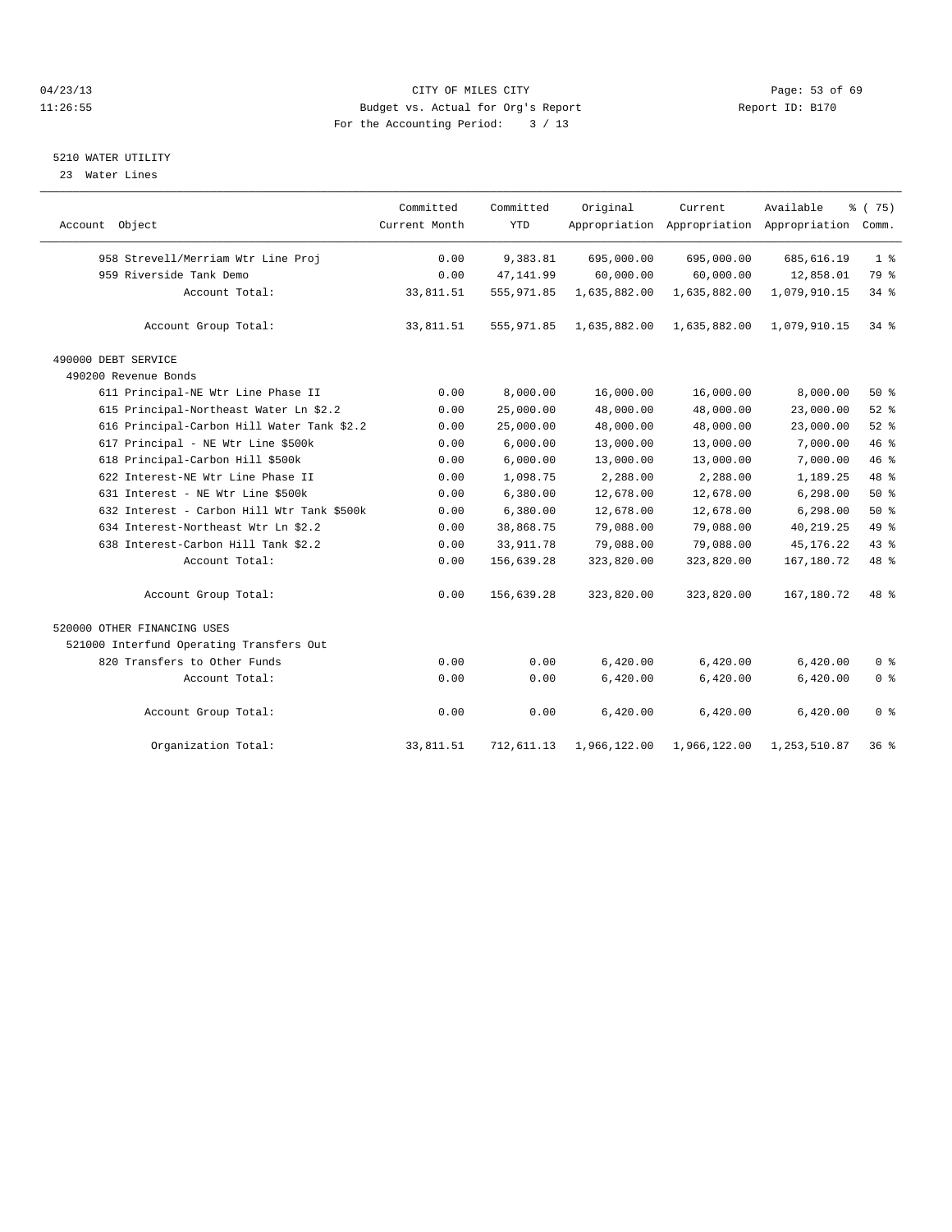# 04/23/13 Page: 53 of 69 11:26:55 Budget vs. Actual for Org's Report Report ID: B170 For the Accounting Period: 3 / 13

#### 5210 WATER UTILITY

23 Water Lines

|                                            | Committed     | Committed   | Original     | Current      | Available                                 | % (75)         |
|--------------------------------------------|---------------|-------------|--------------|--------------|-------------------------------------------|----------------|
| Account Object                             | Current Month | <b>YTD</b>  |              |              | Appropriation Appropriation Appropriation | Comm.          |
| 958 Strevell/Merriam Wtr Line Proj         | 0.00          | 9,383.81    | 695,000.00   | 695,000.00   | 685, 616.19                               | 1 <sup>8</sup> |
| 959 Riverside Tank Demo                    | 0.00          | 47, 141.99  | 60,000.00    | 60,000.00    | 12,858.01                                 | 79 %           |
| Account Total:                             | 33,811.51     | 555, 971.85 | 1,635,882.00 | 1,635,882.00 | 1,079,910.15                              | 34%            |
| Account Group Total:                       | 33,811.51     | 555, 971.85 | 1,635,882.00 | 1,635,882.00 | 1,079,910.15                              | 34 %           |
| 490000 DEBT SERVICE                        |               |             |              |              |                                           |                |
| 490200 Revenue Bonds                       |               |             |              |              |                                           |                |
| 611 Principal-NE Wtr Line Phase II         | 0.00          | 8,000.00    | 16,000.00    | 16,000.00    | 8,000.00                                  | 50%            |
| 615 Principal-Northeast Water Ln \$2.2     | 0.00          | 25,000.00   | 48,000.00    | 48,000.00    | 23,000.00                                 | 52%            |
| 616 Principal-Carbon Hill Water Tank \$2.2 | 0.00          | 25,000.00   | 48,000.00    | 48,000.00    | 23,000.00                                 | 52%            |
| 617 Principal - NE Wtr Line \$500k         | 0.00          | 6,000.00    | 13,000.00    | 13,000.00    | 7,000.00                                  | 46 %           |
| 618 Principal-Carbon Hill \$500k           | 0.00          | 6,000.00    | 13,000.00    | 13,000.00    | 7,000.00                                  | 46 %           |
| 622 Interest-NE Wtr Line Phase II          | 0.00          | 1,098.75    | 2,288.00     | 2,288.00     | 1,189.25                                  | 48 %           |
| 631 Interest - NE Wtr Line \$500k          | 0.00          | 6,380.00    | 12,678.00    | 12,678.00    | 6,298.00                                  | $50*$          |
| 632 Interest - Carbon Hill Wtr Tank \$500k | 0.00          | 6,380.00    | 12,678.00    | 12,678.00    | 6, 298.00                                 | 50%            |
| 634 Interest-Northeast Wtr Ln \$2.2        | 0.00          | 38,868.75   | 79,088.00    | 79,088.00    | 40, 219. 25                               | 49 %           |
| 638 Interest-Carbon Hill Tank \$2.2        | 0.00          | 33, 911.78  | 79,088.00    | 79,088.00    | 45, 176. 22                               | 43 %           |
| Account Total:                             | 0.00          | 156,639.28  | 323,820.00   | 323,820.00   | 167, 180. 72                              | 48 %           |
| Account Group Total:                       | 0.00          | 156,639.28  | 323,820.00   | 323,820.00   | 167,180.72                                | 48 %           |
| 520000 OTHER FINANCING USES                |               |             |              |              |                                           |                |
| 521000 Interfund Operating Transfers Out   |               |             |              |              |                                           |                |
| 820 Transfers to Other Funds               | 0.00          | 0.00        | 6,420.00     | 6,420.00     | 6,420.00                                  | 0 <sup>°</sup> |
| Account Total:                             | 0.00          | 0.00        | 6,420.00     | 6,420.00     | 6,420.00                                  | 0 <sup>°</sup> |
| Account Group Total:                       | 0.00          | 0.00        | 6,420.00     | 6,420.00     | 6,420.00                                  | 0 <sup>8</sup> |
| Organization Total:                        | 33,811.51     | 712,611.13  | 1,966,122.00 | 1,966,122.00 | 1,253,510.87                              | 36%            |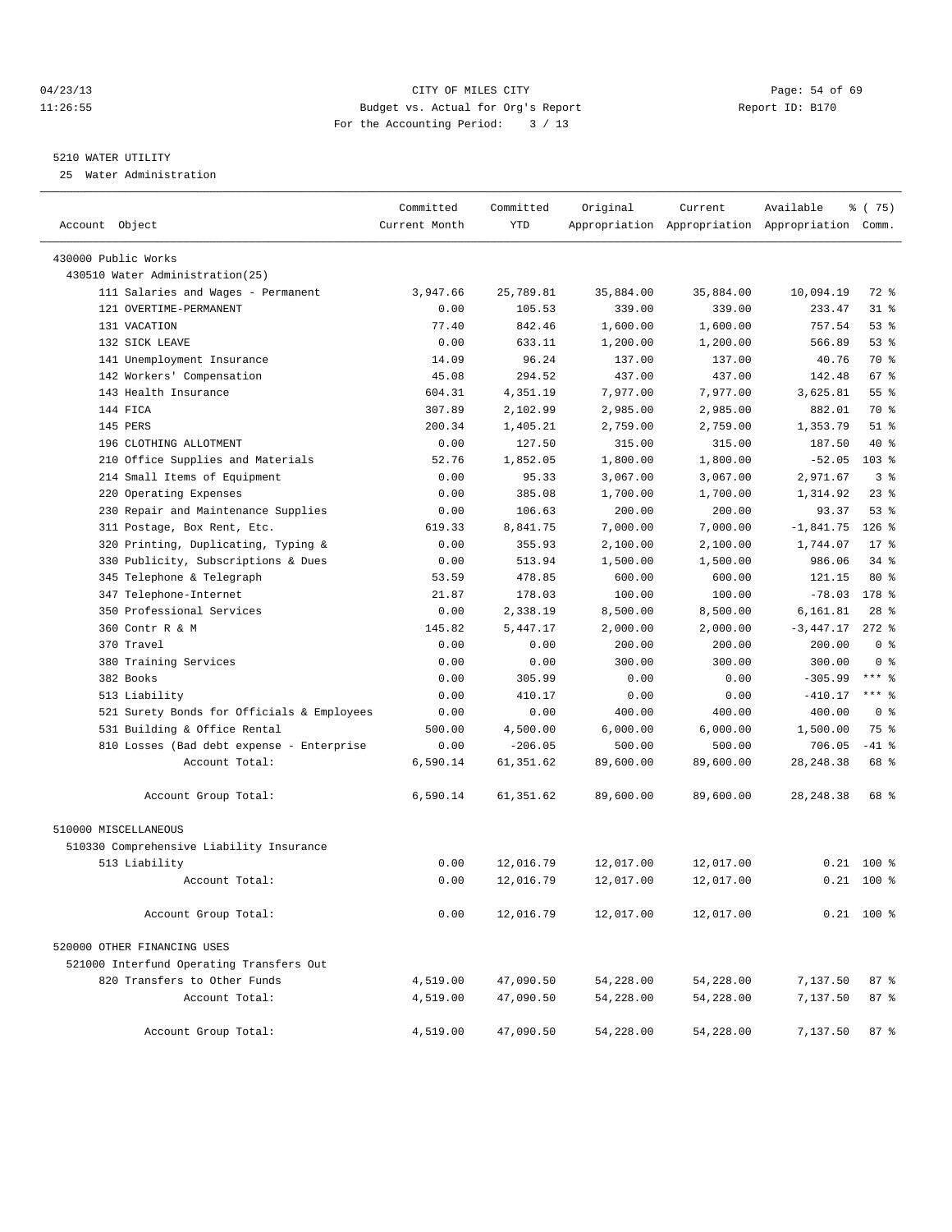# 04/23/13 Page: 54 of 69 11:26:55 Budget vs. Actual for Org's Report Report ID: B170 For the Accounting Period: 3 / 13

————————————————————————————————————————————————————————————————————————————————————————————————————————————————————————————————————

# 5210 WATER UTILITY

25 Water Administration

|                                            | Committed     | Committed  | Original  | Current   | Available                                       | १८(75)          |
|--------------------------------------------|---------------|------------|-----------|-----------|-------------------------------------------------|-----------------|
| Account Object                             | Current Month | <b>YTD</b> |           |           | Appropriation Appropriation Appropriation Comm. |                 |
| 430000 Public Works                        |               |            |           |           |                                                 |                 |
| 430510 Water Administration(25)            |               |            |           |           |                                                 |                 |
| 111 Salaries and Wages - Permanent         | 3,947.66      | 25,789.81  | 35,884.00 | 35,884.00 | 10,094.19                                       | 72 %            |
| 121 OVERTIME-PERMANENT                     | 0.00          | 105.53     | 339.00    | 339.00    | 233.47                                          | $31$ %          |
| 131 VACATION                               | 77.40         | 842.46     | 1,600.00  | 1,600.00  | 757.54                                          | $53$ $%$        |
| 132 SICK LEAVE                             | 0.00          | 633.11     | 1,200.00  | 1,200.00  | 566.89                                          | 53%             |
| 141 Unemployment Insurance                 | 14.09         | 96.24      | 137.00    | 137.00    | 40.76                                           | 70 %            |
| 142 Workers' Compensation                  | 45.08         | 294.52     | 437.00    | 437.00    | 142.48                                          | 67 %            |
| 143 Health Insurance                       | 604.31        | 4,351.19   | 7,977.00  | 7,977.00  | 3,625.81                                        | 55 <sup>8</sup> |
| 144 FICA                                   | 307.89        | 2,102.99   | 2,985.00  | 2,985.00  | 882.01                                          | 70 %            |
| 145 PERS                                   | 200.34        | 1,405.21   | 2,759.00  | 2,759.00  | 1,353.79                                        | $51$ %          |
| 196 CLOTHING ALLOTMENT                     | 0.00          | 127.50     | 315.00    | 315.00    | 187.50                                          | 40 %            |
| 210 Office Supplies and Materials          | 52.76         | 1,852.05   | 1,800.00  | 1,800.00  | $-52.05$                                        | 103 %           |
| 214 Small Items of Equipment               | 0.00          | 95.33      | 3,067.00  | 3,067.00  | 2,971.67                                        | 3 <sup>8</sup>  |
| 220 Operating Expenses                     | 0.00          | 385.08     | 1,700.00  | 1,700.00  | 1,314.92                                        | $23$ $%$        |
| 230 Repair and Maintenance Supplies        | 0.00          | 106.63     | 200.00    | 200.00    | 93.37                                           | $53$ $%$        |
| 311 Postage, Box Rent, Etc.                | 619.33        | 8,841.75   | 7,000.00  | 7,000.00  | $-1,841.75$                                     | $126$ %         |
| 320 Printing, Duplicating, Typing &        | 0.00          | 355.93     | 2,100.00  | 2,100.00  | 1,744.07                                        | $17*$           |
| 330 Publicity, Subscriptions & Dues        | 0.00          | 513.94     | 1,500.00  | 1,500.00  | 986.06                                          | $34$ $%$        |
| 345 Telephone & Telegraph                  | 53.59         | 478.85     | 600.00    | 600.00    | 121.15                                          | $80*$           |
| 347 Telephone-Internet                     | 21.87         | 178.03     | 100.00    | 100.00    | $-78.03$                                        | $178$ %         |
| 350 Professional Services                  | 0.00          | 2,338.19   | 8,500.00  | 8,500.00  | 6,161.81                                        | $28$ %          |
| 360 Contr R & M                            | 145.82        | 5,447.17   | 2,000.00  | 2,000.00  | $-3,447.17$                                     | $272$ %         |
| 370 Travel                                 | 0.00          | 0.00       | 200.00    | 200.00    | 200.00                                          | 0 <sup>8</sup>  |
| 380 Training Services                      | 0.00          | 0.00       | 300.00    | 300.00    | 300.00                                          | 0 <sup>8</sup>  |
| 382 Books                                  | 0.00          | 305.99     | 0.00      | 0.00      | $-305.99$                                       | $***$ $-$       |
| 513 Liability                              | 0.00          | 410.17     | 0.00      | 0.00      | $-410.17$                                       | $***$ $%$       |
| 521 Surety Bonds for Officials & Employees | 0.00          | 0.00       | 400.00    | 400.00    | 400.00                                          | 0 <sup>8</sup>  |
| 531 Building & Office Rental               | 500.00        | 4,500.00   | 6,000.00  | 6,000.00  | 1,500.00                                        | 75 %            |
| 810 Losses (Bad debt expense - Enterprise  | 0.00          | $-206.05$  | 500.00    | 500.00    | 706.05                                          | $-41$ %         |
| Account Total:                             | 6,590.14      | 61, 351.62 | 89,600.00 | 89,600.00 | 28, 248.38                                      | 68 %            |
| Account Group Total:                       | 6,590.14      | 61,351.62  | 89,600.00 | 89,600.00 | 28, 248.38                                      | 68 %            |
| 510000 MISCELLANEOUS                       |               |            |           |           |                                                 |                 |
| 510330 Comprehensive Liability Insurance   |               |            |           |           |                                                 |                 |
| 513 Liability                              | 0.00          | 12,016.79  | 12,017.00 | 12,017.00 |                                                 | $0.21$ 100 %    |
| Account Total:                             | 0.00          | 12,016.79  | 12,017.00 | 12,017.00 |                                                 | $0.21$ 100 %    |
| Account Group Total:                       | 0.00          | 12,016.79  | 12,017.00 | 12,017.00 |                                                 | $0.21$ 100 %    |
| 520000 OTHER FINANCING USES                |               |            |           |           |                                                 |                 |
| 521000 Interfund Operating Transfers Out   |               |            |           |           |                                                 |                 |
| 820 Transfers to Other Funds               | 4,519.00      | 47,090.50  | 54,228.00 | 54,228.00 | 7,137.50                                        | 87 %            |
| Account Total:                             | 4,519.00      | 47,090.50  | 54,228.00 | 54,228.00 | 7,137.50                                        | 87 %            |
| Account Group Total:                       | 4,519.00      | 47,090.50  | 54,228.00 | 54,228.00 | 7,137.50                                        | 87%             |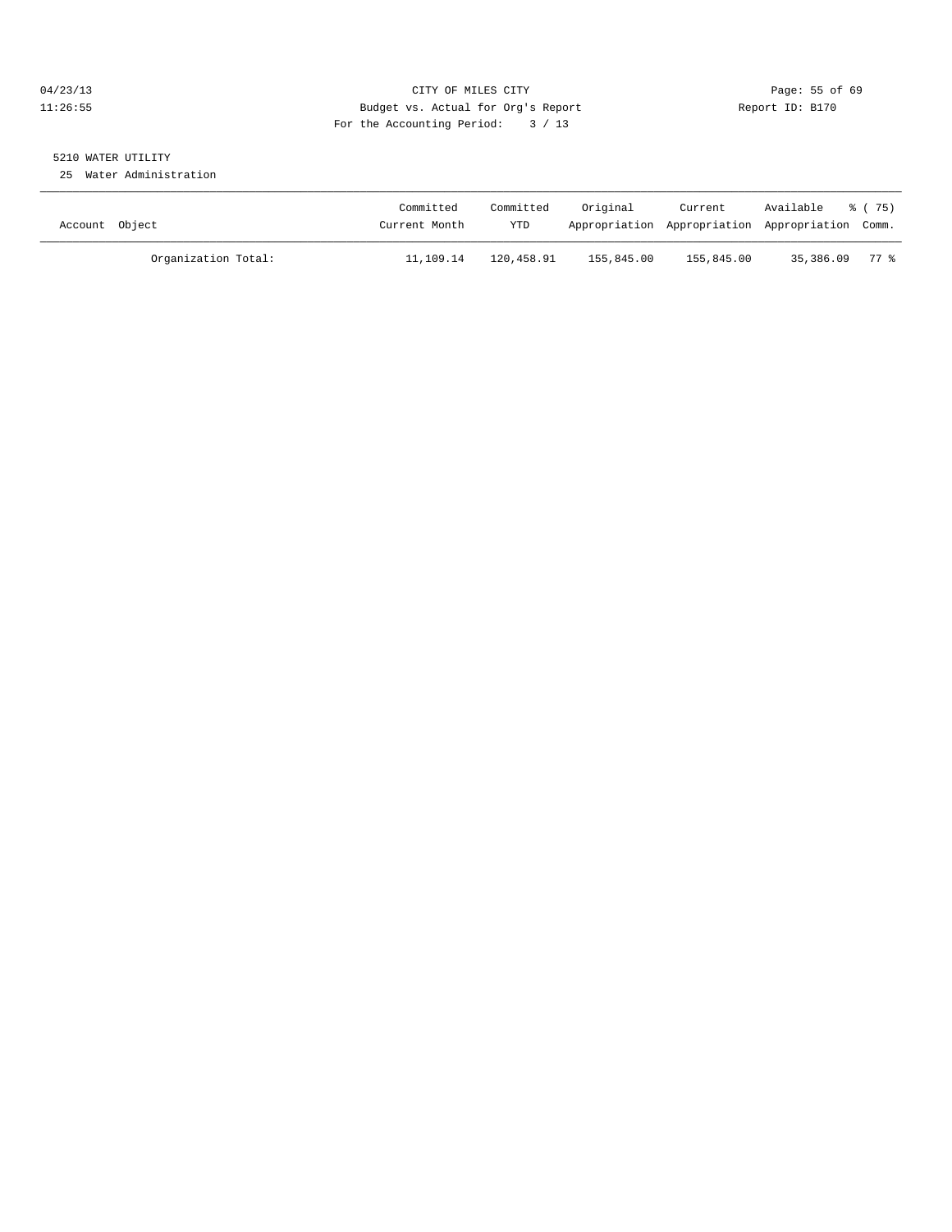# 04/23/13 Page: 55 of 69 11:26:55 Budget vs. Actual for Org's Report Report ID: B170 For the Accounting Period: 3 / 13

# 5210 WATER UTILITY

25 Water Administration

| Account Object      | Committed<br>Current Month | Committed<br>YTD | Original   | Current<br>Appropriation Appropriation Appropriation Comm. | Available % (75) |  |
|---------------------|----------------------------|------------------|------------|------------------------------------------------------------|------------------|--|
| Organization Total: | 11,109.14                  | 120,458.91       | 155,845.00 | 155,845.00                                                 | 35,386.09 77 %   |  |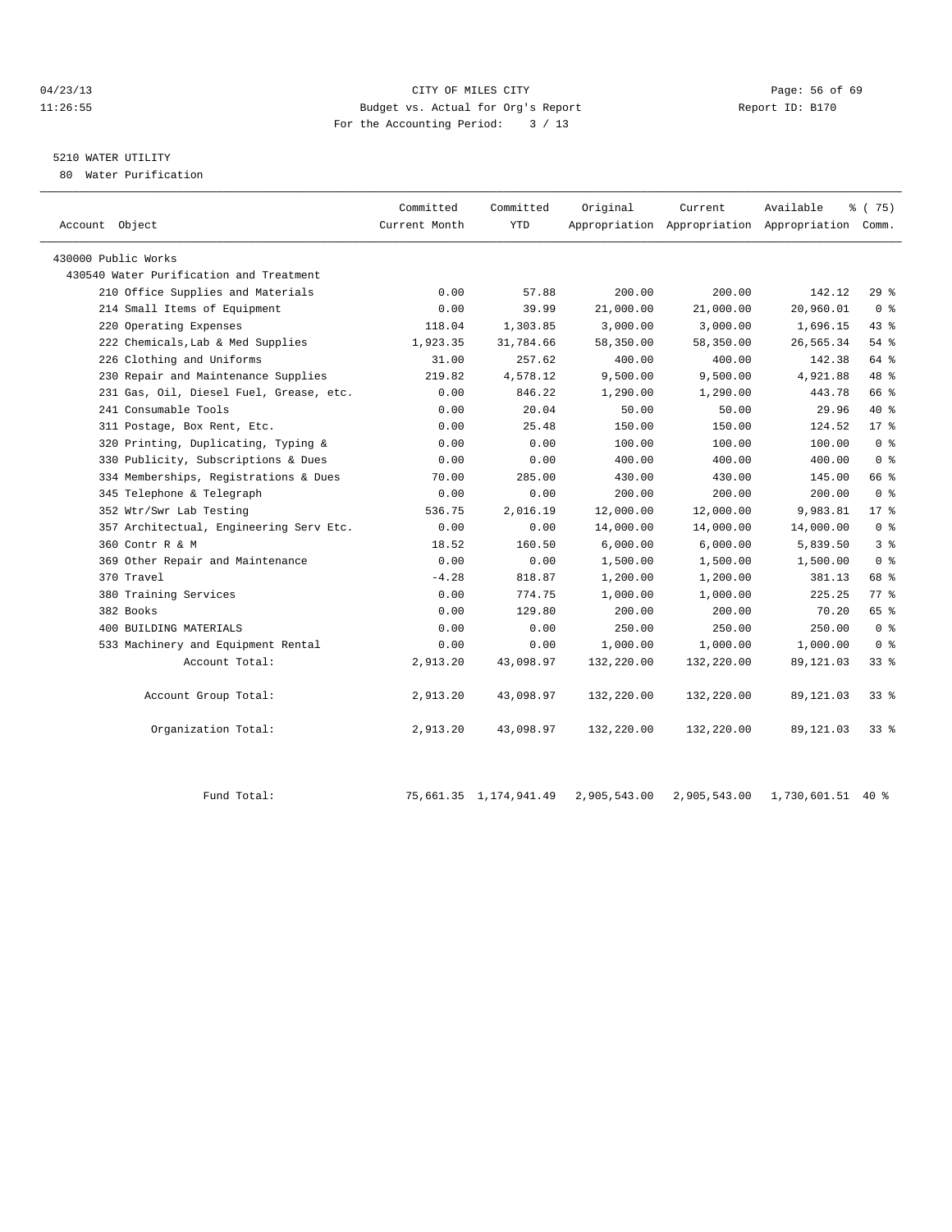## 04/23/13 Page: 56 of 69 11:26:55 Budget vs. Actual for Org's Report Report ID: B170 For the Accounting Period: 3 / 13

# 5210 WATER UTILITY

80 Water Purification

| Account Object                          | Committed<br>Current Month | Committed<br><b>YTD</b> | Original   | Current    | Available<br>Appropriation Appropriation Appropriation Comm. | 8 (75)         |  |
|-----------------------------------------|----------------------------|-------------------------|------------|------------|--------------------------------------------------------------|----------------|--|
|                                         |                            |                         |            |            |                                                              |                |  |
| 430000 Public Works                     |                            |                         |            |            |                                                              |                |  |
| 430540 Water Purification and Treatment |                            |                         |            |            |                                                              |                |  |
| 210 Office Supplies and Materials       | 0.00                       | 57.88                   | 200.00     | 200.00     | 142.12                                                       | $29*$          |  |
| 214 Small Items of Equipment            | 0.00                       | 39.99                   | 21,000.00  | 21,000.00  | 20,960.01                                                    | 0 <sup>8</sup> |  |
| 220 Operating Expenses                  | 118.04                     | 1,303.85                | 3,000.00   | 3,000.00   | 1,696.15                                                     | 43.8           |  |
| 222 Chemicals, Lab & Med Supplies       | 1,923.35                   | 31,784.66               | 58,350.00  | 58,350.00  | 26,565.34                                                    | 54 %           |  |
| 226 Clothing and Uniforms               | 31.00                      | 257.62                  | 400.00     | 400.00     | 142.38                                                       | 64 %           |  |
| 230 Repair and Maintenance Supplies     | 219.82                     | 4,578.12                | 9,500.00   | 9,500.00   | 4,921.88                                                     | 48 %           |  |
| 231 Gas, Oil, Diesel Fuel, Grease, etc. | 0.00                       | 846.22                  | 1,290.00   | 1,290.00   | 443.78                                                       | 66 %           |  |
| 241 Consumable Tools                    | 0.00                       | 20.04                   | 50.00      | 50.00      | 29.96                                                        | $40*$          |  |
| 311 Postage, Box Rent, Etc.             | 0.00                       | 25.48                   | 150.00     | 150.00     | 124.52                                                       | $17*$          |  |
| 320 Printing, Duplicating, Typing &     | 0.00                       | 0.00                    | 100.00     | 100.00     | 100.00                                                       | 0 <sup>8</sup> |  |
| 330 Publicity, Subscriptions & Dues     | 0.00                       | 0.00                    | 400.00     | 400.00     | 400.00                                                       | 0 <sup>8</sup> |  |
| 334 Memberships, Registrations & Dues   | 70.00                      | 285.00                  | 430.00     | 430.00     | 145.00                                                       | 66 %           |  |
| 345 Telephone & Telegraph               | 0.00                       | 0.00                    | 200.00     | 200.00     | 200.00                                                       | 0 <sup>8</sup> |  |
| 352 Wtr/Swr Lab Testing                 | 536.75                     | 2,016.19                | 12,000.00  | 12,000.00  | 9,983.81                                                     | $17*$          |  |
| 357 Architectual, Engineering Serv Etc. | 0.00                       | 0.00                    | 14,000.00  | 14,000.00  | 14,000.00                                                    | 0 <sup>8</sup> |  |
| 360 Contr R & M                         | 18.52                      | 160.50                  | 6,000.00   | 6,000.00   | 5,839.50                                                     | 3 <sup>8</sup> |  |
| 369 Other Repair and Maintenance        | 0.00                       | 0.00                    | 1,500.00   | 1,500.00   | 1,500.00                                                     | 0 <sup>8</sup> |  |
| 370 Travel                              | $-4.28$                    | 818.87                  | 1,200.00   | 1,200.00   | 381.13                                                       | 68 %           |  |
| 380 Training Services                   | 0.00                       | 774.75                  | 1,000.00   | 1,000.00   | 225.25                                                       | $77*$          |  |
| 382 Books                               | 0.00                       | 129.80                  | 200.00     | 200.00     | 70.20                                                        | 65 %           |  |
| 400 BUILDING MATERIALS                  | 0.00                       | 0.00                    | 250.00     | 250.00     | 250.00                                                       | 0 <sup>8</sup> |  |
| 533 Machinery and Equipment Rental      | 0.00                       | 0.00                    | 1,000.00   | 1,000.00   | 1,000.00                                                     | 0 <sup>8</sup> |  |
| Account Total:                          | 2,913.20                   | 43,098.97               | 132,220.00 | 132,220.00 | 89, 121.03                                                   | $33*$          |  |
| Account Group Total:                    | 2,913.20                   | 43,098.97               | 132,220.00 | 132,220.00 | 89, 121.03                                                   | $33*$          |  |
| Organization Total:                     | 2,913.20                   | 43,098.97               | 132,220.00 | 132,220.00 | 89, 121.03                                                   | $33*$          |  |
|                                         |                            |                         |            |            |                                                              |                |  |

Fund Total: 75,661.35 1,174,941.49 2,905,543.00 2,905,543.00 1,730,601.51 40 %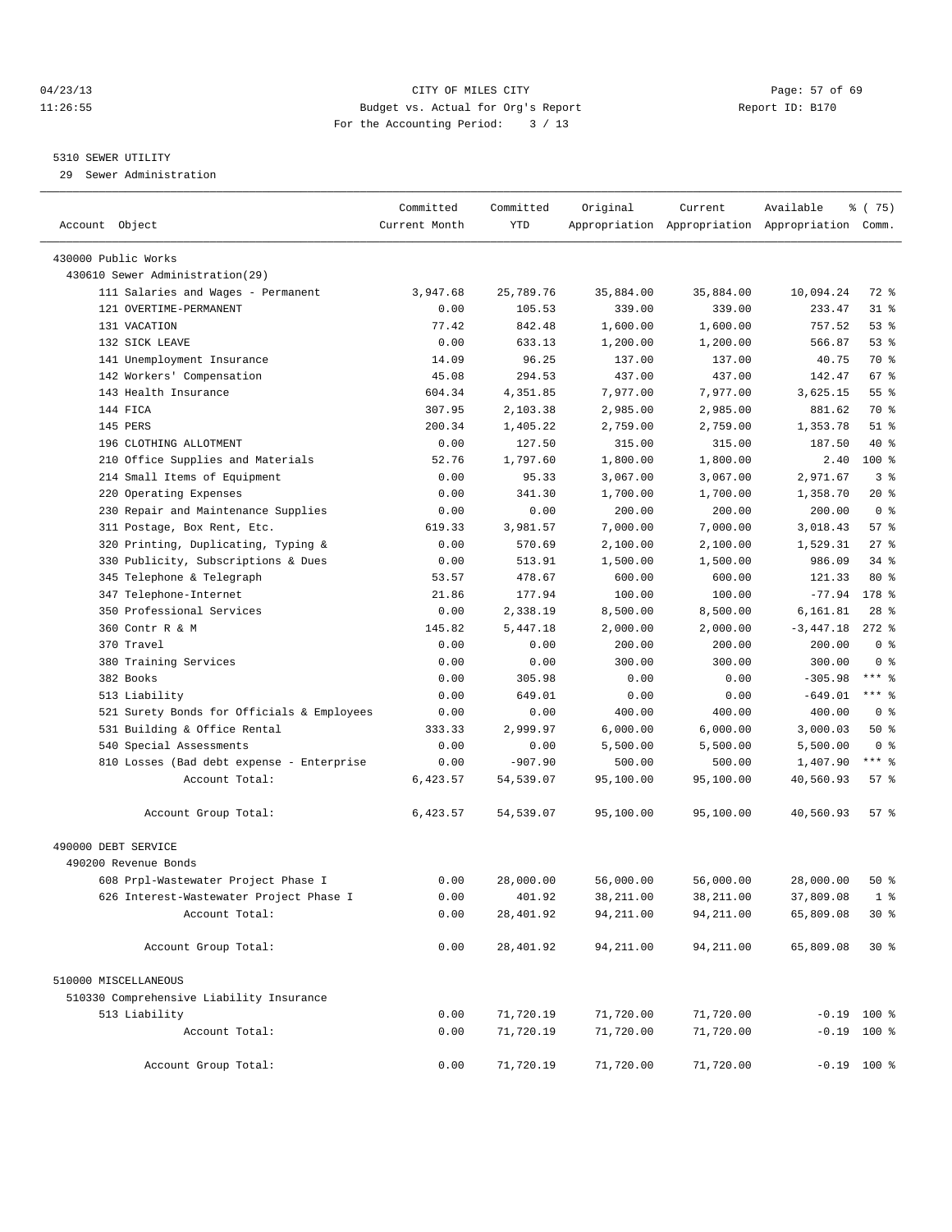# 04/23/13 Page: 57 of 69 11:26:55 Budget vs. Actual for Org's Report Report ID: B170 For the Accounting Period: 3 / 13

#### 5310 SEWER UTILITY

29 Sewer Administration

| Account Object                                          | Committed<br>Current Month | Committed<br>YTD | Original           | Current             | Available<br>Appropriation Appropriation Appropriation Comm. | १८(75)          |  |
|---------------------------------------------------------|----------------------------|------------------|--------------------|---------------------|--------------------------------------------------------------|-----------------|--|
|                                                         |                            |                  |                    |                     |                                                              |                 |  |
| 430000 Public Works<br>430610 Sewer Administration (29) |                            |                  |                    |                     |                                                              |                 |  |
| 111 Salaries and Wages - Permanent                      | 3,947.68                   | 25,789.76        |                    |                     | 10,094.24                                                    | 72 %            |  |
| 121 OVERTIME-PERMANENT                                  | 0.00                       | 105.53           | 35,884.00          | 35,884.00<br>339.00 | 233.47                                                       | $31$ $%$        |  |
| 131 VACATION                                            | 77.42                      | 842.48           | 339.00             | 1,600.00            | 757.52                                                       | 53%             |  |
| 132 SICK LEAVE                                          |                            | 633.13           | 1,600.00           |                     | 566.87                                                       | 53%             |  |
| 141 Unemployment Insurance                              | 0.00<br>14.09              | 96.25            | 1,200.00<br>137.00 | 1,200.00<br>137.00  | 40.75                                                        | 70 %            |  |
|                                                         |                            | 294.53           |                    |                     | 142.47                                                       | 67 %            |  |
| 142 Workers' Compensation                               | 45.08<br>604.34            |                  | 437.00             | 437.00<br>7,977.00  |                                                              | 55 <sup>8</sup> |  |
| 143 Health Insurance<br>144 FICA                        |                            | 4,351.85         | 7,977.00           |                     | 3,625.15                                                     |                 |  |
|                                                         | 307.95                     | 2,103.38         | 2,985.00           | 2,985.00            | 881.62                                                       | 70 %<br>$51$ %  |  |
| 145 PERS                                                | 200.34                     | 1,405.22         | 2,759.00           | 2,759.00            | 1,353.78                                                     | $40*$           |  |
| 196 CLOTHING ALLOTMENT                                  | 0.00                       | 127.50           | 315.00             | 315.00              | 187.50                                                       |                 |  |
| 210 Office Supplies and Materials                       | 52.76                      | 1,797.60         | 1,800.00           | 1,800.00            | 2.40                                                         | $100$ %         |  |
| 214 Small Items of Equipment                            | 0.00                       | 95.33            | 3,067.00           | 3,067.00            | 2,971.67                                                     | 3 <sup>8</sup>  |  |
| Operating Expenses<br>220                               | 0.00                       | 341.30           | 1,700.00           | 1,700.00            | 1,358.70                                                     | $20*$           |  |
| 230 Repair and Maintenance Supplies                     | 0.00                       | 0.00             | 200.00             | 200.00              | 200.00                                                       | 0 <sup>8</sup>  |  |
| 311 Postage, Box Rent, Etc.                             | 619.33                     | 3,981.57         | 7,000.00           | 7,000.00            | 3,018.43                                                     | 57%             |  |
| 320 Printing, Duplicating, Typing &                     | 0.00                       | 570.69           | 2,100.00           | 2,100.00            | 1,529.31                                                     | 27%             |  |
| 330 Publicity, Subscriptions & Dues                     | 0.00                       | 513.91           | 1,500.00           | 1,500.00            | 986.09                                                       | $34$ $%$        |  |
| Telephone & Telegraph<br>345                            | 53.57                      | 478.67           | 600.00             | 600.00              | 121.33                                                       | $80*$           |  |
| 347 Telephone-Internet                                  | 21.86                      | 177.94           | 100.00             | 100.00              | $-77.94$                                                     | 178 %           |  |
| 350 Professional Services                               | 0.00                       | 2,338.19         | 8,500.00           | 8,500.00            | 6,161.81                                                     | $28$ %          |  |
| 360 Contr R & M                                         | 145.82                     | 5,447.18         | 2,000.00           | 2,000.00            | $-3,447.18$                                                  | $272$ %         |  |
| 370 Travel                                              | 0.00                       | 0.00             | 200.00             | 200.00              | 200.00                                                       | 0 <sup>8</sup>  |  |
| 380 Training Services                                   | 0.00                       | 0.00             | 300.00             | 300.00              | 300.00                                                       | 0 <sup>8</sup>  |  |
| 382 Books                                               | 0.00                       | 305.98           | 0.00               | 0.00                | $-305.98$                                                    | $***$ $_{8}$    |  |
| 513 Liability                                           | 0.00                       | 649.01           | 0.00               | 0.00                | $-649.01$                                                    | *** 8           |  |
| 521 Surety Bonds for Officials & Employees              | 0.00                       | 0.00             | 400.00             | 400.00              | 400.00                                                       | 0 <sup>8</sup>  |  |
| 531 Building & Office Rental                            | 333.33                     | 2,999.97         | 6,000.00           | 6,000.00            | 3,000.03                                                     | 50%             |  |
| 540 Special Assessments                                 | 0.00                       | 0.00             | 5,500.00           | 5,500.00            | 5,500.00                                                     | 0 <sup>8</sup>  |  |
| 810 Losses (Bad debt expense - Enterprise               | 0.00                       | $-907.90$        | 500.00             | 500.00              | 1,407.90                                                     | $***$ $%$       |  |
| Account Total:                                          | 6,423.57                   | 54,539.07        | 95,100.00          | 95,100.00           | 40,560.93                                                    | $57$ $%$        |  |
| Account Group Total:                                    | 6,423.57                   | 54,539.07        | 95,100.00          | 95,100.00           | 40,560.93                                                    | 57%             |  |
| 490000 DEBT SERVICE                                     |                            |                  |                    |                     |                                                              |                 |  |
| 490200 Revenue Bonds                                    |                            |                  |                    |                     |                                                              |                 |  |
| 608 Prpl-Wastewater Project Phase I                     | 0.00                       | 28,000.00        | 56,000.00          | 56,000.00           | 28,000.00                                                    | $50*$           |  |
| 626 Interest-Wastewater Project Phase I                 | 0.00                       | 401.92           | 38,211.00          | 38,211.00           | 37,809.08                                                    | 1 <sup>8</sup>  |  |
| Account Total:                                          | 0.00                       | 28,401.92        | 94, 211.00         | 94, 211.00          | 65,809.08                                                    | $30*$           |  |
| Account Group Total:                                    | 0.00                       | 28,401.92        | 94,211.00          | 94,211.00           | 65,809.08                                                    | $30*$           |  |
| 510000 MISCELLANEOUS                                    |                            |                  |                    |                     |                                                              |                 |  |
| 510330 Comprehensive Liability Insurance                |                            |                  |                    |                     |                                                              |                 |  |
| 513 Liability                                           | 0.00                       | 71,720.19        | 71,720.00          | 71,720.00           | $-0.19$ 100 %                                                |                 |  |
| Account Total:                                          | 0.00                       | 71,720.19        | 71,720.00          | 71,720.00           | $-0.19$ 100 %                                                |                 |  |
|                                                         |                            |                  |                    |                     |                                                              |                 |  |
| Account Group Total:                                    | 0.00                       | 71,720.19        | 71,720.00          | 71,720.00           | $-0.19$ 100 %                                                |                 |  |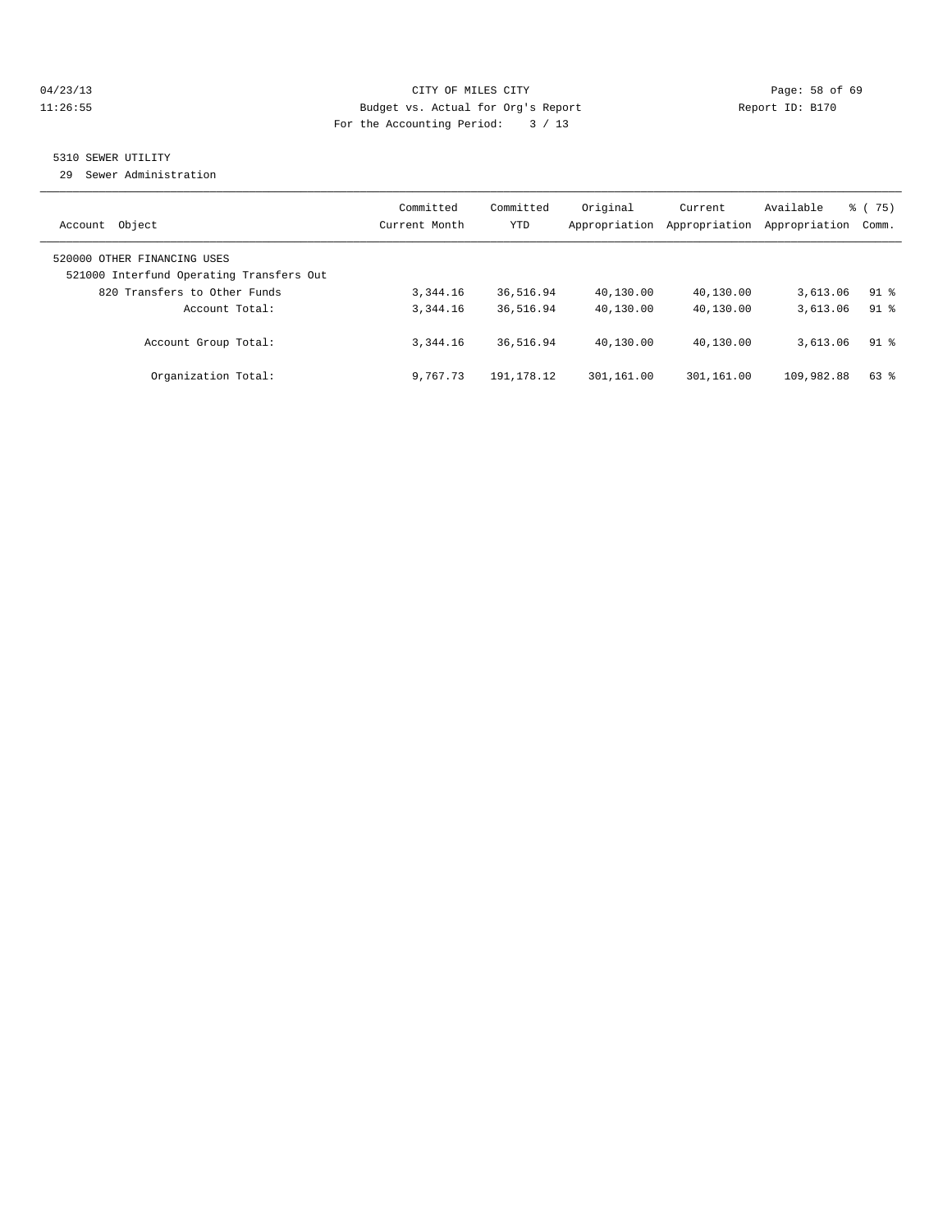# 04/23/13 Page: 58 of 69 11:26:55 Budget vs. Actual for Org's Report Report ID: B170 For the Accounting Period: 3 / 13

# 5310 SEWER UTILITY

29 Sewer Administration

| Object<br>Account                                                                                       | Committed<br>Current Month | Committed<br><b>YTD</b> | Original<br>Appropriation | Current<br>Appropriation | Available<br>Appropriation | $\frac{3}{6}$ (75)<br>Comm. |
|---------------------------------------------------------------------------------------------------------|----------------------------|-------------------------|---------------------------|--------------------------|----------------------------|-----------------------------|
| 520000 OTHER FINANCING USES<br>521000 Interfund Operating Transfers Out<br>820 Transfers to Other Funds | 3, 344, 16                 | 36,516.94               | 40,130.00                 | 40,130.00                | 3,613.06                   | $91$ %                      |
| Account Total:                                                                                          | 3,344.16                   | 36,516.94               | 40,130.00                 | 40,130.00                | 3,613.06                   | $91*$                       |
| Account Group Total:                                                                                    | 3,344.16                   | 36,516.94               | 40,130.00                 | 40,130.00                | 3,613.06                   | $91$ %                      |
| Organization Total:                                                                                     | 9,767.73                   | 191, 178. 12            | 301,161.00                | 301,161.00               | 109,982.88                 | 63 %                        |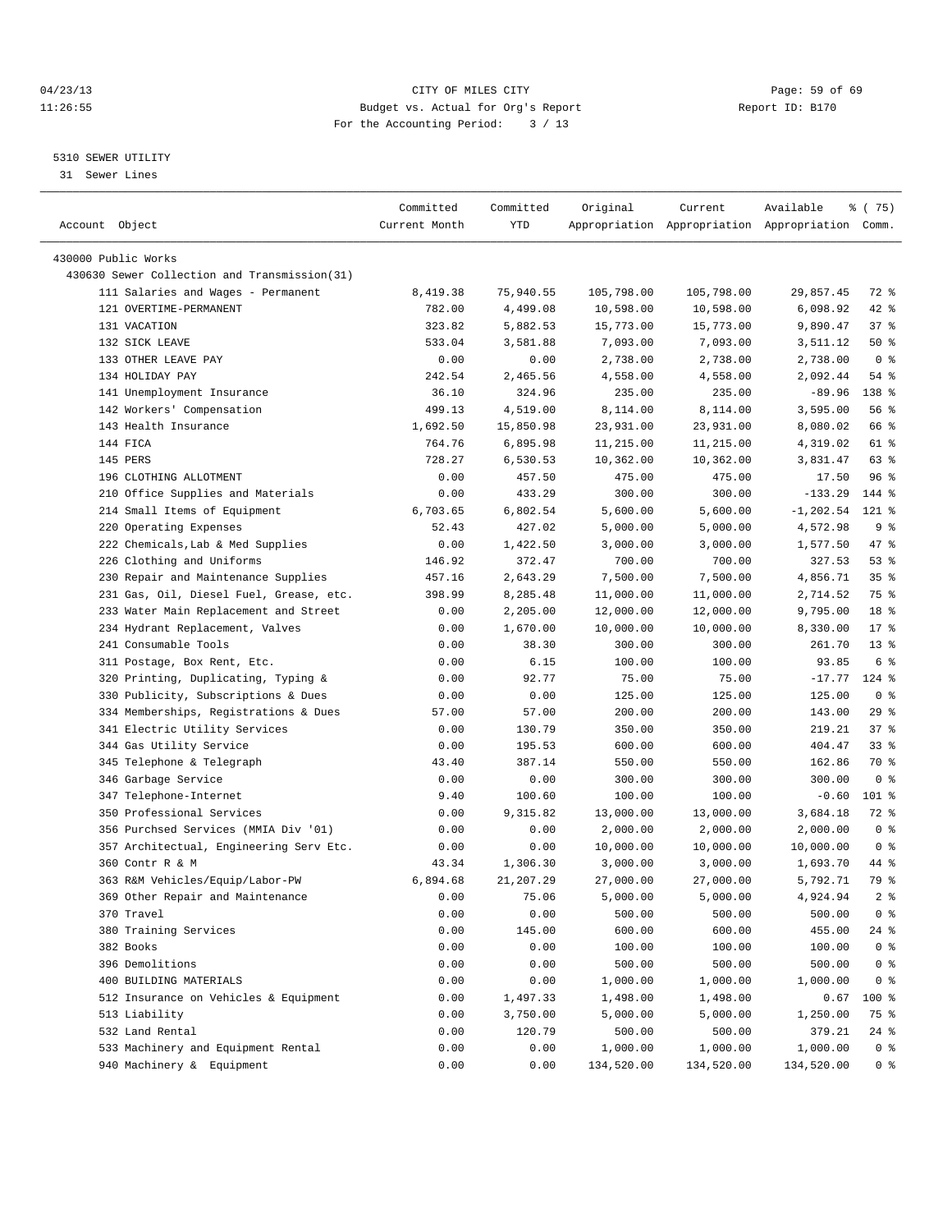# 04/23/13 Page: 59 of 69 11:26:55 Budget vs. Actual for Org's Report Report ID: B170 For the Accounting Period: 3 / 13

————————————————————————————————————————————————————————————————————————————————————————————————————————————————————————————————————

# 5310 SEWER UTILITY

31 Sewer Lines

|                                              | Committed     | Committed | Original   | Current    | Available                                       | % (75)          |
|----------------------------------------------|---------------|-----------|------------|------------|-------------------------------------------------|-----------------|
| Account Object                               | Current Month | YTD       |            |            | Appropriation Appropriation Appropriation Comm. |                 |
| 430000 Public Works                          |               |           |            |            |                                                 |                 |
| 430630 Sewer Collection and Transmission(31) |               |           |            |            |                                                 |                 |
| 111 Salaries and Wages - Permanent           | 8,419.38      | 75,940.55 | 105,798.00 | 105,798.00 | 29,857.45                                       | 72 %            |
| 121 OVERTIME-PERMANENT                       | 782.00        | 4,499.08  | 10,598.00  | 10,598.00  | 6,098.92                                        | $42$ %          |
| 131 VACATION                                 | 323.82        | 5,882.53  | 15,773.00  | 15,773.00  | 9,890.47                                        | 37%             |
| 132 SICK LEAVE                               | 533.04        | 3,581.88  | 7,093.00   | 7,093.00   | 3,511.12                                        | 50%             |
| 133 OTHER LEAVE PAY                          | 0.00          | 0.00      | 2,738.00   | 2,738.00   | 2,738.00                                        | 0 <sup>8</sup>  |
| 134 HOLIDAY PAY                              | 242.54        | 2,465.56  | 4,558.00   | 4,558.00   | 2,092.44                                        | 54 %            |
| 141 Unemployment Insurance                   | 36.10         | 324.96    | 235.00     | 235.00     | $-89.96$                                        | 138 %           |
| 142 Workers' Compensation                    | 499.13        | 4,519.00  | 8,114.00   | 8,114.00   | 3,595.00                                        | 56%             |
| 143 Health Insurance                         | 1,692.50      | 15,850.98 | 23,931.00  | 23,931.00  | 8,080.02                                        | 66 %            |
| 144 FICA                                     | 764.76        | 6,895.98  | 11,215.00  | 11,215.00  | 4,319.02                                        | 61 %            |
| 145 PERS                                     | 728.27        | 6,530.53  | 10,362.00  | 10,362.00  | 3,831.47                                        | 63 %            |
| 196 CLOTHING ALLOTMENT                       | 0.00          | 457.50    | 475.00     | 475.00     | 17.50                                           | 96 %            |
| 210 Office Supplies and Materials            | 0.00          | 433.29    | 300.00     | 300.00     | $-133.29$                                       | 144 %           |
| 214 Small Items of Equipment                 | 6,703.65      | 6,802.54  | 5,600.00   | 5,600.00   | $-1, 202.54$                                    | $121$ %         |
| 220 Operating Expenses                       | 52.43         | 427.02    | 5,000.00   | 5,000.00   | 4,572.98                                        | 9%              |
| 222 Chemicals, Lab & Med Supplies            | 0.00          | 1,422.50  | 3,000.00   | 3,000.00   | 1,577.50                                        | 47 %            |
| 226 Clothing and Uniforms                    | 146.92        | 372.47    | 700.00     | 700.00     | 327.53                                          | 53%             |
| 230 Repair and Maintenance Supplies          | 457.16        | 2,643.29  | 7,500.00   | 7,500.00   | 4,856.71                                        | 35 <sup>8</sup> |
| 231 Gas, Oil, Diesel Fuel, Grease, etc.      | 398.99        | 8,285.48  | 11,000.00  | 11,000.00  | 2,714.52                                        | 75 %            |
| 233 Water Main Replacement and Street        | 0.00          | 2,205.00  | 12,000.00  | 12,000.00  | 9,795.00                                        | 18 %            |
| 234 Hydrant Replacement, Valves              | 0.00          | 1,670.00  | 10,000.00  | 10,000.00  | 8,330.00                                        | $17*$           |
| 241 Consumable Tools                         | 0.00          | 38.30     | 300.00     | 300.00     | 261.70                                          | $13*$           |
| 311 Postage, Box Rent, Etc.                  | 0.00          | 6.15      | 100.00     | 100.00     | 93.85                                           | 6 %             |
| 320 Printing, Duplicating, Typing &          | 0.00          | 92.77     | 75.00      | 75.00      | $-17.77$                                        | 124 %           |
| 330 Publicity, Subscriptions & Dues          | 0.00          | 0.00      | 125.00     | 125.00     | 125.00                                          | 0 <sup>8</sup>  |
| 334 Memberships, Registrations & Dues        | 57.00         | 57.00     | 200.00     | 200.00     | 143.00                                          | 29%             |
| 341 Electric Utility Services                | 0.00          | 130.79    | 350.00     | 350.00     | 219.21                                          | 37%             |
| 344 Gas Utility Service                      | 0.00          | 195.53    | 600.00     | 600.00     | 404.47                                          | $33$ $%$        |
| 345 Telephone & Telegraph                    | 43.40         | 387.14    | 550.00     | 550.00     | 162.86                                          | 70 %            |
| 346 Garbage Service                          | 0.00          | 0.00      | 300.00     | 300.00     | 300.00                                          | 0 <sup>8</sup>  |
| 347 Telephone-Internet                       | 9.40          | 100.60    | 100.00     | 100.00     | $-0.60$                                         | $101$ %         |
| 350 Professional Services                    | 0.00          | 9,315.82  | 13,000.00  | 13,000.00  | 3,684.18                                        | 72 %            |
| 356 Purchsed Services (MMIA Div '01)         | 0.00          | 0.00      | 2,000.00   | 2,000.00   | 2,000.00                                        | 0 <sup>8</sup>  |
| 357 Architectual, Engineering Serv Etc.      | 0.00          | 0.00      | 10,000.00  | 10,000.00  | 10,000.00                                       | 0 <sup>8</sup>  |
| 360 Contr R & M                              | 43.34         | 1,306.30  | 3,000.00   | 3,000.00   | 1,693.70                                        | 44 %            |
| 363 R&M Vehicles/Equip/Labor-PW              | 6,894.68      | 21,207.29 | 27,000.00  | 27,000.00  | 5,792.71                                        | 79 %            |
| 369 Other Repair and Maintenance             | 0.00          | 75.06     | 5,000.00   | 5,000.00   | 4,924.94                                        | 2 <sup>8</sup>  |
| 370 Travel                                   | 0.00          | 0.00      | 500.00     | 500.00     | 500.00                                          | 0 <sup>8</sup>  |
| 380 Training Services                        | 0.00          | 145.00    | 600.00     | 600.00     | 455.00                                          | 24 %            |
| 382 Books                                    | 0.00          | 0.00      | 100.00     | 100.00     | 100.00                                          | 0 <sup>8</sup>  |
| 396 Demolitions                              | 0.00          | 0.00      | 500.00     | 500.00     | 500.00                                          | 0 <sup>8</sup>  |
| 400 BUILDING MATERIALS                       | 0.00          | 0.00      | 1,000.00   | 1,000.00   | 1,000.00                                        | 0 <sup>8</sup>  |
| 512 Insurance on Vehicles & Equipment        | 0.00          | 1,497.33  | 1,498.00   | 1,498.00   | 0.67                                            | 100 %           |
| 513 Liability                                | 0.00          | 3,750.00  | 5,000.00   | 5,000.00   | 1,250.00                                        | 75 %            |
| 532 Land Rental                              | 0.00          | 120.79    | 500.00     | 500.00     | 379.21                                          | $24$ %          |
| 533 Machinery and Equipment Rental           | 0.00          | 0.00      | 1,000.00   | 1,000.00   | 1,000.00                                        | 0 <sup>8</sup>  |
| 940 Machinery & Equipment                    | 0.00          | 0.00      | 134,520.00 | 134,520.00 | 134,520.00                                      | 0 <sup>8</sup>  |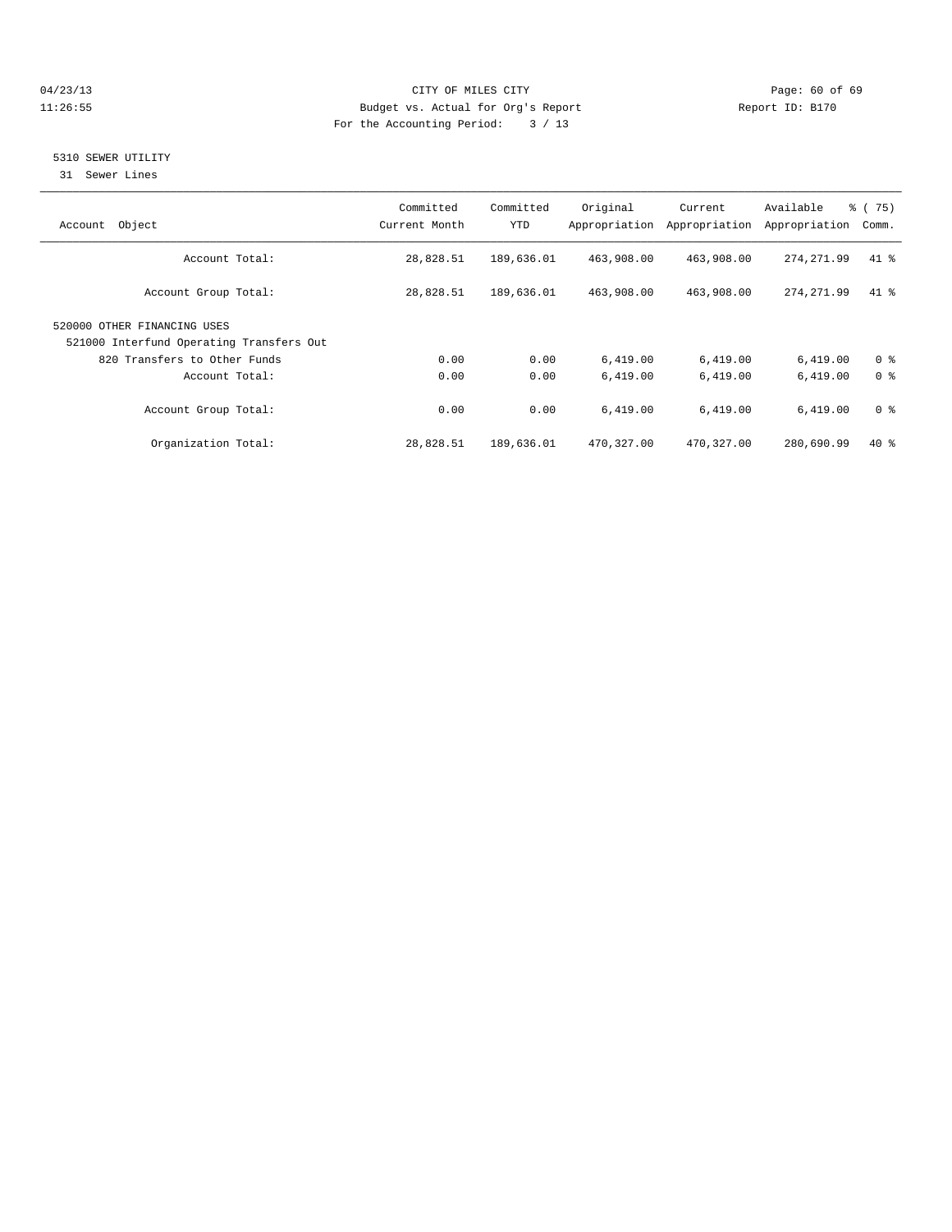# 04/23/13 Page: 60 of 69 11:26:55 Budget vs. Actual for Org's Report Report ID: B170 For the Accounting Period: 3 / 13

# 5310 SEWER UTILITY

31 Sewer Lines

| Object<br>Account                                                       | Committed<br>Current Month | Committed<br>YTD | Original   | Current<br>Appropriation Appropriation | Available<br>Appropriation | % (75)<br>Comm. |
|-------------------------------------------------------------------------|----------------------------|------------------|------------|----------------------------------------|----------------------------|-----------------|
| Account Total:                                                          | 28,828.51                  | 189,636.01       | 463,908.00 | 463,908.00                             | 274, 271.99                | $41*$           |
| Account Group Total:                                                    | 28,828.51                  | 189,636.01       | 463,908.00 | 463,908.00                             | 274, 271.99                | $41$ %          |
| 520000 OTHER FINANCING USES<br>521000 Interfund Operating Transfers Out |                            |                  |            |                                        |                            |                 |
| 820 Transfers to Other Funds                                            | 0.00                       | 0.00             | 6,419.00   | 6,419.00                               | 6,419.00                   | 0 <sup>8</sup>  |
| Account Total:                                                          | 0.00                       | 0.00             | 6,419.00   | 6,419.00                               | 6,419.00                   | 0 <sup>8</sup>  |
| Account Group Total:                                                    | 0.00                       | 0.00             | 6,419.00   | 6,419.00                               | 6,419.00                   | 0 <sup>8</sup>  |
| Organization Total:                                                     | 28,828.51                  | 189,636.01       | 470,327.00 | 470,327.00                             | 280,690.99                 | $40*$           |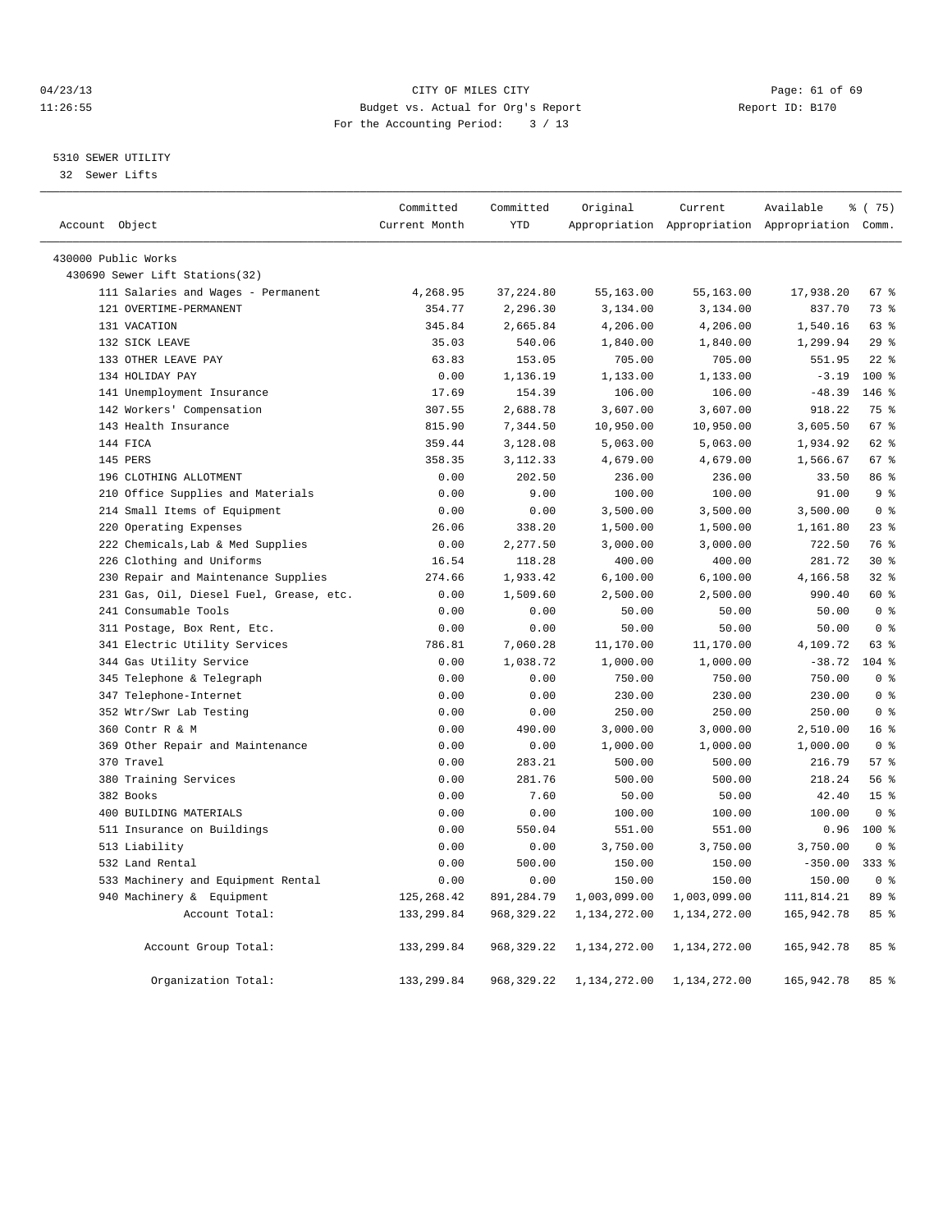# 04/23/13 Page: 61 of 69 11:26:55 Budget vs. Actual for Org's Report Report ID: B170 For the Accounting Period: 3 / 13

# 5310 SEWER UTILITY

32 Sewer Lifts

|                                         | Committed     | Committed   | Original     | Current      | Available                                       | % (75)          |  |
|-----------------------------------------|---------------|-------------|--------------|--------------|-------------------------------------------------|-----------------|--|
| Account Object                          | Current Month | <b>YTD</b>  |              |              | Appropriation Appropriation Appropriation Comm. |                 |  |
| 430000 Public Works                     |               |             |              |              |                                                 |                 |  |
| 430690 Sewer Lift Stations(32)          |               |             |              |              |                                                 |                 |  |
| 111 Salaries and Wages - Permanent      | 4,268.95      | 37, 224.80  | 55,163.00    | 55,163.00    | 17,938.20                                       | 67%             |  |
| 121 OVERTIME-PERMANENT                  | 354.77        | 2,296.30    | 3,134.00     | 3,134.00     | 837.70                                          | 73 %            |  |
| 131 VACATION                            | 345.84        | 2,665.84    | 4,206.00     | 4,206.00     | 1,540.16                                        | 63 %            |  |
| 132 SICK LEAVE                          | 35.03         | 540.06      | 1,840.00     | 1,840.00     | 1,299.94                                        | 29%             |  |
| 133 OTHER LEAVE PAY                     | 63.83         | 153.05      | 705.00       | 705.00       | 551.95                                          | $22$ $%$        |  |
| 134 HOLIDAY PAY                         | 0.00          | 1,136.19    | 1,133.00     | 1,133.00     | $-3.19$                                         | 100 %           |  |
| 141 Unemployment Insurance              | 17.69         | 154.39      | 106.00       | 106.00       | $-48.39$                                        | $146$ %         |  |
| 142 Workers' Compensation               | 307.55        | 2,688.78    | 3,607.00     | 3,607.00     | 918.22                                          | 75 %            |  |
| 143 Health Insurance                    | 815.90        | 7,344.50    | 10,950.00    | 10,950.00    | 3,605.50                                        | 67 %            |  |
| 144 FICA                                | 359.44        | 3,128.08    | 5,063.00     | 5,063.00     | 1,934.92                                        | 62 %            |  |
| 145 PERS                                | 358.35        | 3, 112.33   | 4,679.00     | 4,679.00     | 1,566.67                                        | 67 %            |  |
| 196 CLOTHING ALLOTMENT                  | 0.00          | 202.50      | 236.00       | 236.00       | 33.50                                           | 86 %            |  |
| 210 Office Supplies and Materials       | 0.00          | 9.00        | 100.00       | 100.00       | 91.00                                           | 9 <sup>8</sup>  |  |
| 214 Small Items of Equipment            | 0.00          | 0.00        | 3,500.00     | 3,500.00     | 3,500.00                                        | 0 <sup>8</sup>  |  |
| 220 Operating Expenses                  | 26.06         | 338.20      | 1,500.00     | 1,500.00     | 1,161.80                                        | 23%             |  |
| 222 Chemicals, Lab & Med Supplies       | 0.00          | 2,277.50    | 3,000.00     | 3,000.00     | 722.50                                          | 76 %            |  |
| 226 Clothing and Uniforms               | 16.54         | 118.28      | 400.00       | 400.00       | 281.72                                          | $30*$           |  |
| 230 Repair and Maintenance Supplies     | 274.66        | 1,933.42    | 6,100.00     | 6,100.00     | 4,166.58                                        | $32$ %          |  |
| 231 Gas, Oil, Diesel Fuel, Grease, etc. | 0.00          | 1,509.60    | 2,500.00     | 2,500.00     | 990.40                                          | 60 %            |  |
| 241 Consumable Tools                    | 0.00          | 0.00        | 50.00        | 50.00        | 50.00                                           | 0 <sup>8</sup>  |  |
| 311 Postage, Box Rent, Etc.             | 0.00          | 0.00        | 50.00        | 50.00        | 50.00                                           | 0 <sup>8</sup>  |  |
| 341 Electric Utility Services           | 786.81        | 7,060.28    | 11,170.00    | 11,170.00    | 4,109.72                                        | 63 %            |  |
| 344 Gas Utility Service                 | 0.00          | 1,038.72    | 1,000.00     | 1,000.00     | $-38.72$                                        | $104$ %         |  |
| 345 Telephone & Telegraph               | 0.00          | 0.00        | 750.00       | 750.00       | 750.00                                          | 0 <sup>8</sup>  |  |
| 347 Telephone-Internet                  | 0.00          | 0.00        | 230.00       | 230.00       | 230.00                                          | 0 <sup>8</sup>  |  |
| 352 Wtr/Swr Lab Testing                 | 0.00          | 0.00        | 250.00       | 250.00       | 250.00                                          | 0 <sup>8</sup>  |  |
| 360 Contr R & M                         | 0.00          | 490.00      | 3,000.00     | 3,000.00     | 2,510.00                                        | 16 <sup>8</sup> |  |
| 369 Other Repair and Maintenance        | 0.00          | 0.00        | 1,000.00     | 1,000.00     | 1,000.00                                        | 0 <sup>8</sup>  |  |
| 370 Travel                              | 0.00          | 283.21      | 500.00       | 500.00       | 216.79                                          | 57 <sub>8</sub> |  |
| 380 Training Services                   | 0.00          | 281.76      | 500.00       | 500.00       | 218.24                                          | 56 %            |  |
| 382 Books                               | 0.00          | 7.60        | 50.00        | 50.00        | 42.40                                           | 15 <sup>8</sup> |  |
| 400 BUILDING MATERIALS                  | 0.00          | 0.00        | 100.00       | 100.00       | 100.00                                          | 0 <sup>8</sup>  |  |
| 511 Insurance on Buildings              | 0.00          | 550.04      | 551.00       | 551.00       | 0.96                                            | 100 %           |  |
| 513 Liability                           | 0.00          | 0.00        | 3,750.00     | 3,750.00     | 3,750.00                                        | 0 <sup>8</sup>  |  |
| 532 Land Rental                         | 0.00          | 500.00      | 150.00       | 150.00       | $-350.00$                                       | $333$ $%$       |  |
| 533 Machinery and Equipment Rental      | 0.00          | 0.00        | 150.00       | 150.00       | 150.00                                          | 0 <sup>8</sup>  |  |
| 940 Machinery & Equipment               | 125, 268.42   | 891,284.79  | 1,003,099.00 | 1,003,099.00 | 111,814.21                                      | 89%             |  |
| Account Total:                          | 133, 299.84   | 968, 329.22 | 1,134,272.00 | 1,134,272.00 | 165, 942. 78                                    | 85%             |  |
| Account Group Total:                    | 133, 299.84   | 968, 329.22 | 1,134,272.00 | 1,134,272.00 | 165,942.78                                      | 85%             |  |
| Organization Total:                     | 133, 299.84   | 968, 329.22 | 1,134,272.00 | 1,134,272.00 | 165, 942. 78                                    | 85%             |  |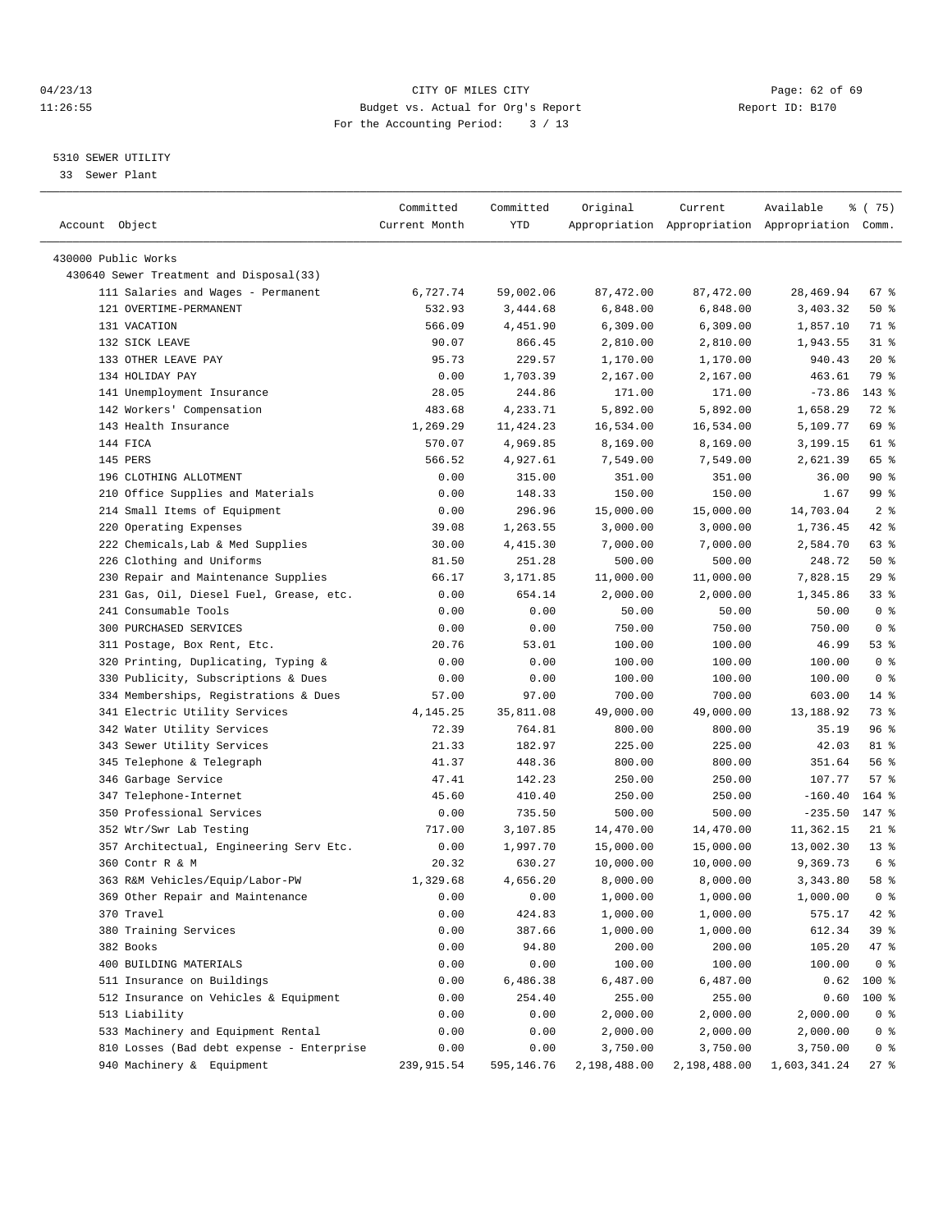# 04/23/13 Page: 62 of 69 11:26:55 Budget vs. Actual for Org's Report Report ID: B170 For the Accounting Period: 3 / 13

————————————————————————————————————————————————————————————————————————————————————————————————————————————————————————————————————

# 5310 SEWER UTILITY

33 Sewer Plant

|                                                                | Committed     | Committed  | Original     | Current    | Available                                       | १८(75)         |
|----------------------------------------------------------------|---------------|------------|--------------|------------|-------------------------------------------------|----------------|
| Account Object                                                 | Current Month | YTD        |              |            | Appropriation Appropriation Appropriation Comm. |                |
|                                                                |               |            |              |            |                                                 |                |
| 430000 Public Works<br>430640 Sewer Treatment and Disposal(33) |               |            |              |            |                                                 |                |
| 111 Salaries and Wages - Permanent                             | 6,727.74      | 59,002.06  | 87,472.00    | 87, 472.00 | 28,469.94                                       | 67%            |
| 121 OVERTIME-PERMANENT                                         | 532.93        | 3,444.68   | 6,848.00     | 6,848.00   | 3,403.32                                        | $50*$          |
| 131 VACATION                                                   | 566.09        | 4,451.90   | 6,309.00     | 6,309.00   | 1,857.10                                        | 71 %           |
| 132 SICK LEAVE                                                 | 90.07         | 866.45     | 2,810.00     | 2,810.00   | 1,943.55                                        | $31$ %         |
| 133 OTHER LEAVE PAY                                            | 95.73         | 229.57     | 1,170.00     | 1,170.00   | 940.43                                          | $20*$          |
| 134 HOLIDAY PAY                                                | 0.00          | 1,703.39   | 2,167.00     | 2,167.00   | 463.61                                          | 79 %           |
| 141 Unemployment Insurance                                     | 28.05         | 244.86     | 171.00       | 171.00     | $-73.86$                                        | 143 %          |
| 142 Workers' Compensation                                      | 483.68        | 4,233.71   | 5,892.00     | 5,892.00   | 1,658.29                                        | 72 %           |
| 143 Health Insurance                                           | 1,269.29      | 11,424.23  | 16,534.00    | 16,534.00  | 5,109.77                                        | 69 %           |
| 144 FICA                                                       | 570.07        | 4,969.85   | 8,169.00     | 8,169.00   | 3,199.15                                        | 61 %           |
| 145 PERS                                                       | 566.52        | 4,927.61   | 7,549.00     | 7,549.00   | 2,621.39                                        | 65 %           |
| 196 CLOTHING ALLOTMENT                                         | 0.00          | 315.00     | 351.00       | 351.00     | 36.00                                           | $90*$          |
| 210 Office Supplies and Materials                              | 0.00          | 148.33     | 150.00       | 150.00     | 1.67                                            | 99 %           |
| 214 Small Items of Equipment                                   | 0.00          | 296.96     | 15,000.00    | 15,000.00  | 14,703.04                                       | 2 <sup>8</sup> |
| 220 Operating Expenses                                         | 39.08         | 1,263.55   | 3,000.00     | 3,000.00   | 1,736.45                                        | 42 %           |
| 222 Chemicals, Lab & Med Supplies                              | 30.00         | 4,415.30   | 7,000.00     | 7,000.00   | 2,584.70                                        | 63 %           |
| 226 Clothing and Uniforms                                      | 81.50         | 251.28     | 500.00       | 500.00     | 248.72                                          | 50%            |
| 230 Repair and Maintenance Supplies                            | 66.17         | 3,171.85   | 11,000.00    | 11,000.00  | 7,828.15                                        | 29 %           |
| 231 Gas, Oil, Diesel Fuel, Grease, etc.                        | 0.00          | 654.14     | 2,000.00     | 2,000.00   | 1,345.86                                        | 338            |
| 241 Consumable Tools                                           | 0.00          | 0.00       | 50.00        | 50.00      | 50.00                                           | 0 <sup>8</sup> |
| 300 PURCHASED SERVICES                                         | 0.00          | 0.00       | 750.00       | 750.00     | 750.00                                          | 0 <sup>8</sup> |
| 311 Postage, Box Rent, Etc.                                    | 20.76         | 53.01      | 100.00       | 100.00     | 46.99                                           | 53%            |
| 320 Printing, Duplicating, Typing &                            | 0.00          | 0.00       | 100.00       | 100.00     | 100.00                                          | 0 <sup>8</sup> |
| 330 Publicity, Subscriptions & Dues                            | 0.00          | 0.00       | 100.00       | 100.00     | 100.00                                          | 0 <sup>8</sup> |
| 334 Memberships, Registrations & Dues                          | 57.00         | 97.00      | 700.00       | 700.00     | 603.00                                          | $14*$          |
| 341 Electric Utility Services                                  | 4,145.25      | 35,811.08  | 49,000.00    | 49,000.00  | 13,188.92                                       | 73 %           |
| 342 Water Utility Services                                     | 72.39         | 764.81     | 800.00       | 800.00     | 35.19                                           | 96%            |
| 343 Sewer Utility Services                                     | 21.33         | 182.97     | 225.00       | 225.00     | 42.03                                           | 81 %           |
| 345 Telephone & Telegraph                                      | 41.37         | 448.36     | 800.00       | 800.00     | 351.64                                          | 56%            |
| 346 Garbage Service                                            | 47.41         | 142.23     | 250.00       | 250.00     | 107.77                                          | 57%            |
| 347 Telephone-Internet                                         | 45.60         | 410.40     | 250.00       | 250.00     | $-160.40$                                       | $164$ %        |
| 350 Professional Services                                      | 0.00          | 735.50     | 500.00       | 500.00     | $-235.50$                                       | 147 %          |
| 352 Wtr/Swr Lab Testing                                        | 717.00        | 3,107.85   | 14,470.00    | 14,470.00  | 11,362.15                                       | $21$ %         |
| 357 Architectual, Engineering Serv Etc.                        | 0.00          | 1,997.70   | 15,000.00    | 15,000.00  | 13,002.30                                       | $13*$          |
| 360 Contr R & M                                                | 20.32         | 630.27     | 10,000.00    | 10,000.00  | 9,369.73                                        | 6 %            |
| 363 R&M Vehicles/Equip/Labor-PW                                | 1,329.68      | 4,656.20   | 8,000.00     | 8,000.00   | 3,343.80                                        | 58 %           |
| 369 Other Repair and Maintenance                               | 0.00          | 0.00       | 1,000.00     | 1,000.00   | 1,000.00                                        | 0 <sup>8</sup> |
| 370 Travel                                                     | 0.00          | 424.83     | 1,000.00     | 1,000.00   | 575.17                                          | 42 %           |
| 380 Training Services                                          | 0.00          | 387.66     | 1,000.00     | 1,000.00   | 612.34                                          | 39 %           |
| 382 Books                                                      | 0.00          | 94.80      | 200.00       | 200.00     | 105.20                                          | 47 %           |
| 400 BUILDING MATERIALS                                         | 0.00          | 0.00       | 100.00       | 100.00     | 100.00                                          | 0 <sup>8</sup> |
| 511 Insurance on Buildings                                     | 0.00          | 6,486.38   | 6,487.00     | 6,487.00   | 0.62                                            | 100 %          |
| 512 Insurance on Vehicles & Equipment                          | 0.00          | 254.40     | 255.00       | 255.00     | 0.60                                            | $100$ %        |
| 513 Liability                                                  | 0.00          | 0.00       | 2,000.00     | 2,000.00   | 2,000.00                                        | 0 <sup>8</sup> |
| 533 Machinery and Equipment Rental                             | 0.00          | 0.00       | 2,000.00     | 2,000.00   | 2,000.00                                        | 0 <sup>8</sup> |
| 810 Losses (Bad debt expense - Enterprise                      | 0.00          | 0.00       | 3,750.00     | 3,750.00   | 3,750.00                                        | 0 <sup>8</sup> |
| 940 Machinery & Equipment                                      | 239,915.54    | 595,146.76 | 2,198,488.00 |            | 2, 198, 488.00 1, 603, 341.24                   | $27$ %         |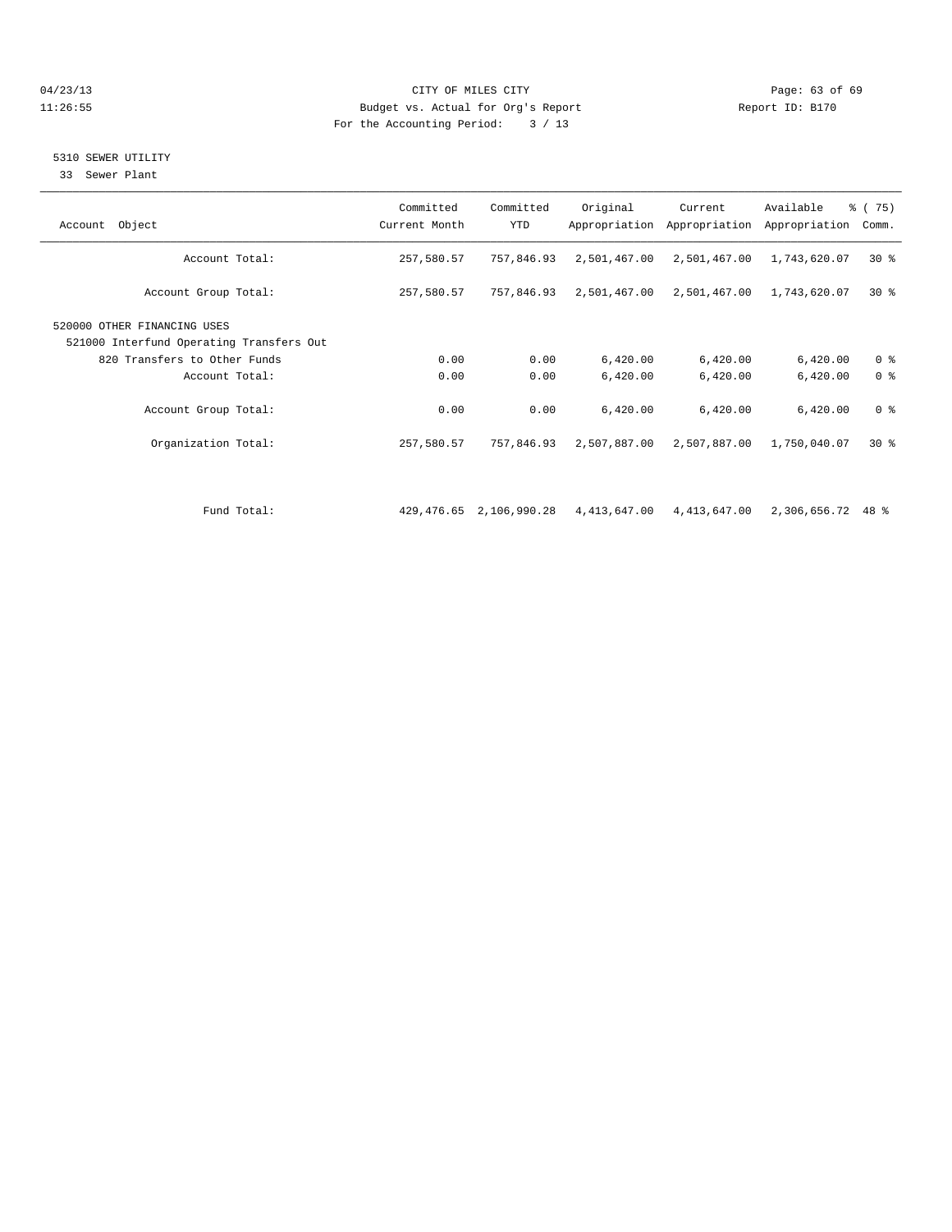# 04/23/13 Page: 63 of 69 11:26:55 Budget vs. Actual for Org's Report Report ID: B170 For the Accounting Period: 3 / 13

# 5310 SEWER UTILITY

33 Sewer Plant

| Account Object                                                                                          | Committed<br>Current Month | Committed<br><b>YTD</b>    | Original     | Current<br>Appropriation Appropriation | Available<br>Appropriation | $\frac{3}{6}$ ( 75)<br>Comm. |
|---------------------------------------------------------------------------------------------------------|----------------------------|----------------------------|--------------|----------------------------------------|----------------------------|------------------------------|
| Account Total:                                                                                          | 257,580.57                 | 757,846.93                 | 2,501,467.00 | 2,501,467.00                           | 1,743,620.07               | $30*$                        |
| Account Group Total:                                                                                    | 257,580.57                 | 757,846.93                 | 2,501,467.00 | 2,501,467.00                           | 1,743,620.07               | $30*$                        |
| 520000 OTHER FINANCING USES<br>521000 Interfund Operating Transfers Out<br>820 Transfers to Other Funds | 0.00                       | 0.00                       | 6,420.00     | 6,420.00                               | 6,420.00                   | 0 <sup>8</sup>               |
| Account Total:                                                                                          | 0.00                       | 0.00                       | 6,420.00     | 6,420.00                               | 6,420.00                   | 0 <sup>8</sup>               |
| Account Group Total:                                                                                    | 0.00                       | 0.00                       | 6,420.00     | 6,420.00                               | 6,420.00                   | 0 <sup>8</sup>               |
| Organization Total:                                                                                     | 257,580.57                 | 757,846.93                 | 2,507,887.00 | 2,507,887.00                           | 1,750,040.07               | $30*$                        |
|                                                                                                         |                            |                            |              |                                        |                            |                              |
| Fund Total:                                                                                             |                            | 429, 476.65 2, 106, 990.28 | 4,413,647.00 | 4,413,647.00                           | 2,306,656.72               | 48 %                         |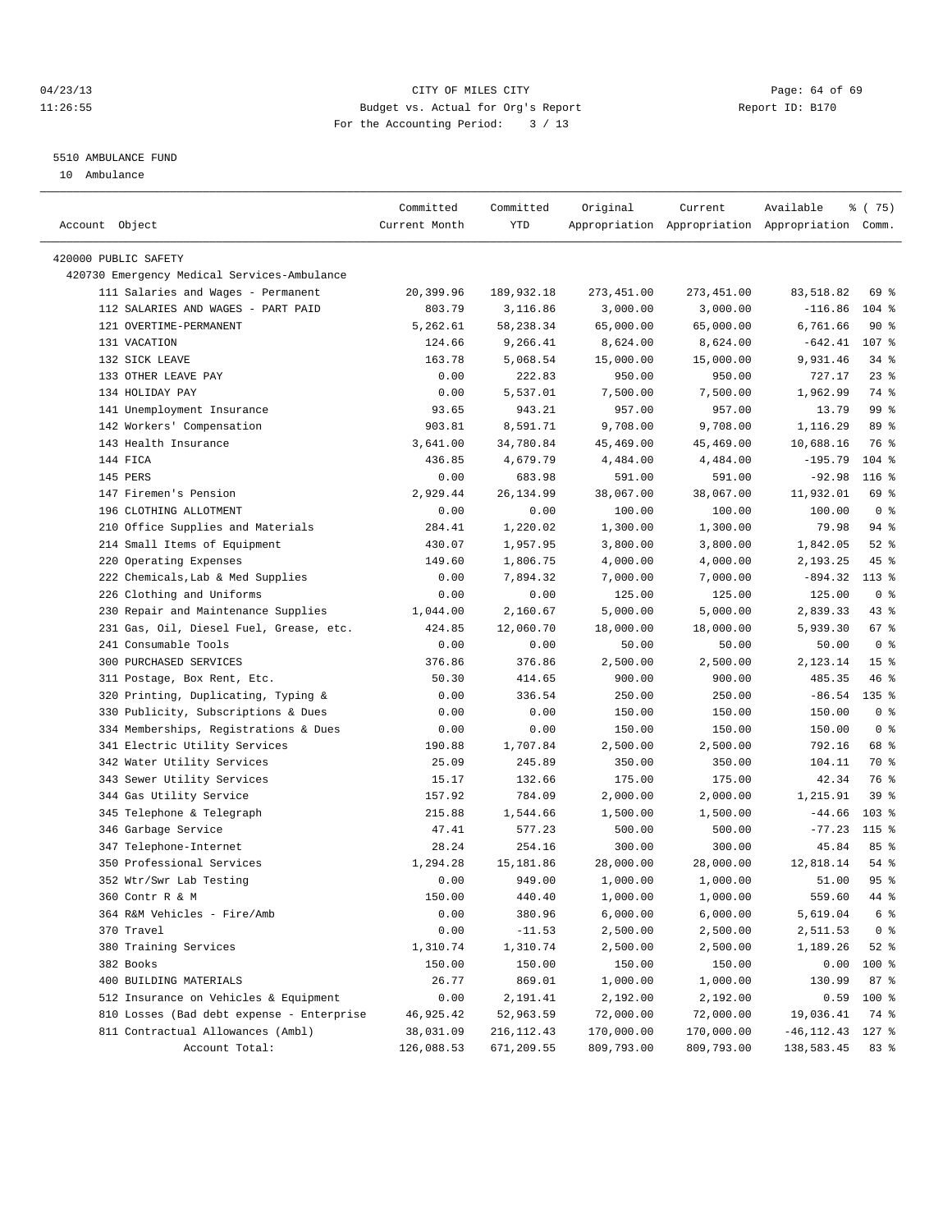# 04/23/13 Page: 64 of 69 11:26:55 Budget vs. Actual for Org's Report Report ID: B170 For the Accounting Period: 3 / 13

————————————————————————————————————————————————————————————————————————————————————————————————————————————————————————————————————

### 5510 AMBULANCE FUND

10 Ambulance

|                |                                             | Committed     | Committed    | Original   | Current    | Available                                       | 8 (75)          |
|----------------|---------------------------------------------|---------------|--------------|------------|------------|-------------------------------------------------|-----------------|
| Account Object |                                             | Current Month | YTD          |            |            | Appropriation Appropriation Appropriation Comm. |                 |
|                | 420000 PUBLIC SAFETY                        |               |              |            |            |                                                 |                 |
|                | 420730 Emergency Medical Services-Ambulance |               |              |            |            |                                                 |                 |
|                | 111 Salaries and Wages - Permanent          | 20,399.96     | 189,932.18   | 273,451.00 | 273,451.00 | 83,518.82                                       | 69 %            |
|                | 112 SALARIES AND WAGES - PART PAID          | 803.79        | 3,116.86     | 3,000.00   | 3,000.00   | $-116.86$                                       | $104$ %         |
|                | 121 OVERTIME-PERMANENT                      | 5,262.61      | 58, 238.34   | 65,000.00  | 65,000.00  | 6,761.66                                        | 90%             |
|                | 131 VACATION                                | 124.66        | 9,266.41     | 8,624.00   | 8,624.00   | $-642.41$                                       | 107 %           |
|                | 132 SICK LEAVE                              | 163.78        | 5,068.54     | 15,000.00  | 15,000.00  | 9,931.46                                        | 34 %            |
|                | 133 OTHER LEAVE PAY                         | 0.00          | 222.83       | 950.00     | 950.00     | 727.17                                          | $23$ $%$        |
|                | 134 HOLIDAY PAY                             | 0.00          | 5,537.01     | 7,500.00   | 7,500.00   | 1,962.99                                        | 74 %            |
|                | 141 Unemployment Insurance                  | 93.65         | 943.21       | 957.00     | 957.00     | 13.79                                           | 99 %            |
|                | 142 Workers' Compensation                   | 903.81        | 8,591.71     | 9,708.00   | 9,708.00   | 1,116.29                                        | 89 %            |
|                | 143 Health Insurance                        | 3,641.00      | 34,780.84    | 45,469.00  | 45,469.00  | 10,688.16                                       | 76 %            |
|                | 144 FICA                                    | 436.85        | 4,679.79     | 4,484.00   | 4,484.00   | $-195.79$                                       | $104$ %         |
|                | 145 PERS                                    | 0.00          | 683.98       | 591.00     | 591.00     | $-92.98$                                        | $116$ %         |
|                | 147 Firemen's Pension                       | 2,929.44      | 26, 134.99   | 38,067.00  | 38,067.00  | 11,932.01                                       | 69 %            |
|                | 196 CLOTHING ALLOTMENT                      | 0.00          | 0.00         | 100.00     | 100.00     | 100.00                                          | 0 <sup>8</sup>  |
|                | 210 Office Supplies and Materials           | 284.41        | 1,220.02     | 1,300.00   | 1,300.00   | 79.98                                           | 94 %            |
|                | 214 Small Items of Equipment                | 430.07        | 1,957.95     | 3,800.00   | 3,800.00   | 1,842.05                                        | $52$ $%$        |
|                | 220 Operating Expenses                      | 149.60        | 1,806.75     | 4,000.00   | 4,000.00   | 2,193.25                                        | 45 %            |
|                | 222 Chemicals, Lab & Med Supplies           | 0.00          | 7,894.32     | 7,000.00   | 7,000.00   | $-894.32$                                       | $113*$          |
|                | 226 Clothing and Uniforms                   | 0.00          | 0.00         | 125.00     | 125.00     | 125.00                                          | 0 <sup>8</sup>  |
|                | 230 Repair and Maintenance Supplies         | 1,044.00      | 2,160.67     | 5,000.00   | 5,000.00   | 2,839.33                                        | $43$ %          |
|                | 231 Gas, Oil, Diesel Fuel, Grease, etc.     | 424.85        | 12,060.70    | 18,000.00  | 18,000.00  | 5,939.30                                        | 67%             |
|                | 241 Consumable Tools                        | 0.00          | 0.00         | 50.00      | 50.00      | 50.00                                           | 0 <sup>8</sup>  |
|                | 300 PURCHASED SERVICES                      | 376.86        | 376.86       | 2,500.00   | 2,500.00   | 2,123.14                                        | 15 <sup>°</sup> |
|                | 311 Postage, Box Rent, Etc.                 | 50.30         | 414.65       | 900.00     | 900.00     | 485.35                                          | 46 %            |
|                | 320 Printing, Duplicating, Typing &         | 0.00          | 336.54       | 250.00     | 250.00     | $-86.54$                                        | $135$ %         |
|                | 330 Publicity, Subscriptions & Dues         | 0.00          | 0.00         | 150.00     | 150.00     | 150.00                                          | 0 <sup>8</sup>  |
|                | 334 Memberships, Registrations & Dues       | 0.00          | 0.00         | 150.00     | 150.00     | 150.00                                          | 0 <sup>8</sup>  |
|                | 341 Electric Utility Services               | 190.88        | 1,707.84     | 2,500.00   | 2,500.00   | 792.16                                          | 68 %            |
|                | 342 Water Utility Services                  | 25.09         | 245.89       | 350.00     | 350.00     | 104.11                                          | 70 %            |
|                | 343 Sewer Utility Services                  | 15.17         | 132.66       | 175.00     | 175.00     | 42.34                                           | 76 %            |
|                | 344 Gas Utility Service                     | 157.92        | 784.09       | 2,000.00   | 2,000.00   | 1,215.91                                        | 39 %            |
|                | 345 Telephone & Telegraph                   | 215.88        | 1,544.66     | 1,500.00   | 1,500.00   | $-44.66$                                        | $103$ %         |
|                | 346 Garbage Service                         | 47.41         | 577.23       | 500.00     | 500.00     | $-77.23$                                        | $115$ %         |
|                | 347 Telephone-Internet                      | 28.24         | 254.16       | 300.00     | 300.00     | 45.84                                           | 85%             |
|                | 350 Professional Services                   | 1,294.28      | 15,181.86    | 28,000.00  | 28,000.00  | 12,818.14                                       | 54 %            |
|                | 352 Wtr/Swr Lab Testing                     | 0.00          | 949.00       | 1,000.00   | 1,000.00   | 51.00                                           | 95%             |
|                | 360 Contr R & M                             | 150.00        | 440.40       | 1,000.00   | 1,000.00   | 559.60                                          | $44*$           |
|                | 364 R&M Vehicles - Fire/Amb                 | 0.00          | 380.96       | 6,000.00   | 6,000.00   | 5,619.04                                        | 6 <sup>8</sup>  |
|                | 370 Travel                                  | 0.00          | $-11.53$     | 2,500.00   | 2,500.00   | 2,511.53                                        | 0 <sup>8</sup>  |
|                | 380 Training Services                       | 1,310.74      | 1,310.74     | 2,500.00   | 2,500.00   | 1,189.26                                        | 52 %            |
|                | 382 Books                                   | 150.00        | 150.00       | 150.00     | 150.00     | 0.00                                            | 100 %           |
|                | 400 BUILDING MATERIALS                      | 26.77         | 869.01       | 1,000.00   | 1,000.00   | 130.99                                          | 87%             |
|                | 512 Insurance on Vehicles & Equipment       | 0.00          | 2,191.41     | 2,192.00   | 2,192.00   | 0.59                                            | 100 %           |
|                | 810 Losses (Bad debt expense - Enterprise   | 46,925.42     | 52,963.59    | 72,000.00  | 72,000.00  | 19,036.41                                       | 74 %            |
|                | 811 Contractual Allowances (Ambl)           | 38,031.09     | 216, 112. 43 | 170,000.00 | 170,000.00 | $-46, 112.43$ 127 %                             |                 |
|                | Account Total:                              | 126,088.53    | 671,209.55   | 809,793.00 | 809,793.00 | 138,583.45                                      | 83 %            |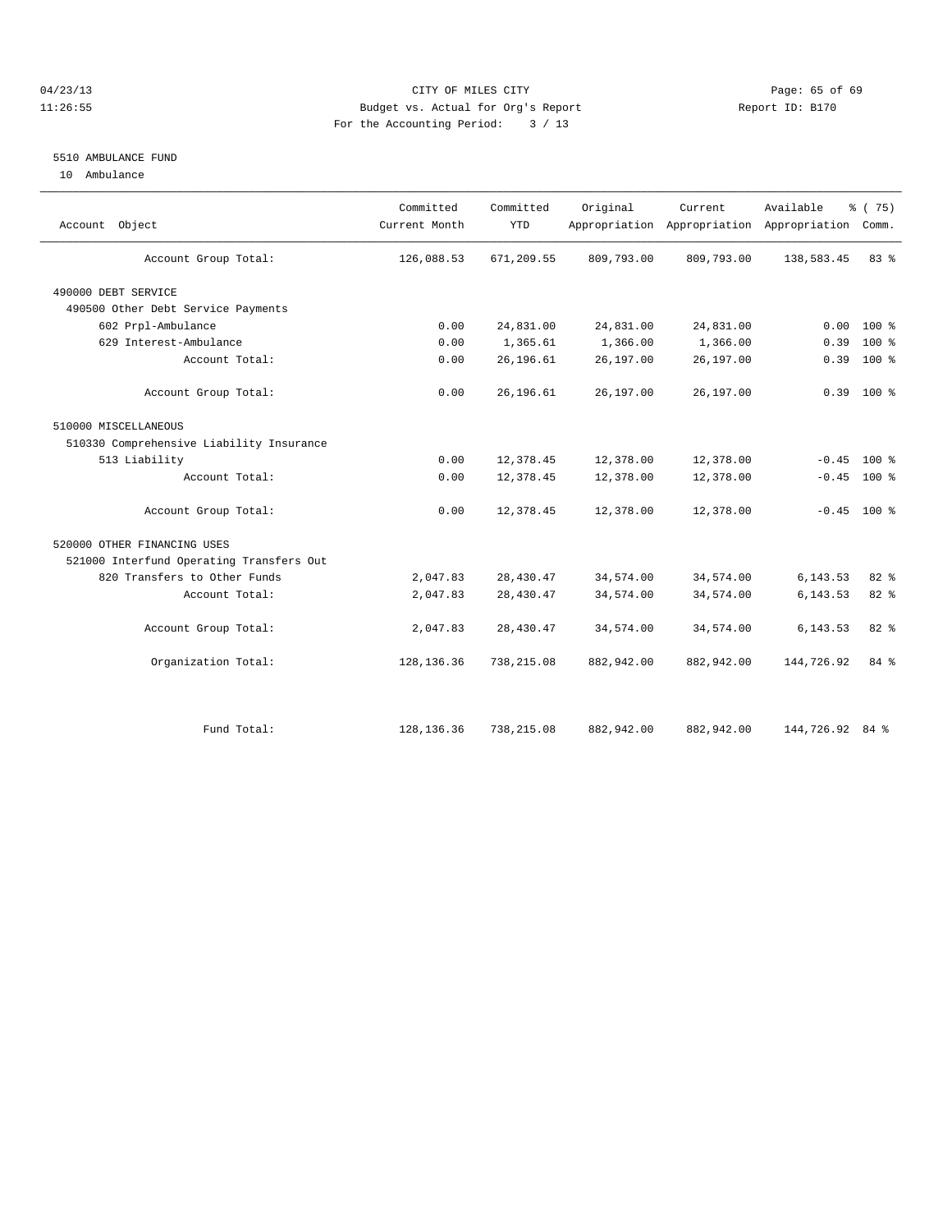# 04/23/13 Page: 65 of 69 11:26:55 Budget vs. Actual for Org's Report Report ID: B170 For the Accounting Period: 3 / 13

# 5510 AMBULANCE FUND

10 Ambulance

| Account Object                           | Committed<br>Current Month | Committed<br><b>YTD</b> | Original   | Current<br>Appropriation Appropriation Appropriation | Available       | % (75)<br>Comm. |  |
|------------------------------------------|----------------------------|-------------------------|------------|------------------------------------------------------|-----------------|-----------------|--|
| Account Group Total:                     | 126,088.53                 | 671,209.55              | 809,793.00 | 809,793.00                                           | 138,583.45      | 83 %            |  |
| 490000 DEBT SERVICE                      |                            |                         |            |                                                      |                 |                 |  |
| 490500 Other Debt Service Payments       |                            |                         |            |                                                      |                 |                 |  |
| 602 Prpl-Ambulance                       | 0.00                       | 24,831.00               | 24,831.00  | 24,831.00                                            | 0.00            | $100$ %         |  |
| 629 Interest-Ambulance                   | 0.00                       | 1,365.61                | 1,366.00   | 1,366.00                                             | 0.39            | $100*$          |  |
| Account Total:                           | 0.00                       | 26,196.61               | 26,197.00  | 26,197.00                                            | 0.39            | 100 %           |  |
| Account Group Total:                     | 0.00                       | 26,196.61               | 26,197.00  | 26,197.00                                            |                 | $0.39$ 100 %    |  |
| 510000 MISCELLANEOUS                     |                            |                         |            |                                                      |                 |                 |  |
| 510330 Comprehensive Liability Insurance |                            |                         |            |                                                      |                 |                 |  |
| 513 Liability                            | 0.00                       | 12,378.45               | 12,378.00  | 12,378.00                                            | $-0.45$         | $100*$          |  |
| Account Total:                           | 0.00                       | 12,378.45               | 12,378.00  | 12,378.00                                            |                 | $-0.45$ 100 %   |  |
| Account Group Total:                     | 0.00                       | 12,378.45               | 12,378.00  | 12,378.00                                            |                 | $-0.45$ 100 %   |  |
| 520000 OTHER FINANCING USES              |                            |                         |            |                                                      |                 |                 |  |
| 521000 Interfund Operating Transfers Out |                            |                         |            |                                                      |                 |                 |  |
| 820 Transfers to Other Funds             | 2,047.83                   | 28, 430.47              | 34,574.00  | 34,574.00                                            | 6,143.53        | $82*$           |  |
| Account Total:                           | 2,047.83                   | 28,430.47               | 34,574.00  | 34,574.00                                            | 6,143.53        | 82 %            |  |
| Account Group Total:                     | 2,047.83                   | 28,430.47               | 34,574.00  | 34,574.00                                            | 6,143.53        | 82%             |  |
| Organization Total:                      | 128, 136.36                | 738, 215.08             | 882,942.00 | 882,942.00                                           | 144,726.92      | 84 %            |  |
|                                          |                            |                         |            |                                                      |                 |                 |  |
| Fund Total:                              | 128, 136.36                | 738,215.08              | 882,942.00 | 882,942.00                                           | 144,726.92 84 % |                 |  |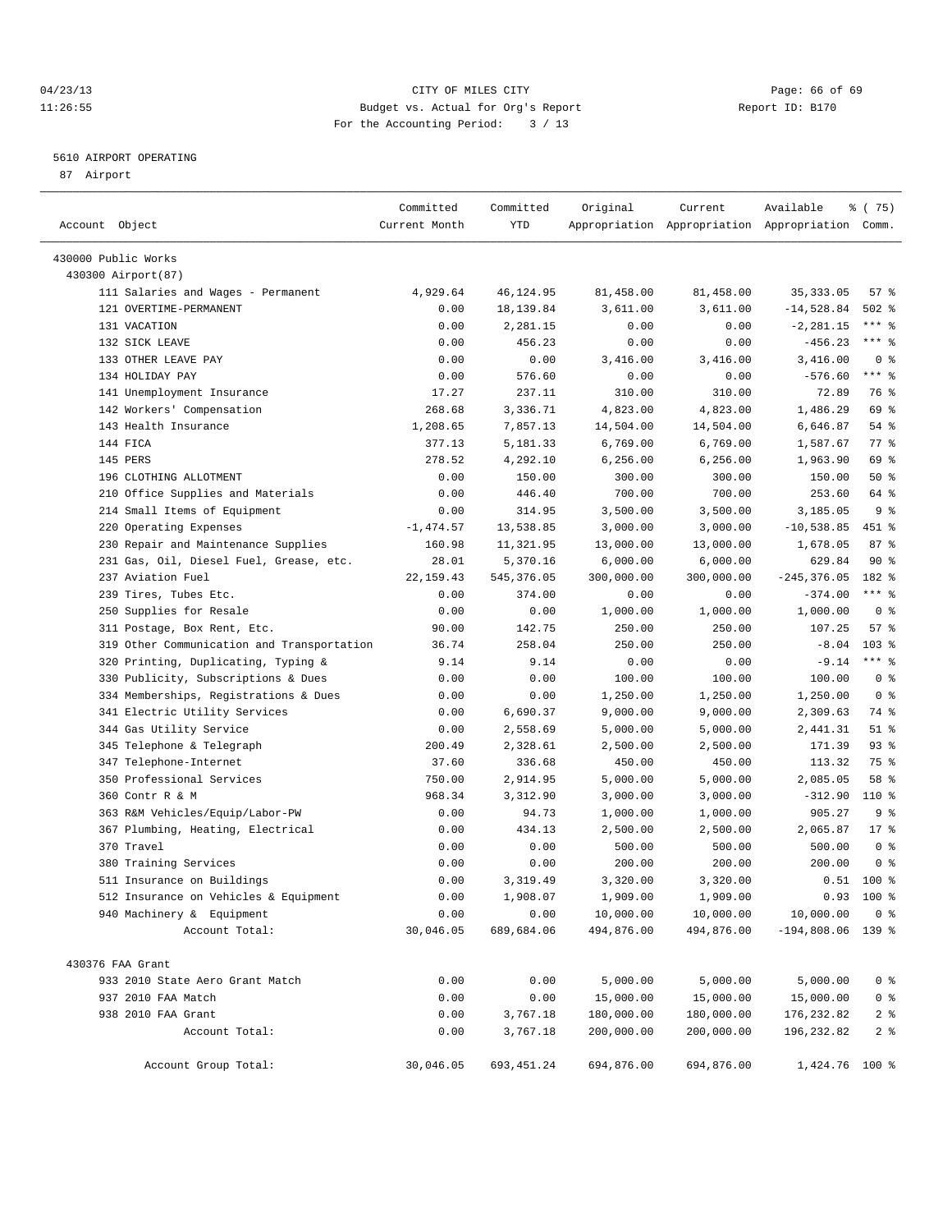# 04/23/13 Page: 66 of 69 11:26:55 Budget vs. Actual for Org's Report Report ID: B170 For the Accounting Period: 3 / 13

————————————————————————————————————————————————————————————————————————————————————————————————————————————————————————————————————

# 5610 AIRPORT OPERATING

87 Airport

|                                            | Committed     | Committed   | Original   | Current    | Available                                       | % (75)                              |
|--------------------------------------------|---------------|-------------|------------|------------|-------------------------------------------------|-------------------------------------|
| Account Object                             | Current Month | YTD         |            |            | Appropriation Appropriation Appropriation Comm. |                                     |
| 430000 Public Works                        |               |             |            |            |                                                 |                                     |
| 430300 Airport (87)                        |               |             |            |            |                                                 |                                     |
| 111 Salaries and Wages - Permanent         | 4,929.64      | 46,124.95   | 81,458.00  | 81,458.00  | 35, 333.05                                      | 57%                                 |
| 121 OVERTIME-PERMANENT                     | 0.00          | 18,139.84   | 3,611.00   | 3,611.00   | $-14,528.84$                                    | $502$ %                             |
| 131 VACATION                               | 0.00          | 2,281.15    | 0.00       | 0.00       | $-2, 281.15$                                    | $***$ $-$                           |
| 132 SICK LEAVE                             | 0.00          | 456.23      | 0.00       | 0.00       | $-456.23$                                       | *** 응                               |
| 133 OTHER LEAVE PAY                        | 0.00          | 0.00        | 3,416.00   | 3,416.00   | 3,416.00                                        | 0 <sup>8</sup>                      |
| 134 HOLIDAY PAY                            | 0.00          | 576.60      | 0.00       | 0.00       | $-576.60$                                       | $***$ $-$                           |
| 141 Unemployment Insurance                 | 17.27         | 237.11      | 310.00     | 310.00     | 72.89                                           | 76 %                                |
| 142 Workers' Compensation                  | 268.68        | 3,336.71    | 4,823.00   | 4,823.00   | 1,486.29                                        | 69 %                                |
| 143 Health Insurance                       | 1,208.65      | 7,857.13    | 14,504.00  | 14,504.00  | 6,646.87                                        | 54 %                                |
| 144 FICA                                   | 377.13        | 5,181.33    | 6,769.00   | 6,769.00   | 1,587.67                                        | 77 %                                |
| 145 PERS                                   | 278.52        | 4,292.10    | 6, 256.00  | 6,256.00   | 1,963.90                                        | 69 %                                |
| 196 CLOTHING ALLOTMENT                     | 0.00          | 150.00      | 300.00     | 300.00     | 150.00                                          | 50%                                 |
| 210 Office Supplies and Materials          | 0.00          | 446.40      | 700.00     | 700.00     | 253.60                                          | 64 %                                |
| 214 Small Items of Equipment               | 0.00          | 314.95      | 3,500.00   | 3,500.00   | 3,185.05                                        | 9 <sub>8</sub>                      |
| 220 Operating Expenses                     | $-1,474.57$   | 13,538.85   | 3,000.00   | 3,000.00   | $-10,538.85$                                    | 451 %                               |
| 230 Repair and Maintenance Supplies        | 160.98        | 11,321.95   | 13,000.00  | 13,000.00  | 1,678.05                                        | 87%                                 |
| 231 Gas, Oil, Diesel Fuel, Grease, etc.    | 28.01         | 5,370.16    | 6,000.00   | 6,000.00   | 629.84                                          | 90%                                 |
| 237 Aviation Fuel                          | 22, 159.43    | 545, 376.05 | 300,000.00 | 300,000.00 | $-245, 376.05$                                  | 182 %                               |
| 239 Tires, Tubes Etc.                      | 0.00          | 374.00      | 0.00       | 0.00       | $-374.00$                                       | $***$ $-$                           |
| 250 Supplies for Resale                    | 0.00          | 0.00        | 1,000.00   | 1,000.00   | 1,000.00                                        | 0 <sup>8</sup>                      |
| 311 Postage, Box Rent, Etc.                | 90.00         | 142.75      | 250.00     | 250.00     | 107.25                                          | 57%                                 |
| 319 Other Communication and Transportation | 36.74         | 258.04      | 250.00     | 250.00     | $-8.04$                                         | $103$ %                             |
| 320 Printing, Duplicating, Typing &        | 9.14          | 9.14        | 0.00       | 0.00       | $-9.14$                                         | $***$ $%$                           |
| 330 Publicity, Subscriptions & Dues        | 0.00          | 0.00        | 100.00     | 100.00     | 100.00                                          | 0 <sup>8</sup>                      |
| 334 Memberships, Registrations & Dues      | 0.00          | 0.00        | 1,250.00   | 1,250.00   | 1,250.00                                        | 0 <sup>8</sup>                      |
| 341 Electric Utility Services              | 0.00          | 6,690.37    | 9,000.00   | 9,000.00   | 2,309.63                                        | 74 %                                |
| 344 Gas Utility Service                    | 0.00          | 2,558.69    | 5,000.00   | 5,000.00   | 2,441.31                                        | $51$ %                              |
| 345 Telephone & Telegraph                  | 200.49        | 2,328.61    | 2,500.00   | 2,500.00   | 171.39                                          | $93$ $%$                            |
| 347 Telephone-Internet                     | 37.60         | 336.68      | 450.00     | 450.00     | 113.32                                          | 75 %                                |
| 350 Professional Services                  | 750.00        | 2,914.95    | 5,000.00   | 5,000.00   | 2,085.05                                        | 58 %                                |
| 360 Contr R & M                            | 968.34        | 3,312.90    | 3,000.00   | 3,000.00   | $-312.90$                                       | 110 %                               |
| 363 R&M Vehicles/Equip/Labor-PW            | 0.00          | 94.73       | 1,000.00   | 1,000.00   | 905.27                                          | 9%                                  |
| 367 Plumbing, Heating, Electrical          | 0.00          | 434.13      | 2,500.00   | 2,500.00   | 2,065.87                                        | $17*$                               |
| 370 Travel                                 | 0.00          | 0.00        | 500.00     | 500.00     | 500.00                                          | 0 <sup>8</sup>                      |
| 380 Training Services                      | 0.00          | 0.00        | 200.00     | 200.00     | 200.00                                          | 0 <sup>8</sup>                      |
| 511 Insurance on Buildings                 | 0.00          | 3,319.49    | 3,320.00   | 3,320.00   |                                                 | $0.51$ 100 %                        |
| 512 Insurance on Vehicles & Equipment      | 0.00          | 1,908.07    | 1,909.00   | 1,909.00   |                                                 | $0.93$ 100 %                        |
| 940 Machinery & Equipment                  | 0.00          | 0.00        | 10,000.00  | 10,000.00  | 10,000.00                                       | 0 <sup>8</sup>                      |
| Account Total:                             | 30,046.05     | 689,684.06  | 494,876.00 | 494,876.00 | $-194,808.06$ 139 %                             |                                     |
| 430376 FAA Grant                           |               |             |            |            |                                                 |                                     |
| 933 2010 State Aero Grant Match            | 0.00          | 0.00        | 5,000.00   | 5,000.00   | 5,000.00                                        | 0 <sup>8</sup>                      |
|                                            | 0.00          | 0.00        | 15,000.00  | 15,000.00  | 15,000.00                                       | $0$ %                               |
| 937 2010 FAA Match                         | 0.00          | 3,767.18    | 180,000.00 | 180,000.00 | 176, 232.82                                     |                                     |
| 938 2010 FAA Grant<br>Account Total:       | 0.00          | 3,767.18    | 200,000.00 | 200,000.00 | 196, 232.82                                     | $2$ $\frac{6}{9}$<br>2 <sub>8</sub> |
|                                            |               |             |            |            |                                                 |                                     |
| Account Group Total:                       | 30,046.05     | 693, 451.24 | 694,876.00 | 694,876.00 | 1,424.76 100 %                                  |                                     |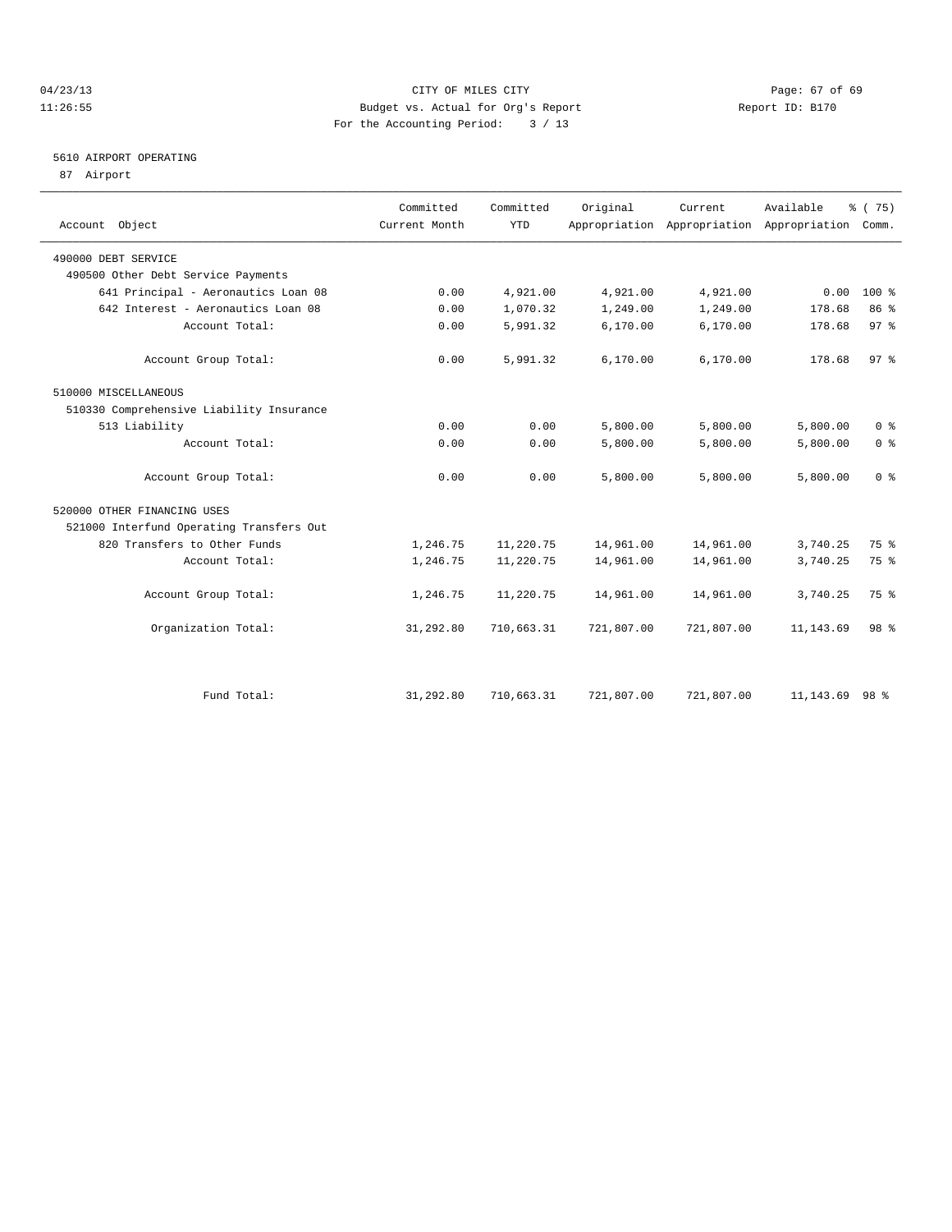# 04/23/13 Page: 67 of 69 11:26:55 Budget vs. Actual for Org's Report Report ID: B170 For the Accounting Period: 3 / 13

# 5610 AIRPORT OPERATING

87 Airport

| Account Object                           | Committed<br>Current Month | Committed<br><b>YTD</b> | Original   | Current.   | Available<br>Appropriation Appropriation Appropriation Comm. | % (75)          |
|------------------------------------------|----------------------------|-------------------------|------------|------------|--------------------------------------------------------------|-----------------|
| 490000 DEBT SERVICE                      |                            |                         |            |            |                                                              |                 |
| 490500 Other Debt Service Payments       |                            |                         |            |            |                                                              |                 |
| 641 Principal - Aeronautics Loan 08      | 0.00                       | 4,921.00                | 4,921.00   | 4,921.00   | 0.00                                                         | 100 %           |
| 642 Interest - Aeronautics Loan 08       | 0.00                       | 1,070.32                | 1,249.00   | 1,249.00   | 178.68                                                       | 86 %            |
| Account Total:                           | 0.00                       | 5,991.32                | 6,170.00   | 6,170.00   | 178.68                                                       | 97 <sub>8</sub> |
| Account Group Total:                     | 0.00                       | 5,991.32                | 6, 170.00  | 6,170.00   | 178.68                                                       | 97%             |
| 510000 MISCELLANEOUS                     |                            |                         |            |            |                                                              |                 |
| 510330 Comprehensive Liability Insurance |                            |                         |            |            |                                                              |                 |
| 513 Liability                            | 0.00                       | 0.00                    | 5,800.00   | 5,800.00   | 5,800.00                                                     | 0 <sup>8</sup>  |
| Account Total:                           | 0.00                       | 0.00                    | 5,800.00   | 5,800.00   | 5,800.00                                                     | 0 <sup>8</sup>  |
| Account Group Total:                     | 0.00                       | 0.00                    | 5,800.00   | 5,800.00   | 5,800.00                                                     | 0 <sup>8</sup>  |
| 520000 OTHER FINANCING USES              |                            |                         |            |            |                                                              |                 |
| 521000 Interfund Operating Transfers Out |                            |                         |            |            |                                                              |                 |
| 820 Transfers to Other Funds             | 1,246.75                   | 11,220.75               | 14,961.00  | 14,961.00  | 3,740.25                                                     | 75 %            |
| Account Total:                           | 1,246.75                   | 11,220.75               | 14,961.00  | 14,961.00  | 3,740.25                                                     | 75 %            |
| Account Group Total:                     | 1,246.75                   | 11,220.75               | 14,961.00  | 14,961.00  | 3,740.25                                                     | 75 %            |
| Organization Total:                      | 31,292.80                  | 710,663.31              | 721,807.00 | 721,807.00 | 11, 143.69                                                   | 98 %            |
|                                          |                            |                         |            |            |                                                              |                 |
| Fund Total:                              | 31,292.80                  | 710,663.31              | 721,807.00 | 721,807.00 | 11,143.69                                                    | 98 %            |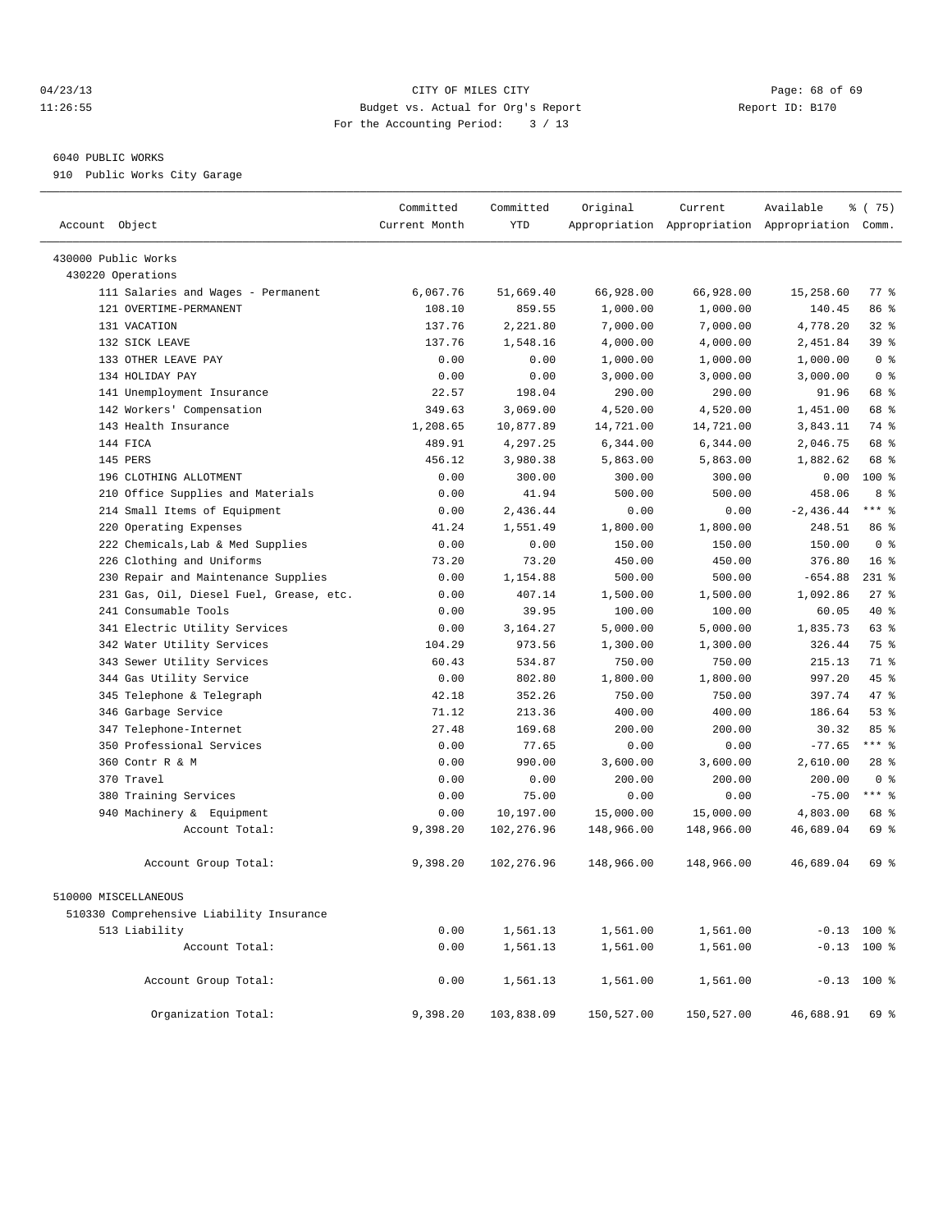# 04/23/13 Page: 68 of 69 11:26:55 Budget vs. Actual for Org's Report Report ID: B170 For the Accounting Period: 3 / 13

## 6040 PUBLIC WORKS

910 Public Works City Garage

| Account Object                           | Committed<br>Current Month | Committed<br><b>YTD</b> | Original   | Current    | Available<br>Appropriation Appropriation Appropriation Comm. | 8 (75)          |
|------------------------------------------|----------------------------|-------------------------|------------|------------|--------------------------------------------------------------|-----------------|
| 430000 Public Works                      |                            |                         |            |            |                                                              |                 |
| 430220 Operations                        |                            |                         |            |            |                                                              |                 |
| 111 Salaries and Wages - Permanent       | 6,067.76                   | 51,669.40               | 66,928.00  | 66,928.00  | 15,258.60                                                    | 77 %            |
| 121 OVERTIME-PERMANENT                   | 108.10                     | 859.55                  | 1,000.00   | 1,000.00   | 140.45                                                       | 86 %            |
| 131 VACATION                             | 137.76                     | 2,221.80                | 7,000.00   | 7,000.00   | 4,778.20                                                     | $32$ $%$        |
| 132 STCK LEAVE                           | 137.76                     | 1,548.16                | 4,000.00   | 4,000.00   | 2,451.84                                                     | 39 <sup>8</sup> |
| 133 OTHER LEAVE PAY                      | 0.00                       | 0.00                    | 1,000.00   | 1,000.00   | 1,000.00                                                     | 0 <sup>8</sup>  |
| 134 HOLIDAY PAY                          | 0.00                       | 0.00                    | 3,000.00   | 3,000.00   | 3,000.00                                                     | 0 <sup>8</sup>  |
| 141 Unemployment Insurance               | 22.57                      | 198.04                  | 290.00     | 290.00     | 91.96                                                        | 68 %            |
| 142 Workers' Compensation                | 349.63                     | 3,069.00                | 4,520.00   | 4,520.00   | 1,451.00                                                     | 68 %            |
| 143 Health Insurance                     | 1,208.65                   | 10,877.89               | 14,721.00  | 14,721.00  | 3,843.11                                                     | 74 %            |
| 144 FICA                                 | 489.91                     | 4,297.25                | 6,344.00   | 6,344.00   | 2,046.75                                                     | 68 %            |
| 145 PERS                                 | 456.12                     | 3,980.38                | 5,863.00   | 5,863.00   | 1,882.62                                                     | 68 %            |
| 196 CLOTHING ALLOTMENT                   | 0.00                       | 300.00                  | 300.00     | 300.00     | 0.00                                                         | 100 %           |
| Office Supplies and Materials<br>210     | 0.00                       | 41.94                   | 500.00     | 500.00     | 458.06                                                       | 8 %             |
| 214 Small Items of Equipment             | 0.00                       | 2,436.44                | 0.00       | 0.00       | $-2,436.44$                                                  | $***$ $=$       |
| 220 Operating Expenses                   | 41.24                      | 1,551.49                | 1,800.00   | 1,800.00   | 248.51                                                       | 86 %            |
| 222 Chemicals, Lab & Med Supplies        | 0.00                       | 0.00                    | 150.00     | 150.00     | 150.00                                                       | 0 <sup>8</sup>  |
| 226 Clothing and Uniforms                | 73.20                      | 73.20                   | 450.00     | 450.00     | 376.80                                                       | 16 <sup>°</sup> |
| Repair and Maintenance Supplies<br>230   | 0.00                       | 1,154.88                | 500.00     | 500.00     | $-654.88$                                                    | $231$ %         |
| 231 Gas, Oil, Diesel Fuel, Grease, etc.  | 0.00                       | 407.14                  | 1,500.00   | 1,500.00   | 1,092.86                                                     | 27%             |
| 241 Consumable Tools                     | 0.00                       | 39.95                   | 100.00     | 100.00     | 60.05                                                        | 40 %            |
| 341 Electric Utility Services            | 0.00                       | 3,164.27                | 5,000.00   | 5,000.00   | 1,835.73                                                     | 63 %            |
| 342 Water Utility Services               | 104.29                     | 973.56                  | 1,300.00   | 1,300.00   | 326.44                                                       | 75 %            |
| 343 Sewer Utility Services               | 60.43                      | 534.87                  | 750.00     | 750.00     | 215.13                                                       | 71 %            |
| 344 Gas Utility Service                  | 0.00                       | 802.80                  | 1,800.00   | 1,800.00   | 997.20                                                       | 45%             |
| 345 Telephone & Telegraph                | 42.18                      | 352.26                  | 750.00     | 750.00     | 397.74                                                       | 47 %            |
| 346 Garbage Service                      | 71.12                      | 213.36                  | 400.00     | 400.00     | 186.64                                                       | $53$ $%$        |
| 347 Telephone-Internet                   | 27.48                      | 169.68                  | 200.00     | 200.00     | 30.32                                                        | 85 %            |
| 350 Professional Services                | 0.00                       | 77.65                   | 0.00       | 0.00       | $-77.65$                                                     | $***$ $_{8}$    |
| 360 Contr R & M                          | 0.00                       | 990.00                  | 3,600.00   | 3,600.00   | 2,610.00                                                     | $28$ %          |
| 370 Travel                               | 0.00                       | 0.00                    | 200.00     | 200.00     | 200.00                                                       | 0 <sup>8</sup>  |
| 380 Training Services                    | 0.00                       | 75.00                   | 0.00       | 0.00       | $-75.00$                                                     | $***$ $%$       |
| 940 Machinery & Equipment                | 0.00                       | 10,197.00               | 15,000.00  | 15,000.00  | 4,803.00                                                     | 68 %            |
| Account Total:                           | 9,398.20                   | 102,276.96              | 148,966.00 | 148,966.00 | 46,689.04                                                    | 69 %            |
| Account Group Total:                     | 9,398.20                   | 102,276.96              | 148,966.00 | 148,966.00 | 46,689.04                                                    | 69 %            |
| 510000 MISCELLANEOUS                     |                            |                         |            |            |                                                              |                 |
| 510330 Comprehensive Liability Insurance |                            |                         |            |            |                                                              |                 |
| 513 Liability                            | 0.00                       | 1,561.13                | 1,561.00   | 1,561.00   |                                                              | $-0.13$ 100 %   |
| Account Total:                           | 0.00                       | 1,561.13                | 1,561.00   | 1,561.00   |                                                              | $-0.13$ 100 %   |
| Account Group Total:                     | 0.00                       | 1,561.13                | 1,561.00   | 1,561.00   |                                                              | $-0.13$ 100 %   |
| Organization Total:                      | 9,398.20                   | 103,838.09              | 150,527.00 | 150,527.00 | 46,688.91                                                    | 69 %            |